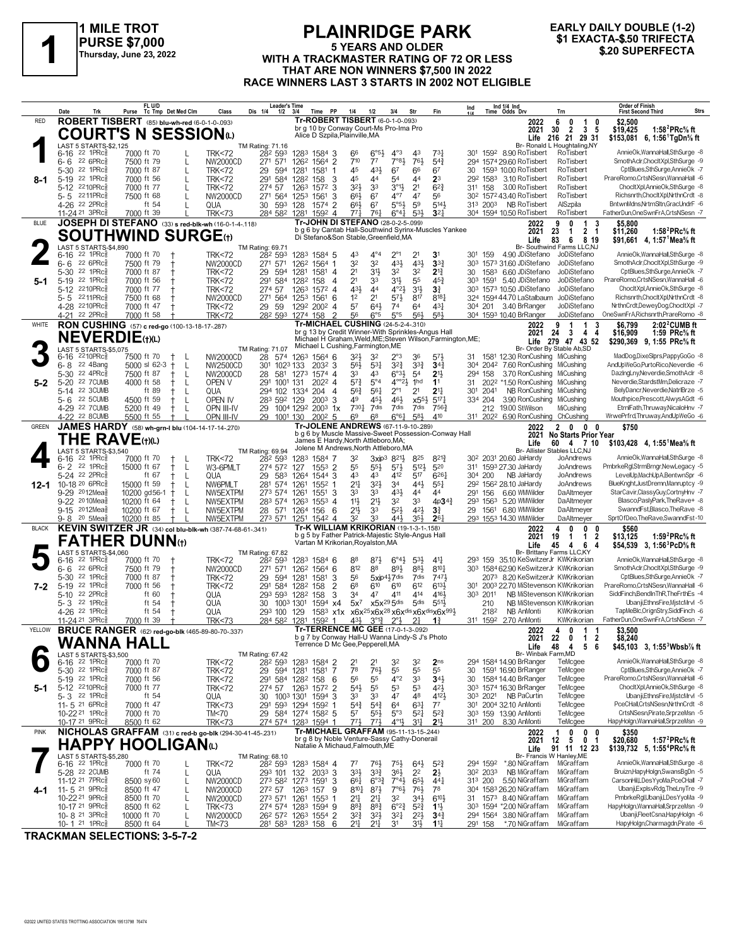

#### **PLAINRIDGE PARK 5 YEARS AND OLDER PURSE \$7,000**<br>
Thursday, June 23, 2022<br>
WITH A TRACKMASTER RATING OF 72 OR LESS<br>
THAT ARE NON WINNERS \$7,500 IN 2022 **THAT ARE NON WINNERS \$7,500 IN 2022 RACE WINNERS LAST 3 STARTS IN 2002 NOT ELIGIBLE**

# **EARLY DAILY DOUBLE (1-2)**

| ROBERT TISBERT (85) blu-wh-red (6-0-1-0-.093)<br><b>Tr-ROBERT TISBERT</b> (6-0-1-0-093)<br><b>RED</b><br>6<br>\$2,500<br>2022<br>$\mathbf 0$<br>$\mathbf{1}$<br>0<br>br g 10 by Conway Court-Ms Pro-Ima Pro<br>2021<br>30<br>- 2<br>$\mathbf{3}$<br>\$19,425<br>1:58 $^{2}$ PRc $\%$ ft<br>-5<br><b>COURT'S N SESSION</b> <sup>®</sup><br>Alice D Szpila, Plainville, MA<br>Life 216 21 29 31<br>\$153,081 6, 1:56 TgDn% ft<br>Br- Ronald L Houghtaling, NY<br>LAST 5 STARTS-\$2,125<br>TM Rating: 71.16<br>AnnieOk, WannaHall, SthSurge -8<br>22 1PRc3<br>282 593<br>$6^{o51}$<br>$4^{\circ}3$<br>RoTisbert<br>7000 ft 70<br><b>TRK&lt;72</b><br>1283 1584 3<br>66<br>43<br>$73\frac{1}{4}$<br>301 1592 8.90 RoTisbert<br>6-16<br>7°8 <sup>1</sup><br>22 6PRc<br>7500 ft 79<br>271 571<br>126 <sup>2</sup> 1564 2<br>$7^{10}$<br>77<br>76}<br>$5^{4}$<br>$6 - 6$<br>L<br>NW2000CD<br>294 1574 29.60 RoTisbert<br>RoTisbert<br>22 1PRc<br>45<br>431<br>67<br>66<br>$5 - 30$<br>7000 ft 87<br><b>TRK&lt;72</b><br>29<br>594<br>1281<br>1581<br>67<br>30<br>1593 10.00 RoTisbert<br>RoTisbert<br>L<br>-1<br>PrareRomo,CrtsNSesn,WannaHall -6<br>22 1PRc<br>292 1583 3.10 RoTisbert<br>7000 ft 56<br>291<br>584 1282<br>45<br>44<br>54<br>44<br>2 <sup>3</sup><br>RoTisbert<br>$5-19$<br><b>TRK&lt;72</b><br>158<br>3<br>8-1<br>5-12 2210PRc<br>32}<br>33<br>$3^{01}$<br>2 <sup>1</sup><br>RoTisbert<br>ChocltXpl,AnnieOk,SthSurge -8<br>7000 ft 77<br>274 57<br>3<br>$6^{2}3$<br>311 158<br>3.00 RoTisbert<br><b>TRK&lt;72</b><br>1263<br>1572<br>$4^{\circ}7$<br>5-5 2211PRc<br>7500 ft 68<br><b>NW2000CD</b><br>271 564 1253 1561<br>66}<br>67<br>47<br>56<br>30 <sup>2</sup> 157 <sup>2</sup> 43.40 RoTisbert<br>RoTisbert<br>3<br>$5°5\frac{1}{2}$<br>4-26 <sup>22</sup> 2PRc<br>30 593 128<br>$66\frac{1}{2}$<br>6 <sup>7</sup><br>59<br>5143<br>313 2003 NB RoTisbert<br>AlSzpila<br>ft 54<br>QUA<br>1574<br>$\overline{2}$<br>$3^{2}$<br>11-24 <sup>21</sup> 3PRc<br>284 582 1281<br>$6^{\circ}4\frac{1}{4}$<br>RoTisbert<br>FatherDun, OneSwnFrA, CrtsNSesn - 7<br>7000 ft 39<br><b>TRK&lt;73</b><br>1592 4<br>771<br>$76\frac{1}{4}$<br>5 <sup>3</sup><br>304 1594 10.50 RoTisbert<br>JOSEPH DI STEFANO (33) s red-blk-wh (16-0-1-4-.118)<br>Tr-JOHN DI STEFANO (28-0-2-5-.099)<br><b>BLUE</b><br>9<br>0<br>-3<br>2022<br>1<br>\$5.800<br>b g 6 by Cantab Hall-Southwind Syrinx-Muscles Yankee<br>$\overline{2}$<br>1:58 <sup>2</sup> PRc <sup>5</sup> / <sub>8</sub> ft<br>2021<br>23<br>\$11,260<br>-1<br>- 1<br><b>SOUTHWIND SURGE</b> th<br>Di Stefano&Son Stable, Greenfield, MA<br>83<br>Life<br>6<br>8 19<br>\$91,661 4, 1:57 <sup>1</sup> Mea <sup>5</sup> / <sub>8</sub> ft<br>LAST 5 STARTS-\$4,890<br>TM Rating: 69.71<br>Br- Southwind Farms LLC,NJ<br>22 1PRc3<br>282 593<br>43<br>$4^{\circ}4$<br>$2^{\circ}1$<br>301 159 4.90 JDiStefano<br>6-16<br>7000 ft 70<br><b>TRK&lt;72</b><br>1283 1584 5<br>2 <sup>1</sup><br>3 <sup>1</sup><br>JoDiStefano<br>32<br>431<br>431<br>3 <sup>3</sup><br>22 6PRc<br>32<br>SmothAclr,ChocltXpl,SthSurge -9<br>6-6<br>7500 ft 79<br>NW2000CD<br>271 571<br>126 <sup>2</sup> 1564 1<br>30 <sup>3</sup> 157 <sup>3</sup> 31.60 JDiStefano<br>JoDiStefano<br>$\mathbf t$<br>22 1PRc<br>2 <sup>1</sup><br>31}<br>32<br>32<br>$2^{13}$<br>1583 6.60 JDiStefano<br>5-30<br>7000 ft 87<br>29<br>594<br>JoDiStefano<br><b>TRK&lt;72</b><br>1281<br>1581 4<br>30<br>5-19 22 1PRc<br>2 <sup>1</sup><br>3 <sup>1</sup><br>55<br>303 1591 5.40 JDiStefano<br>JoDiStefano<br>7000 ft 56<br>291<br>584<br>33<br><b>TRK&lt;72</b><br>158<br>$\overline{4}$<br>45}<br>5-1<br>1282<br>ChocltXpl,AnnieOk,SthSurge -8<br>$5-12$<br>2210PRc<br>7000 ft 77<br>274 57<br>431<br>44<br>$4^{\circ}2\frac{1}{2}$<br>$3^{11}$<br>3 <sup>3</sup><br>303 1573 10.50 JDiStefano<br>JoDiStefano<br><b>TRK&lt;72</b><br>1263<br>1572 4<br>Richsnrth,ChocltXpl,NrthnCrdt -8<br>5-5 2211PRc<br>7500 ft 68<br>271 564 1253 1561 6<br>1 <sup>2</sup><br>2 <sup>1</sup><br>$5^{71}$<br>817<br>$8^{18}$<br>324 1594 44.70 LaStalbaum<br>JoDiStefano<br>NW2000CD<br>57<br>643<br>74<br>$43\frac{1}{4}$<br>4-28 2210PRc<br>7000 ft 47<br><b>TRK&lt;72</b><br>29 59<br>1292 2002 4<br>6 <sup>4</sup><br>304 201 3.40 BrRanger<br>JoDiStefano<br>OneSwnFrA, Richsnrth, PrareRomo -8<br>22 2PRc<br>6°5<br>5°5<br>56}<br>581<br>304 1593 10.40 BrRanger<br>7000 ft 58<br>282 593 1274 158<br>$\overline{2}$<br>56<br>JoDiStefano<br>$4 - 21$<br><b>TRK&lt;72</b><br>Tr-MICHAEL CUSHING (24-5-2-4-.310)<br>RON CUSHING (57) c red-go (100-13-18-17-287)<br>WHITE<br>\$6.799<br>$2:02^2$ CUMB ft<br>2022<br>9<br>1<br>3<br>br g 13 by Credit Winner-With Sprinkles-Angus Hall<br>24<br>-3<br>4<br>2021<br>-4<br>\$16,909<br>1:59 $PRc$ % ft<br><b>NEVERDIE(t)(L)</b><br>Michael H Graham, Weld, ME; Steven Wilson, Farmington, ME;<br>Life 279 47 43 52<br>\$290,369 9, 1:55 PRc% ft<br>Michael L Cushing, Farmington, ME<br>TM Rating: 71.07<br>Br- Order By Stable Ab, SD<br>LAST 5 STARTS-\$5,075<br>$3^{2}\frac{1}{2}$<br>32<br>$2^{\circ}3$<br>2210PRc3<br>NW2000CD<br>28<br>574<br>1263 1564 6<br>36<br>$5^{7}$<br>31 1581 12.30 RonCushing MiCushing<br>6-16<br>7500 ft 70<br>-L<br>$3^{22}$<br>$3^{3}\frac{3}{4}$<br>2042 7.60 RonCushing<br>AndUpWeGo,PurtoRico,Neverdie -6<br>22 4Bang<br>$5000$ sl $62-3$<br>1023 133<br>$5^{3}1$<br>34 <sub>1</sub><br>MiCushing<br>$6 - 8$<br>$^{+}$<br>L<br>NW2500CD<br>301<br>2032 3<br>$56\frac{1}{2}$<br>304<br>22 4PRc<br>33<br>$6^{o3}\frac{1}{2}$<br>3.70 RonCushing<br>MiCushing<br>DazingLny, Neverdie, SmothAclr -8<br>$5 - 30$<br>28<br>581<br>43<br>5 <sup>4</sup><br>2 <sup>11</sup><br>158<br>7500 ft 87<br>L<br><b>NW2000CD</b><br>1273 1574 4<br>294<br>+<br>$5^{7}$<br>$4^{\circ}2\frac{1}{2}$<br>1 <sub>hd</sub><br>5-20 22 7 CUMB<br>4000 ft 58<br>OPEN V<br>291<br>1001 131<br>2022 4<br>$5^{\circ}4$<br>1 <sup>1</sup><br>2022 *1.50 RonCushing<br>MiCushing<br>$^+$<br>-L<br>5-2<br>31<br>$56\frac{1}{4}$<br>$2^{\circ}1$<br>5-14 22 3CUMB<br>56}<br>2 <sup>1</sup><br>2 <sup>11</sup><br>301 2041<br>NB RonCushing<br>ft 89<br>QUA<br>294 102 1334<br>204<br>$\overline{4}$<br>MiCushing<br>L<br>5-6 22 5CUMB<br>49<br>46}<br>Mouthpice,Prescott,AlwysAGdt -6<br>4500 ft 59<br>OPEN IV<br>283 592 129<br>$200^3$ 3<br>45}<br>$x55\frac{1}{2}$<br>$5^{17}$<br>334 204<br>3.90 RonCushing MiCushing<br>L<br>4-29 22 7 CUMB<br>7301<br>212 19.00 StWilson<br>EtrnlFath, Thruway, NicaloHnv -7<br>5200 ft 49<br>7dis<br>7dis<br>7dis<br>7563<br>MiCushing<br>OPN III-IV<br>29 1004 1292 2003 1x<br>4-22 22 8CUMB<br>6 <sup>9</sup><br>6 <sup>8</sup><br>$6^{\circ}6\frac{1}{4}$<br>581<br>410<br>5500 ft 55<br>311 2022 6.90 RonCushing<br>ChCushing<br>OPN III-IV<br>29 1001 130<br>$200^2$ 5<br>Tr-JOLENE ANDREWS (67-11-9-10-289)<br>JAMES HARDY (58) wh-grn-I blu (104-14-17-14-270)<br><b>GREEN</b><br>2022<br>2 0<br>0 <sub>0</sub><br>\$750<br>b g 6 by Muscle Massive-Sweet Possession-Conway Hall<br><b>No Starts Prior Year</b><br>2021<br><b>THE RAVE(t)(L)</b><br>James E Hardy, North Attleboro, MA;<br>Life<br>60 4 7 10<br>\$103,428 4, 1:55 Mea % ft<br>Jolene M Andrews, North Attleboro, MA<br>LAST 5 STARTS-\$3,540<br>Br- Allister Stables LLC,NJ<br>TM Rating: 69.94<br>30 <sup>2</sup> 2031 20.60 JaHardy<br>22 1PRc<br>$8^{212}$<br>JoAndrews<br>7000 ft 70<br><b>TRK&lt;72</b><br>282 593<br>1283 1584 7<br>32<br>3xip <sup>3</sup><br>$8^{21}$<br>825<br>6-16<br>$^{\mathrm{+}}$<br>-L<br>5121<br>22 1PRc<br>15000 ft 67<br>W3-6PMLT<br>274 572 127<br>$155^3$ 2<br>55<br>$55\frac{1}{2}$<br>$5^{7}\frac{1}{2}$<br>520<br>311 1593 27.30 JaHardy<br>JoAndrews<br>$6 - 2$<br>-L<br>$^+$<br>412<br>LevelUp,MachUpA,BentwnSpr -6<br>5-24 22 2PRc<br>583<br>43<br>43<br>517<br>$6^{26}$ <sup>1</sup><br>304 200<br>JoAndrews<br>ft 67<br>-L<br>QUA<br>29<br>1264<br>1544 3<br>NB JaHardy<br>$3^{2}$<br>BlueKnght, JustDremn, Manruptcy -9<br>10-18 20 6PRc<br>281<br>574 1261<br>21<br>3 <sup>4</sup><br>443<br>$55\frac{1}{4}$<br>292 1562 28.10 JaHardy<br>JoAndrews<br>15000 ft 59<br>NW6PMLT<br>1552<br>12-1<br>9-29 2012Mea<br>33<br>431<br>10200 gd56-1<br>NW5EXTPM<br>273 574 1261<br>$1551$ 3<br>33<br>44<br>44<br>291 156<br>6.60 WMWilder<br>DaAltmeyer<br>$\pm$<br>9-22 2010Meas<br>11}<br>$2^{11}$<br>32<br>33<br>293 1563 5.20 WMWilder<br>Blasco, Pasly Park, The Rave+ -8<br>10200 ft 64<br>283 574 1263<br>$4p34\frac{3}{4}$<br>DaAltmeyer<br>NW5EXTPM<br>$155^3$ 4<br>SwanndFst,Blasco,TheRave -8<br>9-15 2012Meas<br>$21\frac{1}{2}$<br>$5^{2}$<br>421<br>29 1561 6.80 WMWilder<br>DaAltmeyer<br>10200 ft 67<br>28 571 1264 156<br>6<br>33<br>3 <sup>3</sup><br>NW5EXTPM<br>441<br>35}<br>$20,5$ Mea $\frac{5}{6}$<br>10200 ft 85<br>NW5EXTPM<br>273 571 1251 1542 4<br>32<br>33<br>261<br>293 1553 14.30 WMWilder<br>DaAltmeyer<br>$9 - 8$<br>Tr-K WILLIAM KRIKORIAN (19-1-3-1-158)<br>KEVIN SWITZER JR (34) col blu-blk-wh (387-74-68-61-.341)<br><b>BLACK</b><br>4<br>\$560<br>2022<br>$\mathbf{0}$<br>0<br>0<br>b g 5 by Father Patrick-Majestic Style-Angus Hall<br>1:59 ${}^2$ PRc ${}^5\!$ ft<br>2021<br>19<br>$\mathbf{1}$<br>2<br>\$13,125<br>1<br><b>FATHER DUNN⊕</b><br>Vartan M Krikorian, Royalston, MA<br>45<br>6<br>4<br>\$54,539 3, 1:56 <sup>3</sup> PcD <sup>5</sup> / <sub>8</sub> ft<br>Life<br>4<br>Br- Brittany Farms LLC,KY<br>LAST 5 STARTS-\$4,060<br>TM Rating: 67.82<br>AnnieOk,WannaHall,SthSurge -8<br>22 1PRc<br>$6^{\circ}4\frac{1}{2}$<br>$5^{3}$<br>$41\frac{1}{4}$<br>293 159 35.10 KeSwitzerJr KWKrikorian<br>7000 ft 70<br><b>TRK&lt;72</b><br>1283 1584 6<br>88<br>873<br>6-16<br>282 593<br>89}<br>22 6PRc<br>271 571<br>812<br>88<br>883<br>$8^{10}$<br>303 1584 62.90 KeSwitzerJr KWKrikorian<br>6-6<br>7500 ft 79<br>$\ddagger$<br>NW2000CD<br>126 <sup>2</sup> 1564 6<br>22 1PRc<br>7000 ft 87<br>594 1281<br>56<br>$5xip4\frac{1}{2}7dis$<br>7dis<br>7471<br>2073 8.20 KeSwitzerJr KWKrikorian<br>CptBlues,SthSurge,AnnieOk -7<br>5-30<br><b>TRK&lt;72</b><br>29<br>1581<br>3<br>6 <sup>8</sup><br>6131<br>22 1PRc<br>2<br>610<br>612<br>PrareRomo.CrtsNSesn.WannaHall -6<br>$5-19$<br>7000 ft 56<br><b>TRK&lt;72</b><br>291<br>584 1282 158<br>$6^{10}$<br>301 2003 22.70 MiStevenson KWKrikorian<br>7-2<br>22 2PRc<br>ft 60<br>414<br>4161<br>303 2011<br>NB MiStevenson KWKrikorian<br>3<br>34<br>47<br>411<br>$5 - 10$<br>QUA<br>293 593 1282<br>158<br>5-3 22 1PRc<br>ft 54<br>$x5x^{29}5$ dis<br>NB MiStevenson KWKrikorian<br>QUA<br>$5x^7$<br>5 <sub>dis</sub><br>5511<br>210<br>30<br>1003 1301<br>1594<br>х4<br>TapMeBlc, OrignStry, SiddFinch -6<br>4-26 <sup>22</sup> 1PRc<br>ft 54<br>x6x <sup>25</sup> x6x <sup>28</sup> x6x <sup>dis</sup> x6x <sup>dis</sup> x6x <sup>991</sup> 2<br>2182<br>NB AnMonti<br>QUA<br>293 100<br>129<br>1583<br>x1x<br>KWKrikorian<br>11-24 <sup>21</sup> 3PRc<br>7000 ft 39<br>284 582 1281<br>$3^{012}$<br>311 1592 2.70 AnMonti<br><b>TRK&lt;73</b><br>1592<br>43}<br>$2^{\circ}$ <sub>2</sub><br>21<br>$1\frac{3}{4}$<br>KWKrikorian<br><b>Tr-TERRENCE MC GEE (17-0-1-3-092)</b><br><b>BRUCE RANGER</b> (62) red-go-blk (465-89-80-70-.337)<br>YELLOW<br>4<br>2022<br>$\mathbf{0}$<br>$\overline{1}$<br>\$3,500<br>-1<br>b g 7 by Conway Hall-U Wanna Lindy-S J's Photo<br>22<br>2021 -<br>U<br>-1<br>z<br>\$8,240<br>WANNA HALL<br>Terrence D Mc Gee, Pepperell, MA<br>\$45,103 3, 1:55 <sup>3</sup> Wbsb <sup>7</sup> / <sub>8</sub> ft<br>Life<br>48<br>-4<br>56<br>Br- Winbak Farm, MD<br>LAST 5 STARTS-\$3,500<br>TM Rating: 67.42<br>AnnieOk, WannaHall, SthSurge -8<br>22 1PRc3<br>282 593 1283 1584 2<br>2 <sub>ns</sub><br>294 1584 14.90 BrRanger<br>7000 ft 70<br><b>TRK&lt;72</b><br>21<br>32<br>32<br>TeMcgee<br>6-16<br>21<br>78<br>55<br>5-30 <sup>22</sup> 1PRc<br>7000 ft 87<br>29 594 1281 1581<br>-7<br>761<br>55<br>55<br>30 1591 16.90 BrRanger<br><b>TRK&lt;72</b><br>TeMcgee<br>$4^{\circ}2$<br>5-19 22 1PRcs<br>56<br>55<br>33<br>PrareRomo,CrtsNSesn,WannaHall -6<br>7000 ft 56<br><b>TRK&lt;72</b><br>291 584 1282 158 6<br>$34\frac{1}{2}$<br>30 1584 14.40 BrRanger<br>TeMcgee<br>5-12 2210PRcs<br>303 1574 16.30 BrRanger<br>ChocltXpl,AnnieOk,SthSurge -8<br>7000 ft 77<br>$5^{4}$<br>55<br>53<br>53<br>$4^{2}\frac{1}{2}$<br>TeMcgee<br><b>TRK&lt;72</b><br>274 57<br>1263 1572 2<br>5-1<br>ft 54<br>48<br>303 2021 NB PaCurtin<br>TeMcgee<br>5-3 22 1PRcs<br>33<br>33<br>47<br>4121<br>QUA<br>1003 1301 1594 3<br>30<br>11-5 $^{21}$ 6PRc $\frac{5}{8}$<br>7000 ft 47<br>291 593 1294 1592 1<br>$5^{4}$<br>$63\frac{1}{4}$<br>$7^7$<br>301 2004 32.10 AnMonti<br>TeMcgee<br><b>TRK&lt;73</b><br>$5^{4}$<br>64<br>10-22 <sup>21</sup> 1PRc<br>29 584 1274 1582 5<br>5 <sup>7</sup><br>$55\frac{1}{2}$<br>5°3<br>$5^{21}$<br>$5^{2}3$<br>303 159 13.90 AnMonti<br>TeMcgee<br>CrtsNSesn,Pirate,SrprzeMsn -5<br>7000 ft 70<br>TM<70<br>$4^{\circ}1\frac{1}{2}$<br>HapyHolgn, WannaHall, SrprzeMsn -9<br>10-17 21 9PRc3<br>8500 ft 62<br><b>TRK&lt;73</b><br>274 574 1283 1594 1<br>$77\frac{1}{2}$<br>771,<br>$3^{11}$<br>2 <sup>11</sup><br>311 200 8.30 AnMonti<br>TeMcgee<br>Tr-MICHAEL GRAFFAM (95-11-13-15-244)<br>NICHOLAS GRAFFAM (31) c red-b go-blk (294-30-41-45-.231)<br>0<br><b>PINK</b><br>$\mathbf 0$<br>0<br>\$350<br>2022<br>1<br>br g 8 by Noble Venture-Sassy Cathy-Donerail<br>2021<br>12<br>5<br>$\mathbf{0}$<br>\$20,680<br>1:57 $^{2}$ PRc $\%$ ft<br>-1<br><b>HAPPY HOOLIGAN(L)</b><br>Natalie A Michaud, Falmouth, ME<br>91 11 12 23<br>Life<br>\$139,732 5, 1:55 <sup>4</sup> PRc <sup>5</sup> / <sub>8</sub> ft<br>Br- Francis W Hanley, ME<br>LAST 5 STARTS-\$5,280<br>TM Rating: 68.10<br>$6-16$ <sup>22</sup> 1PRc <sup>5</sup><br>7000 ft 70<br><b>TRK&lt;72</b><br>28 <sup>2</sup> 593 1283 1584 4<br>77<br>761<br>75}<br>$64\frac{1}{2}$<br>$5^{2}3$<br>294 1592<br>*.80 NiGraffam<br>MiGraffam<br>$36\frac{1}{2}$<br>$3^{3}\frac{1}{2}$<br>$3^{34}$<br>2 <sup>2</sup><br>5-28 <sup>22</sup> 2CUMB<br>ft 74<br>QUA<br>293 101 132<br>2033 3<br>$2\frac{1}{2}$<br>30 <sup>2</sup> 203 <sup>3</sup><br>NB MiGraffam<br>MiGraffam<br>L<br>11-12 21 7PRc <sup>5</sup><br>313 200 5.50 NiGraffam<br>661<br>$6^{o_3}\frac{3}{4}$<br>$7^\circ 4\frac{1}{2}$<br>MiGraffam<br>8500 sy 60<br>NW2000CD<br>273 582 1273 1591 3<br>$65\frac{1}{2}$<br>$44\frac{1}{4}$<br>L<br>Ubanji,ExplsvRdg,TheLnyTre -9<br>11-5 21 9PRc<br>MiGraffam<br>$8^{10}\frac{1}{4}$<br>$7°6\frac{1}{2}$<br>76}<br>304 1583 26.20 NiGraffam<br>8500 ft 47<br>NW2000CD<br>272 57<br>1263 157 9<br>$8^{7}\frac{1}{2}$<br>78<br>10-22 <sup>21</sup> 9PRc៖<br>21<br>32<br>$34\frac{1}{2}$<br>$6^{10}$<br>31 1573 8.40 NiGraffam<br>MiGraffam<br>8500 ft 70<br>NW2000CD<br>273 571 1261<br>$155^3$ 1<br>21<br>$\mathbf{L}$<br>10-17 <sup>21</sup> 9PRc<br>274 574 1283 1594 9<br>$8^{8}$ <sub>4</sub><br>$8^{8}\frac{3}{4}$<br>$6^{o}2^{3}$<br>$5^{2}$<br>303 1594 *2.00 NiGraffam<br>MiGraffam<br>8500 ft 62<br>$1\frac{11}{2}$<br><b>TRK&lt;73</b><br>$3^{2}\frac{1}{2}$<br>$3^{21}$<br>Ubanji,FleetCsna,HapyHolgn -6<br>10-8 <sup>21</sup> 3PRc3<br>10000 ft 70<br>NW2000CD<br>26 <sup>2</sup> 57 <sup>2</sup> 126 <sup>3</sup> 1554 2<br>$3^{2}\frac{3}{4}$<br>$2^{2}\frac{1}{2}$<br>$3^{4^{3}_{4}}$<br>294 1564 3.80 NiGraffam<br>MiGraffam<br>$21\frac{1}{2}$<br>MiGraffam<br>10-1 21 1PRc<br>291 158<br><u>281 583 1283 158 6</u><br>$1\frac{11}{4}$ | Trk<br>Date | FL U/D<br>Purse Tc Tmp Det Med Clm | Dis 1/4<br>Class | <b>Leader's Time</b><br>$1/2$ $3/4$<br>Time PP | 1/4<br>1/2      | 3/4<br>Str     | Ind<br>Fin | Ind 1/4 Ind<br>Time Odds Drv | Trn | <b>Order of Finish</b><br><b>Strs</b><br><b>First Second Third</b> |
|------------------------------------------------------------------------------------------------------------------------------------------------------------------------------------------------------------------------------------------------------------------------------------------------------------------------------------------------------------------------------------------------------------------------------------------------------------------------------------------------------------------------------------------------------------------------------------------------------------------------------------------------------------------------------------------------------------------------------------------------------------------------------------------------------------------------------------------------------------------------------------------------------------------------------------------------------------------------------------------------------------------------------------------------------------------------------------------------------------------------------------------------------------------------------------------------------------------------------------------------------------------------------------------------------------------------------------------------------------------------------------------------------------------------------------------------------------------------------------------------------------------------------------------------------------------------------------------------------------------------------------------------------------------------------------------------------------------------------------------------------------------------------------------------------------------------------------------------------------------------------------------------------------------------------------------------------------------------------------------------------------------------------------------------------------------------------------------------------------------------------------------------------------------------------------------------------------------------------------------------------------------------------------------------------------------------------------------------------------------------------------------------------------------------------------------------------------------------------------------------------------------------------------------------------------------------------------------------------------------------------------------------------------------------------------------------------------------------------------------------------------------------------------------------------------------------------------------------------------------------------------------------------------------------------------------------------------------------------------------------------------------------------------------------------------------------------------------------------------------------------------------------------------------------------------------------------------------------------------------------------------------------------------------------------------------------------------------------------------------------------------------------------------------------------------------------------------------------------------------------------------------------------------------------------------------------------------------------------------------------------------------------------------------------------------------------------------------------------------------------------------------------------------------------------------------------------------------------------------------------------------------------------------------------------------------------------------------------------------------------------------------------------------------------------------------------------------------------------------------------------------------------------------------------------------------------------------------------------------------------------------------------------------------------------------------------------------------------------------------------------------------------------------------------------------------------------------------------------------------------------------------------------------------------------------------------------------------------------------------------------------------------------------------------------------------------------------------------------------------------------------------------------------------------------------------------------------------------------------------------------------------------------------------------------------------------------------------------------------------------------------------------------------------------------------------------------------------------------------------------------------------------------------------------------------------------------------------------------------------------------------------------------------------------------------------------------------------------------------------------------------------------------------------------------------------------------------------------------------------------------------------------------------------------------------------------------------------------------------------------------------------------------------------------------------------------------------------------------------------------------------------------------------------------------------------------------------------------------------------------------------------------------------------------------------------------------------------------------------------------------------------------------------------------------------------------------------------------------------------------------------------------------------------------------------------------------------------------------------------------------------------------------------------------------------------------------------------------------------------------------------------------------------------------------------------------------------------------------------------------------------------------------------------------------------------------------------------------------------------------------------------------------------------------------------------------------------------------------------------------------------------------------------------------------------------------------------------------------------------------------------------------------------------------------------------------------------------------------------------------------------------------------------------------------------------------------------------------------------------------------------------------------------------------------------------------------------------------------------------------------------------------------------------------------------------------------------------------------------------------------------------------------------------------------------------------------------------------------------------------------------------------------------------------------------------------------------------------------------------------------------------------------------------------------------------------------------------------------------------------------------------------------------------------------------------------------------------------------------------------------------------------------------------------------------------------------------------------------------------------------------------------------------------------------------------------------------------------------------------------------------------------------------------------------------------------------------------------------------------------------------------------------------------------------------------------------------------------------------------------------------------------------------------------------------------------------------------------------------------------------------------------------------------------------------------------------------------------------------------------------------------------------------------------------------------------------------------------------------------------------------------------------------------------------------------------------------------------------------------------------------------------------------------------------------------------------------------------------------------------------------------------------------------------------------------------------------------------------------------------------------------------------------------------------------------------------------------------------------------------------------------------------------------------------------------------------------------------------------------------------------------------------------------------------------------------------------------------------------------------------------------------------------------------------------------------------------------------------------------------------------------------------------------------------------------------------------------------------------------------------------------------------------------------------------------------------------------------------------------------------------------------------------------------------------------------------------------------------------------------------------------------------------------------------------------------------------------------------------------------------------------------------------------------------------------------------------------------------------------------------------------------------------------------------------------------------------------------------------------------------------------------------------------------------------------------------------------------------------------------------------------------------------------------------------------------------------------------------------------------------------------------------------------------------------------------------------------------------------------------------------------------------------------------------------------------------------------------------------------------------------------------------------------------------------------------------------------------------------------------------------------------------------------------------------------------------------------------------------------------------------------------------------------------------------------------------------------------------------------------------------------------------------------------------------------------------------------------------------------------------------------------------------------------------------------------------------------------------------------------------------------------------------------------------------------------------------------------------------------------------------------------------------------------------------------------------------------------------------------------------------------------------------------------------------------------------------------------------------------------------------------------------------------------------------------------------------------------------------------------------------------------------------------------------------------------------------------------------------------------------------------------------------------------------------------------------------------------------------------------------------------------------------------------------------------------------------------------------------------------------------------------------------------------------------------------------------------------------------------------------------------------------------------------------------------------------------------------------------------------------------------------------------------------------------------------------------------------------------------------------------------------------------------------------------------------------------------------------------------------------------------------------------------------------------------------------------------------------------------------------------------------------------------------------------------------------------------------------------------------------------------------------------------------------------------------------------------------------------------------------------------------------------------------------------------------------------------------------------------------------------------------------------------------------------------------------------------------------------------------------------------------------------------------------------------------------------------------------------------------------------------------------------------------------------------------------------------------------------------------------------------------------------------------------------------------------------------------------------------------------------------------------------------------------------------------------------------------------------------------------------------------------------------------------------------------------------------------------------------------------------------------------------------------------------------------------------------------------------------------------------------------------------------------------------------------------------------------------------------------------------------------------------------------------------------------------------------------------------------------------------------------------------------------------------------------------------------------------------------------------------------------------------------------------------------------------------------------------------------------------------------------------------------------------------------------------------------------------------------------------------------------------------------------------------------------------------------------------------------------------------------------------------------------------------------------------------------------------------------------------------------------------------------------------------------------------------------------------------------------------------------------------------------------------------------------------------------------------------------------------------------------|-------------|------------------------------------|------------------|------------------------------------------------|-----------------|----------------|------------|------------------------------|-----|--------------------------------------------------------------------|
|                                                                                                                                                                                                                                                                                                                                                                                                                                                                                                                                                                                                                                                                                                                                                                                                                                                                                                                                                                                                                                                                                                                                                                                                                                                                                                                                                                                                                                                                                                                                                                                                                                                                                                                                                                                                                                                                                                                                                                                                                                                                                                                                                                                                                                                                                                                                                                                                                                                                                                                                                                                                                                                                                                                                                                                                                                                                                                                                                                                                                                                                                                                                                                                                                                                                                                                                                                                                                                                                                                                                                                                                                                                                                                                                                                                                                                                                                                                                                                                                                                                                                                                                                                                                                                                                                                                                                                                                                                                                                                                                                                                                                                                                                                                                                                                                                                                                                                                                                                                                                                                                                                                                                                                                                                                                                                                                                                                                                                                                                                                                                                                                                                                                                                                                                                                                                                                                                                                                                                                                                                                                                                                                                                                                                                                                                                                                                                                                                                                                                                                                                                                                                                                                                                                                                                                                                                                                                                                                                                                                                                                                                                                                                                                                                                                                                                                                                                                                                                                                                                                                                                                                                                                                                                                                                                                                                                                                                                                                                                                                                                                                                                                                                                                                                                                                                                                                                                                                                                                                                                                                                                                                                                                                                                                                                                                                                                                                                                                                                                                                                                                                                                                                                                                                                                                                                                                                                                                                                                                                                                                                                                                                                                                                                                                                                                                                                                                                                                                                                                                                                                                                                                                                                                                                                                                                                                                                                                                                                                                                                                                                                                                                                                                                                                                                                                                                                                                                                                                                                                                                                                                                                                                                                                                                                                                                                                                                                                                                                                                                                                                                                                                                                                                                                                                                                                                                                                                                                                                                                                                                                                                                                                                                                                                                                                                                                                                                                                                                                                                                                                                                                                                                                                                                                                                                                                                                                                                                                                                                                                                                                                                                                                                                                                                                                                                                                                                                                                                                                                                                                                                                                                                                                                                                                                                                                                                                                                                                                                                                                                                                                                                                                                                                                                                                                                                                                                                                                                                                                                                                                                                                                                                                                                                                                                                                                                                                                                                                                                                                                                                                                                                                                                                                                                                                                                                                                                                                                                                                |             |                                    |                  |                                                |                 |                |            |                              |     |                                                                    |
|                                                                                                                                                                                                                                                                                                                                                                                                                                                                                                                                                                                                                                                                                                                                                                                                                                                                                                                                                                                                                                                                                                                                                                                                                                                                                                                                                                                                                                                                                                                                                                                                                                                                                                                                                                                                                                                                                                                                                                                                                                                                                                                                                                                                                                                                                                                                                                                                                                                                                                                                                                                                                                                                                                                                                                                                                                                                                                                                                                                                                                                                                                                                                                                                                                                                                                                                                                                                                                                                                                                                                                                                                                                                                                                                                                                                                                                                                                                                                                                                                                                                                                                                                                                                                                                                                                                                                                                                                                                                                                                                                                                                                                                                                                                                                                                                                                                                                                                                                                                                                                                                                                                                                                                                                                                                                                                                                                                                                                                                                                                                                                                                                                                                                                                                                                                                                                                                                                                                                                                                                                                                                                                                                                                                                                                                                                                                                                                                                                                                                                                                                                                                                                                                                                                                                                                                                                                                                                                                                                                                                                                                                                                                                                                                                                                                                                                                                                                                                                                                                                                                                                                                                                                                                                                                                                                                                                                                                                                                                                                                                                                                                                                                                                                                                                                                                                                                                                                                                                                                                                                                                                                                                                                                                                                                                                                                                                                                                                                                                                                                                                                                                                                                                                                                                                                                                                                                                                                                                                                                                                                                                                                                                                                                                                                                                                                                                                                                                                                                                                                                                                                                                                                                                                                                                                                                                                                                                                                                                                                                                                                                                                                                                                                                                                                                                                                                                                                                                                                                                                                                                                                                                                                                                                                                                                                                                                                                                                                                                                                                                                                                                                                                                                                                                                                                                                                                                                                                                                                                                                                                                                                                                                                                                                                                                                                                                                                                                                                                                                                                                                                                                                                                                                                                                                                                                                                                                                                                                                                                                                                                                                                                                                                                                                                                                                                                                                                                                                                                                                                                                                                                                                                                                                                                                                                                                                                                                                                                                                                                                                                                                                                                                                                                                                                                                                                                                                                                                                                                                                                                                                                                                                                                                                                                                                                                                                                                                                                                                                                                                                                                                                                                                                                                                                                                                                                                                                                                                                                                |             |                                    |                  |                                                |                 |                |            |                              |     |                                                                    |
|                                                                                                                                                                                                                                                                                                                                                                                                                                                                                                                                                                                                                                                                                                                                                                                                                                                                                                                                                                                                                                                                                                                                                                                                                                                                                                                                                                                                                                                                                                                                                                                                                                                                                                                                                                                                                                                                                                                                                                                                                                                                                                                                                                                                                                                                                                                                                                                                                                                                                                                                                                                                                                                                                                                                                                                                                                                                                                                                                                                                                                                                                                                                                                                                                                                                                                                                                                                                                                                                                                                                                                                                                                                                                                                                                                                                                                                                                                                                                                                                                                                                                                                                                                                                                                                                                                                                                                                                                                                                                                                                                                                                                                                                                                                                                                                                                                                                                                                                                                                                                                                                                                                                                                                                                                                                                                                                                                                                                                                                                                                                                                                                                                                                                                                                                                                                                                                                                                                                                                                                                                                                                                                                                                                                                                                                                                                                                                                                                                                                                                                                                                                                                                                                                                                                                                                                                                                                                                                                                                                                                                                                                                                                                                                                                                                                                                                                                                                                                                                                                                                                                                                                                                                                                                                                                                                                                                                                                                                                                                                                                                                                                                                                                                                                                                                                                                                                                                                                                                                                                                                                                                                                                                                                                                                                                                                                                                                                                                                                                                                                                                                                                                                                                                                                                                                                                                                                                                                                                                                                                                                                                                                                                                                                                                                                                                                                                                                                                                                                                                                                                                                                                                                                                                                                                                                                                                                                                                                                                                                                                                                                                                                                                                                                                                                                                                                                                                                                                                                                                                                                                                                                                                                                                                                                                                                                                                                                                                                                                                                                                                                                                                                                                                                                                                                                                                                                                                                                                                                                                                                                                                                                                                                                                                                                                                                                                                                                                                                                                                                                                                                                                                                                                                                                                                                                                                                                                                                                                                                                                                                                                                                                                                                                                                                                                                                                                                                                                                                                                                                                                                                                                                                                                                                                                                                                                                                                                                                                                                                                                                                                                                                                                                                                                                                                                                                                                                                                                                                                                                                                                                                                                                                                                                                                                                                                                                                                                                                                                                                                                                                                                                                                                                                                                                                                                                                                                                                                                                                                |             |                                    |                  |                                                |                 |                |            |                              |     |                                                                    |
|                                                                                                                                                                                                                                                                                                                                                                                                                                                                                                                                                                                                                                                                                                                                                                                                                                                                                                                                                                                                                                                                                                                                                                                                                                                                                                                                                                                                                                                                                                                                                                                                                                                                                                                                                                                                                                                                                                                                                                                                                                                                                                                                                                                                                                                                                                                                                                                                                                                                                                                                                                                                                                                                                                                                                                                                                                                                                                                                                                                                                                                                                                                                                                                                                                                                                                                                                                                                                                                                                                                                                                                                                                                                                                                                                                                                                                                                                                                                                                                                                                                                                                                                                                                                                                                                                                                                                                                                                                                                                                                                                                                                                                                                                                                                                                                                                                                                                                                                                                                                                                                                                                                                                                                                                                                                                                                                                                                                                                                                                                                                                                                                                                                                                                                                                                                                                                                                                                                                                                                                                                                                                                                                                                                                                                                                                                                                                                                                                                                                                                                                                                                                                                                                                                                                                                                                                                                                                                                                                                                                                                                                                                                                                                                                                                                                                                                                                                                                                                                                                                                                                                                                                                                                                                                                                                                                                                                                                                                                                                                                                                                                                                                                                                                                                                                                                                                                                                                                                                                                                                                                                                                                                                                                                                                                                                                                                                                                                                                                                                                                                                                                                                                                                                                                                                                                                                                                                                                                                                                                                                                                                                                                                                                                                                                                                                                                                                                                                                                                                                                                                                                                                                                                                                                                                                                                                                                                                                                                                                                                                                                                                                                                                                                                                                                                                                                                                                                                                                                                                                                                                                                                                                                                                                                                                                                                                                                                                                                                                                                                                                                                                                                                                                                                                                                                                                                                                                                                                                                                                                                                                                                                                                                                                                                                                                                                                                                                                                                                                                                                                                                                                                                                                                                                                                                                                                                                                                                                                                                                                                                                                                                                                                                                                                                                                                                                                                                                                                                                                                                                                                                                                                                                                                                                                                                                                                                                                                                                                                                                                                                                                                                                                                                                                                                                                                                                                                                                                                                                                                                                                                                                                                                                                                                                                                                                                                                                                                                                                                                                                                                                                                                                                                                                                                                                                                                                                                                                                                                                |             |                                    |                  |                                                |                 |                |            |                              |     | SmothAclr.ChocltXpl.SthSurge -9                                    |
|                                                                                                                                                                                                                                                                                                                                                                                                                                                                                                                                                                                                                                                                                                                                                                                                                                                                                                                                                                                                                                                                                                                                                                                                                                                                                                                                                                                                                                                                                                                                                                                                                                                                                                                                                                                                                                                                                                                                                                                                                                                                                                                                                                                                                                                                                                                                                                                                                                                                                                                                                                                                                                                                                                                                                                                                                                                                                                                                                                                                                                                                                                                                                                                                                                                                                                                                                                                                                                                                                                                                                                                                                                                                                                                                                                                                                                                                                                                                                                                                                                                                                                                                                                                                                                                                                                                                                                                                                                                                                                                                                                                                                                                                                                                                                                                                                                                                                                                                                                                                                                                                                                                                                                                                                                                                                                                                                                                                                                                                                                                                                                                                                                                                                                                                                                                                                                                                                                                                                                                                                                                                                                                                                                                                                                                                                                                                                                                                                                                                                                                                                                                                                                                                                                                                                                                                                                                                                                                                                                                                                                                                                                                                                                                                                                                                                                                                                                                                                                                                                                                                                                                                                                                                                                                                                                                                                                                                                                                                                                                                                                                                                                                                                                                                                                                                                                                                                                                                                                                                                                                                                                                                                                                                                                                                                                                                                                                                                                                                                                                                                                                                                                                                                                                                                                                                                                                                                                                                                                                                                                                                                                                                                                                                                                                                                                                                                                                                                                                                                                                                                                                                                                                                                                                                                                                                                                                                                                                                                                                                                                                                                                                                                                                                                                                                                                                                                                                                                                                                                                                                                                                                                                                                                                                                                                                                                                                                                                                                                                                                                                                                                                                                                                                                                                                                                                                                                                                                                                                                                                                                                                                                                                                                                                                                                                                                                                                                                                                                                                                                                                                                                                                                                                                                                                                                                                                                                                                                                                                                                                                                                                                                                                                                                                                                                                                                                                                                                                                                                                                                                                                                                                                                                                                                                                                                                                                                                                                                                                                                                                                                                                                                                                                                                                                                                                                                                                                                                                                                                                                                                                                                                                                                                                                                                                                                                                                                                                                                                                                                                                                                                                                                                                                                                                                                                                                                                                                                                                                                |             |                                    |                  |                                                |                 |                |            |                              |     | CptBlues,SthSurge,AnnieOk -7                                       |
|                                                                                                                                                                                                                                                                                                                                                                                                                                                                                                                                                                                                                                                                                                                                                                                                                                                                                                                                                                                                                                                                                                                                                                                                                                                                                                                                                                                                                                                                                                                                                                                                                                                                                                                                                                                                                                                                                                                                                                                                                                                                                                                                                                                                                                                                                                                                                                                                                                                                                                                                                                                                                                                                                                                                                                                                                                                                                                                                                                                                                                                                                                                                                                                                                                                                                                                                                                                                                                                                                                                                                                                                                                                                                                                                                                                                                                                                                                                                                                                                                                                                                                                                                                                                                                                                                                                                                                                                                                                                                                                                                                                                                                                                                                                                                                                                                                                                                                                                                                                                                                                                                                                                                                                                                                                                                                                                                                                                                                                                                                                                                                                                                                                                                                                                                                                                                                                                                                                                                                                                                                                                                                                                                                                                                                                                                                                                                                                                                                                                                                                                                                                                                                                                                                                                                                                                                                                                                                                                                                                                                                                                                                                                                                                                                                                                                                                                                                                                                                                                                                                                                                                                                                                                                                                                                                                                                                                                                                                                                                                                                                                                                                                                                                                                                                                                                                                                                                                                                                                                                                                                                                                                                                                                                                                                                                                                                                                                                                                                                                                                                                                                                                                                                                                                                                                                                                                                                                                                                                                                                                                                                                                                                                                                                                                                                                                                                                                                                                                                                                                                                                                                                                                                                                                                                                                                                                                                                                                                                                                                                                                                                                                                                                                                                                                                                                                                                                                                                                                                                                                                                                                                                                                                                                                                                                                                                                                                                                                                                                                                                                                                                                                                                                                                                                                                                                                                                                                                                                                                                                                                                                                                                                                                                                                                                                                                                                                                                                                                                                                                                                                                                                                                                                                                                                                                                                                                                                                                                                                                                                                                                                                                                                                                                                                                                                                                                                                                                                                                                                                                                                                                                                                                                                                                                                                                                                                                                                                                                                                                                                                                                                                                                                                                                                                                                                                                                                                                                                                                                                                                                                                                                                                                                                                                                                                                                                                                                                                                                                                                                                                                                                                                                                                                                                                                                                                                                                                                                                                                |             |                                    |                  |                                                |                 |                |            |                              |     |                                                                    |
|                                                                                                                                                                                                                                                                                                                                                                                                                                                                                                                                                                                                                                                                                                                                                                                                                                                                                                                                                                                                                                                                                                                                                                                                                                                                                                                                                                                                                                                                                                                                                                                                                                                                                                                                                                                                                                                                                                                                                                                                                                                                                                                                                                                                                                                                                                                                                                                                                                                                                                                                                                                                                                                                                                                                                                                                                                                                                                                                                                                                                                                                                                                                                                                                                                                                                                                                                                                                                                                                                                                                                                                                                                                                                                                                                                                                                                                                                                                                                                                                                                                                                                                                                                                                                                                                                                                                                                                                                                                                                                                                                                                                                                                                                                                                                                                                                                                                                                                                                                                                                                                                                                                                                                                                                                                                                                                                                                                                                                                                                                                                                                                                                                                                                                                                                                                                                                                                                                                                                                                                                                                                                                                                                                                                                                                                                                                                                                                                                                                                                                                                                                                                                                                                                                                                                                                                                                                                                                                                                                                                                                                                                                                                                                                                                                                                                                                                                                                                                                                                                                                                                                                                                                                                                                                                                                                                                                                                                                                                                                                                                                                                                                                                                                                                                                                                                                                                                                                                                                                                                                                                                                                                                                                                                                                                                                                                                                                                                                                                                                                                                                                                                                                                                                                                                                                                                                                                                                                                                                                                                                                                                                                                                                                                                                                                                                                                                                                                                                                                                                                                                                                                                                                                                                                                                                                                                                                                                                                                                                                                                                                                                                                                                                                                                                                                                                                                                                                                                                                                                                                                                                                                                                                                                                                                                                                                                                                                                                                                                                                                                                                                                                                                                                                                                                                                                                                                                                                                                                                                                                                                                                                                                                                                                                                                                                                                                                                                                                                                                                                                                                                                                                                                                                                                                                                                                                                                                                                                                                                                                                                                                                                                                                                                                                                                                                                                                                                                                                                                                                                                                                                                                                                                                                                                                                                                                                                                                                                                                                                                                                                                                                                                                                                                                                                                                                                                                                                                                                                                                                                                                                                                                                                                                                                                                                                                                                                                                                                                                                                                                                                                                                                                                                                                                                                                                                                                                                                                                                                                |             |                                    |                  |                                                |                 |                |            |                              |     | Richsnrth,ChocltXpl,NrthnCrdt -8                                   |
|                                                                                                                                                                                                                                                                                                                                                                                                                                                                                                                                                                                                                                                                                                                                                                                                                                                                                                                                                                                                                                                                                                                                                                                                                                                                                                                                                                                                                                                                                                                                                                                                                                                                                                                                                                                                                                                                                                                                                                                                                                                                                                                                                                                                                                                                                                                                                                                                                                                                                                                                                                                                                                                                                                                                                                                                                                                                                                                                                                                                                                                                                                                                                                                                                                                                                                                                                                                                                                                                                                                                                                                                                                                                                                                                                                                                                                                                                                                                                                                                                                                                                                                                                                                                                                                                                                                                                                                                                                                                                                                                                                                                                                                                                                                                                                                                                                                                                                                                                                                                                                                                                                                                                                                                                                                                                                                                                                                                                                                                                                                                                                                                                                                                                                                                                                                                                                                                                                                                                                                                                                                                                                                                                                                                                                                                                                                                                                                                                                                                                                                                                                                                                                                                                                                                                                                                                                                                                                                                                                                                                                                                                                                                                                                                                                                                                                                                                                                                                                                                                                                                                                                                                                                                                                                                                                                                                                                                                                                                                                                                                                                                                                                                                                                                                                                                                                                                                                                                                                                                                                                                                                                                                                                                                                                                                                                                                                                                                                                                                                                                                                                                                                                                                                                                                                                                                                                                                                                                                                                                                                                                                                                                                                                                                                                                                                                                                                                                                                                                                                                                                                                                                                                                                                                                                                                                                                                                                                                                                                                                                                                                                                                                                                                                                                                                                                                                                                                                                                                                                                                                                                                                                                                                                                                                                                                                                                                                                                                                                                                                                                                                                                                                                                                                                                                                                                                                                                                                                                                                                                                                                                                                                                                                                                                                                                                                                                                                                                                                                                                                                                                                                                                                                                                                                                                                                                                                                                                                                                                                                                                                                                                                                                                                                                                                                                                                                                                                                                                                                                                                                                                                                                                                                                                                                                                                                                                                                                                                                                                                                                                                                                                                                                                                                                                                                                                                                                                                                                                                                                                                                                                                                                                                                                                                                                                                                                                                                                                                                                                                                                                                                                                                                                                                                                                                                                                                                                                                                                                                |             |                                    |                  |                                                |                 |                |            |                              |     | BntwnMdns, NrtrnSltn, GracUndrF -6                                 |
|                                                                                                                                                                                                                                                                                                                                                                                                                                                                                                                                                                                                                                                                                                                                                                                                                                                                                                                                                                                                                                                                                                                                                                                                                                                                                                                                                                                                                                                                                                                                                                                                                                                                                                                                                                                                                                                                                                                                                                                                                                                                                                                                                                                                                                                                                                                                                                                                                                                                                                                                                                                                                                                                                                                                                                                                                                                                                                                                                                                                                                                                                                                                                                                                                                                                                                                                                                                                                                                                                                                                                                                                                                                                                                                                                                                                                                                                                                                                                                                                                                                                                                                                                                                                                                                                                                                                                                                                                                                                                                                                                                                                                                                                                                                                                                                                                                                                                                                                                                                                                                                                                                                                                                                                                                                                                                                                                                                                                                                                                                                                                                                                                                                                                                                                                                                                                                                                                                                                                                                                                                                                                                                                                                                                                                                                                                                                                                                                                                                                                                                                                                                                                                                                                                                                                                                                                                                                                                                                                                                                                                                                                                                                                                                                                                                                                                                                                                                                                                                                                                                                                                                                                                                                                                                                                                                                                                                                                                                                                                                                                                                                                                                                                                                                                                                                                                                                                                                                                                                                                                                                                                                                                                                                                                                                                                                                                                                                                                                                                                                                                                                                                                                                                                                                                                                                                                                                                                                                                                                                                                                                                                                                                                                                                                                                                                                                                                                                                                                                                                                                                                                                                                                                                                                                                                                                                                                                                                                                                                                                                                                                                                                                                                                                                                                                                                                                                                                                                                                                                                                                                                                                                                                                                                                                                                                                                                                                                                                                                                                                                                                                                                                                                                                                                                                                                                                                                                                                                                                                                                                                                                                                                                                                                                                                                                                                                                                                                                                                                                                                                                                                                                                                                                                                                                                                                                                                                                                                                                                                                                                                                                                                                                                                                                                                                                                                                                                                                                                                                                                                                                                                                                                                                                                                                                                                                                                                                                                                                                                                                                                                                                                                                                                                                                                                                                                                                                                                                                                                                                                                                                                                                                                                                                                                                                                                                                                                                                                                                                                                                                                                                                                                                                                                                                                                                                                                                                                                                                                                |             |                                    |                  |                                                |                 |                |            |                              |     |                                                                    |
|                                                                                                                                                                                                                                                                                                                                                                                                                                                                                                                                                                                                                                                                                                                                                                                                                                                                                                                                                                                                                                                                                                                                                                                                                                                                                                                                                                                                                                                                                                                                                                                                                                                                                                                                                                                                                                                                                                                                                                                                                                                                                                                                                                                                                                                                                                                                                                                                                                                                                                                                                                                                                                                                                                                                                                                                                                                                                                                                                                                                                                                                                                                                                                                                                                                                                                                                                                                                                                                                                                                                                                                                                                                                                                                                                                                                                                                                                                                                                                                                                                                                                                                                                                                                                                                                                                                                                                                                                                                                                                                                                                                                                                                                                                                                                                                                                                                                                                                                                                                                                                                                                                                                                                                                                                                                                                                                                                                                                                                                                                                                                                                                                                                                                                                                                                                                                                                                                                                                                                                                                                                                                                                                                                                                                                                                                                                                                                                                                                                                                                                                                                                                                                                                                                                                                                                                                                                                                                                                                                                                                                                                                                                                                                                                                                                                                                                                                                                                                                                                                                                                                                                                                                                                                                                                                                                                                                                                                                                                                                                                                                                                                                                                                                                                                                                                                                                                                                                                                                                                                                                                                                                                                                                                                                                                                                                                                                                                                                                                                                                                                                                                                                                                                                                                                                                                                                                                                                                                                                                                                                                                                                                                                                                                                                                                                                                                                                                                                                                                                                                                                                                                                                                                                                                                                                                                                                                                                                                                                                                                                                                                                                                                                                                                                                                                                                                                                                                                                                                                                                                                                                                                                                                                                                                                                                                                                                                                                                                                                                                                                                                                                                                                                                                                                                                                                                                                                                                                                                                                                                                                                                                                                                                                                                                                                                                                                                                                                                                                                                                                                                                                                                                                                                                                                                                                                                                                                                                                                                                                                                                                                                                                                                                                                                                                                                                                                                                                                                                                                                                                                                                                                                                                                                                                                                                                                                                                                                                                                                                                                                                                                                                                                                                                                                                                                                                                                                                                                                                                                                                                                                                                                                                                                                                                                                                                                                                                                                                                                                                                                                                                                                                                                                                                                                                                                                                                                                                                                                                                |             |                                    |                  |                                                |                 |                |            |                              |     |                                                                    |
|                                                                                                                                                                                                                                                                                                                                                                                                                                                                                                                                                                                                                                                                                                                                                                                                                                                                                                                                                                                                                                                                                                                                                                                                                                                                                                                                                                                                                                                                                                                                                                                                                                                                                                                                                                                                                                                                                                                                                                                                                                                                                                                                                                                                                                                                                                                                                                                                                                                                                                                                                                                                                                                                                                                                                                                                                                                                                                                                                                                                                                                                                                                                                                                                                                                                                                                                                                                                                                                                                                                                                                                                                                                                                                                                                                                                                                                                                                                                                                                                                                                                                                                                                                                                                                                                                                                                                                                                                                                                                                                                                                                                                                                                                                                                                                                                                                                                                                                                                                                                                                                                                                                                                                                                                                                                                                                                                                                                                                                                                                                                                                                                                                                                                                                                                                                                                                                                                                                                                                                                                                                                                                                                                                                                                                                                                                                                                                                                                                                                                                                                                                                                                                                                                                                                                                                                                                                                                                                                                                                                                                                                                                                                                                                                                                                                                                                                                                                                                                                                                                                                                                                                                                                                                                                                                                                                                                                                                                                                                                                                                                                                                                                                                                                                                                                                                                                                                                                                                                                                                                                                                                                                                                                                                                                                                                                                                                                                                                                                                                                                                                                                                                                                                                                                                                                                                                                                                                                                                                                                                                                                                                                                                                                                                                                                                                                                                                                                                                                                                                                                                                                                                                                                                                                                                                                                                                                                                                                                                                                                                                                                                                                                                                                                                                                                                                                                                                                                                                                                                                                                                                                                                                                                                                                                                                                                                                                                                                                                                                                                                                                                                                                                                                                                                                                                                                                                                                                                                                                                                                                                                                                                                                                                                                                                                                                                                                                                                                                                                                                                                                                                                                                                                                                                                                                                                                                                                                                                                                                                                                                                                                                                                                                                                                                                                                                                                                                                                                                                                                                                                                                                                                                                                                                                                                                                                                                                                                                                                                                                                                                                                                                                                                                                                                                                                                                                                                                                                                                                                                                                                                                                                                                                                                                                                                                                                                                                                                                                                                                                                                                                                                                                                                                                                                                                                                                                                                                                                                                                |             |                                    |                  |                                                |                 |                |            |                              |     |                                                                    |
|                                                                                                                                                                                                                                                                                                                                                                                                                                                                                                                                                                                                                                                                                                                                                                                                                                                                                                                                                                                                                                                                                                                                                                                                                                                                                                                                                                                                                                                                                                                                                                                                                                                                                                                                                                                                                                                                                                                                                                                                                                                                                                                                                                                                                                                                                                                                                                                                                                                                                                                                                                                                                                                                                                                                                                                                                                                                                                                                                                                                                                                                                                                                                                                                                                                                                                                                                                                                                                                                                                                                                                                                                                                                                                                                                                                                                                                                                                                                                                                                                                                                                                                                                                                                                                                                                                                                                                                                                                                                                                                                                                                                                                                                                                                                                                                                                                                                                                                                                                                                                                                                                                                                                                                                                                                                                                                                                                                                                                                                                                                                                                                                                                                                                                                                                                                                                                                                                                                                                                                                                                                                                                                                                                                                                                                                                                                                                                                                                                                                                                                                                                                                                                                                                                                                                                                                                                                                                                                                                                                                                                                                                                                                                                                                                                                                                                                                                                                                                                                                                                                                                                                                                                                                                                                                                                                                                                                                                                                                                                                                                                                                                                                                                                                                                                                                                                                                                                                                                                                                                                                                                                                                                                                                                                                                                                                                                                                                                                                                                                                                                                                                                                                                                                                                                                                                                                                                                                                                                                                                                                                                                                                                                                                                                                                                                                                                                                                                                                                                                                                                                                                                                                                                                                                                                                                                                                                                                                                                                                                                                                                                                                                                                                                                                                                                                                                                                                                                                                                                                                                                                                                                                                                                                                                                                                                                                                                                                                                                                                                                                                                                                                                                                                                                                                                                                                                                                                                                                                                                                                                                                                                                                                                                                                                                                                                                                                                                                                                                                                                                                                                                                                                                                                                                                                                                                                                                                                                                                                                                                                                                                                                                                                                                                                                                                                                                                                                                                                                                                                                                                                                                                                                                                                                                                                                                                                                                                                                                                                                                                                                                                                                                                                                                                                                                                                                                                                                                                                                                                                                                                                                                                                                                                                                                                                                                                                                                                                                                                                                                                                                                                                                                                                                                                                                                                                                                                                                                                                                                |             |                                    |                  |                                                |                 |                |            |                              |     | AnnieOk.WannaHall.SthSurge -8                                      |
|                                                                                                                                                                                                                                                                                                                                                                                                                                                                                                                                                                                                                                                                                                                                                                                                                                                                                                                                                                                                                                                                                                                                                                                                                                                                                                                                                                                                                                                                                                                                                                                                                                                                                                                                                                                                                                                                                                                                                                                                                                                                                                                                                                                                                                                                                                                                                                                                                                                                                                                                                                                                                                                                                                                                                                                                                                                                                                                                                                                                                                                                                                                                                                                                                                                                                                                                                                                                                                                                                                                                                                                                                                                                                                                                                                                                                                                                                                                                                                                                                                                                                                                                                                                                                                                                                                                                                                                                                                                                                                                                                                                                                                                                                                                                                                                                                                                                                                                                                                                                                                                                                                                                                                                                                                                                                                                                                                                                                                                                                                                                                                                                                                                                                                                                                                                                                                                                                                                                                                                                                                                                                                                                                                                                                                                                                                                                                                                                                                                                                                                                                                                                                                                                                                                                                                                                                                                                                                                                                                                                                                                                                                                                                                                                                                                                                                                                                                                                                                                                                                                                                                                                                                                                                                                                                                                                                                                                                                                                                                                                                                                                                                                                                                                                                                                                                                                                                                                                                                                                                                                                                                                                                                                                                                                                                                                                                                                                                                                                                                                                                                                                                                                                                                                                                                                                                                                                                                                                                                                                                                                                                                                                                                                                                                                                                                                                                                                                                                                                                                                                                                                                                                                                                                                                                                                                                                                                                                                                                                                                                                                                                                                                                                                                                                                                                                                                                                                                                                                                                                                                                                                                                                                                                                                                                                                                                                                                                                                                                                                                                                                                                                                                                                                                                                                                                                                                                                                                                                                                                                                                                                                                                                                                                                                                                                                                                                                                                                                                                                                                                                                                                                                                                                                                                                                                                                                                                                                                                                                                                                                                                                                                                                                                                                                                                                                                                                                                                                                                                                                                                                                                                                                                                                                                                                                                                                                                                                                                                                                                                                                                                                                                                                                                                                                                                                                                                                                                                                                                                                                                                                                                                                                                                                                                                                                                                                                                                                                                                                                                                                                                                                                                                                                                                                                                                                                                                                                                                                                                |             |                                    |                  |                                                |                 |                |            |                              |     | CptBlues.SthSurge.AnnieOk -7                                       |
|                                                                                                                                                                                                                                                                                                                                                                                                                                                                                                                                                                                                                                                                                                                                                                                                                                                                                                                                                                                                                                                                                                                                                                                                                                                                                                                                                                                                                                                                                                                                                                                                                                                                                                                                                                                                                                                                                                                                                                                                                                                                                                                                                                                                                                                                                                                                                                                                                                                                                                                                                                                                                                                                                                                                                                                                                                                                                                                                                                                                                                                                                                                                                                                                                                                                                                                                                                                                                                                                                                                                                                                                                                                                                                                                                                                                                                                                                                                                                                                                                                                                                                                                                                                                                                                                                                                                                                                                                                                                                                                                                                                                                                                                                                                                                                                                                                                                                                                                                                                                                                                                                                                                                                                                                                                                                                                                                                                                                                                                                                                                                                                                                                                                                                                                                                                                                                                                                                                                                                                                                                                                                                                                                                                                                                                                                                                                                                                                                                                                                                                                                                                                                                                                                                                                                                                                                                                                                                                                                                                                                                                                                                                                                                                                                                                                                                                                                                                                                                                                                                                                                                                                                                                                                                                                                                                                                                                                                                                                                                                                                                                                                                                                                                                                                                                                                                                                                                                                                                                                                                                                                                                                                                                                                                                                                                                                                                                                                                                                                                                                                                                                                                                                                                                                                                                                                                                                                                                                                                                                                                                                                                                                                                                                                                                                                                                                                                                                                                                                                                                                                                                                                                                                                                                                                                                                                                                                                                                                                                                                                                                                                                                                                                                                                                                                                                                                                                                                                                                                                                                                                                                                                                                                                                                                                                                                                                                                                                                                                                                                                                                                                                                                                                                                                                                                                                                                                                                                                                                                                                                                                                                                                                                                                                                                                                                                                                                                                                                                                                                                                                                                                                                                                                                                                                                                                                                                                                                                                                                                                                                                                                                                                                                                                                                                                                                                                                                                                                                                                                                                                                                                                                                                                                                                                                                                                                                                                                                                                                                                                                                                                                                                                                                                                                                                                                                                                                                                                                                                                                                                                                                                                                                                                                                                                                                                                                                                                                                                                                                                                                                                                                                                                                                                                                                                                                                                                                                                                                                                |             |                                    |                  |                                                |                 |                |            |                              |     | PrareRomo,CrtsNSesn,WannaHall -6                                   |
|                                                                                                                                                                                                                                                                                                                                                                                                                                                                                                                                                                                                                                                                                                                                                                                                                                                                                                                                                                                                                                                                                                                                                                                                                                                                                                                                                                                                                                                                                                                                                                                                                                                                                                                                                                                                                                                                                                                                                                                                                                                                                                                                                                                                                                                                                                                                                                                                                                                                                                                                                                                                                                                                                                                                                                                                                                                                                                                                                                                                                                                                                                                                                                                                                                                                                                                                                                                                                                                                                                                                                                                                                                                                                                                                                                                                                                                                                                                                                                                                                                                                                                                                                                                                                                                                                                                                                                                                                                                                                                                                                                                                                                                                                                                                                                                                                                                                                                                                                                                                                                                                                                                                                                                                                                                                                                                                                                                                                                                                                                                                                                                                                                                                                                                                                                                                                                                                                                                                                                                                                                                                                                                                                                                                                                                                                                                                                                                                                                                                                                                                                                                                                                                                                                                                                                                                                                                                                                                                                                                                                                                                                                                                                                                                                                                                                                                                                                                                                                                                                                                                                                                                                                                                                                                                                                                                                                                                                                                                                                                                                                                                                                                                                                                                                                                                                                                                                                                                                                                                                                                                                                                                                                                                                                                                                                                                                                                                                                                                                                                                                                                                                                                                                                                                                                                                                                                                                                                                                                                                                                                                                                                                                                                                                                                                                                                                                                                                                                                                                                                                                                                                                                                                                                                                                                                                                                                                                                                                                                                                                                                                                                                                                                                                                                                                                                                                                                                                                                                                                                                                                                                                                                                                                                                                                                                                                                                                                                                                                                                                                                                                                                                                                                                                                                                                                                                                                                                                                                                                                                                                                                                                                                                                                                                                                                                                                                                                                                                                                                                                                                                                                                                                                                                                                                                                                                                                                                                                                                                                                                                                                                                                                                                                                                                                                                                                                                                                                                                                                                                                                                                                                                                                                                                                                                                                                                                                                                                                                                                                                                                                                                                                                                                                                                                                                                                                                                                                                                                                                                                                                                                                                                                                                                                                                                                                                                                                                                                                                                                                                                                                                                                                                                                                                                                                                                                                                                                                                                                                |             |                                    |                  |                                                |                 |                |            |                              |     |                                                                    |
|                                                                                                                                                                                                                                                                                                                                                                                                                                                                                                                                                                                                                                                                                                                                                                                                                                                                                                                                                                                                                                                                                                                                                                                                                                                                                                                                                                                                                                                                                                                                                                                                                                                                                                                                                                                                                                                                                                                                                                                                                                                                                                                                                                                                                                                                                                                                                                                                                                                                                                                                                                                                                                                                                                                                                                                                                                                                                                                                                                                                                                                                                                                                                                                                                                                                                                                                                                                                                                                                                                                                                                                                                                                                                                                                                                                                                                                                                                                                                                                                                                                                                                                                                                                                                                                                                                                                                                                                                                                                                                                                                                                                                                                                                                                                                                                                                                                                                                                                                                                                                                                                                                                                                                                                                                                                                                                                                                                                                                                                                                                                                                                                                                                                                                                                                                                                                                                                                                                                                                                                                                                                                                                                                                                                                                                                                                                                                                                                                                                                                                                                                                                                                                                                                                                                                                                                                                                                                                                                                                                                                                                                                                                                                                                                                                                                                                                                                                                                                                                                                                                                                                                                                                                                                                                                                                                                                                                                                                                                                                                                                                                                                                                                                                                                                                                                                                                                                                                                                                                                                                                                                                                                                                                                                                                                                                                                                                                                                                                                                                                                                                                                                                                                                                                                                                                                                                                                                                                                                                                                                                                                                                                                                                                                                                                                                                                                                                                                                                                                                                                                                                                                                                                                                                                                                                                                                                                                                                                                                                                                                                                                                                                                                                                                                                                                                                                                                                                                                                                                                                                                                                                                                                                                                                                                                                                                                                                                                                                                                                                                                                                                                                                                                                                                                                                                                                                                                                                                                                                                                                                                                                                                                                                                                                                                                                                                                                                                                                                                                                                                                                                                                                                                                                                                                                                                                                                                                                                                                                                                                                                                                                                                                                                                                                                                                                                                                                                                                                                                                                                                                                                                                                                                                                                                                                                                                                                                                                                                                                                                                                                                                                                                                                                                                                                                                                                                                                                                                                                                                                                                                                                                                                                                                                                                                                                                                                                                                                                                                                                                                                                                                                                                                                                                                                                                                                                                                                                                                                                                |             |                                    |                  |                                                |                 |                |            |                              |     | NrthnCrdt,DeweyDog,ChocItXpl -7                                    |
|                                                                                                                                                                                                                                                                                                                                                                                                                                                                                                                                                                                                                                                                                                                                                                                                                                                                                                                                                                                                                                                                                                                                                                                                                                                                                                                                                                                                                                                                                                                                                                                                                                                                                                                                                                                                                                                                                                                                                                                                                                                                                                                                                                                                                                                                                                                                                                                                                                                                                                                                                                                                                                                                                                                                                                                                                                                                                                                                                                                                                                                                                                                                                                                                                                                                                                                                                                                                                                                                                                                                                                                                                                                                                                                                                                                                                                                                                                                                                                                                                                                                                                                                                                                                                                                                                                                                                                                                                                                                                                                                                                                                                                                                                                                                                                                                                                                                                                                                                                                                                                                                                                                                                                                                                                                                                                                                                                                                                                                                                                                                                                                                                                                                                                                                                                                                                                                                                                                                                                                                                                                                                                                                                                                                                                                                                                                                                                                                                                                                                                                                                                                                                                                                                                                                                                                                                                                                                                                                                                                                                                                                                                                                                                                                                                                                                                                                                                                                                                                                                                                                                                                                                                                                                                                                                                                                                                                                                                                                                                                                                                                                                                                                                                                                                                                                                                                                                                                                                                                                                                                                                                                                                                                                                                                                                                                                                                                                                                                                                                                                                                                                                                                                                                                                                                                                                                                                                                                                                                                                                                                                                                                                                                                                                                                                                                                                                                                                                                                                                                                                                                                                                                                                                                                                                                                                                                                                                                                                                                                                                                                                                                                                                                                                                                                                                                                                                                                                                                                                                                                                                                                                                                                                                                                                                                                                                                                                                                                                                                                                                                                                                                                                                                                                                                                                                                                                                                                                                                                                                                                                                                                                                                                                                                                                                                                                                                                                                                                                                                                                                                                                                                                                                                                                                                                                                                                                                                                                                                                                                                                                                                                                                                                                                                                                                                                                                                                                                                                                                                                                                                                                                                                                                                                                                                                                                                                                                                                                                                                                                                                                                                                                                                                                                                                                                                                                                                                                                                                                                                                                                                                                                                                                                                                                                                                                                                                                                                                                                                                                                                                                                                                                                                                                                                                                                                                                                                                                                                                                |             |                                    |                  |                                                |                 |                |            |                              |     |                                                                    |
|                                                                                                                                                                                                                                                                                                                                                                                                                                                                                                                                                                                                                                                                                                                                                                                                                                                                                                                                                                                                                                                                                                                                                                                                                                                                                                                                                                                                                                                                                                                                                                                                                                                                                                                                                                                                                                                                                                                                                                                                                                                                                                                                                                                                                                                                                                                                                                                                                                                                                                                                                                                                                                                                                                                                                                                                                                                                                                                                                                                                                                                                                                                                                                                                                                                                                                                                                                                                                                                                                                                                                                                                                                                                                                                                                                                                                                                                                                                                                                                                                                                                                                                                                                                                                                                                                                                                                                                                                                                                                                                                                                                                                                                                                                                                                                                                                                                                                                                                                                                                                                                                                                                                                                                                                                                                                                                                                                                                                                                                                                                                                                                                                                                                                                                                                                                                                                                                                                                                                                                                                                                                                                                                                                                                                                                                                                                                                                                                                                                                                                                                                                                                                                                                                                                                                                                                                                                                                                                                                                                                                                                                                                                                                                                                                                                                                                                                                                                                                                                                                                                                                                                                                                                                                                                                                                                                                                                                                                                                                                                                                                                                                                                                                                                                                                                                                                                                                                                                                                                                                                                                                                                                                                                                                                                                                                                                                                                                                                                                                                                                                                                                                                                                                                                                                                                                                                                                                                                                                                                                                                                                                                                                                                                                                                                                                                                                                                                                                                                                                                                                                                                                                                                                                                                                                                                                                                                                                                                                                                                                                                                                                                                                                                                                                                                                                                                                                                                                                                                                                                                                                                                                                                                                                                                                                                                                                                                                                                                                                                                                                                                                                                                                                                                                                                                                                                                                                                                                                                                                                                                                                                                                                                                                                                                                                                                                                                                                                                                                                                                                                                                                                                                                                                                                                                                                                                                                                                                                                                                                                                                                                                                                                                                                                                                                                                                                                                                                                                                                                                                                                                                                                                                                                                                                                                                                                                                                                                                                                                                                                                                                                                                                                                                                                                                                                                                                                                                                                                                                                                                                                                                                                                                                                                                                                                                                                                                                                                                                                                                                                                                                                                                                                                                                                                                                                                                                                                                                                                                                |             |                                    |                  |                                                |                 |                |            |                              |     |                                                                    |
|                                                                                                                                                                                                                                                                                                                                                                                                                                                                                                                                                                                                                                                                                                                                                                                                                                                                                                                                                                                                                                                                                                                                                                                                                                                                                                                                                                                                                                                                                                                                                                                                                                                                                                                                                                                                                                                                                                                                                                                                                                                                                                                                                                                                                                                                                                                                                                                                                                                                                                                                                                                                                                                                                                                                                                                                                                                                                                                                                                                                                                                                                                                                                                                                                                                                                                                                                                                                                                                                                                                                                                                                                                                                                                                                                                                                                                                                                                                                                                                                                                                                                                                                                                                                                                                                                                                                                                                                                                                                                                                                                                                                                                                                                                                                                                                                                                                                                                                                                                                                                                                                                                                                                                                                                                                                                                                                                                                                                                                                                                                                                                                                                                                                                                                                                                                                                                                                                                                                                                                                                                                                                                                                                                                                                                                                                                                                                                                                                                                                                                                                                                                                                                                                                                                                                                                                                                                                                                                                                                                                                                                                                                                                                                                                                                                                                                                                                                                                                                                                                                                                                                                                                                                                                                                                                                                                                                                                                                                                                                                                                                                                                                                                                                                                                                                                                                                                                                                                                                                                                                                                                                                                                                                                                                                                                                                                                                                                                                                                                                                                                                                                                                                                                                                                                                                                                                                                                                                                                                                                                                                                                                                                                                                                                                                                                                                                                                                                                                                                                                                                                                                                                                                                                                                                                                                                                                                                                                                                                                                                                                                                                                                                                                                                                                                                                                                                                                                                                                                                                                                                                                                                                                                                                                                                                                                                                                                                                                                                                                                                                                                                                                                                                                                                                                                                                                                                                                                                                                                                                                                                                                                                                                                                                                                                                                                                                                                                                                                                                                                                                                                                                                                                                                                                                                                                                                                                                                                                                                                                                                                                                                                                                                                                                                                                                                                                                                                                                                                                                                                                                                                                                                                                                                                                                                                                                                                                                                                                                                                                                                                                                                                                                                                                                                                                                                                                                                                                                                                                                                                                                                                                                                                                                                                                                                                                                                                                                                                                                                                                                                                                                                                                                                                                                                                                                                                                                                                                                                                                |             |                                    |                  |                                                |                 |                |            |                              |     |                                                                    |
|                                                                                                                                                                                                                                                                                                                                                                                                                                                                                                                                                                                                                                                                                                                                                                                                                                                                                                                                                                                                                                                                                                                                                                                                                                                                                                                                                                                                                                                                                                                                                                                                                                                                                                                                                                                                                                                                                                                                                                                                                                                                                                                                                                                                                                                                                                                                                                                                                                                                                                                                                                                                                                                                                                                                                                                                                                                                                                                                                                                                                                                                                                                                                                                                                                                                                                                                                                                                                                                                                                                                                                                                                                                                                                                                                                                                                                                                                                                                                                                                                                                                                                                                                                                                                                                                                                                                                                                                                                                                                                                                                                                                                                                                                                                                                                                                                                                                                                                                                                                                                                                                                                                                                                                                                                                                                                                                                                                                                                                                                                                                                                                                                                                                                                                                                                                                                                                                                                                                                                                                                                                                                                                                                                                                                                                                                                                                                                                                                                                                                                                                                                                                                                                                                                                                                                                                                                                                                                                                                                                                                                                                                                                                                                                                                                                                                                                                                                                                                                                                                                                                                                                                                                                                                                                                                                                                                                                                                                                                                                                                                                                                                                                                                                                                                                                                                                                                                                                                                                                                                                                                                                                                                                                                                                                                                                                                                                                                                                                                                                                                                                                                                                                                                                                                                                                                                                                                                                                                                                                                                                                                                                                                                                                                                                                                                                                                                                                                                                                                                                                                                                                                                                                                                                                                                                                                                                                                                                                                                                                                                                                                                                                                                                                                                                                                                                                                                                                                                                                                                                                                                                                                                                                                                                                                                                                                                                                                                                                                                                                                                                                                                                                                                                                                                                                                                                                                                                                                                                                                                                                                                                                                                                                                                                                                                                                                                                                                                                                                                                                                                                                                                                                                                                                                                                                                                                                                                                                                                                                                                                                                                                                                                                                                                                                                                                                                                                                                                                                                                                                                                                                                                                                                                                                                                                                                                                                                                                                                                                                                                                                                                                                                                                                                                                                                                                                                                                                                                                                                                                                                                                                                                                                                                                                                                                                                                                                                                                                                                                                                                                                                                                                                                                                                                                                                                                                                                                                                                                                                |             |                                    |                  |                                                |                 |                |            |                              |     | MadDog,DixeSlprs,PappyGoGo -8                                      |
|                                                                                                                                                                                                                                                                                                                                                                                                                                                                                                                                                                                                                                                                                                                                                                                                                                                                                                                                                                                                                                                                                                                                                                                                                                                                                                                                                                                                                                                                                                                                                                                                                                                                                                                                                                                                                                                                                                                                                                                                                                                                                                                                                                                                                                                                                                                                                                                                                                                                                                                                                                                                                                                                                                                                                                                                                                                                                                                                                                                                                                                                                                                                                                                                                                                                                                                                                                                                                                                                                                                                                                                                                                                                                                                                                                                                                                                                                                                                                                                                                                                                                                                                                                                                                                                                                                                                                                                                                                                                                                                                                                                                                                                                                                                                                                                                                                                                                                                                                                                                                                                                                                                                                                                                                                                                                                                                                                                                                                                                                                                                                                                                                                                                                                                                                                                                                                                                                                                                                                                                                                                                                                                                                                                                                                                                                                                                                                                                                                                                                                                                                                                                                                                                                                                                                                                                                                                                                                                                                                                                                                                                                                                                                                                                                                                                                                                                                                                                                                                                                                                                                                                                                                                                                                                                                                                                                                                                                                                                                                                                                                                                                                                                                                                                                                                                                                                                                                                                                                                                                                                                                                                                                                                                                                                                                                                                                                                                                                                                                                                                                                                                                                                                                                                                                                                                                                                                                                                                                                                                                                                                                                                                                                                                                                                                                                                                                                                                                                                                                                                                                                                                                                                                                                                                                                                                                                                                                                                                                                                                                                                                                                                                                                                                                                                                                                                                                                                                                                                                                                                                                                                                                                                                                                                                                                                                                                                                                                                                                                                                                                                                                                                                                                                                                                                                                                                                                                                                                                                                                                                                                                                                                                                                                                                                                                                                                                                                                                                                                                                                                                                                                                                                                                                                                                                                                                                                                                                                                                                                                                                                                                                                                                                                                                                                                                                                                                                                                                                                                                                                                                                                                                                                                                                                                                                                                                                                                                                                                                                                                                                                                                                                                                                                                                                                                                                                                                                                                                                                                                                                                                                                                                                                                                                                                                                                                                                                                                                                                                                                                                                                                                                                                                                                                                                                                                                                                                                                                                                                |             |                                    |                  |                                                |                 |                |            |                              |     |                                                                    |
|                                                                                                                                                                                                                                                                                                                                                                                                                                                                                                                                                                                                                                                                                                                                                                                                                                                                                                                                                                                                                                                                                                                                                                                                                                                                                                                                                                                                                                                                                                                                                                                                                                                                                                                                                                                                                                                                                                                                                                                                                                                                                                                                                                                                                                                                                                                                                                                                                                                                                                                                                                                                                                                                                                                                                                                                                                                                                                                                                                                                                                                                                                                                                                                                                                                                                                                                                                                                                                                                                                                                                                                                                                                                                                                                                                                                                                                                                                                                                                                                                                                                                                                                                                                                                                                                                                                                                                                                                                                                                                                                                                                                                                                                                                                                                                                                                                                                                                                                                                                                                                                                                                                                                                                                                                                                                                                                                                                                                                                                                                                                                                                                                                                                                                                                                                                                                                                                                                                                                                                                                                                                                                                                                                                                                                                                                                                                                                                                                                                                                                                                                                                                                                                                                                                                                                                                                                                                                                                                                                                                                                                                                                                                                                                                                                                                                                                                                                                                                                                                                                                                                                                                                                                                                                                                                                                                                                                                                                                                                                                                                                                                                                                                                                                                                                                                                                                                                                                                                                                                                                                                                                                                                                                                                                                                                                                                                                                                                                                                                                                                                                                                                                                                                                                                                                                                                                                                                                                                                                                                                                                                                                                                                                                                                                                                                                                                                                                                                                                                                                                                                                                                                                                                                                                                                                                                                                                                                                                                                                                                                                                                                                                                                                                                                                                                                                                                                                                                                                                                                                                                                                                                                                                                                                                                                                                                                                                                                                                                                                                                                                                                                                                                                                                                                                                                                                                                                                                                                                                                                                                                                                                                                                                                                                                                                                                                                                                                                                                                                                                                                                                                                                                                                                                                                                                                                                                                                                                                                                                                                                                                                                                                                                                                                                                                                                                                                                                                                                                                                                                                                                                                                                                                                                                                                                                                                                                                                                                                                                                                                                                                                                                                                                                                                                                                                                                                                                                                                                                                                                                                                                                                                                                                                                                                                                                                                                                                                                                                                                                                                                                                                                                                                                                                                                                                                                                                                                                                                                                                |             |                                    |                  |                                                |                 |                |            |                              |     | Neverdie,StardstMm,Delicraze -7                                    |
|                                                                                                                                                                                                                                                                                                                                                                                                                                                                                                                                                                                                                                                                                                                                                                                                                                                                                                                                                                                                                                                                                                                                                                                                                                                                                                                                                                                                                                                                                                                                                                                                                                                                                                                                                                                                                                                                                                                                                                                                                                                                                                                                                                                                                                                                                                                                                                                                                                                                                                                                                                                                                                                                                                                                                                                                                                                                                                                                                                                                                                                                                                                                                                                                                                                                                                                                                                                                                                                                                                                                                                                                                                                                                                                                                                                                                                                                                                                                                                                                                                                                                                                                                                                                                                                                                                                                                                                                                                                                                                                                                                                                                                                                                                                                                                                                                                                                                                                                                                                                                                                                                                                                                                                                                                                                                                                                                                                                                                                                                                                                                                                                                                                                                                                                                                                                                                                                                                                                                                                                                                                                                                                                                                                                                                                                                                                                                                                                                                                                                                                                                                                                                                                                                                                                                                                                                                                                                                                                                                                                                                                                                                                                                                                                                                                                                                                                                                                                                                                                                                                                                                                                                                                                                                                                                                                                                                                                                                                                                                                                                                                                                                                                                                                                                                                                                                                                                                                                                                                                                                                                                                                                                                                                                                                                                                                                                                                                                                                                                                                                                                                                                                                                                                                                                                                                                                                                                                                                                                                                                                                                                                                                                                                                                                                                                                                                                                                                                                                                                                                                                                                                                                                                                                                                                                                                                                                                                                                                                                                                                                                                                                                                                                                                                                                                                                                                                                                                                                                                                                                                                                                                                                                                                                                                                                                                                                                                                                                                                                                                                                                                                                                                                                                                                                                                                                                                                                                                                                                                                                                                                                                                                                                                                                                                                                                                                                                                                                                                                                                                                                                                                                                                                                                                                                                                                                                                                                                                                                                                                                                                                                                                                                                                                                                                                                                                                                                                                                                                                                                                                                                                                                                                                                                                                                                                                                                                                                                                                                                                                                                                                                                                                                                                                                                                                                                                                                                                                                                                                                                                                                                                                                                                                                                                                                                                                                                                                                                                                                                                                                                                                                                                                                                                                                                                                                                                                                                                                                                                |             |                                    |                  |                                                |                 |                |            |                              |     | BelvDancr.Neverdie.NatrlBrze -5                                    |
|                                                                                                                                                                                                                                                                                                                                                                                                                                                                                                                                                                                                                                                                                                                                                                                                                                                                                                                                                                                                                                                                                                                                                                                                                                                                                                                                                                                                                                                                                                                                                                                                                                                                                                                                                                                                                                                                                                                                                                                                                                                                                                                                                                                                                                                                                                                                                                                                                                                                                                                                                                                                                                                                                                                                                                                                                                                                                                                                                                                                                                                                                                                                                                                                                                                                                                                                                                                                                                                                                                                                                                                                                                                                                                                                                                                                                                                                                                                                                                                                                                                                                                                                                                                                                                                                                                                                                                                                                                                                                                                                                                                                                                                                                                                                                                                                                                                                                                                                                                                                                                                                                                                                                                                                                                                                                                                                                                                                                                                                                                                                                                                                                                                                                                                                                                                                                                                                                                                                                                                                                                                                                                                                                                                                                                                                                                                                                                                                                                                                                                                                                                                                                                                                                                                                                                                                                                                                                                                                                                                                                                                                                                                                                                                                                                                                                                                                                                                                                                                                                                                                                                                                                                                                                                                                                                                                                                                                                                                                                                                                                                                                                                                                                                                                                                                                                                                                                                                                                                                                                                                                                                                                                                                                                                                                                                                                                                                                                                                                                                                                                                                                                                                                                                                                                                                                                                                                                                                                                                                                                                                                                                                                                                                                                                                                                                                                                                                                                                                                                                                                                                                                                                                                                                                                                                                                                                                                                                                                                                                                                                                                                                                                                                                                                                                                                                                                                                                                                                                                                                                                                                                                                                                                                                                                                                                                                                                                                                                                                                                                                                                                                                                                                                                                                                                                                                                                                                                                                                                                                                                                                                                                                                                                                                                                                                                                                                                                                                                                                                                                                                                                                                                                                                                                                                                                                                                                                                                                                                                                                                                                                                                                                                                                                                                                                                                                                                                                                                                                                                                                                                                                                                                                                                                                                                                                                                                                                                                                                                                                                                                                                                                                                                                                                                                                                                                                                                                                                                                                                                                                                                                                                                                                                                                                                                                                                                                                                                                                                                                                                                                                                                                                                                                                                                                                                                                                                                                                                                                                |             |                                    |                  |                                                |                 |                |            |                              |     |                                                                    |
|                                                                                                                                                                                                                                                                                                                                                                                                                                                                                                                                                                                                                                                                                                                                                                                                                                                                                                                                                                                                                                                                                                                                                                                                                                                                                                                                                                                                                                                                                                                                                                                                                                                                                                                                                                                                                                                                                                                                                                                                                                                                                                                                                                                                                                                                                                                                                                                                                                                                                                                                                                                                                                                                                                                                                                                                                                                                                                                                                                                                                                                                                                                                                                                                                                                                                                                                                                                                                                                                                                                                                                                                                                                                                                                                                                                                                                                                                                                                                                                                                                                                                                                                                                                                                                                                                                                                                                                                                                                                                                                                                                                                                                                                                                                                                                                                                                                                                                                                                                                                                                                                                                                                                                                                                                                                                                                                                                                                                                                                                                                                                                                                                                                                                                                                                                                                                                                                                                                                                                                                                                                                                                                                                                                                                                                                                                                                                                                                                                                                                                                                                                                                                                                                                                                                                                                                                                                                                                                                                                                                                                                                                                                                                                                                                                                                                                                                                                                                                                                                                                                                                                                                                                                                                                                                                                                                                                                                                                                                                                                                                                                                                                                                                                                                                                                                                                                                                                                                                                                                                                                                                                                                                                                                                                                                                                                                                                                                                                                                                                                                                                                                                                                                                                                                                                                                                                                                                                                                                                                                                                                                                                                                                                                                                                                                                                                                                                                                                                                                                                                                                                                                                                                                                                                                                                                                                                                                                                                                                                                                                                                                                                                                                                                                                                                                                                                                                                                                                                                                                                                                                                                                                                                                                                                                                                                                                                                                                                                                                                                                                                                                                                                                                                                                                                                                                                                                                                                                                                                                                                                                                                                                                                                                                                                                                                                                                                                                                                                                                                                                                                                                                                                                                                                                                                                                                                                                                                                                                                                                                                                                                                                                                                                                                                                                                                                                                                                                                                                                                                                                                                                                                                                                                                                                                                                                                                                                                                                                                                                                                                                                                                                                                                                                                                                                                                                                                                                                                                                                                                                                                                                                                                                                                                                                                                                                                                                                                                                                                                                                                                                                                                                                                                                                                                                                                                                                                                                                                                                                |             |                                    |                  |                                                |                 |                |            |                              |     | WrwePrfrd, Thruway, AndUpWeGo -6                                   |
|                                                                                                                                                                                                                                                                                                                                                                                                                                                                                                                                                                                                                                                                                                                                                                                                                                                                                                                                                                                                                                                                                                                                                                                                                                                                                                                                                                                                                                                                                                                                                                                                                                                                                                                                                                                                                                                                                                                                                                                                                                                                                                                                                                                                                                                                                                                                                                                                                                                                                                                                                                                                                                                                                                                                                                                                                                                                                                                                                                                                                                                                                                                                                                                                                                                                                                                                                                                                                                                                                                                                                                                                                                                                                                                                                                                                                                                                                                                                                                                                                                                                                                                                                                                                                                                                                                                                                                                                                                                                                                                                                                                                                                                                                                                                                                                                                                                                                                                                                                                                                                                                                                                                                                                                                                                                                                                                                                                                                                                                                                                                                                                                                                                                                                                                                                                                                                                                                                                                                                                                                                                                                                                                                                                                                                                                                                                                                                                                                                                                                                                                                                                                                                                                                                                                                                                                                                                                                                                                                                                                                                                                                                                                                                                                                                                                                                                                                                                                                                                                                                                                                                                                                                                                                                                                                                                                                                                                                                                                                                                                                                                                                                                                                                                                                                                                                                                                                                                                                                                                                                                                                                                                                                                                                                                                                                                                                                                                                                                                                                                                                                                                                                                                                                                                                                                                                                                                                                                                                                                                                                                                                                                                                                                                                                                                                                                                                                                                                                                                                                                                                                                                                                                                                                                                                                                                                                                                                                                                                                                                                                                                                                                                                                                                                                                                                                                                                                                                                                                                                                                                                                                                                                                                                                                                                                                                                                                                                                                                                                                                                                                                                                                                                                                                                                                                                                                                                                                                                                                                                                                                                                                                                                                                                                                                                                                                                                                                                                                                                                                                                                                                                                                                                                                                                                                                                                                                                                                                                                                                                                                                                                                                                                                                                                                                                                                                                                                                                                                                                                                                                                                                                                                                                                                                                                                                                                                                                                                                                                                                                                                                                                                                                                                                                                                                                                                                                                                                                                                                                                                                                                                                                                                                                                                                                                                                                                                                                                                                                                                                                                                                                                                                                                                                                                                                                                                                                                                                                                                                |             |                                    |                  |                                                |                 |                |            |                              |     |                                                                    |
|                                                                                                                                                                                                                                                                                                                                                                                                                                                                                                                                                                                                                                                                                                                                                                                                                                                                                                                                                                                                                                                                                                                                                                                                                                                                                                                                                                                                                                                                                                                                                                                                                                                                                                                                                                                                                                                                                                                                                                                                                                                                                                                                                                                                                                                                                                                                                                                                                                                                                                                                                                                                                                                                                                                                                                                                                                                                                                                                                                                                                                                                                                                                                                                                                                                                                                                                                                                                                                                                                                                                                                                                                                                                                                                                                                                                                                                                                                                                                                                                                                                                                                                                                                                                                                                                                                                                                                                                                                                                                                                                                                                                                                                                                                                                                                                                                                                                                                                                                                                                                                                                                                                                                                                                                                                                                                                                                                                                                                                                                                                                                                                                                                                                                                                                                                                                                                                                                                                                                                                                                                                                                                                                                                                                                                                                                                                                                                                                                                                                                                                                                                                                                                                                                                                                                                                                                                                                                                                                                                                                                                                                                                                                                                                                                                                                                                                                                                                                                                                                                                                                                                                                                                                                                                                                                                                                                                                                                                                                                                                                                                                                                                                                                                                                                                                                                                                                                                                                                                                                                                                                                                                                                                                                                                                                                                                                                                                                                                                                                                                                                                                                                                                                                                                                                                                                                                                                                                                                                                                                                                                                                                                                                                                                                                                                                                                                                                                                                                                                                                                                                                                                                                                                                                                                                                                                                                                                                                                                                                                                                                                                                                                                                                                                                                                                                                                                                                                                                                                                                                                                                                                                                                                                                                                                                                                                                                                                                                                                                                                                                                                                                                                                                                                                                                                                                                                                                                                                                                                                                                                                                                                                                                                                                                                                                                                                                                                                                                                                                                                                                                                                                                                                                                                                                                                                                                                                                                                                                                                                                                                                                                                                                                                                                                                                                                                                                                                                                                                                                                                                                                                                                                                                                                                                                                                                                                                                                                                                                                                                                                                                                                                                                                                                                                                                                                                                                                                                                                                                                                                                                                                                                                                                                                                                                                                                                                                                                                                                                                                                                                                                                                                                                                                                                                                                                                                                                                                                                                                                |             |                                    |                  |                                                |                 |                |            |                              |     |                                                                    |
|                                                                                                                                                                                                                                                                                                                                                                                                                                                                                                                                                                                                                                                                                                                                                                                                                                                                                                                                                                                                                                                                                                                                                                                                                                                                                                                                                                                                                                                                                                                                                                                                                                                                                                                                                                                                                                                                                                                                                                                                                                                                                                                                                                                                                                                                                                                                                                                                                                                                                                                                                                                                                                                                                                                                                                                                                                                                                                                                                                                                                                                                                                                                                                                                                                                                                                                                                                                                                                                                                                                                                                                                                                                                                                                                                                                                                                                                                                                                                                                                                                                                                                                                                                                                                                                                                                                                                                                                                                                                                                                                                                                                                                                                                                                                                                                                                                                                                                                                                                                                                                                                                                                                                                                                                                                                                                                                                                                                                                                                                                                                                                                                                                                                                                                                                                                                                                                                                                                                                                                                                                                                                                                                                                                                                                                                                                                                                                                                                                                                                                                                                                                                                                                                                                                                                                                                                                                                                                                                                                                                                                                                                                                                                                                                                                                                                                                                                                                                                                                                                                                                                                                                                                                                                                                                                                                                                                                                                                                                                                                                                                                                                                                                                                                                                                                                                                                                                                                                                                                                                                                                                                                                                                                                                                                                                                                                                                                                                                                                                                                                                                                                                                                                                                                                                                                                                                                                                                                                                                                                                                                                                                                                                                                                                                                                                                                                                                                                                                                                                                                                                                                                                                                                                                                                                                                                                                                                                                                                                                                                                                                                                                                                                                                                                                                                                                                                                                                                                                                                                                                                                                                                                                                                                                                                                                                                                                                                                                                                                                                                                                                                                                                                                                                                                                                                                                                                                                                                                                                                                                                                                                                                                                                                                                                                                                                                                                                                                                                                                                                                                                                                                                                                                                                                                                                                                                                                                                                                                                                                                                                                                                                                                                                                                                                                                                                                                                                                                                                                                                                                                                                                                                                                                                                                                                                                                                                                                                                                                                                                                                                                                                                                                                                                                                                                                                                                                                                                                                                                                                                                                                                                                                                                                                                                                                                                                                                                                                                                                                                                                                                                                                                                                                                                                                                                                                                                                                                                                                                                |             |                                    |                  |                                                |                 |                |            |                              |     | AnnieOk, WannaHall, SthSurge -8                                    |
|                                                                                                                                                                                                                                                                                                                                                                                                                                                                                                                                                                                                                                                                                                                                                                                                                                                                                                                                                                                                                                                                                                                                                                                                                                                                                                                                                                                                                                                                                                                                                                                                                                                                                                                                                                                                                                                                                                                                                                                                                                                                                                                                                                                                                                                                                                                                                                                                                                                                                                                                                                                                                                                                                                                                                                                                                                                                                                                                                                                                                                                                                                                                                                                                                                                                                                                                                                                                                                                                                                                                                                                                                                                                                                                                                                                                                                                                                                                                                                                                                                                                                                                                                                                                                                                                                                                                                                                                                                                                                                                                                                                                                                                                                                                                                                                                                                                                                                                                                                                                                                                                                                                                                                                                                                                                                                                                                                                                                                                                                                                                                                                                                                                                                                                                                                                                                                                                                                                                                                                                                                                                                                                                                                                                                                                                                                                                                                                                                                                                                                                                                                                                                                                                                                                                                                                                                                                                                                                                                                                                                                                                                                                                                                                                                                                                                                                                                                                                                                                                                                                                                                                                                                                                                                                                                                                                                                                                                                                                                                                                                                                                                                                                                                                                                                                                                                                                                                                                                                                                                                                                                                                                                                                                                                                                                                                                                                                                                                                                                                                                                                                                                                                                                                                                                                                                                                                                                                                                                                                                                                                                                                                                                                                                                                                                                                                                                                                                                                                                                                                                                                                                                                                                                                                                                                                                                                                                                                                                                                                                                                                                                                                                                                                                                                                                                                                                                                                                                                                                                                                                                                                                                                                                                                                                                                                                                                                                                                                                                                                                                                                                                                                                                                                                                                                                                                                                                                                                                                                                                                                                                                                                                                                                                                                                                                                                                                                                                                                                                                                                                                                                                                                                                                                                                                                                                                                                                                                                                                                                                                                                                                                                                                                                                                                                                                                                                                                                                                                                                                                                                                                                                                                                                                                                                                                                                                                                                                                                                                                                                                                                                                                                                                                                                                                                                                                                                                                                                                                                                                                                                                                                                                                                                                                                                                                                                                                                                                                                                                                                                                                                                                                                                                                                                                                                                                                                                                                                                                                                |             |                                    |                  |                                                |                 |                |            |                              |     | PmbrkeRgl,StrmBrngr,NewLegacy -5                                   |
|                                                                                                                                                                                                                                                                                                                                                                                                                                                                                                                                                                                                                                                                                                                                                                                                                                                                                                                                                                                                                                                                                                                                                                                                                                                                                                                                                                                                                                                                                                                                                                                                                                                                                                                                                                                                                                                                                                                                                                                                                                                                                                                                                                                                                                                                                                                                                                                                                                                                                                                                                                                                                                                                                                                                                                                                                                                                                                                                                                                                                                                                                                                                                                                                                                                                                                                                                                                                                                                                                                                                                                                                                                                                                                                                                                                                                                                                                                                                                                                                                                                                                                                                                                                                                                                                                                                                                                                                                                                                                                                                                                                                                                                                                                                                                                                                                                                                                                                                                                                                                                                                                                                                                                                                                                                                                                                                                                                                                                                                                                                                                                                                                                                                                                                                                                                                                                                                                                                                                                                                                                                                                                                                                                                                                                                                                                                                                                                                                                                                                                                                                                                                                                                                                                                                                                                                                                                                                                                                                                                                                                                                                                                                                                                                                                                                                                                                                                                                                                                                                                                                                                                                                                                                                                                                                                                                                                                                                                                                                                                                                                                                                                                                                                                                                                                                                                                                                                                                                                                                                                                                                                                                                                                                                                                                                                                                                                                                                                                                                                                                                                                                                                                                                                                                                                                                                                                                                                                                                                                                                                                                                                                                                                                                                                                                                                                                                                                                                                                                                                                                                                                                                                                                                                                                                                                                                                                                                                                                                                                                                                                                                                                                                                                                                                                                                                                                                                                                                                                                                                                                                                                                                                                                                                                                                                                                                                                                                                                                                                                                                                                                                                                                                                                                                                                                                                                                                                                                                                                                                                                                                                                                                                                                                                                                                                                                                                                                                                                                                                                                                                                                                                                                                                                                                                                                                                                                                                                                                                                                                                                                                                                                                                                                                                                                                                                                                                                                                                                                                                                                                                                                                                                                                                                                                                                                                                                                                                                                                                                                                                                                                                                                                                                                                                                                                                                                                                                                                                                                                                                                                                                                                                                                                                                                                                                                                                                                                                                                                                                                                                                                                                                                                                                                                                                                                                                                                                                                                                                                |             |                                    |                  |                                                |                 |                |            |                              |     |                                                                    |
|                                                                                                                                                                                                                                                                                                                                                                                                                                                                                                                                                                                                                                                                                                                                                                                                                                                                                                                                                                                                                                                                                                                                                                                                                                                                                                                                                                                                                                                                                                                                                                                                                                                                                                                                                                                                                                                                                                                                                                                                                                                                                                                                                                                                                                                                                                                                                                                                                                                                                                                                                                                                                                                                                                                                                                                                                                                                                                                                                                                                                                                                                                                                                                                                                                                                                                                                                                                                                                                                                                                                                                                                                                                                                                                                                                                                                                                                                                                                                                                                                                                                                                                                                                                                                                                                                                                                                                                                                                                                                                                                                                                                                                                                                                                                                                                                                                                                                                                                                                                                                                                                                                                                                                                                                                                                                                                                                                                                                                                                                                                                                                                                                                                                                                                                                                                                                                                                                                                                                                                                                                                                                                                                                                                                                                                                                                                                                                                                                                                                                                                                                                                                                                                                                                                                                                                                                                                                                                                                                                                                                                                                                                                                                                                                                                                                                                                                                                                                                                                                                                                                                                                                                                                                                                                                                                                                                                                                                                                                                                                                                                                                                                                                                                                                                                                                                                                                                                                                                                                                                                                                                                                                                                                                                                                                                                                                                                                                                                                                                                                                                                                                                                                                                                                                                                                                                                                                                                                                                                                                                                                                                                                                                                                                                                                                                                                                                                                                                                                                                                                                                                                                                                                                                                                                                                                                                                                                                                                                                                                                                                                                                                                                                                                                                                                                                                                                                                                                                                                                                                                                                                                                                                                                                                                                                                                                                                                                                                                                                                                                                                                                                                                                                                                                                                                                                                                                                                                                                                                                                                                                                                                                                                                                                                                                                                                                                                                                                                                                                                                                                                                                                                                                                                                                                                                                                                                                                                                                                                                                                                                                                                                                                                                                                                                                                                                                                                                                                                                                                                                                                                                                                                                                                                                                                                                                                                                                                                                                                                                                                                                                                                                                                                                                                                                                                                                                                                                                                                                                                                                                                                                                                                                                                                                                                                                                                                                                                                                                                                                                                                                                                                                                                                                                                                                                                                                                                                                                                                                                |             |                                    |                  |                                                |                 |                |            |                              |     | StarCavir,ClassyGuy,CortnyHnv -7                                   |
|                                                                                                                                                                                                                                                                                                                                                                                                                                                                                                                                                                                                                                                                                                                                                                                                                                                                                                                                                                                                                                                                                                                                                                                                                                                                                                                                                                                                                                                                                                                                                                                                                                                                                                                                                                                                                                                                                                                                                                                                                                                                                                                                                                                                                                                                                                                                                                                                                                                                                                                                                                                                                                                                                                                                                                                                                                                                                                                                                                                                                                                                                                                                                                                                                                                                                                                                                                                                                                                                                                                                                                                                                                                                                                                                                                                                                                                                                                                                                                                                                                                                                                                                                                                                                                                                                                                                                                                                                                                                                                                                                                                                                                                                                                                                                                                                                                                                                                                                                                                                                                                                                                                                                                                                                                                                                                                                                                                                                                                                                                                                                                                                                                                                                                                                                                                                                                                                                                                                                                                                                                                                                                                                                                                                                                                                                                                                                                                                                                                                                                                                                                                                                                                                                                                                                                                                                                                                                                                                                                                                                                                                                                                                                                                                                                                                                                                                                                                                                                                                                                                                                                                                                                                                                                                                                                                                                                                                                                                                                                                                                                                                                                                                                                                                                                                                                                                                                                                                                                                                                                                                                                                                                                                                                                                                                                                                                                                                                                                                                                                                                                                                                                                                                                                                                                                                                                                                                                                                                                                                                                                                                                                                                                                                                                                                                                                                                                                                                                                                                                                                                                                                                                                                                                                                                                                                                                                                                                                                                                                                                                                                                                                                                                                                                                                                                                                                                                                                                                                                                                                                                                                                                                                                                                                                                                                                                                                                                                                                                                                                                                                                                                                                                                                                                                                                                                                                                                                                                                                                                                                                                                                                                                                                                                                                                                                                                                                                                                                                                                                                                                                                                                                                                                                                                                                                                                                                                                                                                                                                                                                                                                                                                                                                                                                                                                                                                                                                                                                                                                                                                                                                                                                                                                                                                                                                                                                                                                                                                                                                                                                                                                                                                                                                                                                                                                                                                                                                                                                                                                                                                                                                                                                                                                                                                                                                                                                                                                                                                                                                                                                                                                                                                                                                                                                                                                                                                                                                                                                                |             |                                    |                  |                                                |                 |                |            |                              |     |                                                                    |
|                                                                                                                                                                                                                                                                                                                                                                                                                                                                                                                                                                                                                                                                                                                                                                                                                                                                                                                                                                                                                                                                                                                                                                                                                                                                                                                                                                                                                                                                                                                                                                                                                                                                                                                                                                                                                                                                                                                                                                                                                                                                                                                                                                                                                                                                                                                                                                                                                                                                                                                                                                                                                                                                                                                                                                                                                                                                                                                                                                                                                                                                                                                                                                                                                                                                                                                                                                                                                                                                                                                                                                                                                                                                                                                                                                                                                                                                                                                                                                                                                                                                                                                                                                                                                                                                                                                                                                                                                                                                                                                                                                                                                                                                                                                                                                                                                                                                                                                                                                                                                                                                                                                                                                                                                                                                                                                                                                                                                                                                                                                                                                                                                                                                                                                                                                                                                                                                                                                                                                                                                                                                                                                                                                                                                                                                                                                                                                                                                                                                                                                                                                                                                                                                                                                                                                                                                                                                                                                                                                                                                                                                                                                                                                                                                                                                                                                                                                                                                                                                                                                                                                                                                                                                                                                                                                                                                                                                                                                                                                                                                                                                                                                                                                                                                                                                                                                                                                                                                                                                                                                                                                                                                                                                                                                                                                                                                                                                                                                                                                                                                                                                                                                                                                                                                                                                                                                                                                                                                                                                                                                                                                                                                                                                                                                                                                                                                                                                                                                                                                                                                                                                                                                                                                                                                                                                                                                                                                                                                                                                                                                                                                                                                                                                                                                                                                                                                                                                                                                                                                                                                                                                                                                                                                                                                                                                                                                                                                                                                                                                                                                                                                                                                                                                                                                                                                                                                                                                                                                                                                                                                                                                                                                                                                                                                                                                                                                                                                                                                                                                                                                                                                                                                                                                                                                                                                                                                                                                                                                                                                                                                                                                                                                                                                                                                                                                                                                                                                                                                                                                                                                                                                                                                                                                                                                                                                                                                                                                                                                                                                                                                                                                                                                                                                                                                                                                                                                                                                                                                                                                                                                                                                                                                                                                                                                                                                                                                                                                                                                                                                                                                                                                                                                                                                                                                                                                                                                                                                                                |             |                                    |                  |                                                |                 |                |            |                              |     | SprtOfDeo,TheRave,SwanndFst-10                                     |
|                                                                                                                                                                                                                                                                                                                                                                                                                                                                                                                                                                                                                                                                                                                                                                                                                                                                                                                                                                                                                                                                                                                                                                                                                                                                                                                                                                                                                                                                                                                                                                                                                                                                                                                                                                                                                                                                                                                                                                                                                                                                                                                                                                                                                                                                                                                                                                                                                                                                                                                                                                                                                                                                                                                                                                                                                                                                                                                                                                                                                                                                                                                                                                                                                                                                                                                                                                                                                                                                                                                                                                                                                                                                                                                                                                                                                                                                                                                                                                                                                                                                                                                                                                                                                                                                                                                                                                                                                                                                                                                                                                                                                                                                                                                                                                                                                                                                                                                                                                                                                                                                                                                                                                                                                                                                                                                                                                                                                                                                                                                                                                                                                                                                                                                                                                                                                                                                                                                                                                                                                                                                                                                                                                                                                                                                                                                                                                                                                                                                                                                                                                                                                                                                                                                                                                                                                                                                                                                                                                                                                                                                                                                                                                                                                                                                                                                                                                                                                                                                                                                                                                                                                                                                                                                                                                                                                                                                                                                                                                                                                                                                                                                                                                                                                                                                                                                                                                                                                                                                                                                                                                                                                                                                                                                                                                                                                                                                                                                                                                                                                                                                                                                                                                                                                                                                                                                                                                                                                                                                                                                                                                                                                                                                                                                                                                                                                                                                                                                                                                                                                                                                                                                                                                                                                                                                                                                                                                                                                                                                                                                                                                                                                                                                                                                                                                                                                                                                                                                                                                                                                                                                                                                                                                                                                                                                                                                                                                                                                                                                                                                                                                                                                                                                                                                                                                                                                                                                                                                                                                                                                                                                                                                                                                                                                                                                                                                                                                                                                                                                                                                                                                                                                                                                                                                                                                                                                                                                                                                                                                                                                                                                                                                                                                                                                                                                                                                                                                                                                                                                                                                                                                                                                                                                                                                                                                                                                                                                                                                                                                                                                                                                                                                                                                                                                                                                                                                                                                                                                                                                                                                                                                                                                                                                                                                                                                                                                                                                                                                                                                                                                                                                                                                                                                                                                                                                                                                                                                                                |             |                                    |                  |                                                |                 |                |            |                              |     |                                                                    |
|                                                                                                                                                                                                                                                                                                                                                                                                                                                                                                                                                                                                                                                                                                                                                                                                                                                                                                                                                                                                                                                                                                                                                                                                                                                                                                                                                                                                                                                                                                                                                                                                                                                                                                                                                                                                                                                                                                                                                                                                                                                                                                                                                                                                                                                                                                                                                                                                                                                                                                                                                                                                                                                                                                                                                                                                                                                                                                                                                                                                                                                                                                                                                                                                                                                                                                                                                                                                                                                                                                                                                                                                                                                                                                                                                                                                                                                                                                                                                                                                                                                                                                                                                                                                                                                                                                                                                                                                                                                                                                                                                                                                                                                                                                                                                                                                                                                                                                                                                                                                                                                                                                                                                                                                                                                                                                                                                                                                                                                                                                                                                                                                                                                                                                                                                                                                                                                                                                                                                                                                                                                                                                                                                                                                                                                                                                                                                                                                                                                                                                                                                                                                                                                                                                                                                                                                                                                                                                                                                                                                                                                                                                                                                                                                                                                                                                                                                                                                                                                                                                                                                                                                                                                                                                                                                                                                                                                                                                                                                                                                                                                                                                                                                                                                                                                                                                                                                                                                                                                                                                                                                                                                                                                                                                                                                                                                                                                                                                                                                                                                                                                                                                                                                                                                                                                                                                                                                                                                                                                                                                                                                                                                                                                                                                                                                                                                                                                                                                                                                                                                                                                                                                                                                                                                                                                                                                                                                                                                                                                                                                                                                                                                                                                                                                                                                                                                                                                                                                                                                                                                                                                                                                                                                                                                                                                                                                                                                                                                                                                                                                                                                                                                                                                                                                                                                                                                                                                                                                                                                                                                                                                                                                                                                                                                                                                                                                                                                                                                                                                                                                                                                                                                                                                                                                                                                                                                                                                                                                                                                                                                                                                                                                                                                                                                                                                                                                                                                                                                                                                                                                                                                                                                                                                                                                                                                                                                                                                                                                                                                                                                                                                                                                                                                                                                                                                                                                                                                                                                                                                                                                                                                                                                                                                                                                                                                                                                                                                                                                                                                                                                                                                                                                                                                                                                                                                                                                                                                                                                |             |                                    |                  |                                                |                 |                |            |                              |     |                                                                    |
|                                                                                                                                                                                                                                                                                                                                                                                                                                                                                                                                                                                                                                                                                                                                                                                                                                                                                                                                                                                                                                                                                                                                                                                                                                                                                                                                                                                                                                                                                                                                                                                                                                                                                                                                                                                                                                                                                                                                                                                                                                                                                                                                                                                                                                                                                                                                                                                                                                                                                                                                                                                                                                                                                                                                                                                                                                                                                                                                                                                                                                                                                                                                                                                                                                                                                                                                                                                                                                                                                                                                                                                                                                                                                                                                                                                                                                                                                                                                                                                                                                                                                                                                                                                                                                                                                                                                                                                                                                                                                                                                                                                                                                                                                                                                                                                                                                                                                                                                                                                                                                                                                                                                                                                                                                                                                                                                                                                                                                                                                                                                                                                                                                                                                                                                                                                                                                                                                                                                                                                                                                                                                                                                                                                                                                                                                                                                                                                                                                                                                                                                                                                                                                                                                                                                                                                                                                                                                                                                                                                                                                                                                                                                                                                                                                                                                                                                                                                                                                                                                                                                                                                                                                                                                                                                                                                                                                                                                                                                                                                                                                                                                                                                                                                                                                                                                                                                                                                                                                                                                                                                                                                                                                                                                                                                                                                                                                                                                                                                                                                                                                                                                                                                                                                                                                                                                                                                                                                                                                                                                                                                                                                                                                                                                                                                                                                                                                                                                                                                                                                                                                                                                                                                                                                                                                                                                                                                                                                                                                                                                                                                                                                                                                                                                                                                                                                                                                                                                                                                                                                                                                                                                                                                                                                                                                                                                                                                                                                                                                                                                                                                                                                                                                                                                                                                                                                                                                                                                                                                                                                                                                                                                                                                                                                                                                                                                                                                                                                                                                                                                                                                                                                                                                                                                                                                                                                                                                                                                                                                                                                                                                                                                                                                                                                                                                                                                                                                                                                                                                                                                                                                                                                                                                                                                                                                                                                                                                                                                                                                                                                                                                                                                                                                                                                                                                                                                                                                                                                                                                                                                                                                                                                                                                                                                                                                                                                                                                                                                                                                                                                                                                                                                                                                                                                                                                                                                                                                                                                                |             |                                    |                  |                                                |                 |                |            |                              |     |                                                                    |
|                                                                                                                                                                                                                                                                                                                                                                                                                                                                                                                                                                                                                                                                                                                                                                                                                                                                                                                                                                                                                                                                                                                                                                                                                                                                                                                                                                                                                                                                                                                                                                                                                                                                                                                                                                                                                                                                                                                                                                                                                                                                                                                                                                                                                                                                                                                                                                                                                                                                                                                                                                                                                                                                                                                                                                                                                                                                                                                                                                                                                                                                                                                                                                                                                                                                                                                                                                                                                                                                                                                                                                                                                                                                                                                                                                                                                                                                                                                                                                                                                                                                                                                                                                                                                                                                                                                                                                                                                                                                                                                                                                                                                                                                                                                                                                                                                                                                                                                                                                                                                                                                                                                                                                                                                                                                                                                                                                                                                                                                                                                                                                                                                                                                                                                                                                                                                                                                                                                                                                                                                                                                                                                                                                                                                                                                                                                                                                                                                                                                                                                                                                                                                                                                                                                                                                                                                                                                                                                                                                                                                                                                                                                                                                                                                                                                                                                                                                                                                                                                                                                                                                                                                                                                                                                                                                                                                                                                                                                                                                                                                                                                                                                                                                                                                                                                                                                                                                                                                                                                                                                                                                                                                                                                                                                                                                                                                                                                                                                                                                                                                                                                                                                                                                                                                                                                                                                                                                                                                                                                                                                                                                                                                                                                                                                                                                                                                                                                                                                                                                                                                                                                                                                                                                                                                                                                                                                                                                                                                                                                                                                                                                                                                                                                                                                                                                                                                                                                                                                                                                                                                                                                                                                                                                                                                                                                                                                                                                                                                                                                                                                                                                                                                                                                                                                                                                                                                                                                                                                                                                                                                                                                                                                                                                                                                                                                                                                                                                                                                                                                                                                                                                                                                                                                                                                                                                                                                                                                                                                                                                                                                                                                                                                                                                                                                                                                                                                                                                                                                                                                                                                                                                                                                                                                                                                                                                                                                                                                                                                                                                                                                                                                                                                                                                                                                                                                                                                                                                                                                                                                                                                                                                                                                                                                                                                                                                                                                                                                                                                                                                                                                                                                                                                                                                                                                                                                                                                                                                                                |             |                                    |                  |                                                |                 |                |            |                              |     | SmothAclr,ChocltXpl,SthSurge -9                                    |
|                                                                                                                                                                                                                                                                                                                                                                                                                                                                                                                                                                                                                                                                                                                                                                                                                                                                                                                                                                                                                                                                                                                                                                                                                                                                                                                                                                                                                                                                                                                                                                                                                                                                                                                                                                                                                                                                                                                                                                                                                                                                                                                                                                                                                                                                                                                                                                                                                                                                                                                                                                                                                                                                                                                                                                                                                                                                                                                                                                                                                                                                                                                                                                                                                                                                                                                                                                                                                                                                                                                                                                                                                                                                                                                                                                                                                                                                                                                                                                                                                                                                                                                                                                                                                                                                                                                                                                                                                                                                                                                                                                                                                                                                                                                                                                                                                                                                                                                                                                                                                                                                                                                                                                                                                                                                                                                                                                                                                                                                                                                                                                                                                                                                                                                                                                                                                                                                                                                                                                                                                                                                                                                                                                                                                                                                                                                                                                                                                                                                                                                                                                                                                                                                                                                                                                                                                                                                                                                                                                                                                                                                                                                                                                                                                                                                                                                                                                                                                                                                                                                                                                                                                                                                                                                                                                                                                                                                                                                                                                                                                                                                                                                                                                                                                                                                                                                                                                                                                                                                                                                                                                                                                                                                                                                                                                                                                                                                                                                                                                                                                                                                                                                                                                                                                                                                                                                                                                                                                                                                                                                                                                                                                                                                                                                                                                                                                                                                                                                                                                                                                                                                                                                                                                                                                                                                                                                                                                                                                                                                                                                                                                                                                                                                                                                                                                                                                                                                                                                                                                                                                                                                                                                                                                                                                                                                                                                                                                                                                                                                                                                                                                                                                                                                                                                                                                                                                                                                                                                                                                                                                                                                                                                                                                                                                                                                                                                                                                                                                                                                                                                                                                                                                                                                                                                                                                                                                                                                                                                                                                                                                                                                                                                                                                                                                                                                                                                                                                                                                                                                                                                                                                                                                                                                                                                                                                                                                                                                                                                                                                                                                                                                                                                                                                                                                                                                                                                                                                                                                                                                                                                                                                                                                                                                                                                                                                                                                                                                                                                                                                                                                                                                                                                                                                                                                                                                                                                                                                                                |             |                                    |                  |                                                |                 |                |            |                              |     |                                                                    |
|                                                                                                                                                                                                                                                                                                                                                                                                                                                                                                                                                                                                                                                                                                                                                                                                                                                                                                                                                                                                                                                                                                                                                                                                                                                                                                                                                                                                                                                                                                                                                                                                                                                                                                                                                                                                                                                                                                                                                                                                                                                                                                                                                                                                                                                                                                                                                                                                                                                                                                                                                                                                                                                                                                                                                                                                                                                                                                                                                                                                                                                                                                                                                                                                                                                                                                                                                                                                                                                                                                                                                                                                                                                                                                                                                                                                                                                                                                                                                                                                                                                                                                                                                                                                                                                                                                                                                                                                                                                                                                                                                                                                                                                                                                                                                                                                                                                                                                                                                                                                                                                                                                                                                                                                                                                                                                                                                                                                                                                                                                                                                                                                                                                                                                                                                                                                                                                                                                                                                                                                                                                                                                                                                                                                                                                                                                                                                                                                                                                                                                                                                                                                                                                                                                                                                                                                                                                                                                                                                                                                                                                                                                                                                                                                                                                                                                                                                                                                                                                                                                                                                                                                                                                                                                                                                                                                                                                                                                                                                                                                                                                                                                                                                                                                                                                                                                                                                                                                                                                                                                                                                                                                                                                                                                                                                                                                                                                                                                                                                                                                                                                                                                                                                                                                                                                                                                                                                                                                                                                                                                                                                                                                                                                                                                                                                                                                                                                                                                                                                                                                                                                                                                                                                                                                                                                                                                                                                                                                                                                                                                                                                                                                                                                                                                                                                                                                                                                                                                                                                                                                                                                                                                                                                                                                                                                                                                                                                                                                                                                                                                                                                                                                                                                                                                                                                                                                                                                                                                                                                                                                                                                                                                                                                                                                                                                                                                                                                                                                                                                                                                                                                                                                                                                                                                                                                                                                                                                                                                                                                                                                                                                                                                                                                                                                                                                                                                                                                                                                                                                                                                                                                                                                                                                                                                                                                                                                                                                                                                                                                                                                                                                                                                                                                                                                                                                                                                                                                                                                                                                                                                                                                                                                                                                                                                                                                                                                                                                                                                                                                                                                                                                                                                                                                                                                                                                                                                                                                                                                |             |                                    |                  |                                                |                 |                |            |                              |     | SiddFinch,BendInThR,TheFrthEs -4                                   |
|                                                                                                                                                                                                                                                                                                                                                                                                                                                                                                                                                                                                                                                                                                                                                                                                                                                                                                                                                                                                                                                                                                                                                                                                                                                                                                                                                                                                                                                                                                                                                                                                                                                                                                                                                                                                                                                                                                                                                                                                                                                                                                                                                                                                                                                                                                                                                                                                                                                                                                                                                                                                                                                                                                                                                                                                                                                                                                                                                                                                                                                                                                                                                                                                                                                                                                                                                                                                                                                                                                                                                                                                                                                                                                                                                                                                                                                                                                                                                                                                                                                                                                                                                                                                                                                                                                                                                                                                                                                                                                                                                                                                                                                                                                                                                                                                                                                                                                                                                                                                                                                                                                                                                                                                                                                                                                                                                                                                                                                                                                                                                                                                                                                                                                                                                                                                                                                                                                                                                                                                                                                                                                                                                                                                                                                                                                                                                                                                                                                                                                                                                                                                                                                                                                                                                                                                                                                                                                                                                                                                                                                                                                                                                                                                                                                                                                                                                                                                                                                                                                                                                                                                                                                                                                                                                                                                                                                                                                                                                                                                                                                                                                                                                                                                                                                                                                                                                                                                                                                                                                                                                                                                                                                                                                                                                                                                                                                                                                                                                                                                                                                                                                                                                                                                                                                                                                                                                                                                                                                                                                                                                                                                                                                                                                                                                                                                                                                                                                                                                                                                                                                                                                                                                                                                                                                                                                                                                                                                                                                                                                                                                                                                                                                                                                                                                                                                                                                                                                                                                                                                                                                                                                                                                                                                                                                                                                                                                                                                                                                                                                                                                                                                                                                                                                                                                                                                                                                                                                                                                                                                                                                                                                                                                                                                                                                                                                                                                                                                                                                                                                                                                                                                                                                                                                                                                                                                                                                                                                                                                                                                                                                                                                                                                                                                                                                                                                                                                                                                                                                                                                                                                                                                                                                                                                                                                                                                                                                                                                                                                                                                                                                                                                                                                                                                                                                                                                                                                                                                                                                                                                                                                                                                                                                                                                                                                                                                                                                                                                                                                                                                                                                                                                                                                                                                                                                                                                                                                                                                |             |                                    |                  |                                                |                 |                |            |                              |     | Ubanji,EthnsFire,MjstcMrvl -5                                      |
|                                                                                                                                                                                                                                                                                                                                                                                                                                                                                                                                                                                                                                                                                                                                                                                                                                                                                                                                                                                                                                                                                                                                                                                                                                                                                                                                                                                                                                                                                                                                                                                                                                                                                                                                                                                                                                                                                                                                                                                                                                                                                                                                                                                                                                                                                                                                                                                                                                                                                                                                                                                                                                                                                                                                                                                                                                                                                                                                                                                                                                                                                                                                                                                                                                                                                                                                                                                                                                                                                                                                                                                                                                                                                                                                                                                                                                                                                                                                                                                                                                                                                                                                                                                                                                                                                                                                                                                                                                                                                                                                                                                                                                                                                                                                                                                                                                                                                                                                                                                                                                                                                                                                                                                                                                                                                                                                                                                                                                                                                                                                                                                                                                                                                                                                                                                                                                                                                                                                                                                                                                                                                                                                                                                                                                                                                                                                                                                                                                                                                                                                                                                                                                                                                                                                                                                                                                                                                                                                                                                                                                                                                                                                                                                                                                                                                                                                                                                                                                                                                                                                                                                                                                                                                                                                                                                                                                                                                                                                                                                                                                                                                                                                                                                                                                                                                                                                                                                                                                                                                                                                                                                                                                                                                                                                                                                                                                                                                                                                                                                                                                                                                                                                                                                                                                                                                                                                                                                                                                                                                                                                                                                                                                                                                                                                                                                                                                                                                                                                                                                                                                                                                                                                                                                                                                                                                                                                                                                                                                                                                                                                                                                                                                                                                                                                                                                                                                                                                                                                                                                                                                                                                                                                                                                                                                                                                                                                                                                                                                                                                                                                                                                                                                                                                                                                                                                                                                                                                                                                                                                                                                                                                                                                                                                                                                                                                                                                                                                                                                                                                                                                                                                                                                                                                                                                                                                                                                                                                                                                                                                                                                                                                                                                                                                                                                                                                                                                                                                                                                                                                                                                                                                                                                                                                                                                                                                                                                                                                                                                                                                                                                                                                                                                                                                                                                                                                                                                                                                                                                                                                                                                                                                                                                                                                                                                                                                                                                                                                                                                                                                                                                                                                                                                                                                                                                                                                                                                                                                                |             |                                    |                  |                                                |                 |                |            |                              |     | FatherDun, OneSwnFrA, CrtsNSesn -7                                 |
|                                                                                                                                                                                                                                                                                                                                                                                                                                                                                                                                                                                                                                                                                                                                                                                                                                                                                                                                                                                                                                                                                                                                                                                                                                                                                                                                                                                                                                                                                                                                                                                                                                                                                                                                                                                                                                                                                                                                                                                                                                                                                                                                                                                                                                                                                                                                                                                                                                                                                                                                                                                                                                                                                                                                                                                                                                                                                                                                                                                                                                                                                                                                                                                                                                                                                                                                                                                                                                                                                                                                                                                                                                                                                                                                                                                                                                                                                                                                                                                                                                                                                                                                                                                                                                                                                                                                                                                                                                                                                                                                                                                                                                                                                                                                                                                                                                                                                                                                                                                                                                                                                                                                                                                                                                                                                                                                                                                                                                                                                                                                                                                                                                                                                                                                                                                                                                                                                                                                                                                                                                                                                                                                                                                                                                                                                                                                                                                                                                                                                                                                                                                                                                                                                                                                                                                                                                                                                                                                                                                                                                                                                                                                                                                                                                                                                                                                                                                                                                                                                                                                                                                                                                                                                                                                                                                                                                                                                                                                                                                                                                                                                                                                                                                                                                                                                                                                                                                                                                                                                                                                                                                                                                                                                                                                                                                                                                                                                                                                                                                                                                                                                                                                                                                                                                                                                                                                                                                                                                                                                                                                                                                                                                                                                                                                                                                                                                                                                                                                                                                                                                                                                                                                                                                                                                                                                                                                                                                                                                                                                                                                                                                                                                                                                                                                                                                                                                                                                                                                                                                                                                                                                                                                                                                                                                                                                                                                                                                                                                                                                                                                                                                                                                                                                                                                                                                                                                                                                                                                                                                                                                                                                                                                                                                                                                                                                                                                                                                                                                                                                                                                                                                                                                                                                                                                                                                                                                                                                                                                                                                                                                                                                                                                                                                                                                                                                                                                                                                                                                                                                                                                                                                                                                                                                                                                                                                                                                                                                                                                                                                                                                                                                                                                                                                                                                                                                                                                                                                                                                                                                                                                                                                                                                                                                                                                                                                                                                                                                                                                                                                                                                                                                                                                                                                                                                                                                                                                                                                                |             |                                    |                  |                                                |                 |                |            |                              |     |                                                                    |
|                                                                                                                                                                                                                                                                                                                                                                                                                                                                                                                                                                                                                                                                                                                                                                                                                                                                                                                                                                                                                                                                                                                                                                                                                                                                                                                                                                                                                                                                                                                                                                                                                                                                                                                                                                                                                                                                                                                                                                                                                                                                                                                                                                                                                                                                                                                                                                                                                                                                                                                                                                                                                                                                                                                                                                                                                                                                                                                                                                                                                                                                                                                                                                                                                                                                                                                                                                                                                                                                                                                                                                                                                                                                                                                                                                                                                                                                                                                                                                                                                                                                                                                                                                                                                                                                                                                                                                                                                                                                                                                                                                                                                                                                                                                                                                                                                                                                                                                                                                                                                                                                                                                                                                                                                                                                                                                                                                                                                                                                                                                                                                                                                                                                                                                                                                                                                                                                                                                                                                                                                                                                                                                                                                                                                                                                                                                                                                                                                                                                                                                                                                                                                                                                                                                                                                                                                                                                                                                                                                                                                                                                                                                                                                                                                                                                                                                                                                                                                                                                                                                                                                                                                                                                                                                                                                                                                                                                                                                                                                                                                                                                                                                                                                                                                                                                                                                                                                                                                                                                                                                                                                                                                                                                                                                                                                                                                                                                                                                                                                                                                                                                                                                                                                                                                                                                                                                                                                                                                                                                                                                                                                                                                                                                                                                                                                                                                                                                                                                                                                                                                                                                                                                                                                                                                                                                                                                                                                                                                                                                                                                                                                                                                                                                                                                                                                                                                                                                                                                                                                                                                                                                                                                                                                                                                                                                                                                                                                                                                                                                                                                                                                                                                                                                                                                                                                                                                                                                                                                                                                                                                                                                                                                                                                                                                                                                                                                                                                                                                                                                                                                                                                                                                                                                                                                                                                                                                                                                                                                                                                                                                                                                                                                                                                                                                                                                                                                                                                                                                                                                                                                                                                                                                                                                                                                                                                                                                                                                                                                                                                                                                                                                                                                                                                                                                                                                                                                                                                                                                                                                                                                                                                                                                                                                                                                                                                                                                                                                                                                                                                                                                                                                                                                                                                                                                                                                                                                                                                                                |             |                                    |                  |                                                |                 |                |            |                              |     |                                                                    |
|                                                                                                                                                                                                                                                                                                                                                                                                                                                                                                                                                                                                                                                                                                                                                                                                                                                                                                                                                                                                                                                                                                                                                                                                                                                                                                                                                                                                                                                                                                                                                                                                                                                                                                                                                                                                                                                                                                                                                                                                                                                                                                                                                                                                                                                                                                                                                                                                                                                                                                                                                                                                                                                                                                                                                                                                                                                                                                                                                                                                                                                                                                                                                                                                                                                                                                                                                                                                                                                                                                                                                                                                                                                                                                                                                                                                                                                                                                                                                                                                                                                                                                                                                                                                                                                                                                                                                                                                                                                                                                                                                                                                                                                                                                                                                                                                                                                                                                                                                                                                                                                                                                                                                                                                                                                                                                                                                                                                                                                                                                                                                                                                                                                                                                                                                                                                                                                                                                                                                                                                                                                                                                                                                                                                                                                                                                                                                                                                                                                                                                                                                                                                                                                                                                                                                                                                                                                                                                                                                                                                                                                                                                                                                                                                                                                                                                                                                                                                                                                                                                                                                                                                                                                                                                                                                                                                                                                                                                                                                                                                                                                                                                                                                                                                                                                                                                                                                                                                                                                                                                                                                                                                                                                                                                                                                                                                                                                                                                                                                                                                                                                                                                                                                                                                                                                                                                                                                                                                                                                                                                                                                                                                                                                                                                                                                                                                                                                                                                                                                                                                                                                                                                                                                                                                                                                                                                                                                                                                                                                                                                                                                                                                                                                                                                                                                                                                                                                                                                                                                                                                                                                                                                                                                                                                                                                                                                                                                                                                                                                                                                                                                                                                                                                                                                                                                                                                                                                                                                                                                                                                                                                                                                                                                                                                                                                                                                                                                                                                                                                                                                                                                                                                                                                                                                                                                                                                                                                                                                                                                                                                                                                                                                                                                                                                                                                                                                                                                                                                                                                                                                                                                                                                                                                                                                                                                                                                                                                                                                                                                                                                                                                                                                                                                                                                                                                                                                                                                                                                                                                                                                                                                                                                                                                                                                                                                                                                                                                                                                                                                                                                                                                                                                                                                                                                                                                                                                                                                                                                |             |                                    |                  |                                                |                 |                |            |                              |     |                                                                    |
|                                                                                                                                                                                                                                                                                                                                                                                                                                                                                                                                                                                                                                                                                                                                                                                                                                                                                                                                                                                                                                                                                                                                                                                                                                                                                                                                                                                                                                                                                                                                                                                                                                                                                                                                                                                                                                                                                                                                                                                                                                                                                                                                                                                                                                                                                                                                                                                                                                                                                                                                                                                                                                                                                                                                                                                                                                                                                                                                                                                                                                                                                                                                                                                                                                                                                                                                                                                                                                                                                                                                                                                                                                                                                                                                                                                                                                                                                                                                                                                                                                                                                                                                                                                                                                                                                                                                                                                                                                                                                                                                                                                                                                                                                                                                                                                                                                                                                                                                                                                                                                                                                                                                                                                                                                                                                                                                                                                                                                                                                                                                                                                                                                                                                                                                                                                                                                                                                                                                                                                                                                                                                                                                                                                                                                                                                                                                                                                                                                                                                                                                                                                                                                                                                                                                                                                                                                                                                                                                                                                                                                                                                                                                                                                                                                                                                                                                                                                                                                                                                                                                                                                                                                                                                                                                                                                                                                                                                                                                                                                                                                                                                                                                                                                                                                                                                                                                                                                                                                                                                                                                                                                                                                                                                                                                                                                                                                                                                                                                                                                                                                                                                                                                                                                                                                                                                                                                                                                                                                                                                                                                                                                                                                                                                                                                                                                                                                                                                                                                                                                                                                                                                                                                                                                                                                                                                                                                                                                                                                                                                                                                                                                                                                                                                                                                                                                                                                                                                                                                                                                                                                                                                                                                                                                                                                                                                                                                                                                                                                                                                                                                                                                                                                                                                                                                                                                                                                                                                                                                                                                                                                                                                                                                                                                                                                                                                                                                                                                                                                                                                                                                                                                                                                                                                                                                                                                                                                                                                                                                                                                                                                                                                                                                                                                                                                                                                                                                                                                                                                                                                                                                                                                                                                                                                                                                                                                                                                                                                                                                                                                                                                                                                                                                                                                                                                                                                                                                                                                                                                                                                                                                                                                                                                                                                                                                                                                                                                                                                                                                                                                                                                                                                                                                                                                                                                                                                                                                                                                                |             |                                    |                  |                                                |                 |                |            |                              |     | CptBlues,SthSurge,AnnieOk -7                                       |
|                                                                                                                                                                                                                                                                                                                                                                                                                                                                                                                                                                                                                                                                                                                                                                                                                                                                                                                                                                                                                                                                                                                                                                                                                                                                                                                                                                                                                                                                                                                                                                                                                                                                                                                                                                                                                                                                                                                                                                                                                                                                                                                                                                                                                                                                                                                                                                                                                                                                                                                                                                                                                                                                                                                                                                                                                                                                                                                                                                                                                                                                                                                                                                                                                                                                                                                                                                                                                                                                                                                                                                                                                                                                                                                                                                                                                                                                                                                                                                                                                                                                                                                                                                                                                                                                                                                                                                                                                                                                                                                                                                                                                                                                                                                                                                                                                                                                                                                                                                                                                                                                                                                                                                                                                                                                                                                                                                                                                                                                                                                                                                                                                                                                                                                                                                                                                                                                                                                                                                                                                                                                                                                                                                                                                                                                                                                                                                                                                                                                                                                                                                                                                                                                                                                                                                                                                                                                                                                                                                                                                                                                                                                                                                                                                                                                                                                                                                                                                                                                                                                                                                                                                                                                                                                                                                                                                                                                                                                                                                                                                                                                                                                                                                                                                                                                                                                                                                                                                                                                                                                                                                                                                                                                                                                                                                                                                                                                                                                                                                                                                                                                                                                                                                                                                                                                                                                                                                                                                                                                                                                                                                                                                                                                                                                                                                                                                                                                                                                                                                                                                                                                                                                                                                                                                                                                                                                                                                                                                                                                                                                                                                                                                                                                                                                                                                                                                                                                                                                                                                                                                                                                                                                                                                                                                                                                                                                                                                                                                                                                                                                                                                                                                                                                                                                                                                                                                                                                                                                                                                                                                                                                                                                                                                                                                                                                                                                                                                                                                                                                                                                                                                                                                                                                                                                                                                                                                                                                                                                                                                                                                                                                                                                                                                                                                                                                                                                                                                                                                                                                                                                                                                                                                                                                                                                                                                                                                                                                                                                                                                                                                                                                                                                                                                                                                                                                                                                                                                                                                                                                                                                                                                                                                                                                                                                                                                                                                                                                                                                                                                                                                                                                                                                                                                                                                                                                                                                                                                                                |             |                                    |                  |                                                |                 |                |            |                              |     |                                                                    |
|                                                                                                                                                                                                                                                                                                                                                                                                                                                                                                                                                                                                                                                                                                                                                                                                                                                                                                                                                                                                                                                                                                                                                                                                                                                                                                                                                                                                                                                                                                                                                                                                                                                                                                                                                                                                                                                                                                                                                                                                                                                                                                                                                                                                                                                                                                                                                                                                                                                                                                                                                                                                                                                                                                                                                                                                                                                                                                                                                                                                                                                                                                                                                                                                                                                                                                                                                                                                                                                                                                                                                                                                                                                                                                                                                                                                                                                                                                                                                                                                                                                                                                                                                                                                                                                                                                                                                                                                                                                                                                                                                                                                                                                                                                                                                                                                                                                                                                                                                                                                                                                                                                                                                                                                                                                                                                                                                                                                                                                                                                                                                                                                                                                                                                                                                                                                                                                                                                                                                                                                                                                                                                                                                                                                                                                                                                                                                                                                                                                                                                                                                                                                                                                                                                                                                                                                                                                                                                                                                                                                                                                                                                                                                                                                                                                                                                                                                                                                                                                                                                                                                                                                                                                                                                                                                                                                                                                                                                                                                                                                                                                                                                                                                                                                                                                                                                                                                                                                                                                                                                                                                                                                                                                                                                                                                                                                                                                                                                                                                                                                                                                                                                                                                                                                                                                                                                                                                                                                                                                                                                                                                                                                                                                                                                                                                                                                                                                                                                                                                                                                                                                                                                                                                                                                                                                                                                                                                                                                                                                                                                                                                                                                                                                                                                                                                                                                                                                                                                                                                                                                                                                                                                                                                                                                                                                                                                                                                                                                                                                                                                                                                                                                                                                                                                                                                                                                                                                                                                                                                                                                                                                                                                                                                                                                                                                                                                                                                                                                                                                                                                                                                                                                                                                                                                                                                                                                                                                                                                                                                                                                                                                                                                                                                                                                                                                                                                                                                                                                                                                                                                                                                                                                                                                                                                                                                                                                                                                                                                                                                                                                                                                                                                                                                                                                                                                                                                                                                                                                                                                                                                                                                                                                                                                                                                                                                                                                                                                                                                                                                                                                                                                                                                                                                                                                                                                                                                                                                                                                |             |                                    |                  |                                                |                 |                |            |                              |     | Ubanji,EthnsFire,MjstcMrvl -5                                      |
|                                                                                                                                                                                                                                                                                                                                                                                                                                                                                                                                                                                                                                                                                                                                                                                                                                                                                                                                                                                                                                                                                                                                                                                                                                                                                                                                                                                                                                                                                                                                                                                                                                                                                                                                                                                                                                                                                                                                                                                                                                                                                                                                                                                                                                                                                                                                                                                                                                                                                                                                                                                                                                                                                                                                                                                                                                                                                                                                                                                                                                                                                                                                                                                                                                                                                                                                                                                                                                                                                                                                                                                                                                                                                                                                                                                                                                                                                                                                                                                                                                                                                                                                                                                                                                                                                                                                                                                                                                                                                                                                                                                                                                                                                                                                                                                                                                                                                                                                                                                                                                                                                                                                                                                                                                                                                                                                                                                                                                                                                                                                                                                                                                                                                                                                                                                                                                                                                                                                                                                                                                                                                                                                                                                                                                                                                                                                                                                                                                                                                                                                                                                                                                                                                                                                                                                                                                                                                                                                                                                                                                                                                                                                                                                                                                                                                                                                                                                                                                                                                                                                                                                                                                                                                                                                                                                                                                                                                                                                                                                                                                                                                                                                                                                                                                                                                                                                                                                                                                                                                                                                                                                                                                                                                                                                                                                                                                                                                                                                                                                                                                                                                                                                                                                                                                                                                                                                                                                                                                                                                                                                                                                                                                                                                                                                                                                                                                                                                                                                                                                                                                                                                                                                                                                                                                                                                                                                                                                                                                                                                                                                                                                                                                                                                                                                                                                                                                                                                                                                                                                                                                                                                                                                                                                                                                                                                                                                                                                                                                                                                                                                                                                                                                                                                                                                                                                                                                                                                                                                                                                                                                                                                                                                                                                                                                                                                                                                                                                                                                                                                                                                                                                                                                                                                                                                                                                                                                                                                                                                                                                                                                                                                                                                                                                                                                                                                                                                                                                                                                                                                                                                                                                                                                                                                                                                                                                                                                                                                                                                                                                                                                                                                                                                                                                                                                                                                                                                                                                                                                                                                                                                                                                                                                                                                                                                                                                                                                                                                                                                                                                                                                                                                                                                                                                                                                                                                                                                                                                                |             |                                    |                  |                                                |                 |                |            |                              |     | PceCHall,CrtsNSesn,NrthnCrdt -8                                    |
|                                                                                                                                                                                                                                                                                                                                                                                                                                                                                                                                                                                                                                                                                                                                                                                                                                                                                                                                                                                                                                                                                                                                                                                                                                                                                                                                                                                                                                                                                                                                                                                                                                                                                                                                                                                                                                                                                                                                                                                                                                                                                                                                                                                                                                                                                                                                                                                                                                                                                                                                                                                                                                                                                                                                                                                                                                                                                                                                                                                                                                                                                                                                                                                                                                                                                                                                                                                                                                                                                                                                                                                                                                                                                                                                                                                                                                                                                                                                                                                                                                                                                                                                                                                                                                                                                                                                                                                                                                                                                                                                                                                                                                                                                                                                                                                                                                                                                                                                                                                                                                                                                                                                                                                                                                                                                                                                                                                                                                                                                                                                                                                                                                                                                                                                                                                                                                                                                                                                                                                                                                                                                                                                                                                                                                                                                                                                                                                                                                                                                                                                                                                                                                                                                                                                                                                                                                                                                                                                                                                                                                                                                                                                                                                                                                                                                                                                                                                                                                                                                                                                                                                                                                                                                                                                                                                                                                                                                                                                                                                                                                                                                                                                                                                                                                                                                                                                                                                                                                                                                                                                                                                                                                                                                                                                                                                                                                                                                                                                                                                                                                                                                                                                                                                                                                                                                                                                                                                                                                                                                                                                                                                                                                                                                                                                                                                                                                                                                                                                                                                                                                                                                                                                                                                                                                                                                                                                                                                                                                                                                                                                                                                                                                                                                                                                                                                                                                                                                                                                                                                                                                                                                                                                                                                                                                                                                                                                                                                                                                                                                                                                                                                                                                                                                                                                                                                                                                                                                                                                                                                                                                                                                                                                                                                                                                                                                                                                                                                                                                                                                                                                                                                                                                                                                                                                                                                                                                                                                                                                                                                                                                                                                                                                                                                                                                                                                                                                                                                                                                                                                                                                                                                                                                                                                                                                                                                                                                                                                                                                                                                                                                                                                                                                                                                                                                                                                                                                                                                                                                                                                                                                                                                                                                                                                                                                                                                                                                                                                                                                                                                                                                                                                                                                                                                                                                                                                                                                                                                                |             |                                    |                  |                                                |                 |                |            |                              |     |                                                                    |
|                                                                                                                                                                                                                                                                                                                                                                                                                                                                                                                                                                                                                                                                                                                                                                                                                                                                                                                                                                                                                                                                                                                                                                                                                                                                                                                                                                                                                                                                                                                                                                                                                                                                                                                                                                                                                                                                                                                                                                                                                                                                                                                                                                                                                                                                                                                                                                                                                                                                                                                                                                                                                                                                                                                                                                                                                                                                                                                                                                                                                                                                                                                                                                                                                                                                                                                                                                                                                                                                                                                                                                                                                                                                                                                                                                                                                                                                                                                                                                                                                                                                                                                                                                                                                                                                                                                                                                                                                                                                                                                                                                                                                                                                                                                                                                                                                                                                                                                                                                                                                                                                                                                                                                                                                                                                                                                                                                                                                                                                                                                                                                                                                                                                                                                                                                                                                                                                                                                                                                                                                                                                                                                                                                                                                                                                                                                                                                                                                                                                                                                                                                                                                                                                                                                                                                                                                                                                                                                                                                                                                                                                                                                                                                                                                                                                                                                                                                                                                                                                                                                                                                                                                                                                                                                                                                                                                                                                                                                                                                                                                                                                                                                                                                                                                                                                                                                                                                                                                                                                                                                                                                                                                                                                                                                                                                                                                                                                                                                                                                                                                                                                                                                                                                                                                                                                                                                                                                                                                                                                                                                                                                                                                                                                                                                                                                                                                                                                                                                                                                                                                                                                                                                                                                                                                                                                                                                                                                                                                                                                                                                                                                                                                                                                                                                                                                                                                                                                                                                                                                                                                                                                                                                                                                                                                                                                                                                                                                                                                                                                                                                                                                                                                                                                                                                                                                                                                                                                                                                                                                                                                                                                                                                                                                                                                                                                                                                                                                                                                                                                                                                                                                                                                                                                                                                                                                                                                                                                                                                                                                                                                                                                                                                                                                                                                                                                                                                                                                                                                                                                                                                                                                                                                                                                                                                                                                                                                                                                                                                                                                                                                                                                                                                                                                                                                                                                                                                                                                                                                                                                                                                                                                                                                                                                                                                                                                                                                                                                                                                                                                                                                                                                                                                                                                                                                                                                                                                                                                                                |             |                                    |                  |                                                |                 |                |            |                              |     |                                                                    |
|                                                                                                                                                                                                                                                                                                                                                                                                                                                                                                                                                                                                                                                                                                                                                                                                                                                                                                                                                                                                                                                                                                                                                                                                                                                                                                                                                                                                                                                                                                                                                                                                                                                                                                                                                                                                                                                                                                                                                                                                                                                                                                                                                                                                                                                                                                                                                                                                                                                                                                                                                                                                                                                                                                                                                                                                                                                                                                                                                                                                                                                                                                                                                                                                                                                                                                                                                                                                                                                                                                                                                                                                                                                                                                                                                                                                                                                                                                                                                                                                                                                                                                                                                                                                                                                                                                                                                                                                                                                                                                                                                                                                                                                                                                                                                                                                                                                                                                                                                                                                                                                                                                                                                                                                                                                                                                                                                                                                                                                                                                                                                                                                                                                                                                                                                                                                                                                                                                                                                                                                                                                                                                                                                                                                                                                                                                                                                                                                                                                                                                                                                                                                                                                                                                                                                                                                                                                                                                                                                                                                                                                                                                                                                                                                                                                                                                                                                                                                                                                                                                                                                                                                                                                                                                                                                                                                                                                                                                                                                                                                                                                                                                                                                                                                                                                                                                                                                                                                                                                                                                                                                                                                                                                                                                                                                                                                                                                                                                                                                                                                                                                                                                                                                                                                                                                                                                                                                                                                                                                                                                                                                                                                                                                                                                                                                                                                                                                                                                                                                                                                                                                                                                                                                                                                                                                                                                                                                                                                                                                                                                                                                                                                                                                                                                                                                                                                                                                                                                                                                                                                                                                                                                                                                                                                                                                                                                                                                                                                                                                                                                                                                                                                                                                                                                                                                                                                                                                                                                                                                                                                                                                                                                                                                                                                                                                                                                                                                                                                                                                                                                                                                                                                                                                                                                                                                                                                                                                                                                                                                                                                                                                                                                                                                                                                                                                                                                                                                                                                                                                                                                                                                                                                                                                                                                                                                                                                                                                                                                                                                                                                                                                                                                                                                                                                                                                                                                                                                                                                                                                                                                                                                                                                                                                                                                                                                                                                                                                                                                                                                                                                                                                                                                                                                                                                                                                                                                                                                                                                |             |                                    |                  |                                                |                 |                |            |                              |     |                                                                    |
|                                                                                                                                                                                                                                                                                                                                                                                                                                                                                                                                                                                                                                                                                                                                                                                                                                                                                                                                                                                                                                                                                                                                                                                                                                                                                                                                                                                                                                                                                                                                                                                                                                                                                                                                                                                                                                                                                                                                                                                                                                                                                                                                                                                                                                                                                                                                                                                                                                                                                                                                                                                                                                                                                                                                                                                                                                                                                                                                                                                                                                                                                                                                                                                                                                                                                                                                                                                                                                                                                                                                                                                                                                                                                                                                                                                                                                                                                                                                                                                                                                                                                                                                                                                                                                                                                                                                                                                                                                                                                                                                                                                                                                                                                                                                                                                                                                                                                                                                                                                                                                                                                                                                                                                                                                                                                                                                                                                                                                                                                                                                                                                                                                                                                                                                                                                                                                                                                                                                                                                                                                                                                                                                                                                                                                                                                                                                                                                                                                                                                                                                                                                                                                                                                                                                                                                                                                                                                                                                                                                                                                                                                                                                                                                                                                                                                                                                                                                                                                                                                                                                                                                                                                                                                                                                                                                                                                                                                                                                                                                                                                                                                                                                                                                                                                                                                                                                                                                                                                                                                                                                                                                                                                                                                                                                                                                                                                                                                                                                                                                                                                                                                                                                                                                                                                                                                                                                                                                                                                                                                                                                                                                                                                                                                                                                                                                                                                                                                                                                                                                                                                                                                                                                                                                                                                                                                                                                                                                                                                                                                                                                                                                                                                                                                                                                                                                                                                                                                                                                                                                                                                                                                                                                                                                                                                                                                                                                                                                                                                                                                                                                                                                                                                                                                                                                                                                                                                                                                                                                                                                                                                                                                                                                                                                                                                                                                                                                                                                                                                                                                                                                                                                                                                                                                                                                                                                                                                                                                                                                                                                                                                                                                                                                                                                                                                                                                                                                                                                                                                                                                                                                                                                                                                                                                                                                                                                                                                                                                                                                                                                                                                                                                                                                                                                                                                                                                                                                                                                                                                                                                                                                                                                                                                                                                                                                                                                                                                                                                                                                                                                                                                                                                                                                                                                                                                                                                                                                                                                                |             |                                    |                  |                                                |                 |                |            |                              |     | AnnieOk, WannaHall, SthSurge -8                                    |
|                                                                                                                                                                                                                                                                                                                                                                                                                                                                                                                                                                                                                                                                                                                                                                                                                                                                                                                                                                                                                                                                                                                                                                                                                                                                                                                                                                                                                                                                                                                                                                                                                                                                                                                                                                                                                                                                                                                                                                                                                                                                                                                                                                                                                                                                                                                                                                                                                                                                                                                                                                                                                                                                                                                                                                                                                                                                                                                                                                                                                                                                                                                                                                                                                                                                                                                                                                                                                                                                                                                                                                                                                                                                                                                                                                                                                                                                                                                                                                                                                                                                                                                                                                                                                                                                                                                                                                                                                                                                                                                                                                                                                                                                                                                                                                                                                                                                                                                                                                                                                                                                                                                                                                                                                                                                                                                                                                                                                                                                                                                                                                                                                                                                                                                                                                                                                                                                                                                                                                                                                                                                                                                                                                                                                                                                                                                                                                                                                                                                                                                                                                                                                                                                                                                                                                                                                                                                                                                                                                                                                                                                                                                                                                                                                                                                                                                                                                                                                                                                                                                                                                                                                                                                                                                                                                                                                                                                                                                                                                                                                                                                                                                                                                                                                                                                                                                                                                                                                                                                                                                                                                                                                                                                                                                                                                                                                                                                                                                                                                                                                                                                                                                                                                                                                                                                                                                                                                                                                                                                                                                                                                                                                                                                                                                                                                                                                                                                                                                                                                                                                                                                                                                                                                                                                                                                                                                                                                                                                                                                                                                                                                                                                                                                                                                                                                                                                                                                                                                                                                                                                                                                                                                                                                                                                                                                                                                                                                                                                                                                                                                                                                                                                                                                                                                                                                                                                                                                                                                                                                                                                                                                                                                                                                                                                                                                                                                                                                                                                                                                                                                                                                                                                                                                                                                                                                                                                                                                                                                                                                                                                                                                                                                                                                                                                                                                                                                                                                                                                                                                                                                                                                                                                                                                                                                                                                                                                                                                                                                                                                                                                                                                                                                                                                                                                                                                                                                                                                                                                                                                                                                                                                                                                                                                                                                                                                                                                                                                                                                                                                                                                                                                                                                                                                                                                                                                                                                                                                                                |             |                                    |                  |                                                |                 |                |            |                              |     | Bruizn.HapvHolgn.SwansBgDn -5                                      |
|                                                                                                                                                                                                                                                                                                                                                                                                                                                                                                                                                                                                                                                                                                                                                                                                                                                                                                                                                                                                                                                                                                                                                                                                                                                                                                                                                                                                                                                                                                                                                                                                                                                                                                                                                                                                                                                                                                                                                                                                                                                                                                                                                                                                                                                                                                                                                                                                                                                                                                                                                                                                                                                                                                                                                                                                                                                                                                                                                                                                                                                                                                                                                                                                                                                                                                                                                                                                                                                                                                                                                                                                                                                                                                                                                                                                                                                                                                                                                                                                                                                                                                                                                                                                                                                                                                                                                                                                                                                                                                                                                                                                                                                                                                                                                                                                                                                                                                                                                                                                                                                                                                                                                                                                                                                                                                                                                                                                                                                                                                                                                                                                                                                                                                                                                                                                                                                                                                                                                                                                                                                                                                                                                                                                                                                                                                                                                                                                                                                                                                                                                                                                                                                                                                                                                                                                                                                                                                                                                                                                                                                                                                                                                                                                                                                                                                                                                                                                                                                                                                                                                                                                                                                                                                                                                                                                                                                                                                                                                                                                                                                                                                                                                                                                                                                                                                                                                                                                                                                                                                                                                                                                                                                                                                                                                                                                                                                                                                                                                                                                                                                                                                                                                                                                                                                                                                                                                                                                                                                                                                                                                                                                                                                                                                                                                                                                                                                                                                                                                                                                                                                                                                                                                                                                                                                                                                                                                                                                                                                                                                                                                                                                                                                                                                                                                                                                                                                                                                                                                                                                                                                                                                                                                                                                                                                                                                                                                                                                                                                                                                                                                                                                                                                                                                                                                                                                                                                                                                                                                                                                                                                                                                                                                                                                                                                                                                                                                                                                                                                                                                                                                                                                                                                                                                                                                                                                                                                                                                                                                                                                                                                                                                                                                                                                                                                                                                                                                                                                                                                                                                                                                                                                                                                                                                                                                                                                                                                                                                                                                                                                                                                                                                                                                                                                                                                                                                                                                                                                                                                                                                                                                                                                                                                                                                                                                                                                                                                                                                                                                                                                                                                                                                                                                                                                                                                                                                                                                                                                |             |                                    |                  |                                                |                 |                |            |                              |     | CarsonHil,LDesYyoMa,PceCHall -7                                    |
|                                                                                                                                                                                                                                                                                                                                                                                                                                                                                                                                                                                                                                                                                                                                                                                                                                                                                                                                                                                                                                                                                                                                                                                                                                                                                                                                                                                                                                                                                                                                                                                                                                                                                                                                                                                                                                                                                                                                                                                                                                                                                                                                                                                                                                                                                                                                                                                                                                                                                                                                                                                                                                                                                                                                                                                                                                                                                                                                                                                                                                                                                                                                                                                                                                                                                                                                                                                                                                                                                                                                                                                                                                                                                                                                                                                                                                                                                                                                                                                                                                                                                                                                                                                                                                                                                                                                                                                                                                                                                                                                                                                                                                                                                                                                                                                                                                                                                                                                                                                                                                                                                                                                                                                                                                                                                                                                                                                                                                                                                                                                                                                                                                                                                                                                                                                                                                                                                                                                                                                                                                                                                                                                                                                                                                                                                                                                                                                                                                                                                                                                                                                                                                                                                                                                                                                                                                                                                                                                                                                                                                                                                                                                                                                                                                                                                                                                                                                                                                                                                                                                                                                                                                                                                                                                                                                                                                                                                                                                                                                                                                                                                                                                                                                                                                                                                                                                                                                                                                                                                                                                                                                                                                                                                                                                                                                                                                                                                                                                                                                                                                                                                                                                                                                                                                                                                                                                                                                                                                                                                                                                                                                                                                                                                                                                                                                                                                                                                                                                                                                                                                                                                                                                                                                                                                                                                                                                                                                                                                                                                                                                                                                                                                                                                                                                                                                                                                                                                                                                                                                                                                                                                                                                                                                                                                                                                                                                                                                                                                                                                                                                                                                                                                                                                                                                                                                                                                                                                                                                                                                                                                                                                                                                                                                                                                                                                                                                                                                                                                                                                                                                                                                                                                                                                                                                                                                                                                                                                                                                                                                                                                                                                                                                                                                                                                                                                                                                                                                                                                                                                                                                                                                                                                                                                                                                                                                                                                                                                                                                                                                                                                                                                                                                                                                                                                                                                                                                                                                                                                                                                                                                                                                                                                                                                                                                                                                                                                                                                                                                                                                                                                                                                                                                                                                                                                                                                                                                                                                                |             |                                    |                  |                                                |                 |                |            |                              |     | PmbrkeRgl,Ubanji,LDesYyoMa -9                                      |
|                                                                                                                                                                                                                                                                                                                                                                                                                                                                                                                                                                                                                                                                                                                                                                                                                                                                                                                                                                                                                                                                                                                                                                                                                                                                                                                                                                                                                                                                                                                                                                                                                                                                                                                                                                                                                                                                                                                                                                                                                                                                                                                                                                                                                                                                                                                                                                                                                                                                                                                                                                                                                                                                                                                                                                                                                                                                                                                                                                                                                                                                                                                                                                                                                                                                                                                                                                                                                                                                                                                                                                                                                                                                                                                                                                                                                                                                                                                                                                                                                                                                                                                                                                                                                                                                                                                                                                                                                                                                                                                                                                                                                                                                                                                                                                                                                                                                                                                                                                                                                                                                                                                                                                                                                                                                                                                                                                                                                                                                                                                                                                                                                                                                                                                                                                                                                                                                                                                                                                                                                                                                                                                                                                                                                                                                                                                                                                                                                                                                                                                                                                                                                                                                                                                                                                                                                                                                                                                                                                                                                                                                                                                                                                                                                                                                                                                                                                                                                                                                                                                                                                                                                                                                                                                                                                                                                                                                                                                                                                                                                                                                                                                                                                                                                                                                                                                                                                                                                                                                                                                                                                                                                                                                                                                                                                                                                                                                                                                                                                                                                                                                                                                                                                                                                                                                                                                                                                                                                                                                                                                                                                                                                                                                                                                                                                                                                                                                                                                                                                                                                                                                                                                                                                                                                                                                                                                                                                                                                                                                                                                                                                                                                                                                                                                                                                                                                                                                                                                                                                                                                                                                                                                                                                                                                                                                                                                                                                                                                                                                                                                                                                                                                                                                                                                                                                                                                                                                                                                                                                                                                                                                                                                                                                                                                                                                                                                                                                                                                                                                                                                                                                                                                                                                                                                                                                                                                                                                                                                                                                                                                                                                                                                                                                                                                                                                                                                                                                                                                                                                                                                                                                                                                                                                                                                                                                                                                                                                                                                                                                                                                                                                                                                                                                                                                                                                                                                                                                                                                                                                                                                                                                                                                                                                                                                                                                                                                                                                                                                                                                                                                                                                                                                                                                                                                                                                                                                                                                                                |             |                                    |                  |                                                |                 |                |            |                              |     | HapyHolgn, WannaHall, SrprzeMsn -9                                 |
|                                                                                                                                                                                                                                                                                                                                                                                                                                                                                                                                                                                                                                                                                                                                                                                                                                                                                                                                                                                                                                                                                                                                                                                                                                                                                                                                                                                                                                                                                                                                                                                                                                                                                                                                                                                                                                                                                                                                                                                                                                                                                                                                                                                                                                                                                                                                                                                                                                                                                                                                                                                                                                                                                                                                                                                                                                                                                                                                                                                                                                                                                                                                                                                                                                                                                                                                                                                                                                                                                                                                                                                                                                                                                                                                                                                                                                                                                                                                                                                                                                                                                                                                                                                                                                                                                                                                                                                                                                                                                                                                                                                                                                                                                                                                                                                                                                                                                                                                                                                                                                                                                                                                                                                                                                                                                                                                                                                                                                                                                                                                                                                                                                                                                                                                                                                                                                                                                                                                                                                                                                                                                                                                                                                                                                                                                                                                                                                                                                                                                                                                                                                                                                                                                                                                                                                                                                                                                                                                                                                                                                                                                                                                                                                                                                                                                                                                                                                                                                                                                                                                                                                                                                                                                                                                                                                                                                                                                                                                                                                                                                                                                                                                                                                                                                                                                                                                                                                                                                                                                                                                                                                                                                                                                                                                                                                                                                                                                                                                                                                                                                                                                                                                                                                                                                                                                                                                                                                                                                                                                                                                                                                                                                                                                                                                                                                                                                                                                                                                                                                                                                                                                                                                                                                                                                                                                                                                                                                                                                                                                                                                                                                                                                                                                                                                                                                                                                                                                                                                                                                                                                                                                                                                                                                                                                                                                                                                                                                                                                                                                                                                                                                                                                                                                                                                                                                                                                                                                                                                                                                                                                                                                                                                                                                                                                                                                                                                                                                                                                                                                                                                                                                                                                                                                                                                                                                                                                                                                                                                                                                                                                                                                                                                                                                                                                                                                                                                                                                                                                                                                                                                                                                                                                                                                                                                                                                                                                                                                                                                                                                                                                                                                                                                                                                                                                                                                                                                                                                                                                                                                                                                                                                                                                                                                                                                                                                                                                                                                                                                                                                                                                                                                                                                                                                                                                                                                                                                                                                                |             | 8500 ft 64                         | TM < 73          |                                                | $21\frac{1}{4}$ | $3^{11}$<br>31 |            | *.70 NiGraffam               |     | HapyHolgn,Charmagdn,Pirate -6                                      |

**TRACKMAN SELECTIONS: 3-5-7-2**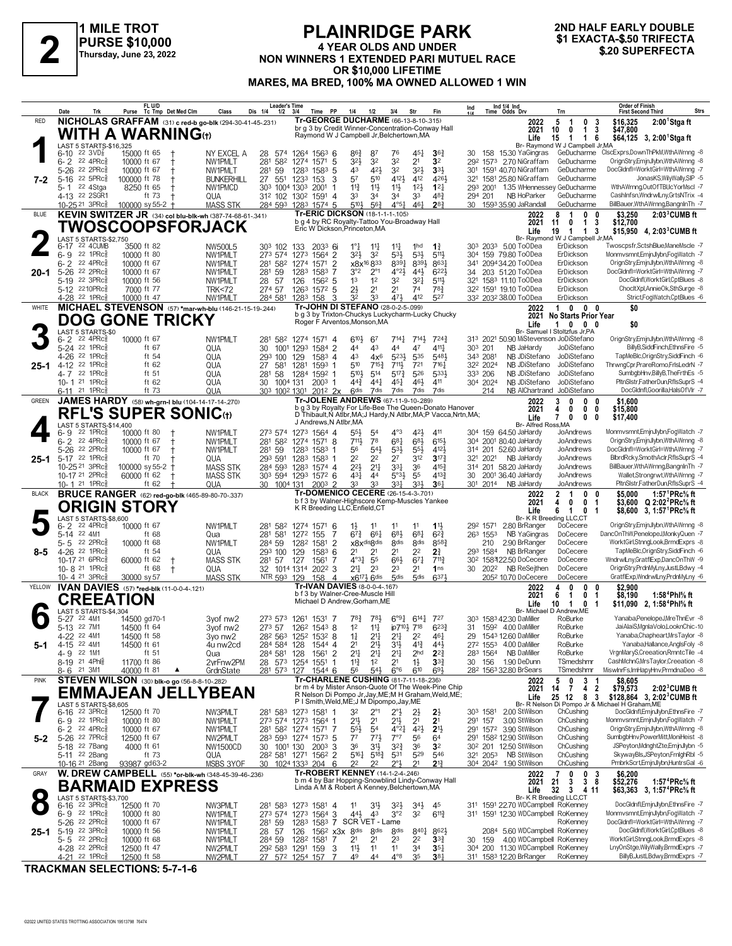

#### **PLAINRIDGE PARK 4 YEAR OLDS AND UNDER** NON WINNERS 1 EXTENDED PARI MUTUEL RACE OR \$10,000 LIFETIME MARES, MA BRED, 100% MA OWNED ALLOWED 1 WIN

#### 2ND HALF EARLY DOUBLE \$1 EXACTA-\$.50 TRIFECTA \$.20 SUPERFECTA

|              | Date<br>Trk                                                                   | FL U/D<br>Purse Tc Tmp Det Med Clm                               | Class                                                      | <b>Leader's Time</b><br>Dis 1/4<br>1/2 | 3/4<br>Time                                                                                                | <b>PP</b><br>1/4                      | 1/2                               | 3/4                                | Str                                         | Fin                                   | Ind                  |          | Ind 1/4 Ind<br>Time Odds Drv                                         | Trn                                                                       | <b>Order of Finish</b><br><b>Strs</b><br><b>First Second Third</b>                                                                              |
|--------------|-------------------------------------------------------------------------------|------------------------------------------------------------------|------------------------------------------------------------|----------------------------------------|------------------------------------------------------------------------------------------------------------|---------------------------------------|-----------------------------------|------------------------------------|---------------------------------------------|---------------------------------------|----------------------|----------|----------------------------------------------------------------------|---------------------------------------------------------------------------|-------------------------------------------------------------------------------------------------------------------------------------------------|
| <b>RED</b>   |                                                                               |                                                                  | NICHOLAS GRAFFAM (31) c red-b go-blk (294-30-41-45-.231)   |                                        | Tr-GEORGE DUCHARME (66-13-8-10-.315)                                                                       |                                       |                                   |                                    |                                             |                                       |                      |          | 2022                                                                 | 5<br>$\overline{1}$<br>$^{\circ}$                                         | \$16,325<br>$2:001$ Stgaft<br>-3                                                                                                                |
|              |                                                                               | WITH A WARNING $_{\oplus}$                                       |                                                            |                                        | br g 3 by Credit Winner-Concentration-Conway Hall<br>Raymond W J Campbell Jr, Belchertown, MA              |                                       |                                   |                                    |                                             |                                       |                      |          | 2021<br>Life                                                         | $\mathbf 0$<br>$\mathbf{1}$<br>10<br>15<br>$\overline{1}$<br>$\mathbf 1$  | 3<br>\$47,800<br>6<br>\$64,125 3, 2:00 <sup>1</sup> Stga ft                                                                                     |
|              | LAST 5 STARTS-\$16,325                                                        |                                                                  |                                                            |                                        |                                                                                                            |                                       |                                   |                                    |                                             |                                       |                      |          |                                                                      | Br- Raymond W J Campbell Jr, MA                                           |                                                                                                                                                 |
|              | 6-10 $^{22}$ 3VD $\frac{7}{8}$<br>$6 - 2$ 22 4PRc                             | 15000 ft 65<br>$+$<br>10000 ft 67                                | NY EXCEL A<br>NW1PMLT                                      | 28<br>574<br>281<br>582                | 1264 1563 6<br>1274 1571 5                                                                                 | 86}<br>$3^{21}$                       | 87<br>32                          | 76<br>32                           | $45\frac{1}{4}$<br>2 <sup>1</sup>           | 36 <sub>1</sub><br>3 <sup>2</sup>     |                      |          | 30 158 15.30 YaGingras<br>292 1573 2.70 NiGraffam                    | GeDucharme<br>GeDucharme                                                  | CIscExprs,DownThPkM,WthAWrnng -8<br>OrignStry,EmjnJlybn,WthAWrnng -8                                                                            |
|              | 5-26 22 2PRcs                                                                 | 10000 ft 67                                                      | NW1PMLT                                                    | 281 59                                 | 1283 1583 5                                                                                                | 43                                    | 421                               | 32                                 | 3 <sup>2</sup>                              | $3^{3}\frac{1}{2}$                    |                      |          | 301 1591 40.70 NiGraffam                                             | GeDucharme                                                                | DocGldnfl=WorktGirl=WthAWrnng -7                                                                                                                |
| 7-2          | 22.5PRc <sub>8</sub><br>$5 - 16$                                              | 100000 ft 78                                                     | <b>BUNKERHILL</b>                                          |                                        | 27 551 1233 153                                                                                            | 57<br>3                               | 510                               | 4121                               | 412                                         | 4261                                  |                      |          | 321 1581 25.80 NiGraffam                                             | GeDucharme                                                                | JonasKS, Wily Wally, SIP -5                                                                                                                     |
|              | 5-1 22 4Stga<br>4-13 22 2SGR1                                                 | 8250 ft 65<br>ft 73                                              | NW1PMCD<br>QUA                                             | 312 102 1302                           | 303 1004 1303 2001<br>1591 4                                                                               | $11\frac{3}{4}$<br>33                 | $11\frac{1}{2}$<br>3 <sup>4</sup> | $11\frac{1}{2}$<br>34              | 12 <sup>1</sup><br>33                       | $12\frac{1}{4}$<br>$48\frac{3}{4}$    | 294 201              |          | 293 2001 1.35 WHennessey GeDucharme<br>NB HoParker                   | GeDucharme                                                                | WthAWrnng,OutOfTBI,IcYorMscl -7<br>CashInfsn, WndrwlLny, GrtsNTrix -4                                                                           |
|              | 10-25 <sup>21</sup> 3PRc <sup>3</sup>                                         | 100000 sy 55-2 +                                                 | <b>MASS STK</b>                                            |                                        | 284 593 1283 1574 5                                                                                        | 5104                                  | $56\frac{3}{4}$                   | $4^{\circ}5^{\frac{1}{4}}$         | 461                                         | $2^{8}$                               |                      |          | 30 1593 35.90 JaRandall                                              | GeDucharme                                                                | BillBauer, WthAWrnng, BangnIn Th -7                                                                                                             |
| <b>BLUE</b>  |                                                                               |                                                                  | KEVIN SWITZER JR (34) col blu-blk-wh (387-74-68-61-.341)   |                                        | Tr-ERIC DICKSON (18-1-1-1-105)<br>b g 4 by RC Royalty-Tattoo You-Broadway Hall                             |                                       |                                   |                                    |                                             |                                       |                      |          | 2022                                                                 | 8<br>$\overline{1}$<br>$\mathbf{0}$                                       | $2:033$ CUMB ft<br>0<br>\$3,250                                                                                                                 |
|              |                                                                               | TWOSCOOPSFORJACK                                                 |                                                            |                                        | Eric W Dickson, Princeton, MA                                                                              |                                       |                                   |                                    |                                             |                                       |                      |          | 2021<br>Life                                                         | $\mathbf 0$<br>$\mathbf{1}$<br>11<br>19<br>$\overline{1}$<br>$\mathbf{1}$ | 3<br>\$12,700<br>\$15,950 4, 2:03 <sup>3</sup> CUMB ft<br>3                                                                                     |
|              | LAST 5 STARTS-\$2,750<br>6-17 22 4CUMB                                        | 3500 ft 82                                                       |                                                            | 303 102                                | $2033$ 6i                                                                                                  | $1^{\circ}$ $\frac{1}{4}$             |                                   |                                    | 1hd                                         | $1\frac{3}{4}$                        |                      |          | 303 2033 5.00 ToODea                                                 | Br- Raymond W J Campbell Jr, MA<br>ErDickson                              | Twoscpsfr,SctshBlue,ManeMscle -7                                                                                                                |
|              | 22 1 $PRc_{8}^5$<br>$6 - 9$                                                   | 10000 ft 80                                                      | NW500L5<br>NW1PMLT                                         | 273 574                                | 133<br>1273<br>1564 2                                                                                      | $3^{21}$                              | $11\frac{1}{4}$<br>3 <sup>2</sup> | $11\frac{1}{4}$<br>$5^{31}$        | 53}                                         | $5^{11}$                              |                      |          | 304 159 79.80 ToODea                                                 | ErDickson                                                                 | Monmvsmnt, EminJlybn, FogWatch -7                                                                                                               |
|              | 6-2 22 4PRc                                                                   | 10000 ft 67                                                      | NW1PMLT                                                    | 281 582                                | 1274<br>1571 2                                                                                             |                                       | x8x <sup>16</sup> 833             | 8391                               | 8393                                        | 8631                                  |                      |          | 341 2094 34.20 ToODea                                                | ErDickson                                                                 | OrignStry,EmjnJlybn,WthAWrnng -8                                                                                                                |
| $20 - 1$     | 22 2PRc3<br>$5 - 26$<br>$22 \t3PRc8$<br>5-19                                  | 10000 ft 67<br>10000 ft 56                                       | NW1PMLT<br>NW1PMLT                                         | 281 59<br>57<br>28                     | 1283<br>1583<br>126<br>$156^2$ 5                                                                           | 7<br>3°2<br>1 <sup>3</sup>            | $2^{\circ}1$<br>1 <sup>2</sup>    | $4^{o}2\frac{1}{2}$<br>32          | $44\frac{1}{2}$<br>$3^{2}$                  | $6^{22}\frac{1}{2}$<br>$5^{11}$       | 34                   |          | 203 51.20 ToODea<br>321 1583 11.10 ToODea                            | ErDickson<br>ErDickson                                                    | DocGldnfl=WorktGirl=WthAWrnng -7<br>DocGldnfl,WorktGirl,CptBlues -8                                                                             |
|              | 5-12 2210PRc                                                                  | 7000 ft 77                                                       | <b>TRK&lt;72</b>                                           | 274 57                                 | 1263 1572 5                                                                                                | $2\frac{1}{2}$                        | 2 <sup>1</sup>                    | 2 <sup>1</sup>                     | 74                                          | $78\frac{3}{4}$                       |                      |          | 32 <sup>2</sup> 1591 19.10 ToODea                                    | ErDickson                                                                 | ChocltXpl,AnnieOk,SthSurge -8                                                                                                                   |
|              | 4-28 <sup>22</sup> 1PRc <sup>3</sup>                                          | 10000 ft 47                                                      | NW1PMLT                                                    | 284 581                                | 1283 158                                                                                                   | 32<br>3                               | 33                                | 471                                | 412                                         | 527                                   |                      |          | 332 2032 38.00 ToODea                                                | ErDickson                                                                 | Strict,FogWatch,CptBlues -6                                                                                                                     |
| WHITE        |                                                                               |                                                                  | MICHAEL STEVENSON (57) *mar-wh-blu (146-21-15-19-244)      |                                        | Tr-JOHN DI STEFANO (28-0-2-5-.099)<br>b g 3 by Trixton-Chuckys Luckycharm-Lucky Chucky                     |                                       |                                   |                                    |                                             |                                       |                      |          | 2022<br>2021                                                         | 1000<br><b>No Starts Prior Year</b>                                       | \$0                                                                                                                                             |
|              |                                                                               | <b>DOG GONE TRICKY</b>                                           |                                                            |                                        | Roger F Arventos, Monson, MA                                                                               |                                       |                                   |                                    |                                             |                                       |                      |          | Life                                                                 | 1000                                                                      | \$0                                                                                                                                             |
|              | LAST 5 STARTS-\$0<br>$22$ 4PR $c_{8}^5$<br>$6 - 2$                            | 10000 ft 67                                                      | NW1PMLT                                                    |                                        | 281 582 1274 1571 4                                                                                        | $6^{10}$                              | 67                                |                                    | $7^{14}\frac{1}{4}$ $7^{14}\frac{1}{2}$     | $7^{24}$                              |                      |          | 313 2021 50.90 MiStevenson JoDiStefano                               | Br- Samuel I Stoltzfus Jr, PA                                             | OrignStry,EmjnJlybn,WthAWrnng -8                                                                                                                |
|              | 5-24 22 1PRc                                                                  | ft 67                                                            | QUA                                                        | 30<br>1001 1293                        | 1584 2                                                                                                     | 44                                    | 43                                | 44                                 | 47                                          | $4^{11}\frac{1}{4}$                   | 303 201              |          | NB JaHardy                                                           | JoDiStefano                                                               | BillvB.SiddFinch.EthnsFire -5                                                                                                                   |
| $25 - 1$     | 4-26 <sup>22</sup> 1PRc <sup>5</sup><br>22 1PRc3<br>$4-12$                    | ft 54<br>ft 62                                                   | QUA<br>QUA                                                 | 293 100<br>27<br>581                   | 1583 4<br>129<br>1281<br>1593 1                                                                            | 43<br>510                             | $4x^6$<br>715 <sup>3</sup>        | $5^{23}$<br>711,                   | 535<br>721                                  | 5481<br>7161                          | 343 2081<br>322 2024 |          | NB JDiStefano<br>NB JDiStefano                                       | JoDiStefano<br>JoDiStefano                                                | TapMeBlc.OrignStrv.SiddFinch -6<br>ThrwngCpr,PrareRomo,FrlsLedrN -7                                                                             |
|              | 4-7 22 1PRc                                                                   | ft 51                                                            | QUA                                                        | 281 58                                 | 1284<br>1592 1                                                                                             | 5104                                  | $5^{14}$                          | $5^{17}\frac{3}{4}$                | 526                                         | 5331                                  | 333 206              |          | NB JDiStefano                                                        | JoDiStefano                                                               | SumbgbHnv,BillyB,TheFrthEs -5                                                                                                                   |
|              | 10-1 <sup>21</sup> 1PRc <sup>3</sup>                                          | ft $62$                                                          | QUA                                                        | 30<br>1004 131                         | $2003$ 1                                                                                                   | $44\frac{3}{4}$                       | $44\frac{1}{4}$                   | 451                                | 461                                         | 411<br>7dis                           | 304 2024             |          | NB JDiStefano                                                        | JoDiStefano                                                               | PltnSlstr,FatherDun,RflsSuprS -4                                                                                                                |
| <b>GREEN</b> | 6-11 <sup>21</sup> 1PRc                                                       | ft 73<br><b>JAMES HARDY</b> (58) wh-grn-I blu (104-14-17-14-270) | QUA                                                        |                                        | 303 1002 1301 2012 2x<br>Tr-JOLENE ANDREWS (67-11-9-10-.289)                                               | <b>Gdis</b>                           | 7dis                              | 7dis                               | 7dis                                        |                                       |                      | 214      | 2022                                                                 | NB AlChartrand JoDiStefano<br>$\mathbf{0}$<br>3<br>$\bf{0}$               | DocGldnfl,Goorilla,HalsOfVlr -7<br>\$1,600<br>0                                                                                                 |
|              |                                                                               | <b>RFL'S SUPER SONIC</b> (t)                                     |                                                            |                                        | b g 3 by Royalty For Life-Bee The Queen-Donato Hanover                                                     |                                       |                                   |                                    |                                             |                                       |                      |          | 2021                                                                 | 4<br>0<br>0                                                               | 0<br>\$15,800                                                                                                                                   |
|              | LAST 5 STARTS-\$14,400                                                        |                                                                  |                                                            |                                        | D Thibault, N Atlbr, MA; J Hardy, N Atlbr, MA; P Vacca, Nrtn, MA;<br>J Andrews, N Atlbr, MA                |                                       |                                   |                                    |                                             |                                       |                      |          | Life<br>Br- Alfred Ross, MA                                          | $\mathbf{7}$<br>0<br>0                                                    | \$17,400<br>0                                                                                                                                   |
|              | 22 1 $PRc_{8}^5$<br>6- 9                                                      | 10000 ft 80                                                      | NW1PMLT                                                    |                                        | 273 574 1273 1564 4                                                                                        | $55\frac{1}{2}$                       | 54                                | $4^{\circ}3$                       | 42}                                         | 411                                   |                      |          | 304 159 64.50 JaHardy                                                | JoAndrews                                                                 | Monmvsmnt, EminJlybn, FogWatch -7                                                                                                               |
|              | $6 - 2$ 22 4PRc<br>5-26 22 2PRcs                                              | 10000 ft 67<br>10000 ft 67                                       | NW1PMLT<br>NW1PMLT                                         | 281 582<br>281 59                      | 1274 1571 8<br>1283 1583 1                                                                                 | 711,<br>56                            | 78<br>$5^{4}$                     | 681<br>$5^{31}$                    | 683<br>$55\frac{1}{2}$                      | $6^{15}$<br>4121                      |                      |          | 304 2001 80.40 JaHardy<br>314 201 52.60 JaHardy                      | JoAndrews<br>JoAndrews                                                    | OrignStry,EmjnJlybn,WthAWrnng -8<br>DocGldnfl=WorktGirl=WthAWrnng -7                                                                            |
| $25 - 1$     | 5-17 22 1PRcs                                                                 | ft 70                                                            | QUA                                                        |                                        | 293 591 1283 1583 1                                                                                        | 2 <sup>2</sup>                        | 2 <sup>2</sup>                    | 27                                 | 312                                         | $3^{17}\frac{3}{4}$                   |                      | 321 2021 | NB JaHardy                                                           | JoAndrews                                                                 | BlbrdRcky,SmothAclr,RflsSuprS -4                                                                                                                |
|              | 10-25 21 3PRcs                                                                | 100000 sy 55-2                                                   | MASS STK<br><b>MASS STK</b>                                |                                        | 284 593 1283 1574 4                                                                                        | $2^{21}$                              | 2 <sup>11</sup>                   | 331<br>5°3 <sup>1</sup>            | 36<br>55                                    | 4153<br>4133                          |                      |          | 314 201 58.20 JaHardy                                                | JoAndrews                                                                 | BillBauer, Wth AWrnng, BangnIn Th -7<br>Wallet,Strongrwt,WthAWrnng -7                                                                           |
|              | 10-17 <sup>21</sup> 2PRc <sup>3</sup><br>10-1 <sup>21</sup> 1PRc <sup>3</sup> | 60000 ft 62<br>ft $62$                                           | QUA                                                        | 30 1004 131                            | 303 594 1293 1572 6<br>$200^3$ 2                                                                           | 431<br>33                             | 44<br>33                          | $33\frac{1}{4}$                    | 333                                         | $36\frac{1}{4}$                       | 30                   |          | 2001 36.40 JaHardy<br>301 2014 NB JaHardy                            | JoAndrews<br>JoAndrews                                                    | PltnSlstr,FatherDun,RflsSuprS -4                                                                                                                |
| <b>BLACK</b> |                                                                               | <b>BRUCE RANGER</b> (62) red-go-blk (465-89-80-70-.337)          |                                                            |                                        | Tr-DOMENICO CECERE (26-15-4-3-701)                                                                         |                                       |                                   |                                    |                                             |                                       |                      |          | 2022                                                                 | $\mathbf{2}$<br>$\overline{1}$<br>$\bf{0}$                                | \$5,000<br>1:57 $^1$ PRc% ft<br>0                                                                                                               |
|              |                                                                               | <b>ORIGIN STORY</b>                                              |                                                            |                                        | b f 3 by Walner-Highscore Kemp-Muscles Yankee<br>K R Breeding LLC, Enfield, CT                             |                                       |                                   |                                    |                                             |                                       |                      |          | 2021<br>Life                                                         | 4<br>$\mathbf 0$<br>0<br>6<br>$\overline{1}$<br>0                         | \$3,600 $Q$ 2:02 <sup>2</sup> PRc <sup>5</sup> / <sub>8</sub> ft<br>-1<br>\$8,600 3, 1:57 <sup>1</sup> PRc <sup>5</sup> / <sub>8</sub> ft<br>-1 |
|              | LAST 5 STARTS-\$8,600                                                         |                                                                  |                                                            |                                        |                                                                                                            |                                       |                                   |                                    |                                             |                                       |                      |          |                                                                      | Br- K R Breeding LLC,CT                                                   |                                                                                                                                                 |
|              | 6-2 22 4PRc <sup>5</sup><br>22 4M1<br>$5-14$                                  | 10000 ft 67<br>ft 68                                             | NW1PMLT<br>Qua                                             | 281 582<br>281 581                     | 1274 1571 6<br>1272 155                                                                                    | $1\frac{1}{2}$<br>$6^{73}$<br>-7      | 11<br>661                         | 11<br>683                          | 11<br>681                                   | $1\frac{11}{2}$<br>$6^{2}\frac{3}{4}$ | 292 1571<br>263 1553 |          | 2.80 BrRanger<br>NB YaGingras                                        | DoCecere<br>DoCecere                                                      | OrignStry,EmjnJlybn,WthAWrnng -8<br>DancOnThW,PenelopeJ,MonkyQuen -7                                                                            |
|              | 22 2PRc3<br>5-5                                                               | 10000 ft 68                                                      | NW1PMLT                                                    | 284 59                                 | 1282 1581 2                                                                                                |                                       | x8xdisgdis                        | 8 <sub>dis</sub>                   | 8 <sub>dis</sub>                            | 8583                                  |                      | 210      | 2.90 BrRanger                                                        | DoCecere                                                                  | WorktGirl,StnngLook,BrmdExprs -8                                                                                                                |
| $8 - 5$      | 4-26 22 1PRcs<br>10-17 21 6PRcs                                               | ft 54<br>60000 ft 62                                             | QUA<br><b>MASS STK</b>                                     | 293 100<br>281 57                      | 129<br>$1583$ 6<br>127<br>1561                                                                             | 2 <sup>1</sup><br>$4^{o}3\frac{1}{4}$ | 2 <sup>1</sup><br>55              | 2 <sup>1</sup><br>$66\frac{1}{2}$  | 2 <sup>2</sup><br>$67\frac{1}{4}$           | 2 <sup>3</sup><br>$7^{11}\frac{3}{4}$ | 293 1584             |          | NB BrRanger<br>30 <sup>2</sup> 158322.50 DoCecere                    | DoCecere<br>DoCecere                                                      | TapMeBlc, OrignStry, SiddFinch -6<br>WndrwlLny,GratflExp,DancOnThW -9                                                                           |
|              | 10-8 <sup>21</sup> 1PRc                                                       | ft 68<br>$\pm$                                                   | QUA                                                        |                                        | 32 1014 1314 2022 3                                                                                        | $21\frac{1}{4}$                       | 2 <sup>3</sup>                    | 23                                 | 2 <sup>1</sup>                              | 1 <sub>ns</sub>                       |                      | 30 2022  | NB ReSejthen                                                         | DoCecere                                                                  | OrignStry,PrdnMyLny,JustLBdwy -4                                                                                                                |
|              | 10-4 $21$ 3PRc $\frac{5}{8}$                                                  | 30000 sy 57                                                      | <b>MASS STK</b>                                            | NTR 593 129                            | 158                                                                                                        | $\overline{4}$                        | $x6^{17\frac{1}{2}} 6$ dis        | 5 <sub>dis</sub>                   | $5$ dis                                     | 6371                                  |                      |          | 205 <sup>2</sup> 10.70 DoCecere                                      | DoCecere                                                                  | GratflExp, WndrwlLny, PrdnMyLny -6                                                                                                              |
| YELLOW       |                                                                               | IVAN DAVIES (57) *red-blk (11-0-0-4-.121)                        |                                                            |                                        | Tr-IVAN DAVIES (8-0-0-4-.167)<br>b f 3 by Walner-Cree-Muscle Hill                                          |                                       |                                   |                                    |                                             |                                       |                      |          | 2022<br>2021                                                         | 4<br>$\mathbf{0}$<br>$\mathbf{0}$<br>6<br>0<br>-1                         | \$2,900<br>0<br>\$8,190<br>1:58 <sup>4</sup> Phl% ft<br>-1                                                                                      |
|              |                                                                               | <b>CREEATION</b>                                                 |                                                            |                                        | Michael D Andrew, Gorham, ME                                                                               |                                       |                                   |                                    |                                             |                                       |                      |          | Life                                                                 | 10<br>$\overline{1}$<br>0                                                 | \$11,090 2, 1:58 <sup>4</sup> Phl <sup>5</sup> / <sub>8</sub> ft<br>-1                                                                          |
|              | LAST 5 STARTS-\$4,304<br>5-27 22 4M1                                          | 14500 gd70-1                                                     | 3yof nw2                                                   |                                        | 273 573 1261 1531 7                                                                                        | $78\frac{3}{4}$                       | 783                               |                                    | $6^{\circ}9\frac{1}{4}$ $6^{14}\frac{1}{4}$ | 727                                   |                      |          | 303 1583 42.30 DaMiller                                              | Br- Michael D Andrew, ME<br>RoBurke                                       | Yanaba, PenelopeJ, MreThnEvr -8                                                                                                                 |
|              | 5-13 22 7M1                                                                   | 14500 ft 64                                                      | 3yof nw <sub>2</sub>                                       |                                        | 273 57 1262 1543 8                                                                                         | 1 <sup>2</sup>                        | $11\frac{1}{4}$                   | jp710} 718                         |                                             | $6^{23}\frac{3}{4}$                   |                      |          | 31 1592 4.00 DaMiller                                                | RoBurke                                                                   | JaiAlaiS,MgnlaVolo,LooknChic-10                                                                                                                 |
| 5-1          | 4-22 <sup>22</sup> 4M1<br>4-15 22 4M1                                         | 14500 ft 58<br>14500 ft 61                                       | 3yo nw2<br>4u nw2cd                                        | 284 584 128                            | 282 563 1252 1532 8<br>1544 4                                                                              | $1\frac{1}{4}$<br>2 <sup>1</sup>      | $2^{11}$<br>2 <sup>11</sup>       | $2^{11}$<br>31}                    | 2 <sup>2</sup><br>$4^{13}$                  | 461<br>443                            |                      |          | 29 1543 12.60 DaMiller<br>272 1553 4.00 DaMiller                     | RoBurke<br>RoBurke                                                        | Yanaba, Chapheart, MrsTaylor -8<br>Yanaba, Hallance, AnglsFoly -8                                                                               |
|              | 4-9 22 1M1                                                                    | ft 51                                                            | Qua                                                        | 284 581 128                            | 1561 2                                                                                                     | 2 <sup>11</sup>                       | $2^{11}$                          | $2^{11}$                           | 2 <sub>hd</sub>                             | $2^{2\frac{3}{4}}$                    |                      |          | 283 1564 NB DaMiller                                                 | RoBurke                                                                   | VrgnMaryS,Creeation,RmntcTile -4                                                                                                                |
|              | 8-19 <sup>21</sup> 4Ph<br>8-6 <sup>21</sup> 3M1                               | 11700 ft 86<br>40000 ft 81                                       | 2yrFnw2PM<br>▲<br>GrdnState                                |                                        | 28 573 1254 1551<br>281 573 127 1544 6                                                                     | $11\frac{3}{4}$<br>56                 | 1 <sup>2</sup><br>543             | 2 <sup>1</sup><br>$6^{\circ}6$     | $1\frac{1}{2}$<br>610                       | 3 <sup>3</sup><br>693                 |                      |          | 30 156 1.90 DeDunn<br>28 <sup>2</sup> 156 <sup>3</sup> 32.80 BrSears | TSmedshmr<br>TSmedshmr                                                    | CashMchnG, MrsTaylor, Creeation -8<br>MiswlnrFs, ImHapyHnv, PrmdnaDeo -8                                                                        |
| <b>PINK</b>  |                                                                               | <b>STEVEN WILSON</b> (30) blk-o go (56-8-8-10-.282)              |                                                            |                                        | Tr-CHARLENE CUSHING (81-7-11-18-236)                                                                       |                                       |                                   |                                    |                                             |                                       |                      |          | 2022                                                                 | 5<br>$\mathbf 0$                                                          | \$8,605<br>-1                                                                                                                                   |
|              |                                                                               |                                                                  | <b>EMMAJEAN JELLYBEAN</b>                                  |                                        | br m 4 by Mister Anson-Quote Of The Week-Pine Chip<br>R Nelson Di Pompo Jr, Jay, ME; M H Graham, Weld, ME; |                                       |                                   |                                    |                                             |                                       |                      |          | 2021                                                                 | $\frac{3}{4}$<br>14 7                                                     | $\overline{\mathbf{2}}$<br>\$79,573<br>$2:023$ CUMB ft                                                                                          |
|              | LAST 5 STARTS-\$8,605                                                         |                                                                  |                                                            |                                        | P I Smith, Weld, ME; J M Dipompo, Jay, ME                                                                  |                                       |                                   |                                    |                                             |                                       |                      |          | Life                                                                 | 25 12 8                                                                   | \$128,864 3, 2:02 <sup>3</sup> CUMB ft<br>3<br>Br- R Nelson Di Pompo Jr & Michael H Graham, ME                                                  |
|              | $6-16$ 22 3PRc $\frac{5}{8}$<br>6-9 22 1PRcs                                  | 12500 ft 70                                                      | NW3PMLT                                                    |                                        | 281 583 1273 1581 1<br>273 574 1273 1564 1                                                                 | 32<br>21}                             | $2^{\circ}1$<br>2 <sup>1</sup>    | $2^{\circ}$<br>2 <sup>1</sup>      | $2\frac{1}{2}$<br>2 <sup>1</sup>            | $2\frac{1}{2}$<br>2 <sup>1</sup>      | 303 1581             |          | 2.00 StWilson<br>3.00 StWilson                                       | ChCushing<br>ChCushing                                                    | DocGldnfl,EmjnJlybn,EthnsFire -7<br>Monmvsmnt, EmjnJlybn, FogWatch -7                                                                           |
|              | $6 - 2$ 22 4PRcs                                                              | 10000 ft 80<br>10000 ft 67                                       | NW1PMLT<br>NW1PMLT                                         |                                        | 281 582 1274 1571 7                                                                                        | $55\frac{1}{2}$                       | 5 <sup>4</sup>                    | $4^{o}2^{1}$                       | 42}                                         | 2 <sup>1</sup>                        | 291 157              |          | 291 1572 3.90 StWilson                                               | ChCushing                                                                 | OrignStry,EmjnJlybn,WthAWrnng -8                                                                                                                |
| 5-2          | 5-26 22 7PRc <sup>5</sup>                                                     | 12500 ft 67                                                      | NW2PMLT                                                    |                                        | 283 593 1274 1573 5                                                                                        | $7^7$                                 | $77\frac{1}{2}$                   | 7°7                                | 56                                          | 64                                    |                      |          | 291 1582 12.90 StWilson                                              | ChCushing                                                                 | SumbgbHnv,PowerMitt,MoniHeist -8                                                                                                                |
|              | 5-18 22 7 Bang<br>5-11 <sup>22</sup> 2Bang                                    | 4000 ft 61<br>ft 73                                              | NW1500CD<br>QUA                                            | 30 1001 130                            | $200^3$ 3<br>28 <sup>2</sup> 581 1271 1562 2                                                               | 36<br>5161                            | 31}<br>$5^{18}$                   | $3^{24}$<br>531                    | 36<br>529                                   | 3 <sup>2</sup><br>546                 |                      |          | 30 <sup>2</sup> 201 12.50 StWilson<br>321 2053 NB StWilson           | ChCushing<br>ChCushing                                                    | JSPeyton,MdnghtZte,EmjnJlybn -5<br>SkywayBls,JSPeyton,FrnighRbl -5                                                                              |
|              | 10-16 <sup>21</sup> 2Bang                                                     | 93987 gd63-2                                                     | MSBS 3YOF                                                  |                                        | 30 1024 1333 204 6                                                                                         | 2 <sup>2</sup>                        | 2 <sup>2</sup>                    | $2^{\circ}$                        | 2 <sup>1</sup>                              | $2^{13}$                              |                      |          | 304 2042 1.90 StWilson                                               | ChCushing                                                                 | PmbrkScrt,EmjnJlybn,HuntrsGal -6                                                                                                                |
| GRAY         |                                                                               |                                                                  | <b>W. DREW CAMPBELL</b> (55) *or-blk-wh (348-45-39-46-236) |                                        | Tr-ROBERT KENNEY (14-1-2-4-.246)                                                                           |                                       |                                   |                                    |                                             |                                       |                      |          | 2022                                                                 | 7<br>0<br>0                                                               | \$6,200<br>3                                                                                                                                    |
|              |                                                                               | <b>BARMAID EXPRESS</b>                                           |                                                            |                                        | b m 4 by Bar Hopping-Snowblind Lindy-Conway Hall<br>Linda A M & Robert A Kenney, Belchertown, MA           |                                       |                                   |                                    |                                             |                                       |                      |          | 2021<br>Life                                                         | 21<br>3<br>38<br>32<br>$3 \t4 \t11$                                       | \$52,276<br>1:57 <sup>4</sup> PRc% ft<br>\$63,363 3, 1:57 <sup>4</sup> PRc <sup>5</sup> / <sub>8</sub> ft                                       |
|              | LAST 5 STARTS-\$3,700<br>$6-16$ 22 3PRc $\frac{5}{8}$                         |                                                                  |                                                            |                                        |                                                                                                            |                                       |                                   |                                    |                                             |                                       |                      |          | 311 1591 22.70 WDCampbell RoKenney                                   | Br- K R Breeding LLC,CT                                                   | DocGldnfl,EmjnJlybn,EthnsFire -7                                                                                                                |
|              | 6-9 22 1PRcs                                                                  | 12500 ft 70<br>10000 ft 80                                       | NW3PMLT<br>NW1PMLT                                         |                                        | 281 583 1273 1581 4<br>273 574 1273 1564 3                                                                 | 11<br>$44\frac{1}{2}$                 | 3 <sup>1</sup><br>43              | 3 <sup>2</sup><br>3°2              | $34\frac{1}{2}$<br>3 <sup>2</sup>           | 45<br>$6^{11}\frac{3}{4}$             |                      |          | 311 1591 12.30 WDCampbell RoKenney                                   |                                                                           | Monmvsmnt, EmjnJlybn, FogWatch -7                                                                                                               |
|              | 5-26 <sup>22</sup> 2PRc <sup>5</sup>                                          | 10000 ft 67                                                      | NW1PMLT                                                    | 281 59                                 | 1283 1583 7 SCR VET - Lame                                                                                 |                                       |                                   |                                    |                                             |                                       |                      |          |                                                                      | RoKenney                                                                  | DocGldnfl=WorktGirl=WthAWrnng -7                                                                                                                |
| $25 - 1$     | 5-19 22 3PRcs<br>5-5 22 2PRc\$                                                | 10000 ft 56<br>10000 ft 68                                       | NW1PMLT<br>NW1PMLT                                         | 28 57                                  | 126 156 <sup>2</sup> x3x 8dis<br>284 59 1282 1581 7                                                        | 2 <sup>1</sup>                        | 8 <sub>dis</sub><br>21            | 8 <sub>dis</sub><br>2 <sup>3</sup> | $8^{40}\frac{1}{4}$<br>22                   | $862\frac{1}{2}$<br>$3^{3}_{4}$       | 30 159               |          | 2084 5.60 WDCampbell RoKenney<br>4.00 WDCampbell RoKenney            |                                                                           | DocGldnfl,WorktGirl,CptBlues -8<br>WorktGirl,StnngLook,BrmdExprs -8                                                                             |
|              | 4-28 22 2PRc <sup>5</sup><br>22                                               | 12500 ft 47<br>$12500 + 50$                                      | NW2PMLT<br><b>NIMODM T</b>                                 | <b>07</b>                              | 292 583 1291 159 3<br>12E                                                                                  | 11}                                   | 11                                | 11                                 | 34                                          | 35 <sub>1</sub>                       |                      |          | 304 200 11.30 WDCampbell RoKenney<br>1503 10 00 Pr Ponder            |                                                                           | LnyOnStge, WilyWally, BrmdExprs -7<br>BillyB Juett RdwyRrmdEvnre -7                                                                             |
|              |                                                                               |                                                                  |                                                            |                                        |                                                                                                            |                                       |                                   |                                    |                                             |                                       |                      |          |                                                                      |                                                                           |                                                                                                                                                 |

**TRACKMAN SELECTIONS: 5-7-1-6**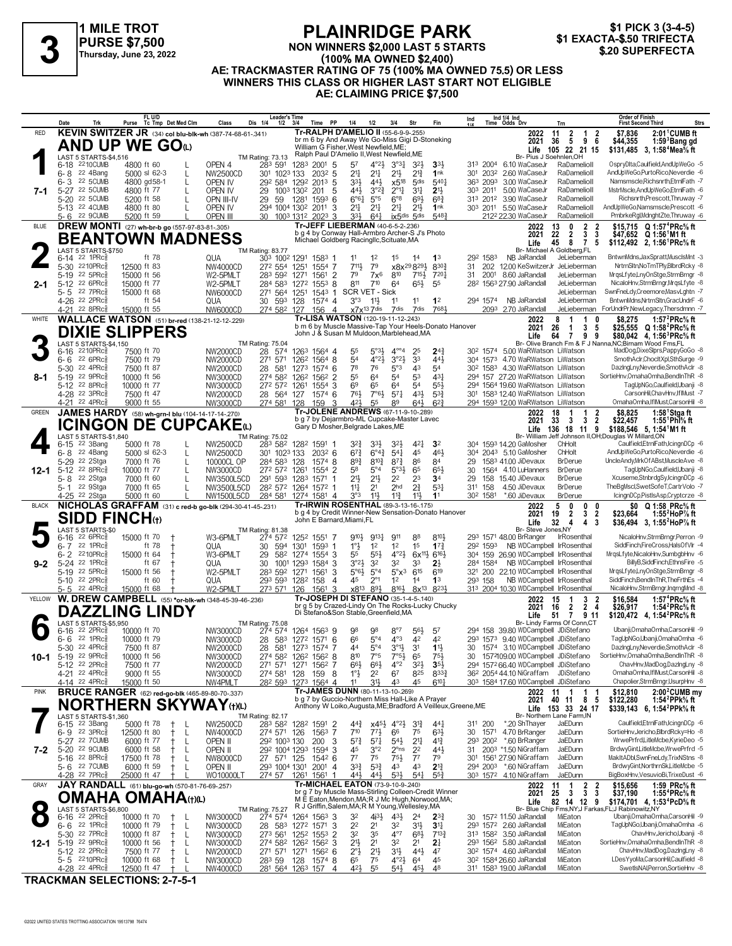



#### **NON WINNERS \$2,000 LAST 5 STARTS (100% MA OWNED \$2,400) AE: TRACKMASTER RATING OF 75 (100% MA OWNED 75.5) OR LESS WINNERS THIS CLASS OR HIGHER LAST START NOT ELIGIBLE AE: CLAIMING PRICE \$7,500 \$1 EXACTA-\$.50 TRIFECTA 3 \$.20 SUPERFECTA**

|              | Date<br>Trk                                            | FL U/D<br>Tc Tmp Det Med Clm<br>Purse                               | Class                       | Leader's Time<br>Dis 1/4<br>$1/2$ $3/4$ | Time PP                                             | 1/4<br>1/2                                                                                               | 3/4<br>Str                                                                | Fin                                    | Ind                  | Ind 1/4 Ind<br>Time Odds Drv |                                                                  | Trn                                                                              | <b>Order of Finish</b><br><b>First Second Third</b>                                                          | <b>Strs</b> |
|--------------|--------------------------------------------------------|---------------------------------------------------------------------|-----------------------------|-----------------------------------------|-----------------------------------------------------|----------------------------------------------------------------------------------------------------------|---------------------------------------------------------------------------|----------------------------------------|----------------------|------------------------------|------------------------------------------------------------------|----------------------------------------------------------------------------------|--------------------------------------------------------------------------------------------------------------|-------------|
| <b>RED</b>   |                                                        | KEVIN SWITZER JR (34) col blu-blk-wh (387-74-68-61-.341)            |                             |                                         |                                                     | Tr-RALPH D'AMELIO II (55-6-9-9-255)<br>br m 6 by And Away We Go-Miss Gigi D-Stoneking                    |                                                                           |                                        |                      |                              | 2022                                                             | $\overline{2}$<br>11<br>$\overline{1}$                                           | \$7,836<br>$2:01^{\circ}$ CUMB ft<br>2                                                                       |             |
|              |                                                        | <b>AND UP WE GOO</b>                                                |                             |                                         |                                                     | William G Fisher, West Newfield, ME;                                                                     |                                                                           |                                        |                      |                              | 2021<br>Life                                                     | 96<br>5<br>36<br>105 22 21 15                                                    | \$44,355<br>1:59 Bang gd<br>\$131,485 3, 1:58 <sup>4</sup> Mea <sup>5</sup> / <sub>8</sub> ft                |             |
|              | LAST 5 STARTS-\$4,516                                  |                                                                     |                             | <b>TM Rating: 73.13</b>                 |                                                     | Ralph Paul D'Amelio II, West Newfield, ME                                                                |                                                                           |                                        |                      |                              |                                                                  | Br- Pius J Soehnlen, OH                                                          |                                                                                                              |             |
|              | 6-18 2210 CUMB<br>22 4Bang                             | 4800 ft 60                                                          | OPEN 4                      | 283 591                                 | 1283 2001 5                                         | $4^{\circ}2\frac{1}{2}$<br>57<br>$2^{11}$<br>$2^{11}$                                                    | $3^{\circ}3^{\circ}$<br>$3^{2}\frac{1}{2}$<br>$21\frac{1}{2}$<br>$2^{13}$ | $33+$<br>1nk                           | 313 2004             |                              | 6.10 WaCaseJr<br>301 2032 2.60 WaCaseJr                          | RaDamelioll<br>RaDamelioll                                                       | OspryDlta,Caulfield,AndUpWeGo -5<br>AndUpWeGo,PurtoRico,Neverdie -6                                          |             |
|              | 6-8<br><b>22 5CUMB</b><br>6-3                          | $5000$ sl $62-3$<br>L<br>4800 gd58-1<br>L                           | NW2500CD<br>OPEN IV         | 301 1023 133                            | 2032 5<br>292 584 1292 2013 5                       | 33}<br>443                                                                                               | x5 <sup>18</sup><br>5 <sub>dis</sub>                                      | 5401                                   | 363                  | 2093                         | 3.00 WaCaseJr                                                    | RaDamelioll                                                                      | Namsmscle, Richsnrth, EtrnlFath -7                                                                           |             |
| 7-1          | 22 5CUMB<br>$5 - 27$                                   | 4800 ft 77<br>L                                                     | OPEN IV                     | 29<br>1003 1302                         | 201<br>5                                            | 441<br>$3^{°2}\frac{3}{4}$                                                                               | $3^{11}$<br>$2^{\circ}1\frac{1}{4}$                                       | 2 <sup>1</sup>                         | 303 2011             |                              | 5.00 WaCaseJr                                                    | RaDamelioll                                                                      | MstrMscle,AndUpWeGo,EtrnlFath -6                                                                             |             |
|              | 22 5CUMB<br>5-20                                       | 5200 ft 58<br>L                                                     | OPN III-IV                  | 29<br>59                                | 1281<br>$1593$ 6                                    | $6^{\circ}6^{\frac{1}{4}}$<br>$5^{\circ}5$                                                               | $6^{\circ 8}$<br>$69\frac{1}{2}$                                          | $6^{8}3$                               |                      |                              | 313 2012 3.90 WaCaseJr                                           | RaDamelioll                                                                      | Richsnrth,Prescott,Thruway -7                                                                                |             |
|              | 5-13 22 4CUMB                                          | 4800 ft 80                                                          | OPEN IV                     | 294 1004 1302                           | 2011<br>3                                           | $2^{11}$<br>$2^{11}$<br>331                                                                              | $2^{11}$<br>2 <sup>11</sup><br>ix5dis 5dis                                | 1nk<br>5483                            |                      |                              | 303 2011 5.50 WaCaseJr                                           | RaDamelioll                                                                      | AndUpWeGo,Namsmscle,Prescott -6                                                                              |             |
| <b>BLUE</b>  | 5-6 22 9CUMB                                           | 5200 ft 59<br><b>DREW MONTI</b> (27) wh-br-b go (557-97-83-81-.305) | <b>OPEN III</b>             |                                         | 30 1003 1312 2023 3                                 | $64\frac{1}{4}$<br>Tr-JEFF LIEBERMAN (40-6-5-2-.236)                                                     |                                                                           |                                        |                      |                              | 212 <sup>2</sup> 22.30 WaCaseJr<br>2022                          | RaDamelioll<br>2<br>13<br>0                                                      | PmbrkeRgl,MdnghtZte,Thruway -6<br>\$15,715 Q 1:57 <sup>4</sup> PRc <sup>5</sup> / <sub>8</sub> ft            |             |
|              |                                                        |                                                                     |                             |                                         |                                                     | b g 4 by Conway Hall-Armbro Archer-S J's Photo                                                           |                                                                           |                                        |                      |                              | 2021                                                             | 22<br>$\overline{2}$<br>3                                                        | $\frac{2}{3}$<br>\$47,652 $Q$ 1:56 <sup>1</sup> M1 ft                                                        |             |
|              |                                                        | <b>BEANTOWN MADNESS</b>                                             |                             |                                         |                                                     | Michael Goldberg Racingllc, Scituate, MA                                                                 |                                                                           |                                        |                      |                              | Life                                                             | 45<br>8<br>7 <sub>5</sub>                                                        | \$112,492 2, 1:56 PRc <sup>5</sup> / <sub>8</sub> ft                                                         |             |
|              | LAST 5 STARTS-\$750<br>22 1PRc<br>6-14                 | ft 78                                                               | QUA                         | TM Rating: 83.77<br>303 1002 1291       | 1583 1                                              | 11<br>1 <sup>2</sup>                                                                                     | 1 <sup>5</sup><br>14                                                      | 1 <sup>3</sup>                         | 292 1583             |                              | NB JaRandall                                                     | Br- Michael A Goldberg, FL<br>JeLieberman                                        | BntwnMdns,JaxSpratt,MusclsMnt -3                                                                             |             |
|              | 5-30 2210PRc                                           | 12500 ft 83                                                         | NW4000CD                    | 272 554 1251                            | 1554 7                                              | 79<br>7111,                                                                                              | x8x <sup>29</sup> 8 <sup>29}</sup>                                        | 8303                                   | 31                   |                              |                                                                  | 202 12.00 KeSwitzerJr JeLieberman                                                | NrtrnSltn, NoTmTPly, BlbrdRcky -8                                                                            |             |
|              | 5-19 22 5PRc                                           | 15000 ft 56                                                         | W2-5PMLT                    | 283 592                                 | 1561 2<br>1271                                      | 79<br>7x <sup>6</sup>                                                                                    | 810<br>$715\frac{1}{2}$                                                   | 7201                                   | 31                   | 2001                         | 8.60 JaRandall                                                   | JeLieberman<br>JeLieberman                                                       | MrqsLfyte,LnyOnStge,StrmBrngr -8                                                                             |             |
| $2 - 1$      | 5-12 22 6PRcs<br>22 7PRc<br>5-5                        | 15000 ft 77<br>15000 ft 68                                          | W2-5PMLT<br>NW6000CD        | 284 583<br>271 564 1251                 | 1272<br>$155^3$ 8<br>1543 1                         | 811<br>710<br>SCR VET - Sick                                                                             | 65}<br>64                                                                 | 55                                     |                      |                              | 28 <sup>2</sup> 1563 27.90 JaRandall                             | JeLieberman                                                                      | NicaloHnv,StrmBrngr,MrqsLfyte -8<br>SwnFneLdy,Creemore,MasvLghtn -7                                          |             |
|              | 4-26 22 2PRcs                                          | ft 54                                                               | QUA                         | 30 593                                  | 1574 4<br>128                                       | 3°3<br>11                                                                                                | 11<br>11                                                                  | 1 <sup>2</sup>                         | 294 1574             |                              | NB JaRandall                                                     | JeLieberman                                                                      | BntwnMdns, NrtrnSltn, GracUndrF -6                                                                           |             |
|              | $22$ 8PR $c_{8}$<br>4-21                               | 15000 ft 55                                                         | NW6000CD                    | 274 582 127                             | 156 4                                               | $x7x^{13}7$ dis                                                                                          | 7dis<br>7dis                                                              | 7681                                   |                      |                              | 2093 2.70 JaRandall                                              | JeLieberman                                                                      | ForUndrPr,NewLegacy,Thersdmnn -7                                                                             |             |
| <b>WHITE</b> |                                                        | <b>WALLACE WATSON</b> (51) br-red (138-21-12-12-229)                |                             |                                         |                                                     | Tr-LISA WATSON (120-19-11-12-243)<br>b m 6 by Muscle Massive-Tap Your Heels-Donato Hanover               |                                                                           |                                        |                      |                              | 2022<br>2021                                                     | 8<br>1<br>1<br>-5<br>26<br>3<br>1                                                | \$8,275<br>1:57 $^{2}$ PRc $\%$ ft<br>0<br>\$25,555 Q 1:58 <sup>2</sup> PRc <sup>5</sup> % ft                |             |
|              |                                                        | <b>DIXIE SLIPPERS</b>                                               |                             |                                         |                                                     | John J & Susan M Muldoon, Marblehead, MA                                                                 |                                                                           |                                        |                      |                              | Life                                                             | $\overline{7}$<br>64<br>99                                                       | \$80,042 4, 1:56 <sup>3</sup> PRc <sup>5</sup> / <sub>8</sub> ft                                             |             |
|              | LAST 5 STARTS-\$4,150                                  |                                                                     |                             | <b>TM Rating: 75.04</b>                 |                                                     |                                                                                                          |                                                                           |                                        |                      |                              |                                                                  |                                                                                  | Br- Olive Branch Fm & F J Nanna, NC; Birnam Wood Fms, FL                                                     |             |
|              | $2210$ PR $c_{8}$<br>6-16<br>22 6PRc<br>$6 - 6$        | 7500 ft 70<br>7500 ft 79                                            | NW2000CD<br>NW2000CD        | 28 574<br>271 571                       | 1263 1564 4<br>1262 1564 8                          | 55<br>5°33<br>54<br>$4^{\circ}2\frac{1}{2}$                                                              | $4^{\circ\circ}4$<br>25<br>3°2 <sup>1</sup><br>33                         | $2^{4^3}$<br>443                       |                      |                              |                                                                  | 30 <sup>2</sup> 1574 5.00 WaRWatson LiWatson<br>304 1573 4.70 WaRWatson LiWatson | MadDog,DixeSlprs,PappyGoGo -8<br>SmothAclr,ChocltXpl,SthSurge -9                                             |             |
|              | 22 4PRc<br>5-30                                        | 7500 ft 87                                                          | <b>NW2000CD</b>             | 28<br>581                               | 1273<br>1574 6                                      | 78<br>76                                                                                                 | 5°3<br>4 <sup>3</sup>                                                     | 54                                     |                      |                              |                                                                  | 30 <sup>2</sup> 158 <sup>3</sup> 4.30 WaRWatson LiWatson                         | DazingLny, Neverdie, SmothAclr -8                                                                            |             |
| 8-1          | 5-19 22 9PRcs                                          | 10000 ft 56                                                         | NW3000CD                    | 274 582                                 | 1262<br>1562 2                                      | 55<br>64                                                                                                 | 54<br>53                                                                  | 431                                    |                      |                              |                                                                  | 294 157 27.20 WaRWatson LiWatson                                                 | SortieHnv.OmahaOmha.BendInThR -8                                                                             |             |
|              | 5-12 22 8PRcs<br>4-28 22 3PRc                          | 10000 ft 77                                                         | NW3000CD                    | 272 572 1261                            | 1554 3                                              | 6 <sup>9</sup><br>65<br>7°63<br>761                                                                      | 64<br>54<br>$57\frac{1}{4}$<br>431                                        | $55\frac{1}{2}$<br>$5^{3}{}_{4}^{3}$   |                      |                              |                                                                  | 294 1564 19.60 WaRWatson LiWatson                                                | TagUpNGo,Caulfield,Ubanji -8<br>CarsonHil,ChavHnv,IfIMust -7                                                 |             |
|              | 4-21 22 4PRc                                           | 7500 ft 47<br>9000 ft 55                                            | NW2000CD<br>NW3000CD        | 28 564<br>274 581 128                   | 1574 6<br>127<br>159<br>3                           | 421<br>55                                                                                                | 89<br>$64\frac{1}{2}$                                                     | $6^{2}3$                               |                      |                              |                                                                  | 301 1583 12.40 WaRWatson LiWatson<br>294 1593 12.00 WaRWatson LiWatson           | OmahaOmha,IfIMust,CarsonHil -8                                                                               |             |
| GREEN        |                                                        | JAMES HARDY (58) wh-grn-I blu (104-14-17-14-270)                    |                             |                                         |                                                     | Tr-JOLENE ANDREWS (67-11-9-10-289)                                                                       |                                                                           |                                        |                      |                              | 2022                                                             | 18<br>1<br>1                                                                     | $\frac{2}{2}$<br>\$8,825<br>1:58 $1$ Stgaft                                                                  |             |
|              |                                                        | ICINGON DE CUPCAKEω                                                 |                             |                                         |                                                     | b g 7 by Dejarmbro-ML Cupcake-Master Lavec<br>Gary D Mosher, Belgrade Lakes, ME                          |                                                                           |                                        |                      |                              | 2021                                                             | 33<br>3<br>3                                                                     | \$22,457<br>1:55 Phl $\%$ ft                                                                                 |             |
|              | LAST 5 STARTS-\$1,840                                  |                                                                     |                             | <b>TM Rating: 75.02</b>                 |                                                     |                                                                                                          |                                                                           |                                        |                      |                              | Life                                                             | 136 18 11 9                                                                      | $$188,546$ 5, 1:54 <sup>1</sup> M1 ft<br>Br- William Jeff Johnson II, OH; Douglas W Millard, ON              |             |
|              | 22 3Bang<br>6-15                                       | 5000 ft 78                                                          | NW2500CD                    | 283 582                                 | 1282 1591 1                                         | $3^{2}\frac{3}{4}$<br>3 <sup>3</sup>                                                                     | 42 <sup>1</sup><br>321,                                                   | 3 <sup>2</sup>                         | 304                  |                              | 1593 14.20 GaMosher                                              | ChHolt                                                                           | Caulfield,EtrnlFath,IcingnDCp -6                                                                             |             |
|              | 22 4Bang<br>$6 - 8$<br>5-29<br>22 2Stga                | $5000$ sl $62-3$<br>L<br>7000 ft 76<br>L                            | NW2500CD<br>10000CL OP      | 301 1023 133<br>284 583                 | $203^2$ 6<br>128<br>1574 8                          | $67\frac{3}{4}$<br>$6^{\circ}4^{\frac{3}{4}}$<br>$89\frac{3}{4}$<br>$8^{10}\frac{3}{4}$                  | $54\frac{1}{4}$<br>45<br>$8^{73}$<br>86                                   | 461<br>84                              | 304<br>29            |                              | 2043 5.10 GaMosher<br>1583 41.00 JiDevaux                        | ChHolt<br><b>BrDerue</b>                                                         | AndUpWeGo,PurtoRico,Neverdie -6<br>UncleAndy,MrkOfABst,MuscleAve -8                                          |             |
| 12-1         | 22 8PRc<br>$5 - 12$                                    | 10000 ft 77<br>L                                                    | NW3000CD                    | 272 572 1261                            | 1554 2                                              | $5^{\circ}4$<br>58                                                                                       | $5°3\frac{1}{2}$<br>65                                                    | 65                                     | 30                   |                              | 1564 4.10 LuHanners                                              | <b>BrDerue</b>                                                                   | TagUpNGo,Caulfield,Ubanji -8                                                                                 |             |
|              | 22 2Stga<br>5-8                                        | 7000 ft 60<br>L                                                     | NW3500L5CD                  | 291 593 1283                            | 1571 1                                              | 2 <sup>11</sup><br>$21\frac{1}{2}$                                                                       | 2 <sup>2</sup><br>23                                                      | 3 <sup>4</sup>                         | 29                   | 158                          | 15.40 JiDevaux                                                   | <b>BrDerue</b>                                                                   | Xcuseme,StnbrdgSy,IcingnDCp -6                                                                               |             |
|              | 22 9Stga<br>5- 1                                       | 7000 ft 65<br>L                                                     | NW3500L5CD                  | 282 572                                 |                                                     |                                                                                                          | $2\frac{3}{4}$<br>2 <sub>hd</sub>                                         | 531                                    | 311                  | 158                          |                                                                  | <b>BrDerue</b>                                                                   | TheBgMscl,SwetSofeT,CartrVolo -7                                                                             |             |
|              |                                                        |                                                                     |                             |                                         | 1264 1572 1                                         | 2 <sup>1</sup><br>14                                                                                     |                                                                           |                                        |                      |                              | 4.50 JiDevaux                                                    |                                                                                  |                                                                                                              |             |
| <b>BLACK</b> | 4-25 <sup>22</sup> 2Stga                               | 5000 ft 60                                                          | NW1500L5CD                  | 284 581                                 | 1274 1581 4                                         | 3°3<br>$11\frac{1}{2}$<br><b>Tr-IRWIN ROSENTHAL (89-3-13-16-175)</b>                                     | $11\frac{3}{4}$<br>11}                                                    | 1 <sup>1</sup>                         | 30 <sup>2</sup> 1581 |                              | *.60 JiDevaux                                                    | <b>BrDerue</b><br>5<br>0<br>0                                                    | lcingnDCp,PistlsAsp,Cryptcrze -8<br>0                                                                        |             |
|              |                                                        | NICHOLAS GRAFFAM (31) c red-b go-blk (294-30-41-45-.231)            |                             |                                         |                                                     | b g 4 by Credit Winner-New Sensation-Donato Hanover                                                      |                                                                           |                                        |                      |                              | 2022<br>2021                                                     | $\overline{2}$<br>3<br>19                                                        | Q 1:58 PRc% ft<br>\$0<br>$\overline{2}$<br>\$23.664<br>1:55 HoP % ft                                         |             |
|              |                                                        | <b>SIDD FINCH(1)</b>                                                |                             |                                         | John E Barnard, Miami, FL                           |                                                                                                          |                                                                           |                                        |                      |                              | Life                                                             | 32<br>4<br>4<br>-3                                                               | \$36,494 3, 1:55 <sup>2</sup> HoP <sup>7</sup> / <sub>8</sub> ft                                             |             |
|              | LAST 5 STARTS-\$0<br>$22.6$ PRc $\frac{5}{8}$<br>6-16  | 15000 ft 70                                                         | W3-6PMLT                    | TM Rating: 81.38<br>274 572             | 1252 1551 7                                         | $9^{10}$<br>9131                                                                                         | 911<br>88                                                                 | 8101                                   |                      |                              | Br- Steve Jones, NY<br>293 1571 48.00 BrRanger                   | <b>IrRosenthal</b>                                                               | NicaloHnv,StrmBrngr,Perron -9                                                                                |             |
|              | 22 1PRc<br>$6 - 7$                                     | ft 78<br>t                                                          | QUA                         | 30<br>594                               | 1301<br>1593 1                                      | 1°3<br>1 <sup>2</sup>                                                                                    | 1 <sup>2</sup><br>1 <sup>5</sup>                                          | $1^{73}$                               | 292 1593             |                              |                                                                  | NB WDCampbell IrRosenthal                                                        | SiddFinch,FireCross,HalsOfVlr -4                                                                             |             |
|              | 6- 2 <sup>2210PRc៖</sup>                               | 15000 ft 64                                                         | W3-6PMLT                    | 29<br>582                               | 1274 1554 3                                         | 55<br>$55\frac{1}{2}$                                                                                    | $4^{\circ}2\frac{1}{2}$<br>$6x^{11}$                                      | $6^{16}$                               |                      |                              |                                                                  | 304 159 26.90 WDCampbell IrRosenthal                                             | MrqsLfyte,NicaloHnv,SumbgbHnv -6<br>BillyB,SiddFinch,EthnsFire -5                                            |             |
| 9-2          | 22 1PRc<br>$5 - 24$<br>5-19 22 5PRcs                   | ft 67<br>15000 ft 56                                                | QUA<br>W2-5PMLT             | 30<br>1001<br>283 592                   | 1293<br>1584 3<br>1271<br>1561<br>3                 | 3°2 <sup>3</sup><br>3 <sup>2</sup><br>$5^{\circ}6\frac{1}{2}$<br>$5^{\circ}4$                            | 32<br>33<br>$5^\circ x^3$<br>$6^{15}$                                     | 2 <sup>1</sup><br>619                  | 284 1584<br>321 200  |                              |                                                                  | NB WDCampbell IrRosenthal<br>22.10 WDCampbell IrRosenthal                        | MrgsLfyte,LnyOnStge,StrmBrngr -8                                                                             |             |
|              | 5-10 22 2PRc                                           | ft 60                                                               | QUA                         | 293 593                                 | 1282 158<br>$\overline{4}$                          | $2^{\circ}1$<br>45                                                                                       | 1 <sup>2</sup><br>14                                                      | 1 <sup>3</sup>                         | 293 158              |                              |                                                                  | NB WDCampbell IrRosenthal                                                        | SiddFinch,BendInThR,TheFrthEs -4                                                                             |             |
|              | 5-5 22 4PRc                                            | 15000 ft 68                                                         | W2-5PMLT                    | 273 571                                 | 1561 3<br>126                                       | x8 <sup>13</sup> 8 <sup>9</sup> }                                                                        | $8^{16}\frac{1}{2}$                                                       | 8x <sup>13</sup> 8 <sup>23</sup> }     |                      |                              |                                                                  | 313 2004 10.30 WDCampbell IrRosenthal                                            | NicaloHnv,StrmBrngr,InqrngMnd -8                                                                             |             |
| YELLOW       |                                                        | W. DREW CAMPBELL (55) *or-blk-wh (348-45-39-46-236)                 |                             |                                         |                                                     | Tr-JOSEPH DI STEFANO (35-1-4-5-140)<br>br g 5 by Crazed-Lindy On The Rocks-Lucky Chucky                  |                                                                           |                                        |                      |                              | 2022<br>2021                                                     | 15<br>3<br>-1<br>$2\overline{4}$<br>$\overline{2}$<br>16                         | 1:57 <sup>4</sup> PRc <sup>5</sup> / <sub>8</sub> ft<br>\$16,584<br>2<br>\$26,917<br>1:54 $^{2}$ PRc $\%$ ft |             |
|              |                                                        | <b>DAZZLING LINDY</b>                                               |                             |                                         |                                                     | Di Stefano&Son Stable, Greenfield, MA                                                                    |                                                                           |                                        |                      |                              | Life                                                             | 51<br>$\overline{7}$<br>9 11                                                     | \$120,472 4, 1:54 <sup>2</sup> PRc <sup>5</sup> / <sub>8</sub> ft                                            |             |
|              | LAST 5 STARTS-\$5,950<br>22 2PRc<br>6-16               | 10000 ft 70                                                         | NW3000CD                    | TM Rating: 75.08<br>274 574             | 1264 1563 9                                         | 98<br>98                                                                                                 | $8^{\circ}7$<br>56}                                                       | 57                                     |                      |                              |                                                                  | Br- Lindy Farms Of Conn,CT<br>158 39.80 WDCampbell JDiStefano                    | Ubanji, Omaha Omha, Carson Hil -9                                                                            |             |
|              | 22 1PR $c_{8}^{5}$<br>6-6                              | 10000 ft 79                                                         | NW3000CD                    | 28 583                                  | 1272 1571 6                                         | 66<br>$5^{\circ}4$                                                                                       | $4^{\circ}3$<br>4 <sup>2</sup>                                            | 42                                     |                      |                              |                                                                  | 293 1573 9.40 WDCampbell JDiStefano                                              | TagUpNGo,Ubanji,OmahaOmha -6                                                                                 |             |
|              | 5-30 22 4PRc <sup>5</sup>                              | 7500 ft 87                                                          | NW2000CD                    |                                         | 28 581 1273 1574 7                                  | 44<br>$5^{\circ}4$                                                                                       | $3^{01}$<br>3 <sup>1</sup>                                                | $11\frac{1}{2}$                        |                      |                              |                                                                  | 30 1574 3.10 WDCampbell JDiStefano                                               | DazingLny, Neverdie, SmothAclr -8                                                                            |             |
| 10-1         | 5-19 22 9PRc                                           | 10000 ft 56                                                         | NW3000CD                    |                                         | 274 582 1262 1562 8                                 | 810<br>7°5                                                                                               | $7°5\frac{1}{2}$<br>65<br>$4^{\circ}2$                                    | $75\frac{1}{2}$                        |                      |                              |                                                                  | 30 1572109.00 WDCampbell JDiStefano<br>294 1572 66.40 WDCampbell JDiStefano      | SortieHnv, OmahaOmha, BendIn ThR -8<br>ChavHnv,MadDog,DazIngLny -8                                           |             |
|              | 5-12 22 2PRc <sup>5</sup><br>4-21 22 4PRc <sup>5</sup> | 7500 ft 77<br>9000 ft 55                                            | <b>NW2000CD</b><br>NW3000CD | 271 571 1271<br>274 581                 | 1562 7<br>128<br>159 8                              | $66\frac{1}{2}$<br>$66\frac{1}{2}$<br>$1^\circ \frac{1}{2}$<br>2 <sup>2</sup>                            | $3^{21}$<br>67<br>825                                                     | $35\frac{1}{2}$<br>$8^{33}\frac{3}{4}$ |                      |                              |                                                                  | 36 <sup>2</sup> 2054 44.10 NiGraffam JDiStefano                                  | OmahaOmha,IfIMust,CarsonHil -8                                                                               |             |
|              | 4-14 22 4PRc <sup>3</sup>                              | 15000 ft 50                                                         | NW4PMLT                     |                                         | 28 <sup>2</sup> 593 1273 1564 4                     | 31}<br>11                                                                                                | 43<br>45                                                                  | $6^{10}$                               |                      |                              |                                                                  | 303 1584 17.60 WDCampbell JDiStefano                                             | Chapolier,StrmBrngr,UsurpHnv -8                                                                              |             |
| <b>PINK</b>  |                                                        | <b>BRUCE RANGER</b> (62) red-go-blk (465-89-80-70-.337)             |                             |                                         |                                                     | Tr-JAMES DUNN (80-11-13-10-.269)<br>b g 7 by Guccio-Northern Miss Hall-Like A Prayer                     |                                                                           |                                        |                      |                              | 2022<br>2021                                                     | 1<br>1<br>11                                                                     | 2:00 <sup>2</sup> CUMB my<br>\$12,810<br>-1                                                                  |             |
|              |                                                        | <b>NORTHERN SKYWAY</b> (t)(L)                                       |                             |                                         |                                                     | Anthony W Loiko, Augusta, ME; Bradford A Veilleux, Greene, ME                                            |                                                                           |                                        |                      |                              |                                                                  | 40 11 8 5<br>Life 153 33 24 17                                                   | 1:54 <sup>2</sup> PPk% ft<br>\$122,280<br>\$339,143 6, 1:54 <sup>2</sup> PPk <sup>5</sup> / <sub>8</sub> ft  |             |
|              | LAST 5 STARTS-\$1.360                                  |                                                                     |                             |                                         |                                                     |                                                                                                          |                                                                           |                                        |                      |                              |                                                                  | Br- Northern Lane Farm.IN                                                        |                                                                                                              |             |
|              | 6-15 <sup>22</sup> 3Bang<br>$6 - 9$ 22 3PRcs           | 5000 ft 78<br>-L<br>12500 ft 80<br>-L<br>Ť.                         | NW2500CD<br>NW4000CD        | 274 571 126                             | TM Rating: 82.17<br>D 283 582 1282 1591 2<br>1563 7 | $4^{4^{3}_{2}}$<br>710<br>$77\frac{1}{2}$                                                                | $x45\frac{1}{2}$ $4^{\circ}2\frac{1}{2}$<br>$3^{12}$<br>75<br>66          | $44\frac{1}{4}$<br>$63\frac{1}{2}$     | 311 200<br>30        | 1571                         | *.20 ShThayer<br>4.70 BrRanger                                   | JaEDunn<br>JaEDunn                                                               | Caulfield,EtrnlFath,IcingnDCp -6<br>SortieHnv,Jericho,BlbrdRcky=Ho -8                                        |             |
|              | 5-27 22 7 CUMB                                         | 6000 ft 77<br>-L                                                    | OPEN II                     | 292 1003 130                            | 200<br>3                                            | $5^{7}$<br>$5^{7}$                                                                                       | $5^{41}$<br>2 <sup>11</sup>                                               | $4^{13}$                               | 293 2002             |                              | *.60 BrRanger                                                    | JaEDunn                                                                          | WrwePrfrd,LitleMcbe,KyrieDeo -5                                                                              |             |
| 7-2          | 22 9CUMB<br>$5 - 20$                                   | 6000 ft 58<br>-L<br>$^+$                                            | open II                     | 292 1004 1293                           | 1594 3                                              | 45<br>3°2                                                                                                | $2^{\circ}$ ns<br>2 <sup>2</sup>                                          | 44}                                    |                      |                              | 31 200 <sup>3</sup> *1.50 NiGraffam                              | JaEDunn<br>JaEDunn                                                               | BrdwyGint,LitleMcbe,WrwePrfrd -5                                                                             |             |
|              | 5-16 22 8PRc <sup>5</sup><br>5-6 22 7 CUMB             | 17500 ft 78<br>$^+$<br>-L<br>6000 ft 59<br>L                        | NW8000CD<br>OPEN II         | 27 571 125<br>293 1004 1301             | 1542 6<br>$2001$ 4                                  | $7^7$<br>75<br>3 <sup>3</sup><br>$5^{3}\frac{3}{4}$                                                      | $75\frac{1}{2}$<br>$7^7$<br>43<br>43                                      | 79<br>$2^{13}$                         | 301                  |                              | 1561 27.90 NiGraffam<br>294 2003 *.60 NiGraffam                  | JaEDunn                                                                          | MakItADbl,SwnFneLdy,TrixNStns -8<br>BrdwyGint, NorthrnSk, LitleMcbe -5                                       |             |
|              | 4-28 <sup>22</sup> 7PRc <sup>3</sup>                   | 25000 ft 47                                                         | WO10000LT                   |                                         | 274 57 1261 1561                                    | 44}<br>$44\frac{1}{2}$                                                                                   | $5^{31}$<br>54 <sup>1</sup>                                               | 55 <sub>7</sub>                        |                      |                              | 303 1572 4.10 NiGraffam                                          | JaEDunn                                                                          | BigBoxHnv,VesuvioBi,TrixeDust -6                                                                             |             |
| GRAY         |                                                        | JAY RANDALL (61) blu-go-wh (570-81-76-69-.257)                      |                             |                                         |                                                     | Tr-MICHAEL EATON (73-9-10-9-.240)                                                                        |                                                                           |                                        |                      |                              | 2022                                                             | 1<br>11                                                                          | \$15,656<br>1:59 $PRc\%$ ft                                                                                  |             |
|              | OMAHA                                                  | <b>OMAHA(t)(L)</b>                                                  |                             |                                         |                                                     | br g 7 by Muscle Mass-Stirling Colleen-Credit Winner<br>M E Eaton, Mendon, MA; R J Mc Hugh, Norwood, MA; |                                                                           |                                        |                      |                              | 2021                                                             | $\frac{2}{3}$<br>$\mathbf{3}$<br>25                                              | $\frac{2}{3}$<br>1:55 <sup>4</sup> PRc <sup>5</sup> / <sub>8</sub> ft<br>\$37,190                            |             |
|              | LAST 5 STARTS-\$6,800                                  |                                                                     |                             | <b>TM Rating: 75.27</b>                 |                                                     | R J Griffin, Salem, MA; R M Young, Wellesley, MA                                                         |                                                                           |                                        |                      |                              | Life                                                             | 82 14 12 9                                                                       | \$174,701 4, 1:53 <sup>4</sup> PcD% ft<br>Br- Blue Chip Fms, NY; J Farkas, FL; J Rabinowitz, NY              |             |
|              | 6-16 <sup>22</sup> 2PRc <sup>3</sup>                   | 10000 ft 70<br>$^{+}$<br>-L                                         | NW3000CD                    | 274 574                                 | 1264 1563 3                                         | 3 <sup>2</sup><br>$4^{3}\frac{1}{2}$                                                                     | $43\frac{1}{2}$<br>2 <sup>4</sup>                                         | $2^{3}$                                | 30                   |                              | 1572 11.50 JaRandall                                             | MiEaton                                                                          | Ubanji, Omaha Omha, Carson Hil -9                                                                            |             |
|              | $22$ 1PR $c_{\ell}$<br>6-6<br>5-30 <sup>22</sup> 7PRc  | 10000 ft 79<br>-L<br>$^+$<br>10000 ft 87<br>-L                      | NW3000CD<br>NW3000CD        | 28 583<br>273 561                       | 1272 1571 3<br>125 <sup>2</sup> 155 <sup>3</sup> 2  | 2 <sup>2</sup><br>2 <sup>1</sup><br>3 <sup>2</sup><br>35                                                 | 32<br>3 <sup>1</sup><br>$4^{\circ}7$<br>$6^{8}$                           | 3 <sup>11</sup><br>$7^{13}$            |                      |                              | 293 1572 2.60 JaRandall<br>313 1582 3.50 JaRandall               | MiEaton<br>MiEaton                                                               | TagUpNGo,Ubanji,OmahaOmha -6<br>ChavHnv,Jericho,Ubanji -8                                                    |             |
|              | 12-1 5-19 22 9PRcs                                     | 10000 ft 56<br>-L<br>$^+$                                           | NW3000CD                    | 274 582                                 | 126 <sup>2</sup> 156 <sup>2</sup> 3                 | 2 <sup>11</sup><br>2 <sup>1</sup>                                                                        | 32<br>2 <sup>1</sup>                                                      | $2\frac{1}{4}$                         |                      |                              | 293 1562 5.80 JaRandall                                          | MiEaton                                                                          | SortieHnv, OmahaOmha, BendIn ThR -8                                                                          |             |
|              | 5-12 22 2PRc <sup>5</sup>                              | 7500 ft 77<br>L<br>$^+$                                             | NW2000CD                    | 271 571                                 | 1271 1562 6                                         | $2^{\circ}$<br>2 <sup>11</sup>                                                                           | 31}<br>$44\frac{1}{2}$                                                    | 47                                     |                      |                              | 30 <sup>2</sup> 1574 4.60 JaRandall                              | MiEaton                                                                          | ChavHnv,MadDog,DazIngLny -8                                                                                  |             |
|              | 5-5 2210PRc<br>4-28 22 4PRc                            | 10000 ft 68<br>L<br>Ť<br>12500 ft 47                                | NW3000CD<br>NW4000CD        | 283 59<br>281 564 1263 157              | 128 1574 8                                          | 75<br>65<br>421<br>55                                                                                    | $4^{\circ}2\frac{1}{2}$<br>64<br>541<br>454                               | 45<br>48                               |                      |                              | 30 <sup>2</sup> 1584 26.60 JaRandall<br>311 1583 19.00 JaRandall | MiEaton<br>MiEaton                                                               | LDesYyoMa,CarsonHil,Caulfield -8<br>SwetIsNAI, Perron, SortieHnv -8                                          |             |

**TRACKMAN SELECTIONS: 2-7-5-1**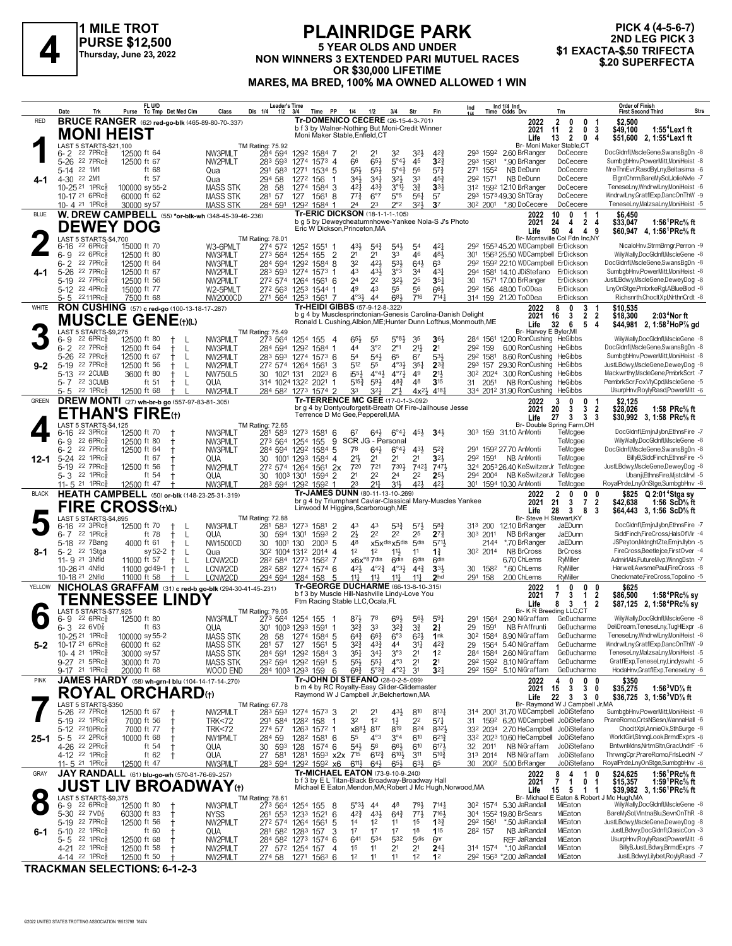

1 MILE TROT **PURSE \$12,500** Thursday, June 23, 2022

#### **PLAINRIDGE PARK** 5 YEAR OLDS AND UNDER NON WINNERS 3 EXTENDED PARI MUTUEL RACES OR \$30,000 LIFETIME MARES, MA BRED, 100% MA OWNED ALLOWED 1 WIN

#### PICK 4 (4-5-6-7) 2ND LEG PICK 3 \$1 EXACTA-\$.50 TRIFECTA \$.20 SUPERFECTA

|              |                                                                      |                                               | FL U/D                                                           |                      |                                      | Leader's Time                                                        |                   |                          |                                                                                               |                                                   |                                                  |                                     |                                            | Ind                                                             | Ind 1/4 Ind<br>Time Odds Drv                                              |                                                                           | <b>Order of Finish</b>                                                                                      |
|--------------|----------------------------------------------------------------------|-----------------------------------------------|------------------------------------------------------------------|----------------------|--------------------------------------|----------------------------------------------------------------------|-------------------|--------------------------|-----------------------------------------------------------------------------------------------|---------------------------------------------------|--------------------------------------------------|-------------------------------------|--------------------------------------------|-----------------------------------------------------------------|---------------------------------------------------------------------------|---------------------------------------------------------------------------|-------------------------------------------------------------------------------------------------------------|
| <b>RED</b>   | Date                                                                 | Trk                                           | Purse<br><b>BRUCE RANGER</b> (62) red-go-blk (465-89-80-70-.337) | Tc Tmp Det Med Clm   | Class                                | Dis 1/4<br>1/2                                                       | 3/4               | Time<br>PP               | 1/4<br>Tr-DOMENICO CECERE (26-15-4-3-701)                                                     | 1/2                                               | 3/4                                              | Str                                 | Fin                                        |                                                                 | 2022                                                                      | Trn<br>$\overline{2}$<br>0<br>0                                           | Strs<br><b>First Second Third</b><br>\$2,500                                                                |
|              |                                                                      |                                               | <b>MONI HEIST</b>                                                |                      |                                      |                                                                      |                   |                          | b f 3 by Walner-Nothing But Moni-Credit Winner                                                |                                                   |                                                  |                                     |                                            |                                                                 | 2021                                                                      | $\overline{2}$<br>0<br>3<br>11                                            | $1:554$ Lex 1 ft<br>\$49.100                                                                                |
|              | LAST 5 STARTS-\$21,100                                               |                                               |                                                                  |                      |                                      |                                                                      |                   |                          | Moni Maker Stable, Enfield, CT                                                                |                                                   |                                                  |                                     |                                            |                                                                 | Life                                                                      | 13<br>$\overline{\mathbf{2}}$<br>0<br>Br- Moni Maker Stable,CT            | 4<br>\$51,600 2, 1:55 <sup>4</sup> Lex1 ft                                                                  |
|              | 6-2 <sup>22</sup> 7PRc <sup>3</sup>                                  |                                               | 12500 ft 64                                                      |                      | NW3PMLT                              | TM Rating: 75.92<br>284 594                                          |                   | 1292 1584 7              | 21                                                                                            | 21                                                | 32                                               | 323                                 | $4^{2}$                                    |                                                                 | 293 1592 2.60 BrRanger                                                    | DoCecere                                                                  | DocGldnfl, MscleGene, SwansBgDn -8                                                                          |
|              | 5-26 22 7PRcs                                                        |                                               | 12500 ft 67                                                      |                      | NW2PMLT                              | 283 593                                                              |                   | 1274 1573 4              | 66                                                                                            | $65\frac{1}{2}$                                   | 5°4 <sup>3</sup>                                 | 45                                  | 3 <sup>2</sup>                             | 293 1581                                                        | *.90 BrRanger                                                             | DoCecere                                                                  | SumbgbHnv,PowerMitt,MoniHeist -8                                                                            |
|              | 5-14 22 1M1<br>4-30 22 2M1                                           |                                               | ft 68<br>ft 57                                                   |                      | Qua                                  | 291 583<br>294 58                                                    | 1272              | 1271 1534 5<br>156<br>-1 | $55\frac{1}{2}$<br>34}                                                                        | $55\frac{1}{2}$<br>341                            | $5^{\circ}4^{\frac{3}{4}}$<br>$3^{2}\frac{1}{2}$ | 56<br>33                            | $5^{7}$<br>$45\frac{3}{4}$                 | 271 1552<br>292 1571                                            | NB DeDunn<br>NB DeDunn                                                    | DoCecere<br>DoCecere                                                      | MreThnEvr,RasdByLny,Beltasima -6<br>ElgntChrm,BareMySol,JolieNvle -7                                        |
| 4-1          | 10-25 <sup>21</sup> 1PRc <sup>3</sup>                                |                                               | 100000 sy 55-2                                                   |                      | Qua<br><b>MASS STK</b>               | 58<br>28                                                             |                   | 1274 1584 3              | 421                                                                                           | $43\frac{3}{4}$                                   | $3^{\circ}1\frac{1}{4}$                          | 3 <sup>3</sup>                      | 3 <sup>3</sup>                             |                                                                 | 312 1592 12.10 BrRanger                                                   | DoCecere                                                                  | TeneseLny,WndrwlLny,MoniHeist -6                                                                            |
|              | 10-17 <sup>21</sup> 6PRc <sup>3</sup>                                |                                               | 60000 ft 62                                                      |                      | <b>MASS STK</b>                      | 281 57                                                               |                   | 127 1561 8               | $77\frac{3}{4}$                                                                               | $6^{\circ}7$                                      | $5^{\circ}5$                                     | 561                                 | 57                                         |                                                                 | 293 1573 49.30 ShTGray                                                    | DoCecere                                                                  | WndrwlLny,GratflExp,DancOnThW -9                                                                            |
|              | 10-4 <sup>21</sup> 1PRc                                              |                                               | 30000 sy 57                                                      |                      | <b>MASS STK</b>                      | 284 591                                                              |                   | 1292 1584 1              | 24                                                                                            | 23                                                | $2^{\circ}2$                                     | 321                                 | 3 <sup>7</sup>                             |                                                                 | 30 <sup>2</sup> 200 <sup>1</sup> *.80 DoCecere                            | DoCecere                                                                  | TeneseLny,MalzsaLny,MoniHeist -5                                                                            |
| <b>BLUE</b>  |                                                                      |                                               | W. DREW CAMPBELL (55) *or-blk-wh (348-45-39-46-236)              |                      |                                      |                                                                      |                   |                          | <b>Tr-ERIC DICKSON (18-1-1-1-105)</b><br>b g 5 by Deweycheatumnhowe-Yankee Nola-S J's Photo   |                                                   |                                                  |                                     |                                            |                                                                 | 2022<br>2021                                                              | 10<br>n<br>1<br>24<br>2 <sub>4</sub><br>4                                 | \$6,450<br>\$33,047<br>1:56 <sup>1</sup> PRc <sup>5</sup> / <sub>8</sub> ft                                 |
|              |                                                                      |                                               | <b>DEWEY DOG</b>                                                 |                      |                                      |                                                                      |                   |                          | Eric W Dickson, Princeton, MA                                                                 |                                                   |                                                  |                                     |                                            |                                                                 | Life                                                                      | 50<br>4<br>4<br>9                                                         | \$60.947 4.1:56 <sup>1</sup> PRc <sup>5</sup> / <sub>8</sub> ft                                             |
|              | LAST 5 STARTS-\$4,700<br>6-16                                        | $226$ PR $c_{8}$                              | 15000 ft 70                                                      |                      | W3-6PMLT                             | <b>TM Rating: 78.01</b><br>274 572                                   |                   | 1252 1551 1              | 431                                                                                           | $5^{4}$                                           | $5^{4}$                                          | 54                                  | 421                                        |                                                                 | 29 <sup>2</sup> 155 <sup>3</sup> 45.20 WDCampbell ErDickson               | Br- Morrisville Col Fdn Inc.NY                                            | NicaloHnv,StrmBrngr,Perron -9                                                                               |
|              | $6 - 9$                                                              | $22.6$ PR $c_{8}^{5}$                         | 12500 ft 80                                                      |                      | NW3PMLT                              | 273 564                                                              | 1254 155          | $\overline{2}$           | 2 <sup>1</sup>                                                                                | 2 <sup>1</sup>                                    | 33                                               | 46                                  | 481                                        | 301                                                             | 1563 25.50 WDCampbell ErDickson                                           |                                                                           | WilyWally,DocGldnfl,MscleGene -8                                                                            |
|              | $6 - 2$                                                              | 22 7PRc                                       | 12500 ft 64                                                      |                      | NW3PMLT                              | 284 594 1292 1584 8                                                  |                   |                          | 32                                                                                            | 421                                               | $5^{31}$                                         | $64\frac{1}{2}$                     | 63                                         |                                                                 | 292 1592 22.10 WDCampbell ErDickson                                       |                                                                           | DocGldnfl, MscleGene, SwansBgDn -8                                                                          |
| 4-1          | 5-26 22 7PRc<br>5-19 22 7PRc <sup>5</sup>                            |                                               | 12500 ft 67<br>12500 ft 56                                       |                      | NW2PMLT<br>NW2PMLT                   | 283 593 1274 1573 1<br>272 574 1264 1561 6                           |                   |                          | 43<br>24                                                                                      | 43}<br>2 <sup>2</sup>                             | 3°3<br>$3^{21}$                                  | 34<br>25                            | 431<br>35 <sub>1</sub>                     |                                                                 | 294 1581 14.10 JDiStefano<br>30 1571 17.00 BrRanger                       | ErDickson<br>ErDickson                                                    | SumbgbHnv,PowerMitt,MoniHeist -8<br>JustLBdwy,MscleGene,DeweyDog -8                                         |
|              | 5-12 22 4PRc <sup>5</sup>                                            |                                               | 15000 ft 77                                                      |                      | W2-5PMLT                             | 272 563 1253 1544 1                                                  |                   |                          | 49                                                                                            | 43                                                | 55                                               | 56                                  | 66}                                        |                                                                 | 29 <sup>2</sup> 156 48.00 ToODea                                          | ErDickson                                                                 | LnyOnStge,PmbrkeRgl,ABlueBlod -8                                                                            |
|              | 5-5                                                                  | 2211PRc§                                      | 7500 ft 68                                                       |                      | <b>NW2000CD</b>                      | 271 564 1253 1561 7                                                  |                   |                          | $4°3\frac{1}{2}$                                                                              | 44                                                | 683                                              | 716                                 | 7141                                       |                                                                 | 314 159 21.20 ToODea                                                      | ErDickson                                                                 | Richsnrth,ChocltXpl,NrthnCrdt -8                                                                            |
| WHITE        |                                                                      |                                               | RON CUSHING (57) c red-go (100-13-18-17-287)                     |                      |                                      |                                                                      |                   |                          | Tr-HEIDI GIBBS (57-9-12-8-.322)                                                               |                                                   |                                                  |                                     |                                            | b g 4 by Musclesprinctonian-Genesis Carolina-Danish Delight     | 2022<br>2021                                                              | 8<br>3<br>0<br>$\mathbf{2}$<br>$\overline{\mathbf{2}}$<br>3<br>16         | \$10.535<br>2:03 <sup>4</sup> Nor ft<br>\$18,300                                                            |
|              |                                                                      |                                               | <b>MUSCLE GENE</b> (t)(L)                                        |                      |                                      |                                                                      |                   |                          |                                                                                               |                                                   |                                                  |                                     |                                            | Ronald L Cushing, Albion, ME; Hunter Dunn Lofthus, Monmouth, ME | Life                                                                      | 32<br>4<br>6<br>5                                                         | \$44,981 2, 1:58 <sup>2</sup> HoP <sup>7</sup> / <sub>8</sub> gd                                            |
|              | LAST 5 STARTS-\$9,275                                                |                                               |                                                                  |                      |                                      | TM Rating: 75.49                                                     |                   |                          |                                                                                               |                                                   |                                                  |                                     |                                            |                                                                 | Br- Harvey E Byler, MI                                                    |                                                                           | WilyWally,DocGldnfl,MscleGene -8                                                                            |
|              | 6-9<br>$6 - 2$                                                       | $226$ PR $c_{8}$<br>$22 \tTPRC_8^5$           | 12500 ft 80<br>12500 ft 64                                       | Ť<br>L               | NW3PMLT<br>NW3PMLT                   | 273 564<br>284 594                                                   | 1292 1584         | 1254 155 4<br>-1         | 65}<br>44                                                                                     | 55<br>3°2                                         | $5^{\circ}8\frac{1}{2}$<br>$2^{\circ}1$          | 35<br>$21\frac{1}{2}$               | $36\frac{1}{2}$<br>2 <sup>1</sup>          | 292 159                                                         | 284 1561 12.00 RonCushing HeGibbs<br>6.00 RonCushing                      | HeGibbs                                                                   | DocGldnfl, MscleGene, SwansBgDn -8                                                                          |
|              | $5 - 26$                                                             | 22 7PRc                                       | 12500 ft 67                                                      | ŧ<br>- L             | NW2PMLT                              | 283 593 1274 1573 6                                                  |                   |                          | 54                                                                                            | $54\frac{1}{2}$                                   | 65                                               | 67                                  | $5^{31}$                                   | 292 1581                                                        | 8.60 RonCushing                                                           | <b>HeGibbs</b>                                                            | SumbgbHnv,PowerMitt,MoniHeist -8                                                                            |
| $9 - 2$      | 5-19 22 7PRc $\frac{5}{8}$                                           |                                               | 12500 ft 56                                                      | $^+$<br>-L           | NW2PMLT                              | 272 574 1264 1561                                                    |                   | 3                        | 512                                                                                           | 55                                                | $4^{\circ}3\frac{1}{2}$                          | $35\frac{1}{4}$                     | $2^{3}$                                    |                                                                 | 293 157 29.30 RonCushing                                                  | <b>HeGibbs</b><br><b>HeGibbs</b>                                          | JustLBdwy,MscleGene,DeweyDog -8<br>Mackwrthy, MscleGene, PmbrkScrt -7                                       |
|              | 5-13 22 2CUMB<br>5-7 22 3CUMB                                        |                                               | 3600 ft 80<br>ft 51                                              | -L<br>$^+$<br>ŧ<br>L | <b>NW750L5</b><br>QUA                | 30 1021 131<br>314 1024 1322 2021                                    |                   | $202^3$ 6<br>-1          | $i55\frac{1}{2}$<br>$5^{15}$                                                                  | $4^{\circ}4\frac{1}{2}$<br>$59\frac{1}{2}$        | $4^{\circ}7\frac{1}{2}$<br>$48\frac{3}{4}$       | 49<br>48                            | 2 <sup>11</sup><br>3 <sup>15</sup>         | 31 2051                                                         | 30 <sup>2</sup> 2024 3.00 RonCushing<br>NB RonCushing                     | HeGibbs                                                                   | PembrkScr,FoxVlyCpd,MscleGene -5                                                                            |
|              | 5-5                                                                  | $22$ 1PR $c_{8}^{5}$                          | 12500 ft 68                                                      |                      | NW2PMLT                              | 284 582 1273 1574 2                                                  |                   |                          | 33                                                                                            | 32}                                               | $2^{\circ}$                                      | $4x^{2}$                            | 4181                                       |                                                                 | 334 2012 31.90 RonCushing                                                 | HeGibbs                                                                   | UsurpHnv,RoylyRasd,PowerMitt -6                                                                             |
| <b>GREEN</b> |                                                                      |                                               | DREW MONTI (27) wh-br-b go (557-97-83-81-.305)                   |                      |                                      |                                                                      |                   |                          | Tr-TERRENCE MC GEE (17-0-1-3-092)<br>br g 4 by Dontyouforgetit-Breath Of Fire-Jailhouse Jesse |                                                   |                                                  |                                     |                                            |                                                                 | 2022                                                                      | 0<br>3<br>n                                                               | \$2,125                                                                                                     |
|              |                                                                      |                                               | <b>ETHAN'S FIRE(1)</b>                                           |                      |                                      |                                                                      |                   |                          | Terrence D Mc Gee, Pepperell, MA                                                              |                                                   |                                                  |                                     |                                            |                                                                 | 2021<br>Life                                                              | 20<br>3<br>$\overline{2}$<br>3<br>27<br>3<br>3<br>- 3                     | \$28,026<br>1:58 $PRc%$ ft<br>\$30,992 3, 1:58 PRc% ft                                                      |
|              | LAST 5 STARTS-\$4,125                                                |                                               |                                                                  |                      |                                      | TM Rating: 72.65                                                     |                   |                          |                                                                                               |                                                   |                                                  |                                     |                                            |                                                                 |                                                                           | Br- Double Spring Farm, OH                                                |                                                                                                             |
|              | 6-16<br>6-9                                                          | $22$ 3PR $c_{8}$<br>$22.6$ PRc $\frac{5}{8}$  | 12500 ft 70<br>12500 ft 80                                       | Ť                    | NW3PMLT<br>NW3PMLT                   | 281 583<br>273 564                                                   | 1273 1581<br>1254 | - 6<br>9<br>155          | 67<br>SCR JG - Personal                                                                       | 643                                               | $6^{\circ}4^{\frac{1}{4}}$                       | $45\frac{1}{2}$                     | $34\frac{1}{2}$                            |                                                                 | 303 159 31.10 AnMonti                                                     | TeMcgee<br>TeMcgee                                                        | DocGldnfl,EmjnJlybn,EthnsFire -7<br>WilyWally,DocGldnfl,MscleGene -8                                        |
|              | 6-2 <sup>22</sup> 7PRc                                               |                                               | 12500 ft 64                                                      |                      | NW3PMLT                              | 284 594 1292 1584 5                                                  |                   |                          | 78                                                                                            | $64\frac{1}{2}$                                   | $6^\circ 4\frac{1}{2}$                           | 43}                                 | $5^{2}3$                                   |                                                                 | 291 1592 27.70 AnMonti                                                    | TeMcgee                                                                   | DocGldnfl, MscleGene, SwansBgDn -8                                                                          |
| 12-1         | 5-24 22 1PRcs                                                        |                                               | ft 67                                                            |                      | QUA                                  | 30                                                                   |                   | 1001 1293 1584 4         | 21}                                                                                           | 2 <sup>1</sup>                                    | 2 <sup>1</sup>                                   | 21                                  | 3 <sup>2</sup>                             |                                                                 | 29 <sup>2</sup> 1591 NB AnMonti                                           | TeMcgee                                                                   | BillyB,SiddFinch,EthnsFire -5                                                                               |
|              | 5-19 22 7PRc <sup>5</sup><br>5-3 22 1PRc                             |                                               | 12500 ft 56<br>ft $54$                                           |                      | NW2PMLT<br>QUA                       | 27 <sup>2</sup> 574 1264 1561 2x<br>30 1003 1301 1594 2              |                   |                          | 720<br>2 <sup>1</sup>                                                                         | 721<br>2 <sup>2</sup>                             | 730}<br>2 <sup>4</sup>                           | 7421<br>2 <sup>2</sup>              | 7471<br>$2^{5}$                            |                                                                 | 324 2053 26.40 KeSwitzerJr TeMcgee<br>294 2004 NB KeSwitzerJr TeMcgee     |                                                                           | JustLBdwy,MscleGene,DeweyDog -8<br>Ubanji,EthnsFire,MjstcMrvl -5                                            |
|              | 11-5 $^{21}$ 1PRc $\frac{5}{8}$                                      |                                               | 12500 ft 47                                                      |                      | NW3PMLT                              | 283 594 1292 1592 1                                                  |                   |                          | 23                                                                                            | $2^{11}$                                          | 31}                                              | 42}                                 | $4^{2}$                                    |                                                                 | 301 1594 10.30 AnMonti                                                    | TeMcgee                                                                   | RoyalPrde,LnyOnStge,SumbgbHnv -6                                                                            |
| <b>BLACK</b> |                                                                      |                                               | HEATH CAMPBELL (50) or-blk (148-23-25-31-.319)                   |                      |                                      |                                                                      |                   |                          | Tr-JAMES DUNN (80-11-13-10-269)                                                               |                                                   |                                                  |                                     |                                            | br g 4 by Triumphant Caviar-Classical Mary-Muscles Yankee       | 2022                                                                      | 2<br>0<br>0<br>0                                                          | \$825 Q 2:01 <sup>4</sup> Stga sy                                                                           |
|              |                                                                      |                                               | FIRE CROSS(t)(L)                                                 |                      |                                      |                                                                      |                   |                          | Linwood M Higgins, Scarborough, ME                                                            |                                                   |                                                  |                                     |                                            |                                                                 | 2021<br>Life                                                              | 21<br>$\overline{7}$<br>$\overline{2}$<br>3<br>28<br>3<br>8<br>3          | \$42,638<br>1:56 ScD% ft<br>\$64,443 3, 1:56 ScD <sup>5</sup> / <sub>8</sub> ft                             |
|              | LAST 5 STARTS-\$4,895                                                |                                               |                                                                  |                      |                                      | TM Rating: 72.88                                                     |                   |                          |                                                                                               |                                                   |                                                  |                                     |                                            |                                                                 | Br- Steve H Stewart, KY                                                   |                                                                           |                                                                                                             |
|              | 6-16<br>$6 - 7$                                                      | $22 \t3PRc\overline{3}$<br>$22$ 1PR $c_{8}^5$ | 12500 ft 70<br>ft 78                                             | Ť<br>$^+$<br>L       | NW3PMLT<br>QUA                       | 281 583<br>30                                                        | 594 1301          | 1273 1581 2<br>1593 2    | 43<br>$2\frac{1}{2}$                                                                          | 43<br>2 <sup>2</sup>                              | $5^{3}\frac{3}{4}$<br>2 <sup>2</sup>             | $5^{7}\frac{1}{2}$<br>25            | $5^{8}$ <sub>4</sub><br>$2^{7\frac{3}{4}}$ | 303 2011                                                        | 313 200 12.10 BrRanger<br>NB BrRanger                                     | JaEDunn<br>JaEDunn                                                        | DocGldnfl,EmjnJlybn,EthnsFire -7<br>SiddFinch,FireCross,HalsOfVlr -4                                        |
|              | 5-18 22 7Bang                                                        |                                               | 4000 ft 61                                                       | -L                   | NW1500CD                             | 30<br>1001 130                                                       |                   | $200^3$ 5                | 48                                                                                            |                                                   | x5xdis x5dis 5dis                                |                                     | 5711                                       | 2144                                                            | *.70 BrRanger                                                             | JaEDunn                                                                   | JSPeyton,MdnghtZte,EmjnJlybn -5                                                                             |
| 8-1          | 5-2 <sup>22</sup> 1Stga                                              |                                               | sy 52-2                                                          | $\ddagger$<br>L      | Qua                                  | 30 <sup>2</sup> 100 <sup>4</sup> 131 <sup>2</sup> 201 <sup>4</sup> 4 |                   |                          | 1 <sup>2</sup>                                                                                | 1 <sup>2</sup>                                    | $11\frac{1}{2}$                                  | 11                                  | $1\frac{3}{4}$                             | 30 <sup>2</sup> 2014                                            | <b>NB BrCross</b>                                                         | <b>BrCross</b>                                                            | FireCross, Beetlejce, FirstOver -4                                                                          |
|              | 11-9 21 3Nfld<br>10-26 <sup>21</sup> 4Nfld                           |                                               | 11000 ft 57<br>11000 $gd49-1$ +                                  | -L<br>-L             | LCNW2CD<br>LCNW2CD                   | 282 584 1273 1562 7<br>28 <sup>2</sup> 58 <sup>2</sup> 1274 1574 6   |                   |                          | 421,                                                                                          | $x6x^{\circ}87$ dis<br>$4^{\circ}2^{\frac{3}{4}}$ | 6 <sup>dis</sup><br>$4^{\circ}3\frac{1}{2}$      | 6 <sup>dis</sup><br>$4^{4^{3}_{4}}$ | 6 <sup>dis</sup><br>$3^{3}$                | 30<br>1582                                                      | 6.70 ChLems<br>*.60 ChLems                                                | RyMiller<br>RyMiller                                                      | AdmirIAls,FutureMvp,WinngDstn -7<br>Harwell.AwsmePaul.FireCross -8                                          |
|              | 10-18 <sup>21</sup> 2Nfld                                            |                                               | 11000 ft 58                                                      |                      | LCNW2CD                              | 294 594 1284 158                                                     |                   | -5                       | $11\frac{1}{4}$                                                                               | $11\frac{1}{2}$                                   | $11\frac{1}{4}$                                  | $11\frac{1}{4}$                     | 2 <sub>hd</sub>                            | 291 158                                                         | 2.00 ChLems                                                               | RyMiller                                                                  | Checkmate,FireCross,Topolino -5                                                                             |
| YELLOW       |                                                                      |                                               | NICHOLAS GRAFFAM (31) c red-b go-blk (294-30-41-45-.231)         |                      |                                      |                                                                      |                   |                          | Tr-GEORGE DUCHARME (66-13-8-10-315)                                                           |                                                   |                                                  |                                     |                                            |                                                                 | 2022                                                                      | 0<br>0<br>0                                                               | \$625                                                                                                       |
|              |                                                                      |                                               | <b>TENNESSEE LINDY</b>                                           |                      |                                      |                                                                      |                   |                          | b f 3 by Muscle Hill-Nashville Lindy-Love You<br>Ftm Racing Stable LLC, Ocala, FL             |                                                   |                                                  |                                     |                                            |                                                                 | 2021<br>Life                                                              | $\overline{2}$<br>3<br>$\mathbf{1}$<br>7<br>$\overline{2}$<br>8<br>3<br>1 | \$86,500<br>1:58 ${}^4$ PRc ${}^5\!$ sy<br>\$87,125 2, 1:58 <sup>4</sup> PRc <sup>5</sup> / <sub>8</sub> sy |
|              | LAST 5 STARTS-\$77,925                                               |                                               |                                                                  |                      |                                      | TM Rating: 79.05                                                     |                   |                          |                                                                                               |                                                   |                                                  |                                     |                                            |                                                                 |                                                                           | Br- K R Breeding LLC,CT                                                   |                                                                                                             |
|              | 6- 9<br>$6 - 3$ 22 6 VD $\frac{7}{8}$                                | $226$ PR $c_{8}$                              | 12500 ft 80<br>ft 63                                             |                      | NW3PMLT<br>QUA                       | 273 564 1254 155<br>301 1003 1293 1591 1                             |                   | - 1                      | 87}<br>$3^{2}\frac{3}{4}$                                                                     | 78<br>3 <sup>3</sup>                              | 693<br>$3^{24}$                                  | $56\frac{1}{2}$<br>31               | $59\frac{1}{4}$<br>2 <sup>1</sup>          | 291 1564<br>29<br>1591                                          | 2.90 NiGraffam<br>NB FrAffrunti                                           | GeDucharme<br>GeDucharme                                                  | WilyWally,DocGldnfl,MscleGene -8<br>DeliDream,TeneseLny,TugHlExpr -6                                        |
|              | 10-25 <sup>21</sup> 1PRc§                                            |                                               | 100000 sy 55-2                                                   |                      | MASS STK                             | 28<br>58                                                             |                   | 1274 1584 5              | 644                                                                                           | $66\frac{3}{4}$                                   | 6 <sup>5</sup>                                   | $62\frac{1}{2}$                     | 1 <sub>nk</sub>                            |                                                                 | 304 1584 8.90 NiGraffam                                                   | GeDucharme                                                                | leneseLnv.WndrwlLnv.MoniHeist -6                                                                            |
| $5 - 2$      | 10-17 21 6PRc <sup>5</sup>                                           |                                               | 60000 ft 62                                                      |                      | <b>MASS STK</b>                      | 281 57                                                               | 127               | -5<br>1561               | $3^{2}\frac{3}{4}$                                                                            | 43}                                               | 44                                               | 31                                  | $4^{2}\frac{3}{4}$                         | 29                                                              | 1564 5.40 NiGraffam                                                       | GeDucharme                                                                | WndrwlLny,GratflExp,DancOnThW -9                                                                            |
|              | 10-4 21 1PRc <sup>5</sup><br>9-27 21 5PRc <sup>5</sup>               |                                               | 30000 sy 57<br>30000 ft 70                                       |                      | <b>MASS STK</b><br><b>MASS STK</b>   | 284 591 1292 1584 3<br>292 594 1292 1591                             |                   | -5                       | $35\frac{1}{4}$<br>$55\frac{1}{2}$                                                            | $34\frac{1}{4}$<br>$55\frac{1}{4}$                | 3°3<br>$4^{\circ}3$                              | 2 <sup>1</sup><br>2 <sup>1</sup>    | 1 <sup>2</sup><br>2 <sup>1</sup>           |                                                                 | 284 1584 2.60 NiGraffam<br>292 1592 8.10 NiGraffam                        | GeDucharme<br>GeDucharme                                                  | TeneseLny,MalzsaLny,MoniHeist -5<br>GratflExp,TeneseLny,Lindyswht -5                                        |
|              | 9-17 21 1PRc <sup>5</sup>                                            |                                               | 20000 ft 68                                                      |                      | WOOD END                             | 284 1003 1293 159                                                    |                   | 6                        | $66\frac{3}{4}$                                                                               | $5^{\circ}3^{\frac{3}{4}}$                        | $4^{\circ}2^{\frac{1}{4}}$                       | 31                                  | 3 <sup>2</sup>                             |                                                                 | 292 1592 5.10 NiGraffam                                                   | GeDucharme                                                                | HodaHnv,GratflExp,TeneseLny -6                                                                              |
| <b>PINK</b>  |                                                                      |                                               | JAMES HARDY (58) wh-grn-I blu (104-14-17-14-270)                 |                      |                                      |                                                                      |                   |                          | Tr-JOHN DI STEFANO (28-0-2-5-.099)                                                            |                                                   |                                                  |                                     |                                            |                                                                 | 2022                                                                      | 0<br>0<br>0<br>4                                                          | \$350                                                                                                       |
|              | <b>ROYAL</b>                                                         |                                               | <b>ORCHARD</b> (t)                                               |                      |                                      |                                                                      |                   |                          | b m 4 by RC Royalty-Easy Glider-Glidemaster<br>Raymond W J Campbell Jr, Belchertown, MA       |                                                   |                                                  |                                     |                                            |                                                                 | 2021<br>Life                                                              | 3<br>15<br>3<br>0<br>22<br>3<br>$3^{\circ}$<br>0                          | \$35,275<br>1:56 $3$ VD $\%$ ft<br>\$36,725 3, 1:56 <sup>3</sup> VD <sup>7</sup> / <sub>8</sub> ft          |
|              | LAST 5 STARTS-\$350                                                  |                                               |                                                                  |                      |                                      | TM Rating: 67.78                                                     |                   |                          |                                                                                               |                                                   |                                                  |                                     |                                            |                                                                 |                                                                           | Br- Raymond W J Campbell Jr, MA                                           |                                                                                                             |
|              | 5-26 <sup>22</sup> 7PRc <sup>3</sup><br>$5-19$ 22 1PRc $\frac{5}{8}$ |                                               | 12500 ft 67<br>7000 ft 56                                        | $^{\rm +}$           | NW2PMLT                              | 283 593 1274 1573 3                                                  |                   | -1                       | 2 <sup>1</sup><br>32                                                                          | 2 <sup>1</sup><br>1 <sup>2</sup>                  | 43}                                              | 810<br>22                           | $8^{13}\frac{1}{4}$<br>$57\frac{1}{4}$     |                                                                 | 314 2001 31.70 WDCampbell JoDiStefano<br>1592 6.20 WDCampbell JoDiStefano |                                                                           | SumbgbHnv,PowerMitt,MoniHeist -8<br>PrareRomo.CrtsNSesn.WannaHall -6                                        |
|              | 5-12 2210PRc                                                         |                                               | 7000 ft 77                                                       | $\ddagger$           | <b>TRK&lt;72</b><br><b>TRK&lt;72</b> | 291 584 1282 158<br>274 57                                           |                   | 1263 1572 1              | x8 <sup>81</sup>                                                                              | 817                                               | $1\frac{1}{2}$<br>819                            | 824                                 | 832}                                       | 31                                                              | 332 2034 2.70 HeCampbell JoDiStefano                                      |                                                                           | ChocltXpl,AnnieOk,SthSurge -8                                                                               |
|              | $25-1$ 5-5 $22$ 2PRc                                                 |                                               | 10000 ft 68                                                      | $^+$                 | NW1PMLT                              | 284 59                                                               |                   | 128 <sup>2</sup> 1581 6  | 55                                                                                            | $4^{\circ}3$                                      | $3^{\circ 4}$                                    | 610                                 | $6^{21}$                                   |                                                                 | 332 2023 10.60 HeCampbell JoDiStefano                                     |                                                                           | WorktGirl,StnngLook,BrmdExprs -8                                                                            |
|              | 4-26 22 2PRc <sup>5</sup>                                            |                                               | ft $54$                                                          | Ť                    | QUA                                  | 593 128<br>30                                                        |                   | 1574 6                   | $54\frac{1}{2}$                                                                               | 56                                                | $66\frac{1}{2}$                                  | 610                                 | $6^{17}$                                   | 32 2011                                                         | NB NiGraffam                                                              | JoDiStefano                                                               | BntwnMdns, NrtrnSltn, GracUndrF -6<br>ThrwngCpr,PrareRomo,FrlsLedrN -7                                      |
|              | 4-12 <sup>22</sup> 1PRc <sup>3</sup><br>11-5 21 1PRc <sup>3</sup>    |                                               | ft $62$<br>12500 ft 47                                           | $\pm$                | QUA<br>NW3PMLT                       | 27 581 1281 1593 x2x 715<br>283 594 1292 1592 x6                     |                   |                          | $6^{11}\frac{1}{2}$                                                                           | $6^{12}\frac{3}{4}$<br>$64\frac{1}{2}$            | $6^{10}\frac{1}{2}$<br>$65\frac{1}{2}$           | 311<br>$63\frac{1}{2}$              | $5^{10}\frac{3}{4}$<br>65                  | 313 2014<br>30 2002                                             | NB NiGraffam<br>5.00 BrRanger                                             | JoDiStefano<br>JoDiStefano                                                | RoyalPrde,LnyOnStge,SumbgbHnv -6                                                                            |
| GRAY         |                                                                      |                                               | JAY RANDALL (61) blu-go-wh (570-81-76-69-257)                    |                      |                                      |                                                                      |                   |                          | Tr-MICHAEL EATON (73-9-10-9-240)                                                              |                                                   |                                                  |                                     |                                            |                                                                 | 2022                                                                      | 8<br>1<br>4<br>0                                                          | 1:56 ${}^1$ PRc ${}^5\!$ ft<br>\$24,625                                                                     |
|              |                                                                      |                                               | <b>JUST LIV BROADWAY⊕</b>                                        |                      |                                      |                                                                      |                   |                          | b f 3 by E L Titan-Black Broadway-Broadway Hall                                               |                                                   |                                                  |                                     |                                            | Michael E Eaton, Mendon, MA; Robert J Mc Hugh, Norwood, MA      | 2021                                                                      | $\mathbf{0}$<br>7<br>1<br>-1                                              | \$15,357<br>1:59 <sup>1</sup> PRc <sup>5</sup> / <sub>8</sub> ft                                            |
|              | LAST 5 STARTS-\$9,375                                                |                                               |                                                                  |                      |                                      | TM Rating: 78.61                                                     |                   |                          |                                                                                               |                                                   |                                                  |                                     |                                            |                                                                 | Life                                                                      | 5<br>15<br>$\mathbf{1}$<br>-1                                             | \$39,982 3, 1:56 PRc <sup>5</sup> / <sub>8</sub> ft<br>Br- Michael E Eaton & Robert J Mc Hugh, MA           |
|              | $6 - 9$ $22$ 6PRc <sup>3</sup>                                       |                                               | 12500 ft 80                                                      |                      | NW3PMLT                              | 273 564 1254 155                                                     |                   | - 8                      | $5^{\circ}3\frac{1}{2}$                                                                       | 44                                                | 48                                               | 791                                 | $7^{14}$                                   |                                                                 | 30 <sup>2</sup> 1574 5.30 JaRandall                                       | MiEaton                                                                   | WilyWally,DocGldnfl,MscleGene -8                                                                            |
|              | 5-30 $22$ 7VD $\frac{7}{8}$<br>5-19 22 7PRc <sup>5</sup>             |                                               | 60300 ft 83<br>12500 ft 56                                       | Ť<br>$^+$            | <b>NYSS</b><br>NW2PMLT               | 261 553 1233 1521<br>272 574 1264 1561                               |                   | 6<br>5                   | $4^{2^{3}}$<br>1 <sup>4</sup>                                                                 | $43\frac{1}{2}$<br>1 <sup>2</sup>                 | $64\frac{3}{4}$<br>11                            | $77\frac{1}{2}$<br>1 <sup>5</sup>   | 7161<br>$13\frac{3}{4}$                    | 292 1561                                                        | 304 1552 19.80 BrSears<br>*.50 JaRandall                                  | MiEaton<br>MiEaton                                                        | BareMySol, VIntnaBlu, SevnOnThR -8<br>JustLBdwy,MscleGene,DeweyDog -8                                       |
| $6 - 1$      | 5-10 22 1PRc                                                         |                                               | ft $60$                                                          |                      | QUA                                  | 281 582 1283 157                                                     |                   | 3                        | 17                                                                                            | 17                                                | 17                                               | 1 <sup>8</sup>                      | 115                                        | 282 157                                                         | NB JaRandall                                                              | MiEaton                                                                   | JustLBdwy,DocGldnfl,ClasicCon -3                                                                            |
|              | $5 - 5$ 22 1PRc $\frac{5}{8}$                                        |                                               | 12500 ft 68                                                      | Ť                    | NW2PMLT                              | 284 582 1273 1574 6                                                  |                   |                          | 641                                                                                           | 534                                               | 532                                              | 5 <sub>dis</sub>                    | 6 <sup>nr</sup>                            |                                                                 | <b>REF JaRandall</b>                                                      | MiEaton                                                                   | UsurpHnv,RoylyRasd,PowerMitt -6                                                                             |
|              | 4-21 22 1PRc <sup>3</sup><br>$A - 1A$ 22 1PR $c$ <sup>5</sup>        |                                               | 12500 ft 58<br>12500 ft 50                                       | Ť                    | NW2PMLT<br>NIMODM T                  | 27 572 1254 157<br>274 58 1271 1563 6                                |                   | -4                       | 1 <sup>5</sup><br>12                                                                          | 11                                                | 21<br>11                                         | 2 <sup>1</sup><br>12                | $24\frac{1}{4}$<br>12                      |                                                                 | 314 1574 *.10 JaRandall<br>202 1563 *200 laRandall                        | MiEaton<br>MiFaton                                                        | BillyB,JustLBdwy,BrmdExprs -7<br>lustl Bdwy Lilybet RoylyRasd -7                                            |

**TRACKMAN SELECTIONS: 6-1-2-3**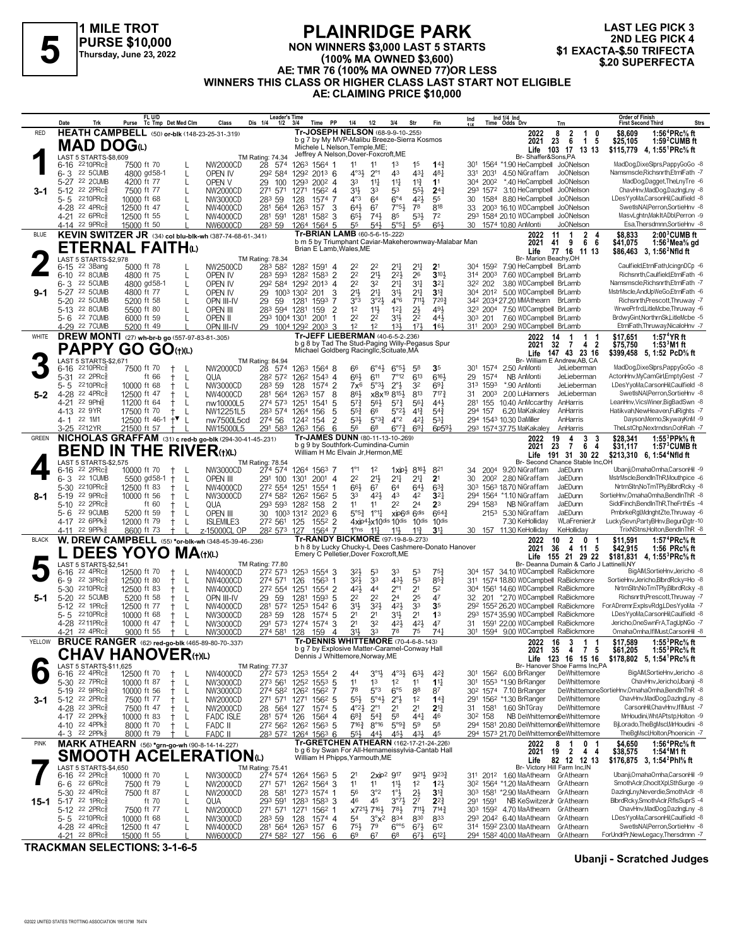

**NON WINNERS \$3,000 LAST 5 STARTS**

**LAST LEG PICK 3 2ND LEG PICK 4<br>\$1 EXACTA-\$.50 TRIFECTA** 

#### **(100% MA OWNED \$3,600) AE: TMR 76 (100% MA OWNED 77)OR LESS WINNERS THIS CLASS OR HIGHER CLASS LAST START NOT ELIGIBLE AE: CLAIMING PRICE \$10,000 FLAINNIDUL PARK**<br>
Thursday, June 23, 2022<br>
Thursday, June 23, 2022<br> **Exacta-\$.50 TRIFECTA**<br> **Exacta-\$.50 TRIFECTA**<br> **Exacta-\$.50 TRIFECTA**<br> **Exacta-\$.50 TRIFECTA**<br> **Exacta-\$.50 TRIFECTA**<br> **Exacta-\$.50 TRIFECTA**

|              | Date            | Trk                                                     | Purse                      | FL U/D<br>Tc Tmp Det Med Clm                                           | Class                         | Leader's Time<br>Dis 1/4<br>$1/2$ $3/4$                |                  | Time PP                            | 1/4                                                                                         | 1/2                                                                    | 3/4                                                 | Str                     | Fin                                                  | Ind                                |                      | Ind 1/4 Ind<br>Time Odds Drv                                                       | Trn                                                  | Order of Finish<br><b>First Second Third</b>                                                     | <b>Strs</b> |
|--------------|-----------------|---------------------------------------------------------|----------------------------|------------------------------------------------------------------------|-------------------------------|--------------------------------------------------------|------------------|------------------------------------|---------------------------------------------------------------------------------------------|------------------------------------------------------------------------|-----------------------------------------------------|-------------------------|------------------------------------------------------|------------------------------------|----------------------|------------------------------------------------------------------------------------|------------------------------------------------------|--------------------------------------------------------------------------------------------------|-------------|
| <b>RED</b>   |                 |                                                         |                            | <b>HEATH CAMPBELL</b> (50) or-blk (148-23-25-31-319)                   |                               |                                                        |                  |                                    | Tr-JOSEPH NELSON (68-9-9-10-.255)                                                           |                                                                        |                                                     |                         |                                                      |                                    |                      | 2022                                                                               | $\overline{2}$<br>8<br>$\overline{1}$<br>0           | \$8,609<br>1:56 <sup>4</sup> PRc <sup>5</sup> / <sub>8</sub> ft                                  |             |
|              |                 | MAD DOG⊕                                                |                            |                                                                        |                               |                                                        |                  |                                    | b g 7 by My MVP-Malibu Breeze-Sierra Kosmos<br>Michele L Nelson. Temple.ME:                 |                                                                        |                                                     |                         |                                                      |                                    |                      | 2021<br>Life                                                                       | 6<br>$\overline{1}$<br>23<br>- 5<br>103 17<br>13 13  | \$25.105<br>$1:592$ CUMB ft<br>\$115,779 4, 1:55 <sup>1</sup> PRc <sup>5</sup> / <sub>8</sub> ft |             |
|              |                 | LAST 5 STARTS-\$8.609                                   |                            |                                                                        |                               | TM Rating: 74.34                                       |                  |                                    | Jeffrey A Nelson, Dover-Foxcroft, ME                                                        |                                                                        |                                                     |                         |                                                      |                                    |                      | Br-Shaffer&Sons,PA                                                                 |                                                      |                                                                                                  |             |
|              |                 | 6-16 2210PRcs                                           | 7500 ft 70                 |                                                                        | NW2000CD                      | 28 574                                                 |                  | 1263 1564 1                        | 11                                                                                          | 11                                                                     | 1 <sup>3</sup>                                      | 1 <sup>5</sup>          | $14\frac{3}{4}$                                      | 30 <sup>1</sup>                    |                      | 1564 *1.90 HeCampbell JoONelson                                                    |                                                      | MadDog,DixeSlprs,PappyGoGo -8                                                                    |             |
|              |                 | 6-3 22 5 CUMB<br>5-27 22 2CUMB                          | 4800 gd58-1<br>4200 ft 77  | L                                                                      | OPEN IV                       | 292 584<br>29                                          | 1293             | 1292 2013 6<br>$200^2$ 4           | $4^{\circ}3\frac{1}{2}$<br>33                                                               | $2^{\circ}1$<br>$11\frac{1}{4}$                                        | 4 <sup>3</sup><br>$11\frac{1}{4}$                   | 431<br>$11\frac{3}{4}$  | 481<br>1 <sup>1</sup>                                |                                    | 331 2031             | 4.50 NiGraffam<br>*.40 HeCampbell                                                  | Jo0Nelson<br>JoONelson                               | Namsmscle, Richsnrth, EtrnlFath -7<br>MadDog,Dagget,TheLnyTre -6                                 |             |
| 3-1          |                 | 5-12 22 2PRc <sup>5</sup>                               | 7500 ft 77                 | L<br>L                                                                 | OPEN V<br>NW2000CD            | 100<br>27 <sup>1</sup><br>571                          | 1271             | 1562 4                             | 3 <sup>1</sup>                                                                              | 33                                                                     | 53                                                  | $55\frac{1}{2}$         | $2^{4}$                                              |                                    | 304 2002<br>293 1572 | 3.10 HeCampbell                                                                    | Jo0Nelson                                            | ChavHnv,MadDog,DazIngLny -8                                                                      |             |
|              | 5-5             | 2210PRc3                                                | 10000 ft 68                |                                                                        | NW3000CD                      | 283 59                                                 | 128              | 1574 7                             | $4^{\circ}3$                                                                                | 64                                                                     | $6^{\circ}4$                                        | $4^{2}\frac{1}{2}$      | 55                                                   | 30                                 |                      | 1584 8.80 HeCampbell JoONelson                                                     |                                                      | LDesYyoMa,CarsonHil,Caulfield -8                                                                 |             |
|              |                 | 4-28 22 4PRc <sup>5</sup>                               | 12500 ft 47                |                                                                        | NW4000CD                      | 281 564                                                | 1263             | 157<br>3                           | 643                                                                                         | 67                                                                     | $7°5\frac{1}{2}$                                    | 78                      | 818                                                  | 33                                 |                      | 2003 16.10 WDCampbell JoONelson                                                    |                                                      | SwetIsNAI, Perron, SortieHnv -8                                                                  |             |
|              |                 | 4-21 22 6PRc                                            | 12500 ft 55                |                                                                        | NW4000CD                      | 281 591                                                | 1281             | 1582<br>3                          | 65}                                                                                         | $74\frac{1}{2}$                                                        | 85                                                  | $5^{31}$                | 7 <sup>2</sup>                                       |                                    |                      | 293 1584 20.10 WDCampbell JoONelson                                                |                                                      | MasvLghtn, MakItADbl, Perron -9                                                                  |             |
| BLUE         |                 | 4-14 22 9PRc3                                           | 15000 ft 50                |                                                                        | NW6000CD                      | 283 59                                                 |                  | 1264 1564 5                        | 55<br>Tr-BRIAN LAMB (60-5-6-15-222)                                                         | 543                                                                    | $5^{\circ 51}$                                      | 55                      | 65                                                   | 30                                 |                      | 1574 10.80 AnMonti                                                                 | <b>JoONelson</b>                                     | Esa, Thersdmnn, SortieHnv -8                                                                     |             |
|              |                 |                                                         |                            | KEVIN SWITZER JR (34) col blu-blk-wh (387-74-68-61-341)                |                               |                                                        |                  |                                    |                                                                                             |                                                                        |                                                     |                         | b m 5 by Triumphant Caviar-Makeherownway-Malabar Man |                                    |                      | 2022<br>2021                                                                       | 11<br>$\mathbf{2}$<br>1<br>4<br>41<br>9<br>66        | $2:003$ CUMB ft<br>\$8,833<br>1:56 $3$ Mea $\%$ gd<br>\$41,075                                   |             |
|              |                 |                                                         |                            | <b>ETERNAL FAITH</b> W                                                 |                               |                                                        |                  |                                    | Brian E Lamb. Wales. ME                                                                     |                                                                        |                                                     |                         |                                                      |                                    |                      | Life                                                                               | 77 16 11 13                                          | \$86,463 3, 1:56 <sup>2</sup> Nfld ft                                                            |             |
|              | 6-15            | LAST 5 STARTS-\$2,978<br>22 3Bang                       | 5000 ft 78                 |                                                                        | NW2500CD                      | <b>TM Rating: 78.34</b><br>283 582                     |                  | 1282 1591 4                        | 2 <sup>2</sup>                                                                              | 2 <sup>2</sup>                                                         | $2^{11}$                                            | 21                      | 2 <sup>1</sup>                                       |                                    | 304 1592             | Br- Marion Beachy, OH<br>7.90 HeCampbell BrLamb                                    |                                                      | Caulfield,EtrnlFath,IcingnDCp -6                                                                 |             |
|              |                 | 6-10 22 8 CUMB                                          | 4800 ft 75                 | L                                                                      | OPEN IV                       | 283 593                                                |                  | 1282 1583 2                        | 2 <sup>2</sup>                                                                              | $21\frac{1}{2}$                                                        | $2^{2}$                                             | 26                      | $3^{10}$                                             |                                    | 314 2003             | 7.60 WDCampbell BrLamb                                                             |                                                      | Richsnrth.Caulfield.EtrnlFath -6                                                                 |             |
|              | $6 - 3$         | 22 5 CUMB                                               | 4800 gd58-1                | L                                                                      | OPEN IV                       | 292 584 1292 2013 4                                    |                  |                                    | 2 <sup>2</sup>                                                                              | 32                                                                     | 2 <sup>11</sup>                                     | 31                      | 3 <sup>2</sup>                                       |                                    | 322 202              | 3.80 WDCampbell BrLamb                                                             |                                                      | Namsmscle, Richsnrth, EtrnlFath -7                                                               |             |
| $9 - 1$      |                 | 5-27 22 5CUMB                                           | 4800 ft 77                 |                                                                        | OPEN IV                       | 29                                                     | 1003 1302 201    | 3                                  | $21\frac{1}{2}$                                                                             | $21\frac{1}{4}$                                                        | 3 <sup>1</sup>                                      | 21                      | $3^{13}$                                             |                                    |                      | 304 2012 5.00 WDCampbell BrLamb                                                    |                                                      | MstrMscle,AndUpWeGo,EtrnlFath -6                                                                 |             |
|              | 5-20            | 22 5CUMB<br>5-13 22 8 CUMB                              | 5200 ft 58<br>5500 ft 80   | L                                                                      | OPN III-IV<br><b>OPEN III</b> | -59<br>29<br>283 594 1281                              | 1281             | 1593<br>7<br>$\overline{2}$<br>159 | 3°3<br>1 <sup>2</sup>                                                                       | 3°21<br>11}                                                            | $4^{\circ}6$<br>12 <sub>1</sub>                     | 7111<br>$2\frac{1}{2}$  | 7203<br>491                                          |                                    |                      | 342 2034 27.20 MMAthearn BrLamb<br>323 2004 7.50 WDCampbell BrLamb                 |                                                      | Richsnrth, Prescott, Thruway -7<br>WrwePrfrd,LitleMcbe,Thruway -6                                |             |
|              |                 | 5-6 22 7 CUMB                                           | 6000 ft 59                 | $\mathbf{I}$                                                           | OPEN II                       | 293 1004 1301                                          |                  | 2001<br>1                          | 2 <sup>2</sup>                                                                              | 2 <sup>2</sup>                                                         | 3½                                                  | 2 <sup>2</sup>          | $44\frac{1}{2}$                                      |                                    | 303 201              | 7.60 WDCampbell BrLamb                                                             |                                                      | BrdwyGint, NorthrnSk, LitleMcbe -5                                                               |             |
|              |                 | 4-29 22 7 CUMB                                          | 5200 ft 49                 |                                                                        | OPN III-IV                    | 29 1004 1292 2003 3                                    |                  |                                    | 1 <sup>2</sup>                                                                              | 1 <sup>2</sup>                                                         | $13\frac{1}{2}$                                     | 173                     | 16 <sub>3</sub>                                      |                                    |                      | 311 2003 2.90 WDCampbell BrLamb                                                    |                                                      | EtrnlFath, Thruway, NicaloHnv -7                                                                 |             |
| WHITE        |                 |                                                         |                            | <b>DREW MONTI</b> (27) wh-br-b go (557-97-83-81-.305)                  |                               |                                                        |                  |                                    | Tr-JEFF LIEBERMAN (40-6-5-2-.236)                                                           |                                                                        |                                                     |                         |                                                      |                                    |                      | 2022                                                                               | 14<br>-1<br>-1                                       | 1:57 <sup>4</sup> $YR$ ft<br>\$17,651                                                            |             |
|              |                 |                                                         |                            | <b>PAPPY GO GO (t)(L)</b>                                              |                               |                                                        |                  |                                    | b g 8 by Tad The Stud-Paging Willy-Pegasus Spur<br>Michael Goldberg Racingllc, Scituate, MA |                                                                        |                                                     |                         |                                                      |                                    |                      | 2021                                                                               | 32<br>-7<br>42<br>Life 147 43 23 16                  | $1:533M1$ ft<br>\$75,750<br>\$399,458 5, 1:52 PcD% ft                                            |             |
|              |                 | LAST 5 STARTS-\$2,671                                   |                            |                                                                        |                               | TM Rating: 84.94                                       |                  |                                    |                                                                                             |                                                                        |                                                     |                         |                                                      |                                    |                      |                                                                                    | Br- William E Andrew, AB, CA                         |                                                                                                  |             |
|              | 6-16            | 2210PRc                                                 | 7500 ft 70                 |                                                                        | NW2000CD                      | 28 574                                                 |                  | 1263 1564 8                        | 66                                                                                          | $6^{\circ}4\frac{1}{2}$                                                | $6^{95}\frac{1}{2}$                                 | 58                      | 3 <sub>5</sub>                                       |                                    | 301 1574             | 2.50 AnMonti                                                                       | JeLieberman                                          | MadDog,DixeSlprs,PappyGoGo -8                                                                    |             |
|              | $5 - 31$        | 22 2PRc3<br>2210PRc                                     |                            | ft 66<br>L<br>Ť.                                                       | QUA                           | 282 572                                                |                  | 126 <sup>2</sup> 1543 4            | 66}                                                                                         | 611                                                                    | $7^{\circ}12$                                       | 613                     | 6161                                                 | 29                                 | 1574                 | NB AnMonti<br>*.90 AnMonti                                                         | JeLieberman<br>JeLieberman                           | ActonHnv,MyCamGirl,EmptyGest -7<br>LDesYyoMa,CarsonHil,Caulfield -8                              |             |
| 5-2          | 5-5             | 4-28 22 4PRc <sup>5</sup>                               | 10000 ft 68<br>12500 ft 47 | L<br>t<br>L                                                            | NW3000CD<br><b>NW4000CD</b>   | 283 59<br>281 564                                      | 128<br>1263      | 1574 2<br>157<br>8                 | 7x <sup>6</sup><br>86}                                                                      | $5°3\frac{1}{2}$                                                       | $2^{\circ}3$<br>x8x <sup>19</sup> 8 <sup>15</sup> } | 32<br>813               | 69 <sub>1</sub><br>$7^{17}$                          | 31                                 | 313 1593<br>2003     | 2.00 LuHanners                                                                     | JeLieberman                                          | SwetlsNAI,Perron,SortieHnv -8                                                                    |             |
|              | 4-21            | 22 9Phls                                                | 11200 ft 64                | L<br>$^+$                                                              | nw10000L5                     | 274 573                                                | 1251             | 5<br>1541                          | $5^{7}$                                                                                     | $56\frac{1}{2}$                                                        | $5^{7}$                                             | 561                     | 443                                                  |                                    | 281 155              | 10.40 AnMccarthy                                                                   | AnHarris                                             | LeanHnv, VicsWiner, Big BadSwn -8                                                                |             |
|              |                 | 4-13 22 9YR                                             | 17500 ft 70                | L                                                                      | NW12251L5                     | 283 574 1264                                           |                  | 5<br>156                           | $55\frac{3}{4}$                                                                             | 66                                                                     | $5^{\circ}2\frac{1}{2}$                             | $4^{13}$                | $5^{4}$                                              |                                    | 294 157              | 6.20 MaKakaley                                                                     | AnHarris                                             | Hatikvah, New Heaven, Ful Rights - 7                                                             |             |
|              |                 | 4-1 22 1M1                                              |                            | 12500 ft 46-1 $+$ L                                                    | nw7500L5cd                    | 274 56                                                 | 1242 154         | $\overline{2}$                     | 53}                                                                                         | $5^{\circ}3^{\frac{3}{4}}$                                             | $4^{\circ}2$                                        | $4^{2}$                 | $5^{3}$                                              |                                    |                      | 294 1543 10.30 DaMiller                                                            | AnHarris                                             | Dayson, Memo, Skyway KnM - 9                                                                     |             |
| <b>GREEN</b> |                 | 3-25 2212YR                                             | 21500 ft 57                | $+$ $\perp$<br>NICHOLAS GRAFFAM (31) c red-b go-blk (294-30-41-45-231) | NW15000L5                     | 291 583                                                | 1263 156         | 6                                  | 56<br>Tr-JAMES DUNN (80-11-13-10-269)                                                       | 68                                                                     | $6^{07}\frac{3}{4}$                                 | $69\frac{1}{4}$         | 6p593                                                |                                    |                      | 293 1574 37.75 MaKakaley                                                           | AnHarris                                             | TheLstChp,Nextmdsn,OohRah -7<br>1:55 $3$ PPk $\%$ ft                                             |             |
|              |                 |                                                         |                            |                                                                        |                               |                                                        |                  |                                    | b g 9 by Southfork-Cumindina-Cumin                                                          |                                                                        |                                                     |                         |                                                      |                                    |                      | 2022<br>2021                                                                       | 3<br>19<br>4<br>-3<br>23<br>-7<br>6<br>4             | \$28.341<br>\$31,117<br>$1:573$ CUMB ft                                                          |             |
|              |                 |                                                         |                            | <b>BEND IN THE RIVER</b> (t)(L)                                        |                               |                                                        |                  |                                    | William H Mc Elvain Jr, Hermon, ME                                                          |                                                                        |                                                     |                         |                                                      |                                    |                      | Life                                                                               | 191 31 30 22                                         | \$213,310 6, 1:54 <sup>4</sup> Nfld ft                                                           |             |
|              | $6 - 16$        | LAST 5 STARTS-\$2,575<br>22 2PRc <sup>3</sup>           | 10000 ft 70                | $\pm$                                                                  | NW3000CD                      | <b>TM Rating: 78.54</b><br>274 574                     |                  | 1264 1563 7                        | $1^{\circ}1$                                                                                | $1^2$                                                                  | $1$ xip $\frac{1}{2}$                               | 8164                    | 821                                                  | 34                                 |                      | 2004 9.20 NiGraffam                                                                | Br- Second Chance Stable Inc, OH<br>JaEDunn          | Ubanji, Omaha Omha, Carson Hil -9                                                                |             |
|              | 6-3             | 22 1 CUMB                                               | 5500 gd58-1                | L<br>$^{+}$                                                            | <b>OPEN III</b>               | 291 100                                                | 1301             | $200^1$ 4                          | 2 <sup>2</sup>                                                                              | $21\frac{1}{2}$                                                        | 2 <sup>11</sup>                                     | 2 <sup>11</sup>         | 2 <sup>1</sup>                                       | 30                                 |                      | 200 <sup>2</sup> 2.80 NiGraffam                                                    | JaEDunn                                              | MstrMscle,BendInThR,Mouthpice -6                                                                 |             |
|              | $5 - 30$        | $2210$ PR $c_{8}^{5}$                                   | 12500 ft 83                | L                                                                      | NW4000CD                      | 272 554                                                | 1251             | 1554 1                             | 66}                                                                                         | 67                                                                     | 64                                                  | $64\frac{1}{2}$         | $6^{3}\frac{3}{4}$                                   | 303                                |                      | 1563 18.70 NiGraffam                                                               | JaEDunn                                              | NrtrnSltn,NoTmTPly,BlbrdRcky -8                                                                  |             |
| 8-1          |                 | 5-19 22 9PRc                                            | 10000 ft 56                | -L<br>Ť.                                                               | NW3000CD                      | 274 582 1262 1562 5                                    |                  |                                    | 33                                                                                          | 423                                                                    | 43                                                  | 42                      | 3 <sup>2</sup>                                       |                                    | 294 1564             | *1.10 NiGraffam                                                                    | JaEDunn                                              | SortieHnv, OmahaOmha, BendInThR -8                                                               |             |
|              | $5 - 10$<br>5-6 | 22 2PRc3<br>22 9CUMB                                    | 5200 ft 59                 | ft 60<br>L<br>L<br>$^+$                                                | QUA<br><b>OPEN III</b>        | 293 593 1282<br>30 1003 1312 2023 6                    |                  | $\overline{2}$<br>158              | 11<br>$5^{\circ 5\frac{3}{4}}$                                                              | 11<br>$1^{\circ}1^{\frac{1}{4}}$                                       | 2 <sup>2</sup>                                      | 24<br>xip6di 6dis       | 2 <sup>3</sup><br>$664\frac{3}{4}$                   |                                    | 294 1583             | NB NiGraffam<br>2153 5.30 NiGraffam                                                | JaEDunn<br>JaEDunn                                   | SiddFinch,BendInThR,TheFrthEs -4<br>PmbrkeRgl,MdnghtZte,Thruway -6                               |             |
|              |                 | 4-17 22 6PPk <sup>5</sup>                               | 12000 ft 79                | $^+$<br>L                                                              | <b>ISLEMILE3</b>              | 272 561                                                | 125              | 1552 2                             |                                                                                             |                                                                        | $4$ xip $4\frac{1}{2}$ x $10$ dis $10$ dis          | 10 <sup>dis</sup>       | 10 <sub>dis</sub>                                    |                                    |                      | 7.30 KeHolliday                                                                    | WLaFrenierJr                                         | LuckySevn,PartyBHnv,BegunDgtr-10                                                                 |             |
|              | 4-11            | 22 9PPk8                                                | 8600 ft 73                 |                                                                        | z-15000CL OP                  | 282 573 127                                            |                  | 1564 7                             | 1°ns                                                                                        | $11\frac{1}{4}$                                                        | $11\frac{1}{2}$                                     | $11\frac{3}{4}$         | $31\frac{1}{4}$                                      |                                    |                      | 30 157 11.30 KeHolliday                                                            | KeHolliday                                           | TrixNStns,Holton,BendInThR -8                                                                    |             |
| <b>BLACK</b> |                 |                                                         |                            | W. DREW CAMPBELL (55) *or-blk-wh (348-45-39-46-.236)                   |                               |                                                        |                  |                                    | Tr-RANDY BICKMORE (97-19-8-9-273)                                                           |                                                                        |                                                     |                         | b h 8 by Lucky Chucky-L Dees Cashmere-Donato Hanover |                                    |                      | 2022<br>2021                                                                       | $\overline{2}$<br>10<br>$\mathbf{0}$<br>4 11 5<br>36 | 1:57 <sup>4</sup> PRc <sup>5</sup> / <sub>8</sub> ft<br>\$11.591<br>\$42,915                     |             |
|              |                 |                                                         |                            | <b>DEES YOYO MA</b> (t)(L)                                             |                               |                                                        |                  |                                    | Emery C Pelletier, Dover Foxcroft, ME                                                       |                                                                        |                                                     |                         |                                                      |                                    |                      | Life                                                                               | 155 21 29 22                                         | 1:56 PRc% ft<br>\$181,831<br>4, 1:55 <sup>3</sup> PRc% ft                                        |             |
|              |                 | LAST 5 STARTS-\$2,541                                   |                            |                                                                        |                               | TM Rating: 77.80                                       |                  |                                    |                                                                                             |                                                                        |                                                     |                         |                                                      |                                    |                      |                                                                                    | Br- Deanna Dumain & Carlo J Lattinelli, NY           |                                                                                                  |             |
|              | $6 - 16$<br>6-9 | 22 4PRc3<br>$22 \text{ } 3$ PRc $\frac{5}{8}$           | 12500 ft 70<br>12500 ft 80 | $^+$<br>L                                                              | NW4000CD<br>NW4000CD          | 272 573<br>274 571                                     | 126              | 1253 1554 3<br>1563<br>-1          | $3^{2}\frac{1}{2}$<br>$3^{2}$                                                               | 53<br>33                                                               | 33<br>431                                           | 53<br>53                | $75\frac{3}{4}$<br>$85\frac{3}{4}$                   | 30 <sup>4</sup><br>31 <sup>1</sup> |                      | 157 34.10 WDCampbell RaBickmore<br>1574 18.80 WDCampbell RaBickmore                |                                                      | BigAlM,SortieHnv,Jericho -8<br>SortieHnv,Jericho,BlbrdRcky=Ho -8                                 |             |
|              |                 | 5-30 2210PRc                                            | 12500 ft 83                | L<br>$^+$                                                              | NW4000CD                      | 272 554                                                | 1251             | 1554 2                             | 42}                                                                                         | 44                                                                     | $2^{\circ}1$                                        | 2 <sup>1</sup>          | 5 <sup>2</sup>                                       |                                    |                      | 304 1561 14.60 WDCampbell RaBickmore                                               |                                                      | NrtrnSltn, NoTmTPly, BlbrdRcky -8                                                                |             |
| 5-1          |                 | 5-20 22 5CUMB                                           | 5200 ft 58                 | L                                                                      | OPN III-IV                    | 29<br>59                                               | 1281             | 1593 5                             | 2 <sup>2</sup>                                                                              | 2 <sup>2</sup>                                                         | 24                                                  | 25                      | 47                                                   | 32                                 |                      | 201 *2.70 WDCampbell RaBickmore                                                    |                                                      | Richsnrth, Prescott, Thruway -7                                                                  |             |
|              | $5 - 12$        | $22$ 1PR $c_{8}^{5}$                                    | 12500 ft 77                | L<br>$^+$                                                              | NW4000CD                      | 281 572                                                | 125 <sup>3</sup> | 1542 6                             | 3 <sup>1</sup>                                                                              | $3^{2}$                                                                | 421                                                 | 3 <sup>3</sup>          | 3 <sub>5</sub>                                       |                                    |                      | 292 1552 26.20 WDCampbell RaBickmore                                               |                                                      | For ADremr, ExplsvRdg, LDes YyoMa -7                                                             |             |
|              | 5-5             | 2210PRc<br>4-28 2211PRc                                 | 10000 ft 68<br>10000 ft 47 | Ť.<br>L<br>L                                                           | NW3000CD                      | 283 59                                                 | 128              | 1574 5<br>3<br>1574                | 2 <sup>1</sup><br>2 <sup>1</sup>                                                            | 2 <sup>1</sup><br>32                                                   | 31}<br>$4^{2}\frac{1}{2}$                           | 2 <sup>1</sup><br>421   | 1 <sup>3</sup><br>47                                 |                                    |                      | 293 1574 35.90 WDCampbell RaBickmore<br>31 1591 22.00 WDCampbell RaBickmore        |                                                      | LDesYyoMa,CarsonHil,Caulfield -8<br>Jericho, One SwnFrA, TagUpNGo - 7                            |             |
|              | 4-21            | 22 4PRc                                                 | 9000 ft 55                 |                                                                        | NW3000CD<br>NW3000CD          | 291 573<br>274 581                                     | 1274<br>128      | 159<br>4                           | 3 <sup>1</sup>                                                                              | 33                                                                     | 78                                                  | 75                      | 74 <sub>1</sub>                                      |                                    |                      | 301 1594 9.00 WDCampbell RaBickmore                                                |                                                      | OmahaOmha,IflMust,CarsonHil -8                                                                   |             |
| YELLOW       |                 |                                                         |                            | <b>BRUCE RANGER</b> (62) red-go-blk (465-89-80-70-.337)                |                               |                                                        |                  |                                    | <b>Tr-DENNIS WHITTEMORE (70-4-6-8-.143)</b>                                                 |                                                                        |                                                     |                         |                                                      |                                    |                      | 2022 16                                                                            | $\overline{\mathbf{3}}$<br>$1 \quad 1$               | 1:55 ${}^{3}$ PRc ${}^{5}$ sft<br>\$17,589                                                       |             |
|              |                 |                                                         |                            | CHAV HANOVER(t)(L)                                                     |                               |                                                        |                  |                                    | b g 7 by Explosive Matter-Caramel-Conway Hall<br>Dennis J Whittemore, Norway, ME            |                                                                        |                                                     |                         |                                                      |                                    |                      | 2021 35 4                                                                          | 75<br>Life 123 16 15 16                              | \$61.205<br>1:55 $3$ PRc $\%$ ft                                                                 |             |
|              |                 | LAST 5 STARTS-\$11.625                                  |                            |                                                                        |                               | <b>TM Rating: 77.37</b>                                |                  |                                    |                                                                                             |                                                                        |                                                     |                         |                                                      |                                    |                      |                                                                                    | Br- Hanover Shoe Farms Inc, PA                       | \$178,802 5, 1:54 PRc <sup>5</sup> / <sub>8</sub> ft                                             |             |
|              |                 | $6-16$ 22 4PRc $\frac{5}{8}$                            | 12500 ft 70                | L                                                                      | NW4000CD                      | 272 573 1253 1554 2                                    |                  |                                    | 44                                                                                          | $3^{01}$                                                               | $4^{\circ}3\frac{1}{2}$                             | $63\frac{1}{2}$         | $4^{2}\frac{3}{4}$                                   |                                    |                      | 301 1562 6.00 BrRanger                                                             | DeWhittemore                                         | BigAIM,SortieHnv,Jericho -8                                                                      |             |
|              |                 | 5-30 <sup>22</sup> 7PRc3<br>5-19 22 9PRc                | 10000 ft 87<br>10000 ft 56 | -L<br>Ť<br>L                                                           | NW3000CD<br>NW3000CD          | 273 561 1252 1553 5<br>274 582 1262 1562 7             |                  |                                    | 11<br>78                                                                                    | 1 <sup>3</sup><br>$5^{\circ}3$                                         | 1 <sup>2</sup><br>$6^{\circ}5$                      | 11<br>88                | $1^{11}$<br>87                                       |                                    |                      | 301 1553 *1.90 BrRanger<br>30 <sup>2</sup> 1574 7.10 BrRanger                      | DeWhittemore                                         | ChavHnv,Jericho,Ubanji -8<br>DeWhittemoreSortieHnv,OmahaOmha,BendInThR -8                        |             |
| 3-1          |                 | 5-12 22 2PRc $\frac{5}{8}$                              | 7500 ft 77                 | L<br>$^+$                                                              | NW2000CD                      | 271 571 1271 1562 5                                    |                  |                                    | $5^{5}\frac{1}{2}$                                                                          | $5^{\circ}4\frac{1}{2}$                                                | $2^{\circ}$                                         | 1 <sup>2</sup>          | $14\frac{3}{4}$                                      |                                    |                      | 291 1562 *1.30 BrRanger                                                            | DeWhittemore                                         | ChavHnv,MadDog,DazIngLny -8                                                                      |             |
|              |                 | 4-28 22 3PRc                                            | 7500 ft 47                 | Ť.<br>L                                                                | <b>NW2000CD</b>               | 28<br>564 127                                          |                  | 1574 5                             | $4^{\circ}2\frac{1}{2}$                                                                     | $2^{\circ}1$                                                           | 21                                                  | 2 <sup>1</sup>          | $2^{13}$                                             |                                    |                      | 31 1581 1.60 ShTGray                                                               | DeWhittemore                                         | CarsonHil,ChavHnv,IfIMust -7                                                                     |             |
|              |                 | 4-17 22 2PPk                                            | 10000 ft 83                | L                                                                      | <b>FADC ISLE</b>              | 281 574 126                                            |                  | 1564 4                             | $68\frac{3}{4}$                                                                             | $5^{4}$                                                                | 58                                                  | $44\frac{1}{4}$         | 46                                                   |                                    | 30 <sup>2</sup> 158  | NB DeWhittemordDeWhittemore                                                        |                                                      | MrHoudini, Wht APtstp, Holton -9                                                                 |             |
|              |                 | 4-10 22 4PPk<br>4-3 22 2PPk <sup>5</sup>                | 8000 ft 70<br>8000 ft 79   | L                                                                      | FADC II<br><b>FADC II</b>     | 272 562 1262 1563 5<br>283 572 1264 1563 6             |                  |                                    | $7^{16}\frac{3}{4}$<br>$55\frac{1}{2}$                                                      | $8^{\circ}$ 16<br>44}                                                  | $5^{93}$<br>45}                                     | 59<br>431               | 58<br>45                                             |                                    |                      | 294 1581 20.80 DeWhittemoreDeWhittemore<br>294 1573 21.70 DeWhittemoreDeWhittemore |                                                      | BjLorado, The BgMscl, MrHoudini -8<br>TheBgMscl,Holton,Phoenicin -7                              |             |
| <b>PINK</b>  |                 |                                                         |                            | MARK ATHEARN (56) *grn-go-wh (90-8-14-14-227)                          |                               |                                                        |                  |                                    | Tr-GRETCHEN ATHEARN (162-17-21-24-226)                                                      |                                                                        |                                                     |                         |                                                      |                                    |                      | 2022                                                                               | 8<br>0 <sub>1</sub><br>1                             | 1:56 <sup>4</sup> PRc% ft<br>\$4,650                                                             |             |
|              |                 |                                                         |                            | <b>SMOOTH ACELERATION</b> (L)                                          |                               |                                                        |                  |                                    | b g 6 by Swan For All-Hernameissylvia-Cantab Hall                                           |                                                                        |                                                     |                         |                                                      |                                    |                      | 2021                                                                               | 19<br>$\overline{2}$<br>44                           | 1:54 <sup>4</sup> M1 ft<br>\$38,575                                                              |             |
|              |                 | LAST 5 STARTS-\$4,650                                   |                            |                                                                        |                               | <b>TM Rating: 75.41</b>                                |                  |                                    | William H Phipps, Yarmouth, ME                                                              |                                                                        |                                                     |                         |                                                      |                                    |                      | Life<br>Br- Victory Hill Farm Inc, IN                                              | 82 12 12 13                                          | \$176,875 3, 1:54 <sup>2</sup> Phl <sup>5</sup> / <sub>8</sub> ft                                |             |
|              |                 | 6-16 22 2PRcs                                           | 10000 ft 70                |                                                                        | NW3000CD                      | 274 574                                                |                  | 1264 1563 5                        | 21                                                                                          |                                                                        | 2xip <sup>2</sup> 9 <sup>17</sup>                   | 9213                    | $9^{23}\frac{3}{4}$                                  |                                    |                      | 311 2012 1.60 MaAthearn GrAthearn                                                  |                                                      | Ubanji, Omaha Omha, Carson Hil -9                                                                |             |
|              |                 | $6 - 6$ 22 6 PRc                                        | 7500 ft 79                 | L                                                                      | NW2000CD                      | 271 571                                                |                  | 126 <sup>2</sup> 1564 3            | 1 <sup>1</sup>                                                                              | 11                                                                     | $11\frac{1}{2}$                                     | 1 <sup>2</sup>          | $12\frac{1}{2}$                                      |                                    |                      | 30 <sup>2</sup> 1564 *1.20 MaAthearn                                               | GrAthearn                                            | SmothAclr,ChocltXpl,SthSurge -9                                                                  |             |
|              |                 | 5-30 22 4PRc <sup>5</sup>                               | 7500 ft 87                 | L                                                                      | NW2000CD                      | 28 581                                                 |                  | 1273 1574 1                        | 56                                                                                          | 3°2                                                                    | $1^{\circ}$                                         | $2\frac{1}{2}$          | $3^{13}$                                             |                                    |                      | 303 1581 *2.90 MaAthearn GrAthearn                                                 |                                                      | DazingLny, Neverdie, SmothAclr -8                                                                |             |
| 15-1         |                 | 5-17 22 1PRc $\frac{5}{8}$<br>5-12 22 2PRc <sup>5</sup> | 7500 ft 77                 | ft 70<br>L                                                             | QUA<br>NW2000CD               | 293 591<br>271 571 1271 1562 1                         |                  | 1283 1583 3                        | 46                                                                                          | 45<br>x721 <sup>1</sup> / <sub>2</sub> 716 <sup>1</sup> / <sub>2</sub> | $3^{97}\frac{1}{2}$<br>783                          | 2 <sup>7</sup><br>7111, | $2^{2}\frac{3}{4}$<br>$7^{14}$                       |                                    | 291 1591             | NB KeSwitzerJr GrAthearn<br>303 1592 4.70 MaAthearn                                | GrAthearn                                            | BlbrdRcky,SmothAclr,RflsSuprS -4<br>ChavHnv,MadDog,DazIngLny -8                                  |             |
|              |                 | $5 - 5$ 2210PRc                                         | 10000 ft 68                | L                                                                      | NW3000CD                      | 283 59                                                 | 128              | 1574 4                             | 54                                                                                          | $3^{\circ}x^2$                                                         | 834                                                 | 830                     | 833                                                  |                                    |                      | 293 2042 6.40 MaAthearn                                                            | GrAthearn                                            | LDesYyoMa,CarsonHil,Caulfield -8                                                                 |             |
|              |                 | 4-28 22 4PRc <sup>5</sup>                               | 12500 ft 47                | L                                                                      | NW4000CD                      | 28 <sup>1</sup> 56 <sup>4</sup> 126 <sup>3</sup> 157 6 |                  |                                    | $75\frac{1}{2}$                                                                             | 79                                                                     | $6^{\circ 5}$                                       | $6^{71}$                | 612                                                  |                                    |                      | 314 1592 23.00 MaAthearn                                                           | GrAthearn                                            | SwetIsNAI, Perron, SortieHnv -8                                                                  |             |
|              |                 | 4-21 22 8PRc                                            | 15000 ft 55                |                                                                        | NW6000CD                      | 274 582 127                                            |                  | 6<br>156                           | 69                                                                                          | 67                                                                     | 68                                                  | $6^{7}\frac{1}{2}$      | $6^{12}$                                             |                                    |                      | 294 1582 40.00 MaAthearn GrAthearn                                                 |                                                      | ForUndrPr,NewLegacy,Thersdmnn -7                                                                 |             |

**TRACKMAN SELECTIONS: 3-1-6-5**

**Ubanji - Scratched Judges**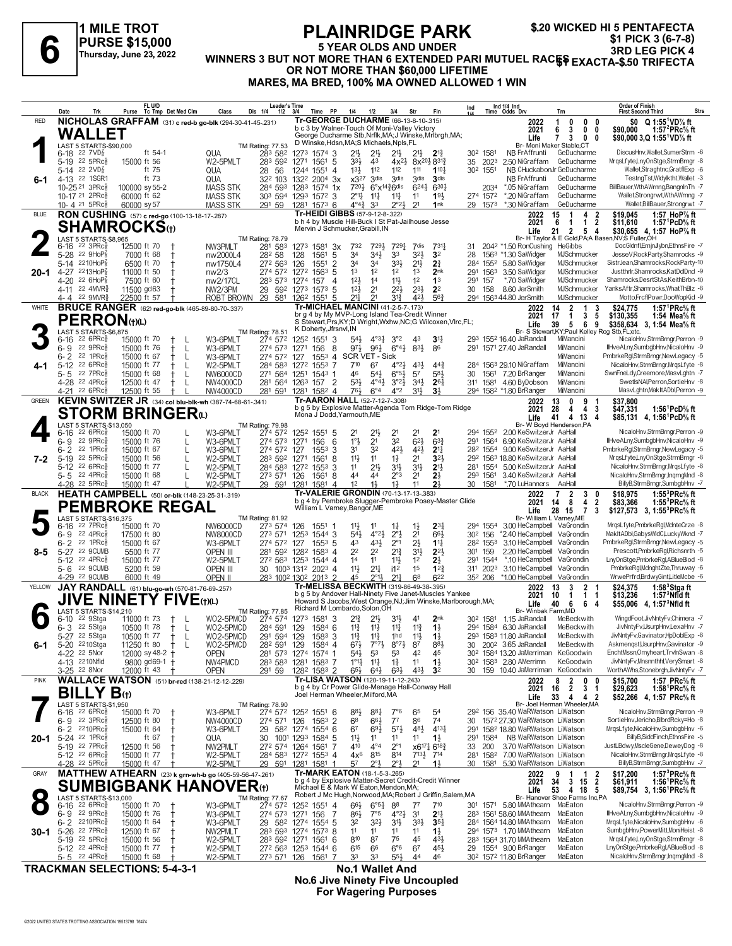#### \$.20 WICKED HI 5 PENTAFECTA **PLAINRIDGE PARK** \$1 PICK 3 (6-7-8) **5 YEAR OLDS AND UNDER** 3RD LEG PICK 4 WINNERS 3 BUT NOT MORE THAN 6 EXTENDED PARI MUTUEL RACES EXACTA-\$.50 TRIFECTA OR NOT MORE THAN \$60,000 LIFETIME MARES, MA BRED, 100% MA OWNED ALLOWED 1 WIN

|              | Date<br>Trk                                                                                        | FL U/D<br>Purse                                          | Tc Tmp Det Med Clm | Class                            | <b>Leader's Time</b><br>Dis 1/4<br>1/2                           | 3/4                     | Time<br>PP                   | 1/4                                                          | 1/2                                                    | 3/4                                            | Str                                          | Fin                                                            | Ind                  |                      | Ind 1/4 Ind<br>Time Odds Drv                                                                         | Trn                                                            | Order of Finish<br>Strs<br><b>First Second Third</b>                                                     |  |
|--------------|----------------------------------------------------------------------------------------------------|----------------------------------------------------------|--------------------|----------------------------------|------------------------------------------------------------------|-------------------------|------------------------------|--------------------------------------------------------------|--------------------------------------------------------|------------------------------------------------|----------------------------------------------|----------------------------------------------------------------|----------------------|----------------------|------------------------------------------------------------------------------------------------------|----------------------------------------------------------------|----------------------------------------------------------------------------------------------------------|--|
| <b>RED</b>   |                                                                                                    | NICHOLAS GRAFFAM (31) c red-b go-blk (294-30-41-45-.231) |                    |                                  |                                                                  |                         |                              | Tr-GEORGE DUCHARME (66-13-8-10-.315)                         |                                                        |                                                |                                              |                                                                |                      |                      | 2022                                                                                                 | 0<br>$\mathbf{0}$<br>0                                         | $$0 \quad Q 1:55^1VD\%$ ft                                                                               |  |
|              | WALLET                                                                                             |                                                          |                    |                                  |                                                                  |                         |                              | b c 3 by Walner-Touch Of Moni-Valley Victory                 |                                                        |                                                |                                              | George Ducharme Stb, Nrflk, MA; J Winske, Mrlbrgh, MA;         |                      |                      | 2021                                                                                                 | 3<br>6<br>0<br>0                                               | 1:57 $^{2}$ PRc $\%$ ft<br>\$90.000                                                                      |  |
|              | LAST 5 STARTS-\$90,000                                                                             |                                                          |                    |                                  | TM Rating: 77.53                                                 |                         |                              | D Winske, Hdsn, MA; S Michaels, Npls, FL                     |                                                        |                                                |                                              |                                                                |                      |                      | Life<br>Br- Moni Maker Stable,CT                                                                     | $\mathbf{7}$<br>3<br>$\mathbf{0}$<br>0                         | \$90,000 3,Q 1:55 VD% ft                                                                                 |  |
|              | $6-18$ 22 $7VD$ <sub>8</sub>                                                                       | ft 54-1                                                  |                    | <b>QUA</b>                       | 283 582                                                          | 1273                    | $1574$ 3                     | 21}                                                          | $21\frac{1}{2}$                                        | 21}                                            | $21\frac{1}{2}$                              | $2^{13}$                                                       | 30 <sup>2</sup> 1581 |                      | NB FrAffrunti                                                                                        | GeDucharme                                                     | DiscusHnv, Wallet, SumerStrm -6                                                                          |  |
|              | 5-19 22 5PRc<br>5-14 22 $2VD_8^7$                                                                  | 15000 ft 56<br>ft 75                                     | QUA                | W2-5PMLT                         | 283 592<br>28<br>56                                              | 1271<br>1244            | 1561<br>5<br>1551<br>4       | 33}<br>13 <sup>1</sup>                                       | 4 <sup>3</sup><br>112                                  | $4x^{2}\frac{1}{2}$<br>112                     | $8x^{20}\frac{1}{2}8^{31}\frac{1}{4}$<br>111 | 1101                                                           | 302                  | 35 2023<br>1551      | 2.50 NiGraffam<br>NB CHuckabonJr GeDucharme                                                          | GeDucharme                                                     | MrgsLfyte,LnyOnStge,StrmBrngr -8<br>Wallet,Straghtnc,GratflExp -6                                        |  |
| 6-1          | 4-13 22 1SGR1                                                                                      | ft 73                                                    | QUA                |                                  | 322 103                                                          | 1322                    | 200 <sup>4</sup> 3x          | $x3^{27}$                                                    | 3 <sup>dis</sup>                                       | 3 <sup>dis</sup>                               | 3 <sub>dis</sub>                             | 3 <sub>dis</sub>                                               |                      |                      | NB FrAffrunti                                                                                        | GeDucharme                                                     | TestngTst,Wldylktht,Wallet -3                                                                            |  |
|              | 10-25 21 3PRcs                                                                                     | 100000 sy 55-2                                           |                    | <b>MASS STK</b>                  | 284 593                                                          | 1283                    | $1574$ 1x                    | 7201                                                         | $6^\circ$ x <sup>14<math>3\overline{6}</math>dis</sup> |                                                | $6^{24}$                                     | 6301                                                           |                      | 2034                 | *.05 NiGraffam                                                                                       | GeDucharme                                                     | BillBauer, WthAWrnng, BangnInTh -7                                                                       |  |
|              | 10-17 <sup>21</sup> 2PRc<br>10-4 21 5PRc                                                           | 60000 ft 62<br>60000 sy 57                               |                    | MASS STK<br><b>MASS STK</b>      | 303 594 1293 1572 3<br>291 59                                    | 1281 1573 6             |                              | $2^{\circ}1\frac{1}{4}$<br>$4^{\circ}4^{\frac{3}{4}}$        | $11\frac{1}{4}$<br>3 <sup>3</sup>                      | $11\frac{1}{4}$<br>$2^{\circ}23$               | 11<br>21                                     | 193<br>1nk                                                     |                      | 274 1572<br>29 1573  | *.20 NiGraffam<br>*.30 NiGraffam                                                                     | GeDucharme<br>GeDucharme                                       | Wallet,Strongrwt,WthAWrnng -7<br>Wallet, BillBauer, Strongrwt -7                                         |  |
| <b>BLUE</b>  |                                                                                                    | RON CUSHING (57) c red-go (100-13-18-17-.287)            |                    |                                  |                                                                  |                         |                              | Tr-HEIDI GIBBS (57-9-12-8-.322)                              |                                                        |                                                |                                              |                                                                |                      |                      | 2022                                                                                                 | 15<br>2<br>4<br>-1                                             | \$19,045<br>1:57 HoP $\%$ ft                                                                             |  |
|              |                                                                                                    | SHAMROCKSભ                                               |                    |                                  |                                                                  |                         |                              | b h 4 by Muscle Hill-Buck I St Pat-Jailhouse Jesse           |                                                        |                                                |                                              |                                                                |                      |                      | 2021                                                                                                 | $\overline{2}$<br>6<br>-1<br>1                                 | 1:57 <sup>1</sup> PcD <sup>5</sup> / <sub>8</sub> ft<br>\$11,610                                         |  |
|              | LAST 5 STARTS-\$8,965                                                                              |                                                          |                    |                                  | TM Rating: 78.79                                                 |                         |                              | Mervin J Schmucker, Grabill, IN                              |                                                        |                                                |                                              |                                                                |                      |                      | Life                                                                                                 | $\overline{2}$<br>5 <sub>4</sub><br>21                         | \$30,655 4, 1:57 HoP% ft<br>Br- H Taylor & E Gold, PA; A Basen, NV; S Fuller, OH                         |  |
|              | 6-16<br>$22$ 3PR $c_{8}$                                                                           | 12500 ft 70                                              |                    | NW3PMLT                          | 281 583                                                          | 1273                    | 1581<br>-3x                  | 732                                                          | 7291                                                   | 7291                                           | 7dis                                         | 7311                                                           | 31                   |                      | 204 <sup>2</sup> *1.50 RonCushing HeGibbs                                                            |                                                                | DocGldnfl,EmjnJlybn,EthnsFire -7                                                                         |  |
|              | $5 - 28$<br>22 $9HOP2$                                                                             | 7000 ft 68                                               |                    | nw2000L4                         | 282 58                                                           | 128                     | 1561<br>5                    | 34                                                           | 34}                                                    | 33                                             | 32}                                          | 3 <sup>2</sup>                                                 | 28                   | 1563                 | *1.30 SaWidger                                                                                       | MJSchmucker                                                    | JesseV, RockParty, Shamrocks -9                                                                          |  |
| 20-1         | 5-14 2210HoP<br>4-27 2213HoP{                                                                      | 6500 ft 70<br>11000 ft 50                                |                    | nw1750L4<br>nw2/3                | 272 563<br>274 572                                               | 126<br>1272 1563 5      | $\overline{2}$<br>1551       | 34<br>1 <sup>3</sup>                                         | 34<br>1 <sup>2</sup>                                   | 33}<br>12                                      | $21\frac{1}{2}$<br>1 <sup>3</sup>            | $2\frac{3}{4}$<br>2nk                                          | 284<br>291           | 1563                 | 155 <sup>2</sup> 5.80 SaWidger<br>3.50 SaWidger                                                      | MJSchmucker<br>MJSchmucker                                     | SistrJean,Shamrocks,RockParty-10<br>Justthrlr, Shamrocks, KatDdDnd -9                                    |  |
|              | 4-20<br>22 $6HOP6$                                                                                 | 7500 ft 60                                               |                    | nw2/17CL                         | 283 573                                                          | 1274 157                | 4                            | 12 <sup>1</sup>                                              | 14                                                     | $11\frac{1}{2}$                                | 1 <sup>2</sup>                               | 1 <sup>3</sup>                                                 | 291                  | 157                  | *.70 SaWidger                                                                                        | MJSchmucker                                                    | Shamrocks,DesrtStAs,KeithBrbn-10                                                                         |  |
|              | 4-11 22 4MVR <sup>3</sup>                                                                          | 11500 gd63                                               |                    | NW2/3PM                          | 29<br>592                                                        | 1273 1573 5             |                              | 12 <sub>3</sub>                                              | 2 <sup>1</sup>                                         | 22}                                            | $2^{3}\frac{1}{2}$                           | 2 <sup>2</sup>                                                 | 30                   | 158                  | 8.60 JerSmith                                                                                        | MJSchmucker                                                    | YanksAftr,Shamrocks,WhatThBlz -8                                                                         |  |
|              | $22$ 9MVR $\frac{5}{8}$<br>4- 4                                                                    | 22500 ft 57                                              |                    | ROBT BROWN                       | 29 581                                                           | 126 <sup>2</sup> 1551   | -5                           | $21\frac{1}{4}$<br><b>Tr-MICHAEL MANCINI (41-2-5-7-.173)</b> | 21                                                     | $3^{12}$                                       | 421                                          | 563                                                            |                      |                      | 294 1563 44.80 JerSmith                                                                              | MJSchmucker                                                    | Motto,FrcfIPowr,DooWopKid -9                                                                             |  |
| WHITE        |                                                                                                    | <b>BRUCE RANGER</b> (62) red-go-blk (465-89-80-70-.337)  |                    |                                  |                                                                  |                         |                              | br g 4 by My MVP-Long Island Tea-Credit Winner               |                                                        |                                                |                                              |                                                                |                      |                      | 2022<br>2021                                                                                         | $\overline{2}$<br>14<br>1<br>3<br>17<br>$\mathbf{1}$<br>3<br>5 | 1:57 ${}^1$ PRc ${}^5\!$ ft<br>\$24,775<br>\$130,355<br>1:54 Mea $\%$ ft                                 |  |
|              | <b>PERRON</b> (t)(L)                                                                               |                                                          |                    |                                  |                                                                  |                         | K Doherty, Jfrsnvl, IN       |                                                              |                                                        |                                                |                                              | S Stewart, Prs, KY; D Wright, Wxhw, NC; G Wilcoxen, Vlrc, FL;  |                      |                      | Life                                                                                                 | 39<br>69<br>5                                                  | \$358,634<br>3, 1:54 Mea% ft                                                                             |  |
|              | LAST 5 STARTS-\$6,875<br>$22.6$ PR $c_{\overline{2}}$<br>6-16                                      | 15000 ft 70                                              |                    | W3-6PMLT                         | <b>TM Rating: 78.51</b><br>274 572                               | 1252 1551               | 3                            | $54\frac{1}{2}$                                              | $4^{\circ}3^{\circ}2$ $3^{\circ}2$                     |                                                | 43                                           | 3 <sup>1</sup>                                                 |                      |                      | 293 1552 16.40 JaRandall                                                                             | Br- S Stewart, KY; Paul Kelley Rcg Stb, FL; etc.<br>MiMancini  | NicaloHnv,StrmBrngr,Perron -9                                                                            |  |
|              | 22 9PRc<br>6-9                                                                                     | 15000 ft 76                                              |                    | W3-6PMLT                         | 274 573                                                          | 1271                    | 156<br>8                     | 971                                                          | 961                                                    | $6^{\circ}4\frac{1}{2}$                        | 83}                                          | 86                                                             |                      |                      | 291 1571 27.40 JaRandall                                                                             | MiMancini                                                      | IlHveALny,SumbgbHnv,NicaloHnv -9                                                                         |  |
|              | $6 - 2$<br>22 1PRc                                                                                 | 15000 ft 67                                              | L                  | W3-6PMLT                         | 274 572                                                          | 127                     | $155^3$ 4                    | SCR VET - Sick                                               |                                                        |                                                |                                              |                                                                |                      |                      |                                                                                                      | MiMancini                                                      | PmbrkeRgl,StrmBrngr,NewLegacy -5                                                                         |  |
|              | 5-12 22 6PRc<br>5-5<br>22 7PRc                                                                     | 15000 ft 77<br>15000 ft 68                               | L                  | W2-5PMLT<br>NW6000CD             | 284 583<br>271 564                                               | 1272<br>1251            | $1553$ 7<br>$1543$ 1         | 710<br>46                                                    | 67<br>$5^{41}$                                         | $4^{\circ}2\frac{1}{2}$<br>$6^{o5}\frac{1}{2}$ | 43<br>57                                     | $44\frac{3}{4}$<br>$5^{8}$                                     | 30                   |                      | 284 1563 29.10 NiGraffam<br>1561 7.20 BrRanger                                                       | MiMancini<br>MiMancini                                         | NicaloHnv,StrmBrngr,MrgsLfyte -8<br>SwnFneLdy,Creemore,MasvLghtn -7                                      |  |
|              | 4-28 <sup>22</sup> 4PRc                                                                            | 12500 ft 47                                              |                    | NW4000CD                         | 281 564 1263 157 2                                               |                         |                              | $53\frac{1}{2}$                                              | $4^{\circ}4^{\frac{1}{2}}$                             | $3^{o_2}\frac{1}{2}$                           | $34\frac{1}{2}$                              | $26\frac{1}{4}$                                                |                      |                      | 311 1581 4.60 ByDobson                                                                               | MiMancini                                                      | SwetIsNAI, Perron, SortieHnv -8                                                                          |  |
|              | $22.6$ PR $c$<br>4-21                                                                              | 12500 ft 55                                              |                    | NW4000CD                         | 281 591                                                          | 1281 1582 4             |                              | 76}                                                          | $6^{\circ}4$                                           | $4^{\circ}2$                                   | 311                                          | 3 <sup>1</sup>                                                 |                      |                      | 294 1582 *1.80 BrRanger                                                                              | MiMancini                                                      | MasvLghtn, MakItADbl, Perron -9                                                                          |  |
| <b>GREEN</b> |                                                                                                    | KEVIN SWITZER JR (34) col blu-blk-wh (387-74-68-61-341)  |                    |                                  |                                                                  |                         |                              | Tr-AARON HALL (52-7-12-7-.308)                               |                                                        |                                                |                                              | b g 5 by Explosive Matter-Agenda Tom Ridge-Tom Ridge           |                      |                      | 2022<br>2021                                                                                         | 13<br>0<br>9<br>28<br>4<br>-3                                  | \$37,800<br>1:56 ${}^1$ PcD ${}^5\!$ ft                                                                  |  |
|              |                                                                                                    | <b>STORM BRINGER</b> to                                  |                    |                                  |                                                                  |                         |                              | Mona J Dodd, Yarmouth, ME                                    |                                                        |                                                |                                              |                                                                |                      |                      | Life                                                                                                 | 4<br>41<br>4<br>13<br>4                                        | \$47,331<br>\$85,131 4, 1:56 <sup>1</sup> PcD% ft                                                        |  |
|              | LAST 5 STARTS-\$13,050                                                                             |                                                          |                    |                                  | TM Rating: 79.98                                                 |                         |                              |                                                              |                                                        |                                                |                                              |                                                                |                      |                      |                                                                                                      | Br- W Boyd Henderson, PA                                       | NicaloHnv,StrmBrngr,Perron -9                                                                            |  |
|              | $22.6$ PR $c_{\overline{2}}$<br>6-16<br>22 9PRc<br>6-9                                             | 15000 ft 70<br>15000 ft 76                               |                    | W3-6PMLT<br>W3-6PMLT             | 274 572<br>274 573                                               | 1252 1551 5<br>1271     | 6<br>156                     | 2 <sup>1</sup><br>1°3                                        | 21}<br>2 <sup>1</sup>                                  | 2 <sup>1</sup><br>32                           | 2 <sup>1</sup><br>$6^{2}$                    | 2 <sup>1</sup><br>$63\frac{3}{4}$                              |                      | 294 1552<br>291 1564 | 2.00 KeSwitzerJr AaHall<br>6.90 KeSwitzerJr AaHall                                                   |                                                                | IlHveALnv.SumbabHnv.NicaloHnv -9                                                                         |  |
|              | $6 - 2$<br>22 1PRc                                                                                 | 15000 ft 67                                              |                    | W3-6PMLT                         | 274 572                                                          | 127                     | 3<br>1553                    | 31                                                           | 32                                                     | 421                                            | 42}                                          | 2 <sup>11</sup>                                                |                      | 282 1554             | 9.00 KeSwitzerJr AaHall                                                                              |                                                                | PmbrkeRgl,StrmBrngr,NewLegacy -5                                                                         |  |
| 7-2          | 22 5PRc<br>$5-19$                                                                                  | 15000 ft 56                                              |                    | W2-5PMLT                         | 283 592                                                          | 1271                    | 1561<br>8                    | 11                                                           | 11                                                     | $1\frac{1}{2}$                                 | 2 <sup>1</sup>                               | 3 <sup>2</sup>                                                 |                      |                      | 29 <sup>2</sup> 156 <sup>3</sup> 18.80 KeSwitzerJr AaHall                                            |                                                                | MrgsLfyte,LnyOnStge,StrmBrngr -8                                                                         |  |
|              | 5-12 22 6PRc<br>5-5 22 4PRc                                                                        | 15000 ft 77<br>15000 ft 68                               |                    | W2-5PMLT<br>W2-5PMLT             | 284 583<br>273 571 126                                           | 1272 1553               | 3<br>1561<br>-8              | 11<br>44                                                     | 21}<br>44                                              | 34<br>$2^{\circ}3$                             | 3 <sup>1</sup><br>2 <sup>1</sup>             | 2 <sup>11</sup><br>$2\frac{1}{2}$                              |                      | 281 1554<br>293 1561 | 5.00 KeSwitzerJr AaHall<br>3.40 KeSwitzerJr AaHall                                                   |                                                                | NicaloHnv,StrmBrngr,MrgsLfyte -8<br>NicaloHnv,StrmBrngr,InqrngMnd -8                                     |  |
|              | 4-28 <sup>22</sup> 5PRc                                                                            | 15000 ft 47                                              |                    | W2-5PMLT                         | 29 591 1281                                                      |                         | 1581<br>-4                   | 1 <sup>2</sup>                                               | 11,                                                    | 1}                                             | 11                                           | 2 <sup>1</sup>                                                 |                      | 30 1581              | *.70 LuHanners                                                                                       | AaHall                                                         | BillyB,StrmBrngr,SumbgbHnv -7                                                                            |  |
| <b>BLACK</b> |                                                                                                    | HEATH CAMPBELL (50) or-blk (148-23-25-31-.319)           |                    |                                  |                                                                  |                         |                              | <b>Tr-VALERIE GRONDIN (70-13-17-13-383)</b>                  |                                                        |                                                |                                              |                                                                |                      |                      | 2022                                                                                                 | 7<br>2<br>3                                                    | 1:55 ${}^{3}$ PRc ${}^{5}$ s ft<br>\$18,975                                                              |  |
|              | <b>PEMBROKE REGAL</b>                                                                              |                                                          |                    |                                  |                                                                  |                         |                              |                                                              |                                                        |                                                |                                              | b g 4 by Pembroke Slugger-Pembroke Posey-Master Glide          |                      |                      | 2021                                                                                                 |                                                                |                                                                                                          |  |
|              |                                                                                                    |                                                          |                    |                                  |                                                                  |                         |                              | William L Varney, Bangor, ME                                 |                                                        |                                                |                                              |                                                                |                      |                      |                                                                                                      | 8<br>$\overline{2}$<br>14<br>4                                 | 1:55 ${}^{3}$ PRc ${}^{5}_{8}$ ft<br>\$83,366                                                            |  |
|              | LAST 5 STARTS-\$16,375                                                                             |                                                          |                    |                                  | TM Rating: 81.92                                                 |                         |                              |                                                              |                                                        |                                                |                                              |                                                                |                      |                      | Life<br>Br- William L Varney, ME                                                                     | 28 15<br>$\overline{7}$<br>3                                   | \$127,573 3, 1:55 <sup>3</sup> PRc <sup>5</sup> / <sub>8</sub> ft                                        |  |
|              | 22 7PRc<br>6-16                                                                                    | 15000 ft 70                                              |                    | NW6000CD                         | 273 574                                                          | 126                     | $155^1$ 1                    | 11}                                                          | 11                                                     | $1\frac{1}{4}$                                 | $1\frac{1}{2}$                               | $2^{3}$                                                        |                      | 294 1554             | 3.00 HeCampbell VaGrondin                                                                            |                                                                | MrqsLfyte,PmbrkeRgl,MdnteCrze -8                                                                         |  |
|              | 22 4PRc<br>6-9<br>$6 - 2$<br>22 1PRc                                                               | 17500 ft 80<br>15000 ft 67                               |                    | NW8000CD<br>W3-6PMLT             | 273 571<br>274 572 127                                           | 1253                    | 1544 3<br>$155^3$ 5          | 54}<br>43                                                    | $4^{\circ}2\frac{1}{2}$<br>431                         | $2^{\circ}3$<br>$2^{\circ}1$                   | 2 <sup>1</sup><br>$2\frac{1}{2}$             | 663<br>$1^{11}$                                                | 30 <sup>2</sup> 156  | 282 1553             | *2.40 HeCampbell VaGrondin<br>3.10 HeCampbell VaGrondin                                              |                                                                | MakItADbl,GabysWldC,LuckyWknd -7<br>PmbrkeRgl,StrmBrngr,NewLegacy -5                                     |  |
| 8-5          | 5-27 22 9CUMB                                                                                      | 5500 ft 77                                               |                    | OPEN III                         | 281 592                                                          | 1282                    | $1583$ 4                     | 22                                                           | 22                                                     | $2^{13}$                                       | 3 <sup>1</sup>                               | $2^{2}$                                                        | 301 159              |                      | 2.20 HeCampbell VaGrondin                                                                            |                                                                | Prescott,PmbrkeRgl,Richsnrth -5                                                                          |  |
|              | 5-12 22 4PRc <sup>5</sup>                                                                          | 15000 ft 77                                              |                    | W2-5PMLT                         | 272 563 1253 1544 4                                              |                         |                              | 14                                                           | 11                                                     | $11\frac{1}{2}$                                | 1 <sup>2</sup>                               | 2}                                                             |                      | 291 1544             | *.10 HeCampbell VaGrondin                                                                            |                                                                | LnyOnStge,PmbrkeRgl,ABlueBlod -8                                                                         |  |
|              | 5-6 22 9CUMB<br>4-29 22 9CUMB                                                                      | 5200 ft 59                                               |                    | OPEN III<br>OPEN II              | 30                                                               | 1003 1312 2023 4        |                              | 11}<br>45                                                    | $2^{11}$<br>$2^{\circ}11$                              | i1 <sup>2</sup><br>$21\frac{1}{2}$             | 1 <sup>5</sup><br>68                         | 12 <sup>3</sup><br>622                                         | 35 <sup>2</sup> 206  | 311 2023             | 3.10 HeCampbell VaGrondin<br>*1.00 HeCampbell                                                        | VaGrondin                                                      | PmbrkeRgl,MdnghtZte,Thruway -6<br>WrwePrfrd,BrdwyGint,LitleMcbe -6                                       |  |
| YELLOW       |                                                                                                    | 6000 ft 49                                               |                    |                                  | 283 1002 1302 2013 2                                             |                         |                              | Tr-MELISSA BECKWITH (319-86-49-38-.395)                      |                                                        |                                                |                                              |                                                                |                      |                      | 2022                                                                                                 | 13<br>3<br>$\mathbf{2}$                                        | \$24,375<br>1:58 $3$ Stgaft                                                                              |  |
|              |                                                                                                    | JAY RANDALL (61) blu-go-wh (570-81-76-69-257)            |                    |                                  |                                                                  |                         |                              |                                                              |                                                        |                                                |                                              | b a 5 by Andover Hall-Ninety Five Janet-Muscles Yankee         |                      |                      | 2021                                                                                                 | $\mathbf{1}$<br>10<br>1<br>-1                                  | $1:573$ Nfld ft<br>\$13,236                                                                              |  |
|              | JIVE<br><b>N</b><br>LAST 5 STARTS-\$14,210                                                         | <b>INETY FIVE(t)(L)</b>                                  |                    |                                  | TM Rating: 77.85                                                 |                         |                              | Richard M Lombardo, Solon, OH                                |                                                        |                                                |                                              | Howard S Jacobs, West Orange, NJ; Jim Winske, Marlborough, MA; |                      |                      | Life<br>Br- Winbak Farm, MD                                                                          | 40<br>6<br>6<br>-4                                             | \$55,006 4, 1:57 <sup>3</sup> Nfld ft                                                                    |  |
|              | 22 9Stga<br>6-10                                                                                   | 11000 ft 73                                              |                    | WO2-5PMCD                        | 274 574                                                          | 1273 1581               | -3                           | 21                                                           | $2^{11}$                                               | 3 <sup>1</sup>                                 | 4 <sup>1</sup>                               | 2 <sub>nk</sub>                                                |                      | 30 <sup>2</sup> 1581 | 1.15 JaRandall                                                                                       | MeBeckwith                                                     | WingdFoot, JivNntyFv, Chimera -7                                                                         |  |
|              | 22 5Stga<br>6-3                                                                                    | 10500 ft 78                                              | L                  | WO2-5PMCD                        | 284 591 129 1584 6                                               |                         |                              | $11\frac{3}{4}$                                              | $11\frac{1}{2}$                                        | $11\frac{1}{4}$                                | $1^{13}$                                     | $1\frac{1}{2}$                                                 |                      |                      | 294 1584 6.30 JaRandall                                                                              | MeBeckwith                                                     | JivNntvFv.UsurpHnv.LexaHnv -7                                                                            |  |
| 6-1          | 5-27 <sup>22</sup> 5 stga<br>5-20 2210Stga                                                         | 10500 ft $\frac{1}{2}$<br>11250 ft 80                    | L<br>$^{+}$<br>- L | WOZ-5PMCD<br>WO2-5PMCD           | 291 594 129<br>282 591 129                                       |                         | 158 <sup>3</sup> 3<br>1584 4 | 11<br>$6^{7}\frac{1}{2}$                                     | $7°7\frac{1}{2}$                                       | 1na<br>$8^{\circ}7\frac{1}{2}$                 | $1\frac{1}{2}$<br>87                         | 1 ż<br>$8^{8}\frac{1}{2}$                                      |                      |                      | 293 1583 11.80 JaRandall<br>30 200 <sup>2</sup> 3.65 JaRandall                                       | MeBeckwith<br>MeBeckwith                                       | JivNntyFv,Gavinator,HpDoblExp -o<br>Askmengst,UsurpHnv,Gavinator -9                                      |  |
|              | 4-22 22 5Nor                                                                                       | 12000 sy 48-2 +                                          |                    | <b>OPEN</b>                      | 281 573 1274 1574 1                                              |                         |                              | 54}                                                          | 53                                                     | 53                                             | 42                                           | 45                                                             |                      |                      | 30 <sup>2</sup> 1584 13.20 JaMerriman KeGoodwin                                                      |                                                                | EnchtMssn, Omyheart, TrvlnSwan -8                                                                        |  |
|              | 4-13 2210Nfld                                                                                      | 9800 gd69-1 +                                            |                    | NW4PMCD                          | 283 583 1281 1583 7                                              |                         |                              | $1^{\circ}1_{1}^{1}$                                         | $11\frac{1}{4}$                                        | $1\frac{3}{4}$                                 | 11                                           | $1\frac{1}{2}$                                                 |                      |                      | 30 <sup>2</sup> 158 <sup>3</sup> 2.80 AMerrimn                                                       | KeGoodwin                                                      | JivNntyFv,Mnsnnthhl,VerySmart -8                                                                         |  |
| <b>PINK</b>  | 3-25 22 8Nor                                                                                       | 12000 ft 43                                              |                    | <b>OPEN</b>                      | 291 59                                                           | 1282 1583 2             |                              | $65\frac{1}{2}$<br>Tr-LISA WATSON (120-19-11-12-.243)        | $64\frac{1}{2}$                                        | $63\frac{1}{2}$                                | 43}                                          | 3 <sup>2</sup>                                                 |                      |                      | 30 159 10.40 JaMerriman                                                                              | KeGoodwin                                                      | WorthAWhs,Stonebrgh,JivNntyFv -7                                                                         |  |
|              |                                                                                                    | <b>WALLACE WATSON</b> (51) br-red (138-21-12-12-229)     |                    |                                  |                                                                  |                         |                              | b g 4 by Cr Power Glide-Menage Hall-Conway Hall              |                                                        |                                                |                                              |                                                                |                      |                      | 2022<br>2021                                                                                         | 8<br>2<br>$0\quad 0$<br>$\overline{2}$<br>3 <sub>1</sub><br>16 | 1:57 PRc% ft<br>\$15,700<br>1:58 <sup>1</sup> PRc% ft<br>\$29,623                                        |  |
|              | <b>BILLY B</b> <sub>(t)</sub>                                                                      |                                                          |                    |                                  |                                                                  |                         |                              | Joel Herman Wheeler, Milford, MA                             |                                                        |                                                |                                              |                                                                |                      |                      | Life                                                                                                 | 33<br>4 4 2                                                    | \$52,266 4, 1:57 PRc% ft                                                                                 |  |
|              | LAST 5 STARTS-\$1,950<br>$6-16$ 22 6PRcs                                                           | 15000 ft 70                                              |                    | W3-6PMLT                         | TM Rating: 78.90<br>274 572                                      | 125 <sup>2</sup> 1551 6 |                              | 88}                                                          | $8^{8}$                                                | 7°6                                            | 65                                           | 54                                                             |                      |                      | 29 <sup>2</sup> 156 35.40 WaRWatson LiWatson                                                         | Br- Joel Herman Wheeler, MA                                    | NicaloHnv,StrmBrngr,Perron -9                                                                            |  |
|              | $22 \text{ } 3 \text{PRc}^5$<br>6- 9                                                               | 12500 ft 80                                              |                    | NW4000CD                         | 274 571                                                          | 126                     | $1563$ 2                     | 68                                                           | 66}                                                    | 7 <sup>7</sup>                                 | 86                                           | 74                                                             |                      |                      | 30 1572 27.30 WaRWatson LiWatson                                                                     |                                                                | SortieHnv,Jericho,BlbrdRcky=Ho -8                                                                        |  |
|              | 6-2 2210PRc                                                                                        | 15000 ft 64                                              |                    | W3-6PMLT                         | 29 582 1274 1554 6                                               |                         |                              | 6 <sup>7</sup>                                               | $69\frac{1}{2}$                                        | $5^{71}$                                       | 48}                                          | $4^{13}\frac{1}{4}$                                            |                      |                      | 291 1582 18.80 WaRWatson LiWatson                                                                    |                                                                | MrqsLfyte, NicaloHnv, SumbgbHnv -6                                                                       |  |
|              | 20-1 5-24 22 1PRcs<br>5-19 22 7PRc $\frac{5}{8}$                                                   | ft $67$<br>12500 ft 56                                   | QUA                | NW2PMLT                          | 30<br>272 574 1264 1561 7                                        | 1001 1293 1584 5        |                              | 11<br>410                                                    | 11<br>$4^{\circ}4$                                     | 11<br>$2^{\circ}1$                             | 11<br>x6171 6181                             | $1\frac{1}{2}$                                                 |                      | 33 200               | 291 1584 NB WaRWatson LiWatson<br>3.70 WaRWatson LiWatson                                            |                                                                | BillvB.SiddFinch.EthnsFire -5<br>JustLBdwy,MscleGene,DeweyDog -8                                         |  |
|              | 5-12 <sup>22</sup> 6PRc <sup>3</sup>                                                               | 15000 ft 77                                              |                    | W2-5PMLT                         | 284 583 1272 1553 4                                              |                         |                              | $4x^6$                                                       | 815                                                    | 814                                            | $7^{13\frac{1}{2}}$ 7 <sup>14</sup>          |                                                                |                      |                      | 281 1582 7.00 WaRWatson LiWatson                                                                     |                                                                | NicaloHnv,StrmBrngr,MrgsLfyte -8                                                                         |  |
|              | 4-28 <sup>22</sup> 5PRc <sup>5</sup>                                                               | 15000 ft 47                                              |                    | W2-5PMLT                         | 29 591 1281 1581 1                                               |                         |                              | 57                                                           | 2°}                                                    | 2°1                                            | 21                                           | $1\frac{1}{2}$                                                 | 30                   |                      | 1581 5.30 WaRWatson LiWatson                                                                         |                                                                | BillyB,StrmBrngr,SumbgbHnv -7                                                                            |  |
| GRAY         |                                                                                                    | MATTHEW ATHEARN (23) k grn-wh-b go (405-59-56-47-261)    |                    |                                  |                                                                  |                         |                              | Tr-MARK EATON (18-1-5-3-.265)                                |                                                        |                                                |                                              | b g 4 by Explosive Matter-Secret Credit-Credit Winner          |                      |                      | 2022                                                                                                 | 2<br>9<br>1<br>- 1                                             | 1:57 ${}^{3}$ PRc ${}^{5}$ s ft<br>\$17.200                                                              |  |
|              |                                                                                                    | <b>SUMBIGBANK HANOVER(1)</b>                             |                    |                                  |                                                                  |                         |                              | Michael E & Mark W Eaton, Mendon, MA;                        |                                                        |                                                |                                              |                                                                |                      |                      | 2021<br>Life                                                                                         | 34<br>$\overline{2}$<br>$3 \quad 15$<br>53<br>4 18 5           | 1:56 <sup>1</sup> PRc <sup>5</sup> / <sub>8</sub> ft<br>\$61,911<br>\$89,754 3, 1:56 PRc % ft            |  |
|              | LAST 5 STARTS-\$13,000                                                                             |                                                          |                    |                                  | TM Rating: 77.67                                                 |                         |                              |                                                              |                                                        |                                                |                                              | Robert J Mc Hugh, Norwood, MA; Robert J Griffin, Salem, MA     |                      |                      |                                                                                                      | Br- Hanover Shoe Farms Inc,PA                                  |                                                                                                          |  |
|              | $6-16$ $22$ 6PRc <sup>3</sup><br>22 9PRc3<br>6-9                                                   | 15000 ft 70<br>15000 ft 76                               |                    | W3-6PMLT<br>W3-6PMLT             | 274 572 1252 1551 4<br>274 573 1271 156                          |                         | 7                            | $66\frac{1}{2}$<br>86}                                       | $6^{o51}$<br>7°5                                       | 88<br>$4^{\circ}2\frac{1}{2}$                  | $7^7$<br>3 <sup>1</sup>                      | $7^{10}$<br>2 <sup>11</sup>                                    |                      |                      | 301 1571 5.80 MMAthearn MaEaton<br>283 1561 58.60 MMAthearn                                          | MaEaton                                                        | NicaloHnv,StrmBrngr,Perron -9<br>IlHveALny,SumbgbHnv,NicaloHnv -9                                        |  |
|              | 6-2 2210PRc                                                                                        | 15000 ft 64                                              |                    | W3-6PMLT                         | 29 582 1274 1554 5                                               |                         |                              | 32                                                           | $3^{2}$                                                | 31}                                            | $3^{3}\frac{1}{2}$                           | $35\frac{1}{4}$                                                |                      |                      | 284 1564 14.80 MMAthearn                                                                             | MaEaton                                                        | MrqsLfyte, NicaloHnv, SumbgbHnv -6                                                                       |  |
|              | 30-1 5-26 22 7PRcs                                                                                 | 12500 ft 67                                              |                    | NW2PMLT                          | 283 593 1274 1573 8                                              |                         |                              | 11                                                           | 11                                                     | 11                                             | 11                                           | $1\frac{1}{2}$                                                 |                      |                      | 294 1573 1.70 MMAthearn                                                                              | MaEaton                                                        | SumbgbHnv,PowerMitt,MoniHeist -8                                                                         |  |
|              | 5-19 22 5PRc <sup>5</sup><br>5-12 <sup>22</sup> 4PRc <sup>3</sup><br>$5 - 5$ 22 4PRc $\frac{5}{8}$ | 15000 ft 56<br>15000 ft 77                               |                    | W2-5PMLT<br>W2-5PMLT<br>W2-5PMLT | 283 592 1271 1561 6<br>272 563 1253 1544 6<br>273 571 126 1561 7 |                         |                              | 810<br>615<br>33                                             | 87<br>66<br>33                                         | 75<br>$6^{\circ}6$<br>55}                      | 45<br>67                                     | $43\frac{1}{2}$<br>45}<br>46                                   |                      |                      | 283 1564 31.70 MMAthearn<br>29 1554 9.00 BrRanger<br>30 <sup>2</sup> 157 <sup>2</sup> 11.80 BrRanger | MaEaton<br>MaEaton<br>MaEaton                                  | MrqsLfyte,LnyOnStge,StrmBrngr -8<br>LnyOnStge,PmbrkeRgl,ABlueBlod -8<br>NicaloHnv,StrmBrngr,InqrngMnd -8 |  |

**TRACKMAN SELECTIONS: 5-4-3-1** 

No.1 Wallet And **No.6 Jive Ninety Five Uncoupled For Wagering Purposes**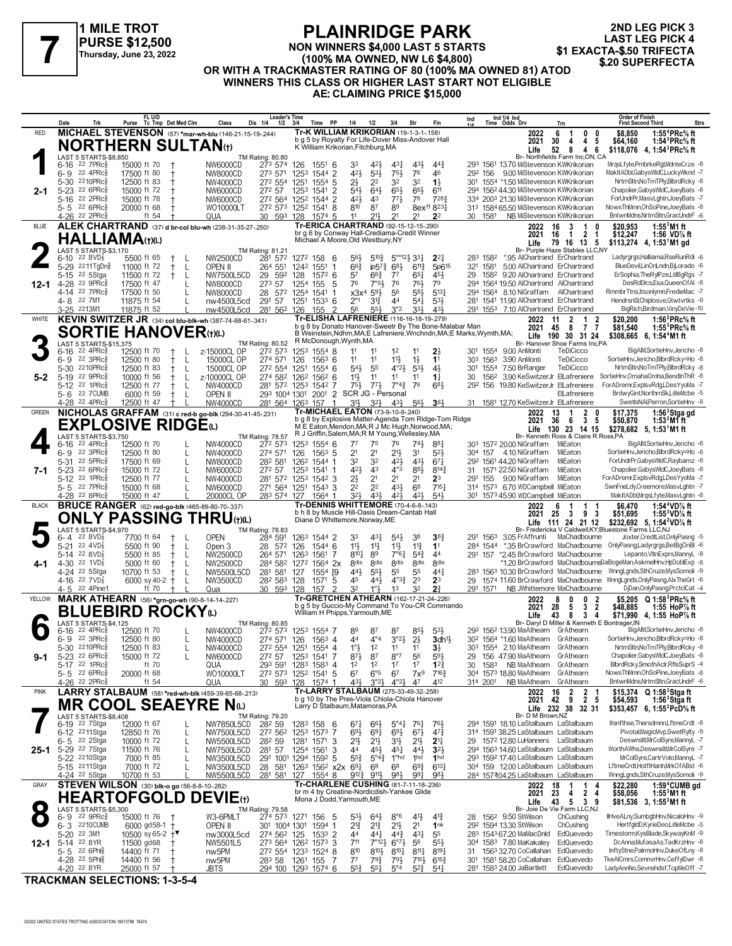

**2ND LEG PICK 3 LAST LEG PICK 4<br>\$1 EXACTA-\$.50 TRIFECTA** 

#### **NON WINNERS \$4,000 LAST 5 STARTS (100% MA OWNED, NW L6 \$4,800) OR WITH A TRACKMASTER RATING OF 80 (100% MA OWNED 81) ATOD WINNERS THIS CLASS OR HIGHER LAST START NOT ELIGIBLE AE: CLAIMING PRICE \$15,000 FLAINNIDUL FARK**<br>PURSE \$12,500 MON WINNERS \$4,000 LAST 5 STARTS TAKIN \$1 EXACTA-\$.50 TRIFECTA<br>Thursday, June 23, 2022 (100% MA OWNED, NW L6 \$4,800)

|              | Date<br>Trk                                            | FL U/D<br>Purse Tc Tmp Det Med Clm                           | Class<br>Dis 1/4                               | <b>Leader's Time</b><br>$1/2$ $3/4$               | Time PP<br>1/4                                                                                          | 1/2                                                                | 3/4<br>Str                                                               |                                            | Ind             |                      | Ind 1/4 Ind<br>Time Odds Drv                                                    | Trn                                                                          | <b>Order of Finish</b><br><b>First Second Third</b><br>Strs                                                        |
|--------------|--------------------------------------------------------|--------------------------------------------------------------|------------------------------------------------|---------------------------------------------------|---------------------------------------------------------------------------------------------------------|--------------------------------------------------------------------|--------------------------------------------------------------------------|--------------------------------------------|-----------------|----------------------|---------------------------------------------------------------------------------|------------------------------------------------------------------------------|--------------------------------------------------------------------------------------------------------------------|
| <b>RED</b>   |                                                        | MICHAEL STEVENSON (57) *mar-wh-blu (146-21-15-19-244)        |                                                |                                                   | <b>Tr-K WILLIAM KRIKORIAN (19-1-3-1-158)</b>                                                            |                                                                    |                                                                          |                                            |                 |                      | 2022                                                                            | 0<br>6<br>-1<br>0                                                            | \$8,850<br>1:55 <sup>4</sup> $PRc$ <sup>5</sup> % ft                                                               |
|              |                                                        | <b>NORTHERN SULTAN(t)</b>                                    |                                                |                                                   | b g 5 by Royalty For Life-Dover Miss-Andover Hall<br>K William Krikorian, Fitchburg, MA                 |                                                                    |                                                                          |                                            |                 |                      | 2021<br>Life                                                                    | 4 <sub>5</sub><br>30<br>4<br>52<br>- 8<br>4 6                                | \$64.160<br>1:54 ${}^{3}$ PRc ${}^{5}_{8}$ ft<br>\$118,076 4, 1:54 <sup>3</sup> PRc <sup>5</sup> / <sub>8</sub> ft |
|              | <b>LAST 5 STARTS-\$8,850</b>                           |                                                              | TM Rating: 80.80                               |                                                   |                                                                                                         |                                                                    |                                                                          |                                            |                 |                      |                                                                                 | Br- Northfields Farm Inc,ON, CA                                              |                                                                                                                    |
|              | $22$ $7$ $PRc\frac{5}{8}$<br>6-16                      | 15000 ft 70                                                  | NW6000CD                                       | 273 574<br>126                                    | 1551 6                                                                                                  | 33<br>421                                                          | 43}<br>437                                                               | 443                                        |                 |                      | 293 1561 13.70 MiStevenson KWKrikorian                                          |                                                                              | MrqsLfyte,PmbrkeRgl,MdnteCrze -8                                                                                   |
|              | $6 - 9$ 22 4PRc<br>5-30<br>2210PRc                     | 17500 ft 80                                                  | NW8000CD                                       | 273 571 1253 1544 2<br>272 554 1251               |                                                                                                         | 421<br>533<br>21<br>22                                             | $75\frac{1}{2}$<br>76<br>32<br>32                                        | 46<br>$1\frac{1}{2}$                       | 292 156         |                      | 9.00 MiStevenson KWKrikorian<br>301 1554 *1.50 MiStevenson KWKrikorian          |                                                                              | MakItADbl,GabysWldC,LuckyWknd -7<br>NrtrnSltn,NoTmTPly,BlbrdRcky -8                                                |
| 2-1          | 5-23 22 6PRc                                           | 12500 ft 83<br>15000 ft 72                                   | NW4000CD<br>272 57<br>NW6000CD                 | 1253 1541                                         | $155^4$ 5<br>$\overline{2}$                                                                             | 543<br>$64\frac{1}{2}$                                             | 66}<br>$65\frac{1}{2}$                                                   | 611                                        |                 |                      | 294 1562 44.30 MiStevenson KWKrikorian                                          |                                                                              | Chapolier, Gabys WldC, JoeyBats -8                                                                                 |
|              | 5-16 22 2PRc\$                                         | 15000 ft 78                                                  | NW6000CD                                       | 272 564 1252 1544 2                               |                                                                                                         | 42}<br>43                                                          | $77\frac{1}{2}$<br>78                                                    | 7283                                       |                 |                      | 334 2003 21.30 MiStevenson KWKrikorian                                          |                                                                              | ForUndrPr,MasvLghtn,JoeyBats -7                                                                                    |
|              | 5-5 22 6PRc                                            | 20000 ft 68                                                  | WO10000LT                                      | 272 573 1252 1541 8                               |                                                                                                         | 87<br>810                                                          | 89                                                                       | 8ex <sup>11</sup> 8 <sup>23</sup>          |                 |                      | 313 1584 65.50 MiStevenson KWKrikorian                                          |                                                                              | NowsThMmn, OhSoPine, JoeyBats -8                                                                                   |
|              | 4-26 <sup>22</sup> 2PRc <sup>3</sup>                   | ft $54$                                                      | QUA                                            | 30 593 128                                        | 1574 5                                                                                                  | 211<br>11                                                          | 21<br>2 <sup>1</sup>                                                     | 2 <sup>2</sup>                             |                 | 30 1581              | NB MiStevenson KWKrikorian                                                      |                                                                              | BntwnMdns,NrtrnSltn,GracUndrF -6                                                                                   |
| <b>BLUE</b>  |                                                        | ALEK CHARTRAND (37) d br-col blu-wh (238-31-35-27-.250)      |                                                |                                                   | Tr-ERICA CHARTRAND (92-15-12-15-290)<br>br q 6 by Conway Hall-Crediama-Credit Winner                    |                                                                    |                                                                          |                                            |                 |                      | 2022<br>2021                                                                    | 16<br>3<br>1<br>$\mathbf{0}$<br>2 <sub>1</sub><br>$\overline{1}$<br>16       | 1:55 $3$ M1 ft<br>\$20,953<br>\$12,247<br>1:56 VD% ft                                                              |
|              | <b>HALLIAMA(t)(L)</b>                                  |                                                              |                                                |                                                   | Michael A Moore, Old Westbury, NY                                                                       |                                                                    |                                                                          |                                            |                 |                      | Life                                                                            | 79 16 13 5                                                                   | \$113,274 4, 1:53 <sup>1</sup> M1 gd                                                                               |
|              | LAST 5 STARTS-\$3,170                                  |                                                              | TM Rating: 81.21                               |                                                   |                                                                                                         |                                                                    |                                                                          |                                            |                 |                      |                                                                                 | Br- Purple Haze Stables LLC,NY                                               |                                                                                                                    |
|              | 6-10 22 8 VD $\frac{7}{8}$<br>5-29 2211TgDng           | 5500 ft 65<br>$\pm$<br>-L<br>11000 ft 72<br>$\ddagger$<br>-L | NW2500CD<br>264 551<br>OPEN II                 | 281 572 1272 158<br>1242 1551                     | - 6<br>1                                                                                                | 56}<br>$5^{10\frac{3}{4}}$<br>$66\frac{3}{4}$<br>$ip57\frac{3}{4}$ | $5^{\circ}$ $12\frac{1}{2}$ $33\frac{1}{4}$<br>683<br>$6^{11}$           | $2^{2}$<br>5p615                           |                 | 283 1582<br>321 1581 | *.95 AlChartrand ErChartrand<br>5.00 AlChartrand ErChartrand                    |                                                                              | Ladyrgrgs,Halliama,RseRunRdi -6<br>BlueDevilLinOnLndn,BjLorado -6                                                  |
|              | $5 - 15$<br>22 5Stga                                   | 11500 ft 72<br>$^+$<br>-L                                    | 29<br>NW7500L5CD                               | 592<br>128                                        | $157^2$ 6                                                                                               | 57<br>$66\frac{3}{4}$                                              | $7^7$<br>$65\frac{1}{4}$                                                 | 45}                                        | 29              |                      | 1582 9.20 AlChartrand ErChartrand                                               |                                                                              | ErSophia, The RylPze, LitIBg Rgs -7                                                                                |
| 12-1         | $22$ 9PR $c_{8}$<br>4-28                               | 17500 ft 47                                                  | 273 57<br>NW8000CD                             | 1254                                              | -5<br>155                                                                                               | 76<br>$7°5\frac{1}{2}$                                             | 76<br>761                                                                | 79                                         |                 |                      | 294 1564 19.50 AlChartrand AlChartrand                                          |                                                                              | DesRdDlcs,Esa,QueenOfAI -8                                                                                         |
|              | 4-14 22 7PRc <sup>5</sup>                              | 17500 ft 50                                                  | NW8000CD                                       | 28 572 1254 1541 1                                |                                                                                                         | x3x <sup>4</sup><br>$59\frac{1}{2}$                                | 56<br>$5^{8}$                                                            | $5^{13}$                                   |                 |                      | 294 1564 8.10 NiGraffam AlChartrand                                             |                                                                              | RmmbrTtns,Itsonlymn,FredieMac -7                                                                                   |
|              | 4-8 22 7M1<br>3-25 2213M1                              | 11875 ft 54<br>11875 ft 52                                   | nw4500L5cd<br>nw4500L5cd                       | 291 57 1251 1533 6<br>281 562 126                 | $\overline{2}$<br>155                                                                                   | $2^{\circ}1$<br>$3^{13}$<br>56<br>$55\frac{1}{2}$                  | 44<br>$5^{41}$<br>3°2<br>333                                             | 533<br>431                                 |                 |                      | 281 1541 11.90 AlChartrand ErChartrand<br>291 1553 7.10 AlChartrand ErChartrand |                                                                              | HendrsnSI, Chiplosve, Gtwtvrtks -9<br>BigRich,Birdman,VinyDeVie-10                                                 |
| <b>WHITE</b> |                                                        | KEVIN SWITZER JR (34) col blu-blk-wh (387-74-68-61-.341)     |                                                |                                                   | Tr-ELISHA LAFRENIERE (116-16-18-19-279)                                                                 |                                                                    |                                                                          |                                            |                 |                      | 2022                                                                            | 2<br>1<br>2<br>11                                                            | \$20,200<br>1:56 $^{2}$ PRc $\%$ ft                                                                                |
|              |                                                        | <b>SORTIE HANOVER(t)(L)</b>                                  |                                                |                                                   | b g 8 by Donato Hanover-Sweetr By The Bone-Malabar Man                                                  |                                                                    |                                                                          |                                            |                 |                      | 2021                                                                            | - 8<br>77<br>45                                                              | \$81.540<br>1:55 ${}^{3}$ PRc ${}^{5}_{8}$ ft                                                                      |
|              |                                                        |                                                              |                                                |                                                   | B Weinstein, Ndhm, MA; E Lafreniere, Wnchndn, MA; E Marks, Wymth, MA;<br>R McDonough, Wynth, MA         |                                                                    |                                                                          |                                            |                 |                      | Life                                                                            | 190 30 31 24<br>Br- Hanover Shoe Farms Inc,PA                                | $$308,665$ 6, 1:54 <sup>4</sup> M1 ft                                                                              |
|              | LAST 5 STARTS-\$15,375<br>$22$ 4PR $c_8^5$<br>$6 - 16$ | 12500 ft 70<br>$^{+}$<br>$\mathbf{I}$                        | TM Rating: 80.52<br>z-15000CL OP               | 272 573                                           | 1253 1554 8                                                                                             | 11<br>11                                                           | 1 <sup>2</sup>                                                           | 23                                         | 301             |                      | 1554 9.00 AnMonti                                                               | TeDiCicco                                                                    | BigAlM,SortieHnv,Jericho -8                                                                                        |
|              | 22 3PRc<br>6-9                                         | 12500 ft 80<br>-L<br>$^+$                                    | 15000CL OP                                     | 274 571 126                                       | $156^3$ 6                                                                                               | 11<br>11                                                           | $11\frac{1}{2}$<br>$1\frac{1}{2}$                                        | 1 <sup>1</sup>                             |                 | 303 1563             | 3.90 AnMonti                                                                    | TeDiCicco                                                                    | SortieHnv,Jericho,BlbrdRcky=Ho -8                                                                                  |
|              | 2210PRc<br>5-30                                        | 12500 ft 83<br>-L                                            | 15000CL OP                                     | 272 554 1251                                      | $155^{4}$ 6                                                                                             | $54\frac{1}{2}$<br>55                                              | $4^{\circ}2\frac{1}{2}$<br>53}                                           | 4 <sup>1</sup>                             | 30 <sup>1</sup> | 1554                 | 7.50 BrRanger                                                                   | TeDiCicco                                                                    | NrtrnSltn,NoTmTPly,BlbrdRcky -8                                                                                    |
| 5-2          | 22 9PRc<br>$5-19$<br>5-12 22 1PRc $\frac{5}{8}$        | 10000 ft 56<br>-L<br>12500 ft 77<br>$^+$<br>L                | z-10000CL OP<br>NW4000CD                       | 274 582 1262 1562 6<br>281 572 1253 1542 7        |                                                                                                         | 11}<br>11<br>$75\frac{1}{2}$<br>$77\frac{1}{2}$                    | 11<br>11<br>$7^{\circ}4_{4}^{3}$<br>76                                   | $1\frac{1}{4}$<br>683                      | 30              | 1562                 | 292 156 19.80 KeSwitzerJr ElLafreniere                                          |                                                                              | 3.90 KeSwitzerJr ElLafreniere SortieHnv, OmahaOmha, BendInThR -8<br>ForADremrExplsvRdg,LDesYyoMa -7                |
|              | 5-6 22 7 CUMB                                          | 6000 ft 59<br>$\mathsf{L}$                                   | OPEN II                                        |                                                   | 293 1004 1301 2001 2 SCR JG - Personal                                                                  |                                                                    |                                                                          |                                            |                 |                      |                                                                                 | ElLafreniere                                                                 | BrdwyGint, NorthrnSk, LitleMcbe -5                                                                                 |
|              | 4-28 <sup>22</sup> 4PRc <sup>3</sup>                   | 12500 ft 47                                                  | NW4000CD                                       | 281 564 1263 157                                  |                                                                                                         | 31}<br>$3^{2}\frac{1}{2}$                                          | $43\frac{1}{2}$<br>$56\frac{1}{2}$                                       | $36\frac{1}{2}$                            |                 |                      | 31 1581 12.70 KeSwitzerJr ElLafreniere                                          |                                                                              | SwetIsNAI, Perron, SortieHnv -8                                                                                    |
| GREEN        |                                                        | NICHOLAS GRAFFAM (31) c red-b go-blk (294-30-41-45-.231)     |                                                |                                                   | Tr-MICHAEL EATON (73-9-10-9-240)                                                                        |                                                                    |                                                                          |                                            |                 |                      | 2022                                                                            | 13<br>2<br>$\mathbf{1}$<br>$\mathbf{0}$                                      | 1:56 <sup>3</sup> Stga gd<br>\$17,375                                                                              |
|              |                                                        | <b>EXPLOSIVE RIDGE</b> @                                     |                                                |                                                   | b g 8 by Explosive Matter-Agenda Tom Ridge-Tom Ridge<br>ME Eaton, Mendon, MA; R J Mc Hugh, Norwood, MA; |                                                                    |                                                                          |                                            |                 |                      | 2021                                                                            | 6<br>3 <sub>5</sub><br>36<br>Life 130 23 14 15                               | \$50,870<br>1:53 <sup>2</sup> Mfft<br>\$278,682 5, 1:53 <sup>1</sup> M1 ft                                         |
|              | LAST 5 STARTS-\$3,750                                  |                                                              | TM Rating: 78.57                               |                                                   | R J Griffin, Salem, MA; R M Young, Wellesley, MA                                                        |                                                                    |                                                                          |                                            |                 |                      |                                                                                 | Br- Kenneth Ross & Claire R Ross, PA                                         |                                                                                                                    |
|              | 22 4PRc<br>6-16                                        | 12500 ft 70                                                  | NW4000CD                                       | 272 573                                           | 1253 1554 6                                                                                             | $7^7$<br>75                                                        | 76<br>741                                                                | 881                                        |                 |                      | 303 1572 20.00 NiGraffam                                                        | MiEaton                                                                      | BigAM,SortieHnv,Jericho -8                                                                                         |
|              | 6-9 22 3PRc<br>5-31 22 5PRc                            | 12500 ft 80<br>17500 ft 69<br>L                              | 274 571<br>NW4000CD<br>282 581<br>NW8000CD     | 126                                               | $156^3$ 5<br>126 <sup>2</sup> 1544 1                                                                    | 2 <sup>1</sup><br>2 <sup>1</sup><br>32<br>32                       | 2 <sup>11</sup><br>3 <sup>1</sup><br>42}<br>43}                          | 523<br>671                                 |                 |                      | 304 157 4.10 NiGraffam<br>292 1561 44.20 NiGraffam                              | MiEaton<br>MiEaton                                                           | SortieHnv,Jericho,BlbrdRcky=Ho -8<br>ForUndrPr,GabysWIdC,Raybarnz -8                                               |
| 7-1          | 5-23 22 6PRc                                           | 15000 ft 72<br>L                                             | 272 57<br>NW6000CD                             |                                                   | 1253 1541 1                                                                                             | 42}<br>43                                                          | $4^{\circ}3$<br>881                                                      | $8^{14}\frac{3}{4}$                        |                 |                      | 31 1571 22.50 NiGraffam                                                         | MiEaton                                                                      | Chapolier, Gabys WldC, JoeyBats -8                                                                                 |
|              | 5-12 22 1PRc\$                                         | 12500 ft 77                                                  | NW4000CD                                       | 281 572 1253 1542 3                               |                                                                                                         | 21<br>2 <sup>1</sup>                                               | 2 <sup>1</sup><br>2 <sup>1</sup>                                         | 2 <sup>3</sup>                             | 291 155         |                      | 9.00 NiGraffam                                                                  | MiEaton                                                                      | ForADremr,ExplsvRdg,LDesYyoMa -7                                                                                   |
|              | 5-5 22 7PRc                                            | 15000 ft 68                                                  | NW6000CD                                       | 271 564 1251 1543 3                               |                                                                                                         | 2 <sup>2</sup><br>2 <sup>2</sup>                                   | 431<br>6 <sup>8</sup>                                                    | 715 <sub>7</sub>                           |                 |                      | 314 1573 6.70 WDCampbell MiEaton                                                |                                                                              | SwnFneLdy,Creemore,MasvLghtn -7                                                                                    |
|              | 4-28 22 8PRc                                           | 15000 ft 47                                                  | 20000CL OP                                     | 283 574 127 1564 1                                |                                                                                                         | 321<br>431                                                         | 421<br>421                                                               | 543                                        |                 |                      | 301 1573 45.90 WDCampbell MiEaton                                               |                                                                              | MakItADbl,MrgsLfyte,MasvLghtn -8                                                                                   |
|              |                                                        |                                                              |                                                |                                                   |                                                                                                         |                                                                    |                                                                          |                                            |                 |                      |                                                                                 |                                                                              |                                                                                                                    |
| <b>BLACK</b> |                                                        | <b>BRUCE RANGER</b> (62) red-go-blk (465-89-80-70-.337)      |                                                |                                                   | Tr-DENNIS WHITTEMORE (70-4-6-8-.143)<br>b h 8 by Muscle Hill-Oasis Dream-Cantab Hall                    |                                                                    |                                                                          |                                            |                 |                      | 2022                                                                            | -1<br>6<br>1<br>-1                                                           | 1:54 <sup>4</sup> VD <sup>7</sup> / <sub>8</sub> ft<br>\$6,470                                                     |
|              |                                                        | <b>ONLY PASSING THRU(t)(L)</b>                               |                                                |                                                   | Diane D Whittemore, Norway, ME                                                                          |                                                                    |                                                                          |                                            |                 |                      | 2021                                                                            | 93<br>- 3<br>25<br>Life 111 24 21 12                                         | \$51,695<br>1:55 $3$ VD $\%$ ft<br>\$232,692 5, 1:54 <sup>2</sup> VD <sup>7</sup> / <sub>8</sub> ft                |
|              | LAST 5 STARTS-\$4,970                                  |                                                              | TM Rating: 78.83                               |                                                   |                                                                                                         |                                                                    |                                                                          |                                            |                 |                      |                                                                                 |                                                                              | Br- Fredericka V Caldwell, KY; Bluestone Farms LLC, NJ                                                             |
|              | 22 $8VD_8^2$<br>6-4<br>$5 - 21$<br>22 $4VD_8^7$        | 7700 ft 64<br>$\pm$<br>$\perp$<br>5500 ft 90<br>$^+$<br>-L   | <b>OPEN</b><br>284 591                         | 28 572 126                                        | 1263 1544 2<br>1544 6                                                                                   | 431<br>33<br>11}<br>$11\frac{1}{2}$                                | $5^{4}$<br>38<br>$11\frac{3}{4}$                                         | 38<br>1 <sup>1</sup>                       |                 | 291 1563             | 3.05 FrAffrunti                                                                 | MaChadbourne                                                                 | Joxter,CredtList,OnlyPasng -5                                                                                      |
|              | 5-14 22 8VD $\frac{7}{8}$                              | 5500 ft 85<br>$^{+}$<br>-L                                   | Open 3<br>NW2500CD                             | 264 571 1263 1561                                 | 7                                                                                                       | $8^{10}\frac{1}{4}$<br>89                                          | $11\frac{1}{2}$<br>$7^\circ 64$<br>$5^{4}$                               | 44                                         |                 |                      |                                                                                 | 291 157 *2.45 BrCrawford MaChadbourne                                        | 284 1544 *.35 BrCrawford MaChadbourne OnlyPasng,Ladyrgrgs,BetBgOnBI -6<br>Lepanto, VltnExprs, MannyL -8            |
| 4-1          | 4-30 22 1VD <sup>7</sup> <sub>8</sub>                  | 5000 ft 60<br>-L                                             | <b>NW2500CD</b>                                | 284 582 1272 1564 2x                              |                                                                                                         | 8 <sub>dis</sub><br><b>8dis</b>                                    | <b>8dis</b><br>8 <sub>dis</sub>                                          | <b>8dis</b>                                |                 |                      |                                                                                 |                                                                              | *1.20 BrCrawford MaChadbourneDaBogeMan,AskmelHnv,HpDoblExp -8                                                      |
|              | 4-24 22 5Stga                                          | 10700 ft 53<br>-L<br>Ť                                       | NW5500L5CD                                     | 281 581 127                                       | 1554 [9]                                                                                                | 443<br>$55\frac{1}{2}$                                             | 55<br>55                                                                 | $44\frac{1}{4}$                            |                 |                      |                                                                                 |                                                                              | 283 1563 10.30 BrCrawford MaChadbourne WnngLgnds,SthCruze,MysSomoli -9                                             |
|              | 4-16 $^{22}$ 7VD $\frac{7}{8}$<br>4-5 22 4Pine1        | 6000 sy 40-2 +<br>L<br>ft 70                                 | NW3500CD<br>Qua                                | 28 <sup>2</sup> 58 <sup>3</sup> 128<br>30 593 128 | -5<br>1571<br>2<br>157                                                                                  | 45<br>441<br>32<br>1°3                                             | $4^{\circ}3\frac{3}{4}$<br>2 <sup>3</sup><br>32<br>13                    | 2 <sup>3</sup><br>$2^{\frac{3}{4}}$        | 291 1571        |                      |                                                                                 | NB JWhittemore MaChadbourne                                                  | 29 1574 11.60 BrCrawford MaChadbourne WnngLgnds, Only Pasng, Alx The Grt -6<br>DjDan,OnlyPasng,PrctclCat -4        |
| YELLOW       |                                                        | <b>MARK ATHEARN</b> (56) *arn-ao-wh (90-8-14-14-227)         |                                                |                                                   | Tr-GRETCHEN ATHEARN (162-17-21-24-.226)                                                                 |                                                                    |                                                                          |                                            |                 |                      | 2022                                                                            | $\overline{2}$<br>8<br>0<br>0                                                | \$5,205<br>$Q 1:58^3$ PRc% ft                                                                                      |
|              |                                                        |                                                              |                                                |                                                   | b q 5 by Guccio-My Command To You-CR Commando                                                           |                                                                    |                                                                          |                                            |                 |                      | 2021                                                                            | 28<br>5<br>3 <sub>2</sub>                                                    | \$48,885<br>1:55 HoP $\%$ ft                                                                                       |
|              | <b>AST 5 STARTS-\$4,125</b>                            | <b>BLUEBIRD ROCKYO</b>                                       |                                                |                                                   | William H Phipps, Yarmouth, ME                                                                          |                                                                    |                                                                          |                                            |                 |                      | Life                                                                            | - 8<br>43<br>34<br>Br- Daryl D Miller & Kenneth E Bontrager, IN              | \$71,990 4, 1:55 HoP% ft                                                                                           |
|              | 22 4PRc<br>6-16                                        | 12500 ft 70                                                  | TM Rating: 80.85<br>NW4000CD                   | 272 573                                           | 1253 1554 7                                                                                             | 89<br>87                                                           | $85\frac{1}{2}$<br>87                                                    | $5^{3}\frac{1}{2}$                         |                 |                      | 29 <sup>2</sup> 156 <sup>2</sup> 13.90 MaAthearn GrAthearn                      |                                                                              | BigAM,SortieHnv,Jericho -8                                                                                         |
|              | 6-9 22 3PRc                                            | 12500 ft 80                                                  | NW4000CD                                       | 274 571 126 1563 4                                |                                                                                                         | $4^{\circ}4$<br>44                                                 | 3°2 <sup>1</sup><br>2 <sup>1</sup>                                       | $3$ dh $\frac{11}{2}$                      |                 |                      | 30 <sup>2</sup> 1564 *1.60 MaAthearn GrAthearn                                  |                                                                              | SortieHnv,Jericho,BlbrdRcky=Ho -8                                                                                  |
|              | 5-30 2210PRc                                           | 12500 ft 83                                                  | NW4000CD                                       | 272 554 1251 1554 4                               |                                                                                                         | $1^{\circ}$ $\frac{1}{2}$<br>1 <sup>2</sup>                        | 11<br>11                                                                 | 3 <sup>1</sup>                             |                 |                      | 303 1554 2.10 MaAthearn GrAthearn                                               | GrAthearn                                                                    | NrtrnSltn,NoTmTPly,BlbrdRcky -8<br>Chapolier, Gabys WIdC, JoeyBats -8                                              |
| 9-1          | 5-23 22 6PRc<br>5-17 22 1PRcs                          | 15000 ft 72<br>ft 70                                         | <b>NW6000CD</b><br>272 57<br>QUA               | 293 591 1283 1583 4                               | 1253 1541 7                                                                                             | $8^{7}\frac{1}{2}$<br>87<br>1 <sup>2</sup><br>1 <sup>2</sup>       | $8^{\circ}7$<br>56<br>1 <sup>7</sup><br>1 <sup>7</sup>                   | $59\frac{1}{2}$<br>$12\frac{3}{4}$         | 29<br>30        | 1583                 | 156 47.90 MaAthearn<br>NB MaAthearn                                             | GrAthearn                                                                    | BlbrdRcky,SmothAclr,RflsSuprS -4                                                                                   |
|              | 5-5 $226PRc_8^5$                                       | 20000 ft 68                                                  | WO10000LT                                      | 272 573 1252 1541 5                               |                                                                                                         | $6^{\circ}5$<br>67                                                 | 67<br>$7x^9$                                                             | $7^{16}\frac{3}{4}$                        |                 |                      | 304 1573 18.80 MaAthearn                                                        | GrAthearn                                                                    | NowsThMmn, OhSoPine, JoeyBats -8                                                                                   |
|              | 4-26 <sup>22</sup> 2PRc                                | ft $54$                                                      | QUA                                            | 30 593 128 1574 1                                 |                                                                                                         | 431,<br>3°23                                                       | $4^{\circ}2\frac{1}{2}$<br>47                                            | 412                                        | 314 2001        |                      | NB MaAthearn                                                                    | GrAthearn                                                                    | BntwnMdns.NrtrnSltn.GracUndrF -6                                                                                   |
| <b>PINK</b>  |                                                        | LARRY STALBAUM (58) *red-wh-blk (459-39-65-68-.213)          |                                                |                                                   | Tr-LARRY STALBAUM (275-33-49-32-.258)                                                                   |                                                                    |                                                                          |                                            |                 |                      | 2022                                                                            | $\overline{2}$<br>16                                                         | \$15,374 Q 1:58 <sup>3</sup> Stga ft                                                                               |
|              |                                                        | <b>MR COOL SEAEYRE N</b> ω                                   |                                                |                                                   | b g 10 by The Pres-Viola Chiola-Chiola Hanover<br>Larry D Stalbaum, Matamoras, PA                       |                                                                    |                                                                          |                                            |                 |                      | 2021 42                                                                         | $\begin{array}{ccc} 2 & 1 \\ 2 & 5 \end{array}$<br>9<br>Life 232 38<br>32 31 | 1:56 <sup>3</sup> Stgaft<br>\$54,593<br>\$353,457 6, 1:55 <sup>2</sup> PcD <sup>5</sup> / <sub>8</sub> ft          |
|              | LAST 5 STARTS-\$8,408                                  |                                                              | TM Rating: 79.20                               |                                                   |                                                                                                         |                                                                    |                                                                          |                                            |                 |                      | Br- D M Brown, NZ                                                               |                                                                              |                                                                                                                    |
|              | 6-19 <sup>22</sup> 7Stga                               | 12000 ft 67<br>L                                             | NW7850L5CD<br>282 59                           | 1283 158                                          | - 6                                                                                                     | $67\frac{1}{4}$<br>$66\frac{1}{2}$                                 | $5^{\circ}41$<br>761                                                     | 761,                                       |                 |                      | 294 1591 18.10 LaStalbaum LaStalbaum                                            |                                                                              | Itsnfthse.Thersdmnn.LftmeCrdt -8                                                                                   |
|              | 6-12 <sup>22</sup> 11Stga<br>6-5 <sup>22</sup> 2Stga   | 12850 ft 76<br>L<br>10000 ft 72<br>L                         | NW7500L5CD<br>NW5500L5CD<br>28 <sup>2</sup> 59 | 272 562 1253 1573 7                               | 1281 1571 3                                                                                             | 693<br>$69\frac{1}{4}$<br>2 <sup>11</sup><br>$21\frac{1}{2}$       | $69\frac{1}{2}$<br>$6^{7}\frac{1}{2}$<br>31}<br>2 <sup>1</sup>           | $47\frac{3}{4}$<br>2 <sup>11</sup>         |                 |                      | 314 1591 38.25 LaStalbaum LaStalbaum<br>29 1572 12.80 LuHanners LaStalbaum      |                                                                              | Pivotal, MagicMvp, SwetRylty -9<br>Deswnsitl,MrColSyre,MannyL -7                                                   |
| $25 - 1$     | 5-29 22 7Stga                                          | 11500 ft 76<br>L                                             | 281 57<br>NW7500L5CD                           | 1254 1561                                         | -3                                                                                                      | 44<br>45}                                                          | $45\frac{1}{4}$<br>443                                                   | 3 <sup>2</sup>                             |                 |                      | 294 1563 14.60 LaStalbaum LaStalbaum                                            |                                                                              | WorthAWhs,Deswnsltl,MrColSyre -7                                                                                   |
|              | 5-22 2210Stga                                          | 7000 ft 85<br>L                                              | NW3500L5CD                                     | 291 1001 1294 1592 5                              |                                                                                                         | $55\frac{3}{4}$<br>$5^{\circ}4^{\frac{3}{4}}$                      | 1 <sup>o</sup> hd<br>1hd                                                 | 1 <sub>hd</sub>                            |                 |                      | 293 1592 17.40 LaStalbaum LaStalbaum                                            |                                                                              | MrColSvre.CartrVolo.MannvL -7                                                                                      |
|              | 5-15 2211Stga                                          | 7000 ft 72                                                   | NW3500L5CD                                     | 28 581 1263 1562 x2x                              |                                                                                                         | $69\frac{1}{4}$<br>68                                              | 6 <sup>8</sup><br>$69\frac{3}{4}$                                        | $6^{13}\frac{1}{4}$                        |                 |                      | 304 159 12.00 LaStalbaum LaStalbaum                                             |                                                                              | LftmeCrdt,HotftHanh,MrkOfABst -6                                                                                   |
|              | 4-24 <sup>22</sup> 5Stga                               | 10700 ft 53                                                  | NW5500L5CD                                     | 281 581 127 1554 8                                |                                                                                                         | 911,<br>$9^{12}\frac{3}{4}$                                        | 981<br>$99\frac{1}{4}$                                                   | 981                                        |                 |                      | 284 157404.25 LaStalbaum LaStalbaum                                             | -1                                                                           | WnngLgnds,SthCruze,MysSomoli -9                                                                                    |
| GRAY         |                                                        | STEVEN WILSON (30) blk-o go (56-8-8-10-282)                  |                                                |                                                   | Tr-CHARLENE CUSHING (81-7-11-18-236)<br>br m 4 by Creatine-Nordicdish-Yankee Glide                      |                                                                    |                                                                          |                                            |                 |                      | 2022<br>2021                                                                    | 18<br>1<br>4<br>23<br>4<br>24                                                | \$22,280<br>1:59 <sup>4</sup> CUMB gd<br>$1:553M1$ ft<br>\$58,056                                                  |
|              |                                                        | <b>HEARTOFGOLD</b>                                           | <b>DEVIE</b> (t)                               |                                                   | Mona J Dodd, Yarmouth, ME                                                                               |                                                                    |                                                                          |                                            |                 |                      | Life                                                                            | 43<br>5<br>-39                                                               | \$81,536 3, 1:55 <sup>3</sup> M1 ft                                                                                |
|              | LAST 5 STARTS-\$5,300<br>$22$ 9PR $c_{8}$<br>6-9       | 15000 ft 76                                                  | TM Rating: 79.58<br>W3-6PMLT                   | 274 573 1271 156                                  | - 5                                                                                                     | $5^{3}\frac{1}{2}$<br>$64\frac{1}{2}$                              | 41}<br>$8^{\circ}6$                                                      | $4^{13}$                                   |                 |                      | 28 156 <sup>2</sup> 9.50 StWilson                                               | Br- Joie De Vie Farm LLC, NJ<br>ChCushing                                    | IlHveALny,SumbgbHnv,NicaloHnv -9                                                                                   |
|              | 6-3 2210 CUMB                                          | $6000$ gd58-1 †                                              | OPEN II                                        | 301 1004 1301 1594 1                              |                                                                                                         | $2^{13}$<br>$2^{13}$                                               | $21\frac{1}{2}$<br>2 <sup>1</sup>                                        | 1 <sub>nk</sub>                            |                 |                      | 292 1594 13.30 StWilson                                                         | ChCushing                                                                    | HertfgldD,KyrieDeo,LitleMcbe -5                                                                                    |
|              | 5-20 <sup>22</sup> 3M1                                 | 10500 sy 65-2 $+$ ▼                                          | nw3000L5cd                                     | 274 562 125                                       | 1533 2                                                                                                  | 44<br>441                                                          | $44\frac{3}{4}$<br>$4^{3}\frac{1}{4}$                                    | 55                                         |                 |                      | 283 1543 67.20 MaMacDnld                                                        | EdQuevedo                                                                    | Timestorm,KysBlade,SkywayKnM -9                                                                                    |
| 12-1         | 5-14 22 8YR                                            | 11500 gd68<br>Ť                                              | NW5501L5                                       | 273 564 1262 1573 3                               |                                                                                                         | 711<br>$7^{\circ}12\frac{1}{2}$ 6°7 $\frac{1}{2}$                  | 56                                                                       | $55\frac{1}{2}$                            |                 |                      | 304 1583 7.80 MaKakaley                                                         | EdQuevedo                                                                    | DcAnna, Mufasa As, Tad KrzHnv - 8<br>InftyStne,PalrmoHnv,DukeOfLny -8                                              |
|              | 5-5 22 6Phlg<br>4-28 22 5Phls                          | 14400 ft 71<br>14400 ft 56                                   | nw5PM<br>nw5PM                                 | 272 554 1233 1524 8<br>283 58 1261 155            | - 7                                                                                                     | 810<br>$8^{10}\frac{1}{2}$<br>7 <sup>7</sup><br>79}                | $8^{10}\frac{1}{4}$<br>$8^{11}\frac{1}{4}$<br>79}<br>$7^{10\frac{1}{2}}$ | $8^{19}\frac{1}{4}$<br>$6^{15\frac{3}{4}}$ |                 |                      | 31 1563 32.70 CoCallahan<br>301 1581 58.20 CoCallahan                           | EdQuevedo<br>EdQuevedo                                                       | TkeAlCmrs,ComnvrHnv,CeffylDwr -8                                                                                   |

**TRACKMAN SELECTIONS: 1-3-5-4**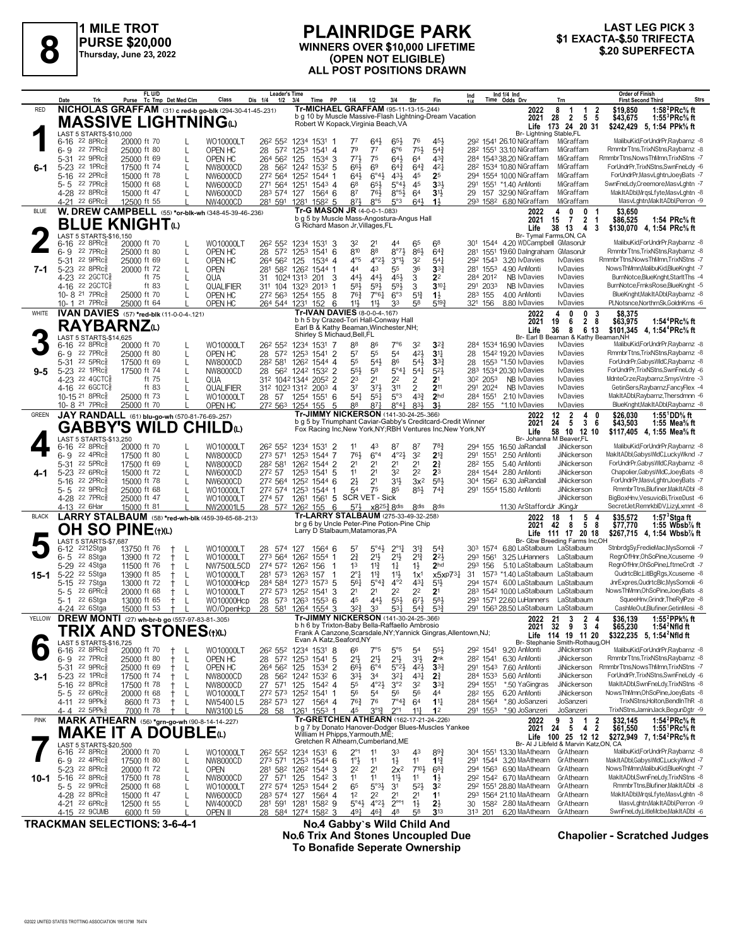

**1 MILE TROT PURSE \$20,000 Thursday, June 23, 2022**

#### **PLAINRIDGE PARK WINNERS OVER \$10,000 LIFETIME (OPEN NOT ELIGIBLE) ALL POST POSITIONS DRAWN \$1 EXACTA-\$.50 TRIFECTA 8 \$.20 SUPERFECTA**

# **LAST LEG PICK 3<br>\$1 EXACTA-\$.50 TRIFECTA**

|              | Date<br>Trk                                                   | FL U/D<br>Tc Tmp Det Med Clm<br>Purse                                       | Dis 1/4<br>Class<br>1/2                             | <b>Leader's Time</b><br><b>PP</b><br>3/4<br>Time                                           | 1/4<br>1/2<br>3/4                                                                                                   | Str<br>Fin                                                                   | Ind 1/4 Ind<br>Time Odds Drv<br>Ind<br>Trn                                   | <b>Order of Finish</b><br>Strs<br><b>First Second Third</b>                                                                             |
|--------------|---------------------------------------------------------------|-----------------------------------------------------------------------------|-----------------------------------------------------|--------------------------------------------------------------------------------------------|---------------------------------------------------------------------------------------------------------------------|------------------------------------------------------------------------------|------------------------------------------------------------------------------|-----------------------------------------------------------------------------------------------------------------------------------------|
| <b>RED</b>   |                                                               | NICHOLAS GRAFFAM (31) c red-b go-blk (294-30-41-45-.231)                    |                                                     |                                                                                            | Tr-MICHAEL GRAFFAM (95-11-13-15-244)                                                                                | b g 10 by Muscle Massive-Flash Lightning-Dream Vacation                      | 2022<br>8                                                                    | 1:58 <sup>2</sup> PRc <sup>5</sup> / <sub>8</sub> ft<br>\$19,850<br>$\mathbf{1}$<br>$\begin{array}{cc} 1 & 2 \\ 5 & 5 \end{array}$      |
|              |                                                               | <b>MASSIVE LIGHTNINGO</b>                                                   |                                                     |                                                                                            | Robert W Kopack, Virginia Beach, VA                                                                                 |                                                                              | 28<br>2021                                                                   | $\overline{2}$<br>1:55 <sup>3</sup> PRc <sup>5</sup> / <sub>8</sub> ft<br>\$43.675<br>Life 173 24 20 31<br>\$242,429<br>5. 1:54 PPk% ft |
|              | LAST 5 STARTS-\$10,000<br>$6-16$ 22 8PRc $\frac{5}{8}$        | 20000 ft 70<br>L                                                            | WO10000LT                                           | 26 <sup>2</sup> 55 <sup>2</sup> 1234 1531 1                                                | 77<br>643<br>65}                                                                                                    | 76<br>45}                                                                    | Br- Lightning Stable,FL<br>29 <sup>2</sup> 1541 26.10 NiGraffam              | MalibuKid,ForUndrPr,Raybarnz -8<br>MiGraffam                                                                                            |
|              | 6-9 22 7PRc                                                   | 25000 ft 80<br>L                                                            | OPEN HC                                             | 28 572 1253 1541 4                                                                         | 79<br>7 <sup>7</sup><br>6°6                                                                                         | $75\frac{1}{2}$<br>$5^{4}$                                                   | 28 <sup>2</sup> 1551 33.10 NiGraffam                                         | RmmbrTtns,TrixNStns,Raybarnz -8<br>MiGraffam                                                                                            |
| 6-1          | 5-31 22 9PRc3<br>5-23 22 1PRc                                 | 25000 ft 69<br>L<br>17500 ft 74<br>L                                        | OPEN HC<br>264 562 125<br>NW8000CD                  | 1534 3<br>28 562 1242 1532 5                                                               | $77\frac{1}{2}$<br>75<br>$64\frac{1}{2}$<br>6 <sup>9</sup><br>66}<br>$64\frac{3}{4}$                                | 64<br>43}<br>$64\frac{3}{4}$<br>$4^{2}$                                      | 284 1543 38.20 NiGraffam<br>28 <sup>2</sup> 1534 10.80 NiGraffam             | MiGraffam<br>RmmbrTtns, NowsThMmn, TrixNStns -7<br>MiGraffam<br>ForUndrPr,TrixNStns,SwnFneLdy -6                                        |
|              | 22 2PRc<br>$5 - 16$                                           | 15000 ft 78                                                                 | NW6000CD                                            | 272 564 1252 1544 1                                                                        | $6^{\circ}4\frac{1}{2}$<br>$43\frac{1}{2}$<br>64}                                                                   | 45<br>25                                                                     | 294 1554 10.00 NiGraffam                                                     | ForUndrPr,MasvLghtn,JoeyBats -7<br>MiGraffam                                                                                            |
|              | 5-5 22 7PRc<br>4-28 22 8PRc                                   | 15000 ft 68<br>L<br>15000 ft 47<br>I.                                       | 271 564 1251<br>NW6000CD<br>283 574 127<br>NW6000CD | 1543 4<br>15646                                                                            | 65}<br>$5^{\circ}4\frac{1}{2}$<br>$6^8$<br>87<br>76}<br>$8^{\circ 5}$                                               | 45<br>$33+$<br>3 <sup>1</sup><br>6 <sup>4</sup>                              | 291 1551 *1.40 AnMonti<br>29 157 32.90 NiGraffam                             | SwnFneLdy,Creemore,MasvLghtn -7<br>MiGraffam<br>MakItADbl, MrqsLfyte, MasvLghtn -8<br>MiGraffam                                         |
|              | 4-21 22 6PRc                                                  | 12500 ft 55                                                                 | <b>NW4000CD</b>                                     | 281 591 1281 1582 5                                                                        | 8°5<br>$8^{71}$<br>5°3                                                                                              | $64\frac{1}{2}$<br>$1\frac{1}{2}$                                            | 293 1582 6.80 NiGraffam                                                      | MasvLghtn, MakItADbl, Perron -9<br>MiGraffam                                                                                            |
| <b>BLUE</b>  |                                                               | W. DREW CAMPBELL (55) *or-blk-wh (348-45-39-46-.236)<br><b>BLUE KNIGHT@</b> |                                                     |                                                                                            | Tr-G MASON JR (4-0-0-1-.083)<br>b g 5 by Muscle Mass-Angostura-Angus Hall                                           |                                                                              | 2022<br>4<br>15<br>2021                                                      | 0<br>0<br>\$3,650<br>$\overline{2}$<br>$\overline{7}$<br>\$86,525<br>$\overline{1}$<br>1:54 PRc% ft                                     |
|              | LAST 5 STARTS-\$16,150                                        |                                                                             |                                                     | G Richard Mason Jr, Villages, FL                                                           |                                                                                                                     |                                                                              | Life<br>Br- Tymal Farms, ON, CA                                              | 38 13<br>$\overline{4}$<br>3<br>\$130,070 4, 1:54 PRc% ft                                                                               |
|              | $6-16$ 22 8PRc                                                | 20000 ft 70<br>L                                                            | WO10000LT                                           | 26 <sup>2</sup> 55 <sup>2</sup> 1234 1531 3                                                | 32<br>2 <sup>1</sup><br>44                                                                                          | 65<br>68                                                                     | 301 1544 4.20 WDCampbell GMasonJr                                            | MalibuKid,ForUndrPr,Raybarnz -8                                                                                                         |
|              | 6-9 22 7PRc<br>5-31 22 9PRcs                                  | 25000 ft 80<br>L<br>25000 ft 69<br>L                                        | OPEN HC<br>264 562 125<br>OPEN HC                   | 28 572 1253 1541 6<br>1534 4                                                               | 810<br>88<br>$8^{\circ}7\frac{1}{2}$<br>$4^{\circ}23$<br>$4^{\circ}5$<br>$3^{01}$                                   | 86}<br>$64\frac{3}{4}$<br>32<br>$54\frac{1}{4}$                              | 1551 19.60 Dalngraham GMasonJr<br>281<br>292 1543 3.20 IvDavies              | RmmbrTtns,TrixNStns,Raybarnz -8<br><b>IvDavies</b><br>RmmbrTtns, NowsThMmn, TrixNStns -7                                                |
| 7-1          | 5-23 22 8PRc3                                                 | 20000 ft 72<br>L                                                            | <b>OPEN</b>                                         | 281 582 1262 1544 1                                                                        | 44<br>43<br>55                                                                                                      | 36<br>$3^{3}$                                                                | 281 1553 4.90 AnMonti                                                        | NowsThMmn,MalibuKid,BlueKnght -7<br><b>IvDavies</b>                                                                                     |
|              | 4-23 22 2GCTC<br>4-16 22 2 GCTC                               | ft 75<br>L<br>ft 83<br>L                                                    | QUA<br>31<br>QUALIFIER                              | 3<br>1024 1313 201<br>311 104 1323 2013<br>-1                                              | 454<br>441<br>441<br>$59\frac{1}{2}$<br>593<br>58}                                                                  | 3<br>2 <sup>2</sup><br>3<br>$3^{10}$                                         | 284 2012<br>NB IvDavies<br>291 2033<br><b>NB IvDavies</b>                    | BurnNotce,BlueKnght,StarltThs -4<br><b>I</b> vDavies<br>BurnNotce,FrnksRose,BlueKnght -5<br><b>IvDavies</b>                             |
|              | 10-8 <sup>21</sup> 7PRc <sup>3</sup><br>10-1 21 7PRc          | 25000 ft 70<br>L                                                            | OPEN HC                                             | 272 563 1254 155<br>-8                                                                     | 76½<br>$7°6\frac{1}{4}$<br>6°3<br>11}                                                                               | 5 <sup>1</sup><br>$1\frac{1}{2}$<br>5193                                     | 283 155<br>4.00 AnMonti<br>321 156<br>8.80 IvDavies                          | BlueKnght, Mak It ADbl, Raybarnz -8<br><b>I</b> vDavies<br><b>I</b> vDavies<br>PLNotsnce, NorthrnSk, GoldnKrns -6                       |
| WHITE        |                                                               | 25000 ft 64<br>IVAN DAVIES (57) *red-blk (11-0-0-4-.121)                    | OPEN HC                                             | 264 544 1231 152<br>6                                                                      | $11\frac{1}{2}$<br>33<br>Tr-IVAN DAVIES (8-0-0-4-.167)                                                              | 58                                                                           | 4<br>2022                                                                    | 0<br>\$8,375<br>0<br>3                                                                                                                  |
|              | <b>RAYBARNZ</b> <sub>(1)</sub>                                |                                                                             |                                                     |                                                                                            | b h 5 by Crazed-Tori Hall-Conway Hall<br>Earl B & Kathy Beaman, Winchester, NH;                                     |                                                                              | 2021<br>19<br>36<br>Life                                                     | $2\,$ 8<br>6<br>\$63,975<br>1:54 <sup>4</sup> PRc% ft<br>8 6 13<br>\$101,345 4, 1:54 <sup>4</sup> PRc <sup>5</sup> / <sub>8</sub> ft    |
|              | LAST 5 STARTS-\$14,625                                        |                                                                             |                                                     | Shirley S Michaud, Bell, FL                                                                |                                                                                                                     |                                                                              |                                                                              | Br- Earl B Beaman & Kathy Beaman, NH                                                                                                    |
|              | 6-16 22 8PRc <sup>5</sup><br>6-9 22 7PRc                      | 20000 ft 70<br>L<br>25000 ft 80<br>L                                        | WO10000LT<br>OPEN HC                                | 26 <sup>2</sup> 55 <sup>2</sup> 123 <sup>4</sup> 153 <sup>1</sup> 7<br>28 572 1253 1541 2  | 88<br>86<br>$7^{\circ}6$<br>55<br>54<br>57                                                                          | 32<br>$3^{2}3$<br>421<br>3 <sup>11</sup>                                     | 284 1534 16.90 lvDavies<br>28 1542 19.20 IvDavies                            | IvDavies<br>MalibuKid,ForUndrPr,Raybarnz -8<br><b>IvDavies</b><br>RmmbrTtns,TrixNStns,Raybarnz -8                                       |
|              | 5-31 22 5PRc                                                  | 17500 ft 69<br>L                                                            | NW8000CD                                            | 282 581 1262 1544 4                                                                        | 55<br>$5^{4}$<br>86                                                                                                 | $5^{41}$<br>$3^{34}$                                                         | 28 1553 *1.50 IvDavies                                                       | ForUndrPr,GabysWIdC,Raybarnz -8<br><b>I</b> vDavies<br>ForUndrPr,TrixNStns,SwnFneLdy -6                                                 |
| $9 - 5$      | 5-23 22 1PRcs<br>4-23 22 4GCTC3                               | L<br>17500 ft 74<br>ft 75<br>L                                              | NW8000CD<br>28<br>QUA                               | 562 1242 1532 2<br>312 1042 1344 2052 2                                                    | 55}<br>58<br>$5^\circ 44$<br>23<br>2 <sup>1</sup><br>2 <sup>2</sup>                                                 | $5^{2}$<br>$5^{41}$<br>2 <sup>1</sup><br>2                                   | 283 1534 20.30 lvDavies<br>NB IvDavies<br>30 <sup>2</sup> 205 <sup>3</sup>   | <b>IvDavies</b><br>MdnteCrze,Raybarnz,SmysVntre -3<br><b>I</b> vDavies                                                                  |
|              | 4-16 22 6 GCTC<br>10-15 21 8PRcs                              | ft 83<br>L                                                                  | QUALIFIER                                           | 312 1023 1312 2003 4<br>28 57 1254 1551 6                                                  | 37<br>$3^{7}\frac{1}{2}$<br>3 <sup>11</sup>                                                                         | 2<br>211<br>$4^{3}$<br>2 <sub>hd</sub>                                       | 291 2024<br>NB IvDavies<br>284 1551 2.10 IvDavies                            | <b>IvDavies</b><br>GetinSers, Raybarnz, Fancy Flex -4<br><b>I</b> vDavies<br>MakItADbl,Raybarnz,Thersdmnn -6                            |
|              | 10-8 21 7PRc3                                                 | 25000 ft 73<br>L<br>25000 ft 70                                             | WO10000LT<br>OPEN HC                                | 272 563 1254 155<br>5                                                                      | $5^{\circ}3$<br>541<br>$55\frac{1}{4}$<br>88<br>$8^{71}$<br>$8^{\circ}4^{\frac{1}{4}}$                              | 3 <sup>1</sup><br>83}                                                        | 282 155 *1.10 lvDavies                                                       | BlueKnght, Mak It ADbl, Raybarnz -8<br><b>I</b> vDavies                                                                                 |
| <b>GREEN</b> |                                                               | JAY RANDALL (61) blu-go-wh (570-81-76-69-257)                               |                                                     |                                                                                            | Tr-JIMMY NICKERSON (141-30-24-25-.366)                                                                              | b g 5 by Triumphant Caviar-Gabby's Creditcard-Credit Winner                  | 12<br>2022<br>2021<br>24                                                     | $\overline{2}$<br>4<br>\$26.030<br>1:55 <sup>1</sup> DD% ft<br>0<br>$\overline{3}$<br>-5<br>-6<br>\$43,503<br>1:55 Mea $\%$ ft          |
|              |                                                               | <b>GABBY'S WILD CHILD(L)</b>                                                |                                                     |                                                                                            |                                                                                                                     | Fox Racing Inc, New York, NY; RBH Ventures Inc, New York, NY                 | Life                                                                         | 58 10 12 10<br>\$117,405 4, 1:55 Mea <sup>5</sup> / <sub>8</sub> ft                                                                     |
|              | LAST 5 STARTS-\$13,250<br>$6-16$ 22 8PRc $\frac{5}{8}$        | 20000 ft 70<br>L                                                            | WO10000LT                                           | 26 <sup>2</sup> 55 <sup>2</sup> 123 <sup>4</sup> 153 <sup>1</sup> 2                        | 11<br>43<br>87                                                                                                      | 87<br>78)                                                                    | Br- Johanna M Beaver, FL<br>294 155 16.50 JaRandall                          | MalibuKid,ForUndrPr,Raybarnz -8<br>JiNickerson                                                                                          |
|              | 22 4PRc3<br>$6 - 9$<br>5-31 22 5PRc                           | 17500 ft 80<br>L<br>L<br>17500 ft 69                                        | NW8000CD<br>282 581<br>NW8000CD                     | 273 571 1253 1544 7<br>126 <sup>2</sup> 1544 2                                             | 76}<br>$6^{\circ}4$<br>$4^{\circ}2\frac{1}{2}$<br>2 <sup>1</sup><br>2 <sup>1</sup><br>2 <sup>1</sup>                | 3 <sup>2</sup><br>$2^{13}$<br>2 <sup>1</sup><br>$2\frac{3}{4}$               | 291 1551<br>2.50 AnMonti<br>282 155<br>5.40 AnMonti                          | MakItADbl,GabysWldC,LuckyWknd -7<br><b>JiNickerson</b><br>ForUndrPr,GabysWIdC,Raybarnz -8<br><b>JiNickerson</b>                         |
| 4-1          | 5-23 <sup>22</sup> 6PRc                                       | 15000 ft 72<br>L                                                            | 272 57<br>NW6000CD                                  | 1253 1541 5                                                                                | 11<br>2 <sup>1</sup><br>32                                                                                          | 2 <sup>2</sup><br>2 <sup>3</sup>                                             | 284 1544 2.80 AnMonti                                                        | Chapolier,GabysWldC,JoeyBats -8<br>JiNickerson                                                                                          |
|              | 5-16 22 2PRc<br>5-5 22 9PRc                                   | 15000 ft 78<br>L<br>25000 ft 68<br>$\mathbf{I}$                             | NW6000CD<br>WO10000LT                               | 272 564 1252 1544 6<br>272 574 1253 1544 1                                                 | $2\frac{1}{2}$<br>2 <sup>1</sup><br>3 <sup>1</sup><br>75<br>54<br>85                                                | 583<br>$3x^2$<br>853<br>$74\frac{3}{4}$                                      | 304 1562 6.30 JaRandall<br>291 1554 15.80 AnMonti                            | ForUndrPr,MasvLghtn,JoeyBats -7<br>JiNickerson<br>JiNickerson<br>RmmbrTtns, Blufiner, MakItADbI -8                                      |
|              | 4-28 22 7PRc3                                                 | 25000 ft 47                                                                 | 274 57<br>WO10000LT                                 | 1261 1561 5 SCR VET - Sick                                                                 |                                                                                                                     |                                                                              |                                                                              | BigBoxHnv,VesuvioBi,TrixeDust -6<br><b>JiNickerson</b>                                                                                  |
| <b>BLACK</b> | 4-13 22 6Har                                                  | 15000 ft 81<br>LARRY STALBAUM (58) *red-wh-blk (459-39-65-68-.213)          | NW20001L5                                           | 6<br>28 572 1262 155                                                                       | $5^{7}\frac{1}{2}$<br>x8 <sup>253</sup> , 8dis<br>Tr-LARRY STALBAUM (275-33-49-32-258)                              | <b><i><u>Rdis</u></i></b><br>8 <sup>dis</sup>                                | 11.30 ArStaffordJr JKingJr<br>18<br>2022                                     | SecretJet,RemrkbIDV,LizyLxmnt -8<br>1:57 $3$ Stgaft<br>5 <sub>4</sub><br>\$35,572<br>$\mathbf 1$                                        |
|              |                                                               | OH SO PINE(t)(L)                                                            |                                                     | Larry D Stalbaum, Matamoras, PA                                                            | br g 6 by Uncle Peter-Pine Potion-Pine Chip                                                                         |                                                                              | 2021<br>42                                                                   | 58<br>- 8<br>\$77,770<br>1:55 Wbsb $\%$ ft                                                                                              |
|              | LAST 5 STARTS-\$7,687                                         |                                                                             |                                                     |                                                                                            |                                                                                                                     |                                                                              |                                                                              | Life 111 17 20 18<br>\$267,715 4, 1:54 Wbsb% ft<br>Br- Gbw Breeding Farms Inc,OH                                                        |
|              | 2212Stga<br>$6 - 12$<br>22 8Stga<br>$6 - 5$                   | 13750 ft 76<br>L<br>13900 ft 72<br>L<br>$\pm$                               | WO10000LT<br>28<br>273 564<br>WO10000LT             | 574 127<br>1564 6<br>126 <sup>2</sup> 1554 1                                               | $5^\circ 4\frac{1}{2}$<br>$2^{\circ}1\frac{1}{4}$<br>57<br>$2\frac{3}{4}$<br>$21\frac{1}{2}$<br>2 <sup>11</sup>     | $3^{12}$<br>$5^{4}$<br>$2^{1\frac{3}{4}}$<br>$2^{2}$                         | 303 1574 6.80 LaStalbaum LaStalbaum<br>293 1561<br>3.25 LuHanners LaStalbaum | StnbrdgSy,FredieMac,MysSomoli -7<br>RegnOfHnr, OhSoPine, Xcuseme -9                                                                     |
|              | 5-29 <sup>22</sup> 4Stga                                      | 11500 ft 76<br>L<br>$^+$                                                    | NW7500L5CD                                          | 274 572 1262 156                                                                           | 1 <sup>3</sup><br>$11\frac{3}{4}$<br>$1\frac{1}{4}$                                                                 | $1\frac{1}{2}$<br>2 <sub>hd</sub>                                            | 293 156<br>5.10 LaStalbaum LaStalbaum                                        | ReanOfHnr.OhSoPine.LftmeCrdt -7                                                                                                         |
| 15-1         | 5-22 <sup>22</sup> 5Stga<br>5-15 22 7Stga                     | 13900 ft 85<br>L<br>$^+$<br>13000 ft 72<br>L<br>$^+$                        | WO10000LT<br>WO10000Hcp                             | 281 573 1263<br>157<br>-1<br>284 584 1273 1573 5                                           | $2^{\circ}1$<br>$11\frac{3}{4}$<br>$11\frac{1}{2}$<br>$5^\circ 4^\circ$<br>$4^{\circ}2$<br>561                      | 1x <sup>1</sup><br>x5xP73 <sup>1</sup><br>$43\frac{1}{4}$<br>5 <sup>11</sup> | 31 1573 *1.40 LaStalbaum LaStalbaum<br>294 1574 6.00 LaStalbaum LaStalbaum   | QudrtcBlc,LitlBgRgs,Xcuseme -8<br>JnrExpres,QudrtcBlc,MysSomoli -6                                                                      |
|              | $226$ PR $c_{8}^{5}$<br>5-5                                   | 20000 ft 68<br>$^+$<br>L                                                    | WO10000LT                                           | 272 573 1252 1541 3                                                                        | 2 <sup>2</sup><br>21<br>2 <sup>1</sup><br>45                                                                        | 22<br>2 <sup>1</sup>                                                         | 283 1542 10.00 LaStalbaum LaStalbaum                                         | NowsThMmn, OhSoPine, JoeyBats -8<br>SqueeHnv, Grindr, TheRylPze -8                                                                      |
|              | 22 6Stga<br>5- 1<br>4-24 <sup>22</sup> 6Stga                  | 13000 ft 65<br>L<br>$^+$<br>15000 ft 53<br>$^+$                             | WO10000Hcp<br>WO/OpenHcp 28 581 1264 1554 3         | 28 573 1263 1553 6                                                                         | 441<br>$55\frac{1}{2}$<br>$3^{2}\frac{3}{4}$<br>33<br>$53\frac{1}{4}$                                               | $67\frac{1}{2}$<br>583<br>$5^{4}$<br>$5^{3}\frac{3}{4}$                      | 293 1571 22.60 LuHanners LaStalbaum<br>291 1563 28.50 LaStalbaum LaStalbaum  | CashMeOut, Blufiner, GetinMesi -8                                                                                                       |
| YELLOW       |                                                               | <b>DREW MONTI</b> (27) wh-br-b go (557-97-83-81-305)                        |                                                     |                                                                                            | Tr-JIMMY NICKERSON (141-30-24-25-366)<br>b h 6 by Trixton-Baby Bella-Raffaello Ambrosio                             |                                                                              |                                                                              | 1:55 $^{2}$ PPk $\%$ ft<br>\$36.139<br>2022 21 3 2 4<br>2021 32 9 3 4<br>\$65,230<br>1:54 $2$ Nfld ft                                   |
|              |                                                               | TRIX AND STONES(t)(L)                                                       |                                                     | Evan A Katz, Seaford, NY                                                                   |                                                                                                                     | Frank A Canzone, Scarsdale, NY; Yannick Gingras, Allentown, NJ;              |                                                                              | Life 114 19 11 20<br>\$322,235 5, 1:54 <sup>2</sup> Nfld ft                                                                             |
|              | LAST 5 STARTS-\$16,725<br>$6-16$ 22 8PRc $\frac{5}{8}$        | 20000 ft 70<br>L<br>$^+$                                                    | WO10000LT                                           | 26 <sup>2</sup> 55 <sup>2</sup> 123 <sup>4</sup> 153 <sup>1</sup> 8                        | $5^{\circ}5$<br>66<br>$7^{\circ}5$                                                                                  | 5 <sup>4</sup><br>553                                                        | 292 1541 9.20 AnMonti                                                        | Br- Stephanie Smith-Rothaug,OH<br>MalibuKid,ForUndrPr,Raybarnz -8<br>JiNickerson                                                        |
|              | $6 - 9$ 22 7PRc<br>5-31 22 9PRc                               | 25000 ft 80<br>$^+$<br>L<br>25000 ft 69<br>$^{+}$<br>L                      | OPEN HC<br>OPEN HC<br>264 562 125                   | 28 572 1253 1541 5<br>1534 2                                                               | 2 <sup>11</sup><br>$21\frac{1}{2}$<br>$21\frac{1}{2}$<br>$66\frac{1}{2}$<br>$6^{\circ}4$<br>$5^{\circ}2\frac{1}{2}$ | 3 <sup>1</sup><br>2 <sub>nk</sub><br>$4^{21}$<br>$3^{34}$                    | 282 1541 6.30 AnMonti<br>291 1543 7.60 AnMonti                               | RmmbrTtns,TrixNStns,Raybarnz -8<br>JiNickerson<br>RmmbrTtns.NowsThMmn.TrixNStns -7<br><b>JiNickerson</b>                                |
| 3-1          | 5-23 22 1PRc3                                                 | 17500 ft 74<br>$^+$<br>L                                                    | NW8000CD                                            | 28 562 1242 1532 6                                                                         | 33}<br>34<br>321                                                                                                    | $4^{3}\frac{1}{4}$<br>$2\frac{3}{4}$                                         | 284 1533 5.60 AnMonti                                                        | JiNickerson<br>ForUndrPr,TrixNStns,SwnFneLdy -6                                                                                         |
|              | 5-16 22 8PRc<br>$5 - 5$ 22 6PRc $\frac{5}{8}$                 | 17500 ft 78<br>$^+$<br>L<br>20000 ft 68<br>L<br>$^+$                        | 27 571 125<br>NW8000CD<br>WO10000LT                 | 1542 4<br>272 573 1252 1541 1                                                              | $4^{o}2\frac{1}{2}$<br>55<br>3°2<br>56<br>56<br>5 <sup>4</sup>                                                      | 32<br>$3^{34}$<br>56<br>44                                                   | 294 1551<br>*.50 YaGingras<br>28 <sup>2</sup> 155<br>6.20 AnMonti            | MakItADbl.SwnFneLdv.TrixNStns -8<br>JiNickerson<br>NowsThMmn, OhSoPine, JoeyBats -8<br>JiNickerson                                      |
|              | 4-11 22 9PPk                                                  | 8600 ft 73<br>$\pm$<br>L                                                    | NW5400 L5                                           | 28 <sup>2</sup> 573 127 1564 4                                                             | $76\frac{3}{4}$<br>76<br>$7^{\circ}4_{4}^{3}$                                                                       | $11\frac{1}{4}$<br>6 <sup>4</sup>                                            | *.80 JoSanzeri<br>284 1564                                                   | TrixNStns,Holton,BendInThR -8<br>JoSanzeri                                                                                              |
| PINK         | 4-4 22 5PPk                                                   | 7000 ft 78<br><b>MARK ATHEARN</b> (56) *grn-go-wh (90-8-14-14-227)          | NW3100 L5                                           | 28 58 1261 1553 1                                                                          | 45<br>$3^{012}$<br>$2^{\circ}1$<br>Tr-GRETCHEN ATHEARN (162-17-21-24-.226)                                          | 11<br>1 <sup>2</sup>                                                         | 291 1553 *.90 JoSanzeri                                                      | JoSanzeri<br>TrixNStns,JaminJack,BegunDgtr -9<br>3<br>\$32,145<br>1:54 $^{2}$ PRc $%$ ft<br>$\overline{1}$<br>$\overline{2}$            |
|              |                                                               | <b>MAKE IT A DOUBLE</b> (L)                                                 |                                                     | William H Phipps, Yarmouth, ME;                                                            |                                                                                                                     | b g 7 by Donato Hanover-Dodger Blues-Muscles Yankee                          | 2022 9<br>2021 24                                                            | 4 2<br>5<br>\$61,550<br>1:55 <sup>1</sup> PRc <sup>5</sup> / <sub>8</sub> ft                                                            |
|              | LAST 5 STARTS-\$20,500                                        |                                                                             |                                                     |                                                                                            | Gretchen R Athearn, Cumberland, ME                                                                                  |                                                                              |                                                                              | Life 100 25 12 12<br>\$272,949 7, 1:54 <sup>2</sup> PRc <sup>5</sup> / <sub>8</sub> ft<br>Br- Al J Libfeld & Marvin Katz,ON, CA         |
|              | $6-16$ 22 8PRc $\frac{5}{8}$<br>$6 - 9$ 22 4PRc $\frac{5}{8}$ | 20000 ft 70<br>17500 ft 80<br>L                                             | WO10000LT<br>NW8000CD                               | 26 <sup>2</sup> 55 <sup>2</sup> 123 <sup>4</sup> 153 <sup>1</sup> 6<br>273 571 1253 1544 6 | $2^{\circ}1$<br>33<br>11<br>$1^{\circ}$<br>11<br>$1\frac{1}{2}$                                                     | 43<br>$89\frac{3}{4}$<br>11<br>$1\frac{13}{4}$                               | 304 1551 13.30 MaAthearn<br>291 1544 3.20 MaAthearn                          | MalibuKid,ForUndrPr,Raybarnz -8<br>GrAthearn<br>MakItADbl,GabysWIdC,LuckyWknd -7<br>GrAthearn                                           |
|              | 5-23 22 8PRcs                                                 | 20000 ft 72<br>L                                                            | <b>OPEN</b>                                         | 281 582 1262 1544 3                                                                        | 2 <sup>2</sup><br>2 <sup>1</sup><br>$2x^2$                                                                          | $7^{10\frac{1}{2}}$<br>$68\frac{3}{4}$                                       | 294 1563 6.90 MaAthearn                                                      | NowsThMmn,MalibuKid,BlueKnght -7<br>GrAthearn                                                                                           |
| 10-1         | 5-16 22 8PRc <sup>5</sup><br>5-5 22 9PRcs                     | 17500 ft 78<br>L<br>25000 ft 68<br>L                                        | 27 571 125<br>NW8000CD<br>WO10000LT                 | 1542 3<br>272 574 1253 1544 2                                                              | 11<br>11<br>11}<br>65<br>5°3 <sup>1</sup><br>3 <sup>1</sup>                                                         | 1 <sup>1</sup><br>$1\frac{1}{2}$<br>$5^{21}$<br>3 <sup>2</sup>               | 292 1542 6.70 MaAthearn<br>292 1551 28.80 MaAthearn                          | GrAthearn<br>MakItADbl,SwnFneLdy,TrixNStns -8<br>RmmbrTtns,Blufiner,MakItADbl -8<br>GrAthearn                                           |
|              | 4-28 22 8PRc                                                  | 15000 ft 47<br>L                                                            | NW6000CD<br>283 574 127                             | 1564 4                                                                                     | 1 <sup>2</sup><br>2 <sup>2</sup><br>2 <sup>1</sup>                                                                  | 2 <sup>1</sup><br>11                                                         | 293 1564 21.10 MaAthearn                                                     | MakItADbl, MrqsLfyte, MasvLghtn -8<br>GrAthearn                                                                                         |
|              | 4-21 22 6PRc <sup>5</sup><br>4-15 22 9CUMB                    | 12500 ft 55<br>L<br>6000 ft 59                                              | NW4000CD<br>OPEN II                                 | 281 591 1281 1582 9<br>28 584 1274 1582 3                                                  | $4^{\circ}2\frac{1}{2}$<br>$2^{\circ\circ}1$<br>$5^{\circ}4\frac{1}{2}$<br>491<br>$46\frac{3}{4}$<br>48             | $1\frac{1}{2}$<br>$2\frac{1}{2}$<br>58<br>$3^{13}$                           | 30 158 <sup>2</sup> 2.80 MaAthearn<br>6.20 MaAthearn<br>313 201              | MasvLghtn, MakItADbl, Perron -9<br>GrAthearn<br>SwnFneLdy,LitleMcbe,MakItADbl -6<br>GrAthearn                                           |

**TRACKMAN SELECTIONS: 3-6-4-1 No.4 Gabby`s Wild Child And No.6 Trix And Stones Uncoupled Due Chapolier - Scratched Judges To Bonafide Seperate Ownership**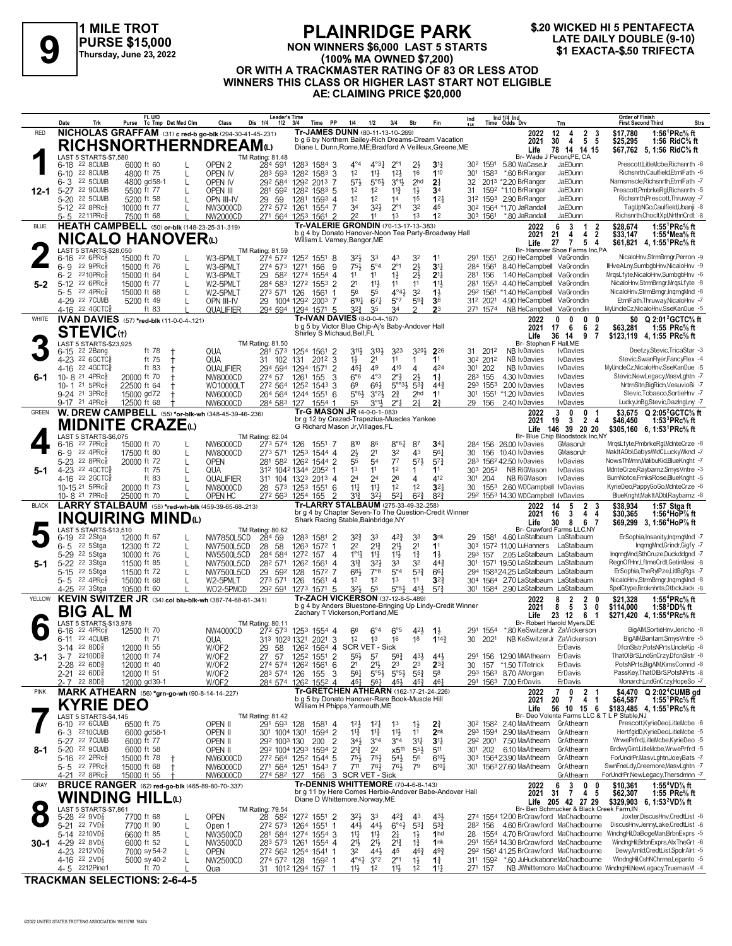



#### **NON WINNERS \$6,000 LAST 5 STARTS (100% MA OWNED \$7,200) OR WITH A TRACKMASTER RATING OF 83 OR LESS ATOD WINNERS THIS CLASS OR HIGHER LAST START NOT ELIGIBLE AE: CLAIMING PRICE \$20,000 LATE DAILY DOUBLE (9-10)**<br>
PURSE \$15,000<br>
Thursday, June 23, 2022<br> **PURSE \$15,000**<br> **99 WITH A TRACK MASTER BATING OF 83 OR LESS ATOD (100% MA OWNED \$7,200)**

|              | Date                                                                 | Trk | Purse Tc Tmp Det Med Clm    | FL U/D                  |        | Class                                                    | Leader's Time<br>Dis 1/4<br>$1/2$ $3/4$                                    |              | PP<br>Time                          | 1/4                                                                               | 1/2                                           | 3/4                                | Str                               | Fin                                                                                                            | Ind                 |                                  | Ind 1/4 Ind<br>Time Odds Drv                                                               | Trn                                  |                                                 | Order of Finish<br><b>First Second Third</b>                                                                 | <b>Strs</b>                                                                                    |
|--------------|----------------------------------------------------------------------|-----|-----------------------------|-------------------------|--------|----------------------------------------------------------|----------------------------------------------------------------------------|--------------|-------------------------------------|-----------------------------------------------------------------------------------|-----------------------------------------------|------------------------------------|-----------------------------------|----------------------------------------------------------------------------------------------------------------|---------------------|----------------------------------|--------------------------------------------------------------------------------------------|--------------------------------------|-------------------------------------------------|--------------------------------------------------------------------------------------------------------------|------------------------------------------------------------------------------------------------|
| <b>RED</b>   |                                                                      |     |                             |                         |        | NICHOLAS GRAFFAM (31) c red-b go-blk (294-30-41-45-.231) |                                                                            |              |                                     | Tr-JAMES DUNN (80-11-13-10-269)                                                   |                                               |                                    |                                   |                                                                                                                |                     |                                  | 2022                                                                                       | 12<br>4                              | $\begin{array}{ccc} 2 & 3 \\ 5 & 5 \end{array}$ | \$17,780                                                                                                     | 1:56 ${}^1$ PRc% ft                                                                            |
|              |                                                                      |     |                             |                         |        | <b>RICHSNORTHERNDREAM@</b>                               |                                                                            |              |                                     |                                                                                   |                                               |                                    |                                   | b g 6 by Northern Bailey-Rich Dreams-Dream Vacation<br>Diane L Dunn, Rome, ME; Bradford A Veilleux, Greene, ME |                     |                                  | 2021                                                                                       | 4<br>30<br>78 14 14 15               |                                                 | \$25,295                                                                                                     | 1:56 RidC% ft<br>\$67.762 5.1:56 RidC% ft                                                      |
|              | LAST 5 STARTS-\$7,580                                                |     |                             |                         |        |                                                          | TM Rating: 81.48                                                           |              |                                     |                                                                                   |                                               |                                    |                                   |                                                                                                                |                     |                                  | Life<br>Br- Wade J Peconi, PE, CA                                                          |                                      |                                                 |                                                                                                              |                                                                                                |
|              | 6-18 22 8 CUMB                                                       |     | 6000 ft 60                  |                         |        | OPEN <sub>2</sub>                                        | 284 591                                                                    |              | 1283 1584 3                         | $4^{\circ}4$                                                                      | $4^{\circ}3\frac{1}{4}$                       | $2^{\circ}1$                       | 21                                | 3 <sup>1</sup>                                                                                                 |                     | 302 1591                         | 5.80 WaCaseJr                                                                              | JaEDunn                              |                                                 |                                                                                                              | PrescottLitleMcbe,Richsnrth -6                                                                 |
|              | 6-10 22 8 CUMB                                                       |     | 4800 ft 75                  |                         | L      | OPEN IV                                                  | 283 593                                                                    |              | 1282 1583 3                         | 1 <sup>2</sup>                                                                    | $11\frac{1}{2}$                               | 12 <sup>1</sup>                    | 16                                | 110                                                                                                            | 301                 | 1583                             | *.60 BrRanger                                                                              | JaEDunn                              |                                                 |                                                                                                              | Richsnrth,Caulfield,EtrnlFath -6                                                               |
|              | <b>22 5CUMB</b><br>6-3<br>22 9CUMB                                   |     | 4800 gd58-1                 |                         | L      | OPEN IV                                                  | 292 584 1292 2013 7                                                        |              |                                     | $5^{7}$                                                                           | 5°5 <sup>3</sup>                              | $3^{01}$                           | 2 <sub>hd</sub>                   | 2 <sup>1</sup>                                                                                                 | 32                  |                                  | 2013 *2.20 BrRanger<br>1592 *1.10 BrRanger                                                 | JaEDunn<br>JaEDunn                   |                                                 |                                                                                                              | Namsmscle.Richsnrth.EtrnlFath -7<br>Prescott,PmbrkeRgl,Richsnrth -5                            |
| 12-1         | $5 - 27$<br>5-20 22 5CUMB                                            |     | 5500 ft 77<br>5200 ft 58    |                         |        | OPEN III<br>OPN III-IV                                   | 281<br>592<br>29<br>59                                                     | 1281         | 1282 1583 5<br>1593 4               | 1 <sup>2</sup><br>1 <sup>2</sup>                                                  | 1 <sup>2</sup><br>1 <sup>2</sup>              | $11\frac{3}{4}$<br>14              | $1\frac{1}{2}$<br>1 <sup>5</sup>  | 3 <sup>4</sup><br>$1^{2}$                                                                                      | 31                  |                                  | 312 1593 2.90 BrRanger                                                                     | JaEDunn                              |                                                 |                                                                                                              | Richsnrth,Prescott,Thruway -7                                                                  |
|              | 5-12 22 8PRc                                                         |     | 10000 ft 77                 |                         |        | NW3000CD                                                 | 272 572                                                                    | 1261         | 1554 7                              | 34                                                                                | $3^{21}$                                      | $2^{\circ}1$                       | 3 <sup>2</sup>                    | 45                                                                                                             |                     |                                  | 30 <sup>2</sup> 1564 *1.70 JaRandall                                                       | JaEDunn                              |                                                 |                                                                                                              | TagUpNGo,Caulfield,Ubanji -8                                                                   |
|              | 5-5 2211PRc                                                          |     | 7500 ft 68                  |                         |        | NW2000CD                                                 | 271 564 1253 1561                                                          |              | 2                                   | 22                                                                                | 11                                            | 1 <sup>3</sup>                     | 1 <sup>3</sup>                    | 1 <sup>2</sup>                                                                                                 | 303                 | 1561                             | *.80 JaRandall                                                                             | JaEDunn                              |                                                 |                                                                                                              | Richsnrth,ChocltXpl,NrthnCrdt -8                                                               |
| <b>BLUE</b>  |                                                                      |     |                             |                         |        | HEATH CAMPBELL (50) or-blk (148-23-25-31-.319)           |                                                                            |              |                                     | <b>Tr-VALERIE GRONDIN (70-13-17-13-383)</b>                                       |                                               |                                    |                                   |                                                                                                                |                     |                                  | 2022                                                                                       | 6<br>3                               | -1<br>2                                         | \$28,674                                                                                                     | 1:55 ${}^1$ PRc ${}^5\!$ ft                                                                    |
|              | <b>NICALO HANOVER</b> ധ                                              |     |                             |                         |        |                                                          |                                                                            |              |                                     | William L Varney, Bangor, ME                                                      |                                               |                                    |                                   | b g 4 by Donato Hanover-Noon Tea Party-Broadway Hall                                                           |                     |                                  | 2021<br>Life                                                                               | 4<br>21<br>$\overline{7}$<br>27      | $\overline{2}$<br>4<br>5<br>4                   | \$33.147                                                                                                     | 1:55 <sup>+</sup> Mea% ft<br>\$61,821 4, 1:55 <sup>1</sup> PRc <sup>5</sup> / <sub>8</sub> ft  |
|              | LAST 5 STARTS-\$28,050                                               |     |                             |                         |        |                                                          | TM Rating: 81.59                                                           |              |                                     |                                                                                   |                                               |                                    |                                   |                                                                                                                |                     |                                  | Br- Hanover Shoe Farms Inc.PA                                                              |                                      |                                                 |                                                                                                              |                                                                                                |
|              | $226$ PR $c_{8}$<br>$6 - 16$                                         |     | 15000 ft 70                 |                         |        | W3-6PMLT                                                 | 274 572 1252 1551                                                          |              | -8                                  | 321,                                                                              | 33                                            | 43                                 | 32                                | 11                                                                                                             |                     | 291 1551                         | 2.60 HeCampbell VaGrondin                                                                  |                                      |                                                 |                                                                                                              | NicaloHnv,StrmBrngr,Perron -9                                                                  |
|              | 6-9 22 9PRc<br>2210PRc3                                              |     | 15000 ft 76                 |                         | L      | W3-6PMLT                                                 | 274 573                                                                    | 1271         | 9<br>156                            | 754                                                                               | $5^{\circ}4$                                  | $2^{\circ}1$                       | $2\frac{1}{2}$                    | 3 <sup>11</sup>                                                                                                | 284                 | 1561                             | 8.40 HeCampbell VaGrondin                                                                  |                                      |                                                 |                                                                                                              | IlHveALny,SumbgbHnv,NicaloHnv -9                                                               |
| $5 - 2$      | $6 - 2$<br>5-12 22 6PRcs                                             |     | 15000 ft 64<br>15000 ft 77  |                         | L      | W3-6PMLT<br>W2-5PMLT                                     | 29<br>582 1274<br>284 583 1272 1553 2                                      |              | 1554 4                              | 1 <sup>1</sup><br>2 <sup>1</sup>                                                  | 11<br>$11\frac{1}{2}$                         | $1\frac{1}{2}$<br>11               | $2\frac{1}{2}$<br>11              | 2 <sup>11</sup><br>11                                                                                          | 281                 | 156                              | 1.40 HeCampbell VaGrondin<br>281 1553 4.40 HeCampbell VaGrondin                            |                                      |                                                 |                                                                                                              | MrqsLfyte, NicaloHnv, SumbgbHnv -6<br>NicaloHnv,StrmBrngr,MrqsLfyte -8                         |
|              | 22 4PRc3<br>5-5                                                      |     | 15000 ft 68                 |                         |        | W2-5PMLT                                                 | 273 571 126                                                                |              | 1561<br>-1                          | 56                                                                                | 55                                            | $4^{\circ}4^{\frac{1}{2}}$         | 3 <sup>2</sup>                    | $1\frac{1}{2}$                                                                                                 |                     | 292 1561                         | *1.40 HeCampbell                                                                           | VaGrondin                            |                                                 |                                                                                                              | NicaloHnv,StrmBrngr,IngrngMnd -8                                                               |
|              | 4-29 22 7CUMB                                                        |     | 5200 ft 49                  |                         |        | OPN III-IV                                               | 29 1004 1292 2003 7                                                        |              |                                     | $6^{10}$ <sup>1</sup>                                                             | $67\frac{1}{4}$                               | $5^{\circ}7$                       | 593                               | 3 <sup>8</sup>                                                                                                 | 312 2021            |                                  | 4.90 HeCampbell VaGrondin                                                                  |                                      |                                                 |                                                                                                              | EtrnlFath, Thruway, NicaloHnv -7                                                               |
|              | 4-16 22 4 GCTC <sup>5</sup>                                          |     |                             | ft 83                   |        | QUALIFIER                                                | 294 594 1294 1571 5                                                        |              |                                     | 32}                                                                               | 35                                            | 34                                 |                                   | 2 <sup>3</sup>                                                                                                 |                     | 271 1574                         | NB HeCampbell VaGrondin                                                                    |                                      |                                                 |                                                                                                              | MyUncleCz, NicaloHnv, SseKanDue -5                                                             |
| <b>WHITE</b> | IVAN DAVIES (57) *red-blk (11-0-0-4-.121)                            |     |                             |                         |        |                                                          |                                                                            |              |                                     | Tr-IVAN DAVIES (8-0-0-4-.167)<br>b g 5 by Victor Blue Chip-Aj's Baby-Andover Hall |                                               |                                    |                                   |                                                                                                                |                     |                                  | 2022                                                                                       | 0<br>0                               | $\mathbf{0}$<br>n                               | \$0                                                                                                          | Q 2:01 GCTC% ft                                                                                |
|              | <b>STEVIC</b> th                                                     |     |                             |                         |        |                                                          |                                                                            |              |                                     | Shirley S Michaud, Bell, FL                                                       |                                               |                                    |                                   |                                                                                                                |                     |                                  | 2021<br>Life                                                                               | 6<br>17<br>36<br>14                  | 6<br>$\overline{2}$<br>9<br>7                   | \$63.281                                                                                                     | 1:55 $PRc%$ ft<br>\$123,119 4, 1:55 PRc% ft                                                    |
|              | LAST 5 STARTS-\$23,925                                               |     |                             |                         |        |                                                          | TM Rating: 81.50                                                           |              |                                     |                                                                                   |                                               |                                    |                                   |                                                                                                                |                     |                                  | Br- Stephen F Hall, ME                                                                     |                                      |                                                 |                                                                                                              |                                                                                                |
|              | 22 2Bang<br>6-15                                                     |     |                             | ft 78<br>$\pm$          |        | QUA                                                      | 281 573                                                                    | 1254 1561    | $\overline{2}$                      | 3 <sup>11</sup>                                                                   | 3134                                          | 323                                | 3204                              | 226                                                                                                            | 31                  | 2012                             | <b>NB</b> IvDavies                                                                         | <b>I</b> vDavies                     |                                                 |                                                                                                              | Deetzy,Stevic,TricaStar -3                                                                     |
|              | 4-23 <sup>22</sup> 6GCTC <sub>8</sub><br>4-16 22 4 GCTC <sup>5</sup> |     |                             | ft 75<br>$\pm$<br>ft 83 |        | QUA<br>QUALIFIER                                         | 31 102<br>294 594                                                          | 131<br>1294  | 3<br>2012<br>1571<br>$\overline{2}$ | $1\frac{1}{2}$<br>$45\frac{1}{4}$                                                 | 2 <sup>1</sup><br>49                          | 11<br>410                          | 1<br>4                            | 11<br>424                                                                                                      | 301 202             | 30 <sup>2</sup> 201 <sup>2</sup> | NB IvDavies<br><b>NB IvDavies</b>                                                          | <b>I</b> vDavies<br><b>I</b> vDavies |                                                 |                                                                                                              | Stevic, Swan Flyer, Fancy Flex -4<br>MyUncleCz,NicaloHnv,SseKanDue -5                          |
| 6-1          | 10-8 21 4PRc <sup>5</sup>                                            |     | 20000 ft 70                 |                         |        | NW8000CD                                                 | 274 57                                                                     | 1261         | 155<br>3                            | 6°6                                                                               | 4°3                                           | $2^{\circ}$                        | $2\frac{1}{2}$                    | $1\frac{1}{4}$                                                                                                 | 283 155             |                                  | 4.30 IvDavies                                                                              | <b>I</b> vDavies                     |                                                 |                                                                                                              | Stevic, New Legacy, MasvLghtn - 7                                                              |
|              | 10-1 21 5PRc $\frac{5}{8}$                                           |     | 22500 ft 64                 |                         |        | WO10000LT                                                | 272 564 1252 1543                                                          |              | 3                                   | 6 <sup>9</sup>                                                                    | $66\frac{1}{2}$                               | $5^{\circ 3}$                      | $5^{3}$                           | $44\frac{3}{4}$                                                                                                |                     | 293 1553                         | 2.00 IvDavies                                                                              | <b>I</b> vDavies                     |                                                 |                                                                                                              | NrtrnSltn,BigRich,VesuvioBi -7                                                                 |
|              | 9-24 <sup>21</sup> 3PRc <sup>3</sup>                                 |     | 15000 gd72                  |                         |        | NW6000CD                                                 | 264 564 1244 1551                                                          |              | 6                                   | $5°6\frac{1}{2}$                                                                  | $3^{°2}\frac{1}{2}$                           | $2\frac{3}{4}$                     | 2 <sub>hd</sub>                   | 11                                                                                                             |                     | 301 1551                         | *1.20 IvDavies                                                                             | <b>I</b> vDavies                     |                                                 |                                                                                                              | Stevic, Tobasco, SortieHnv -7                                                                  |
|              | 9-17 <sup>21</sup> 4PRc <sup>3</sup>                                 |     | 12500 ft 68                 |                         |        | NW6000CD                                                 | 284 583 127                                                                |              | 1554                                | 55                                                                                | $3^{01}$                                      | $2^{\circ}1$                       | 2 <sup>1</sup>                    | 2 <sup>3</sup>                                                                                                 | 29 156              |                                  | 2.40 IvDavies                                                                              | <b>IvDavies</b>                      |                                                 |                                                                                                              | LuckyJnBg,Stevic,DazIngLny -7                                                                  |
| <b>GREEN</b> |                                                                      |     |                             |                         |        | W. DREW CAMPBELL (55) *or-blk-wh (348-45-39-46-236)      |                                                                            |              |                                     | <b>Tr-G MASON JR (4-0-0-1-083)</b><br>br g 12 by Crazed-Trapezius-Muscles Yankee  |                                               |                                    |                                   |                                                                                                                |                     |                                  | 2022<br>2021                                                                               | 3<br>0<br>$\mathbf{3}$<br>19         | $\mathbf{0}$<br>$\overline{2}$<br>4             | \$3.675<br>\$46,450                                                                                          | $Q$ 2:05 <sup>2</sup> GCTC% ft<br>1:53 ${}^{3}$ PRc ${}^{5}$ ft                                |
|              | <b>MIDNITE CRAZE</b> (L)                                             |     |                             |                         |        |                                                          |                                                                            |              |                                     | G Richard Mason Jr, Villages, FL                                                  |                                               |                                    |                                   |                                                                                                                |                     |                                  | Life                                                                                       | 146 39 20 20                         |                                                 |                                                                                                              | \$305,160 6, 1:53 PRc <sup>5</sup> / <sub>8</sub> ft                                           |
|              | LAST 5 STARTS-\$6,075                                                |     |                             |                         |        |                                                          | <b>TM Rating: 82.04</b>                                                    |              |                                     |                                                                                   |                                               |                                    |                                   |                                                                                                                |                     |                                  | Br- Blue Chip Bloodstock Inc,NY                                                            |                                      |                                                 |                                                                                                              |                                                                                                |
|              | $22 \,$ 7PRc $\frac{5}{8}$<br>6-16<br>6-9 22 4PRc                    |     | 15000 ft 70                 |                         |        | NW6000CD                                                 | 273 574                                                                    | 126          | 1551 7                              | 810                                                                               | 86                                            | 8°6 <sub>4</sub><br>32             | 87<br>43                          | 34 <sup>1</sup>                                                                                                |                     |                                  | 284 156 26.00 IvDavies                                                                     | GMasonJr<br>GMasonJr                 |                                                 |                                                                                                              | MrgsLfyte,PmbrkeRgl,MdnteCrze -8<br>MakItADbl,GabysWldC,LuckyWknd -7                           |
|              | 5-23 <sup>22</sup> 8PRc <sup>5</sup>                                 |     | 17500 ft 80<br>20000 ft 72  |                         | L      | NW8000CD<br><b>OPEN</b>                                  | 273 571<br>281 582 1262 1544 2                                             |              | 1253 1544 4                         | $2\frac{1}{2}$<br>55                                                              | 2 <sup>1</sup><br>54                          | $7^7$                              | $5^{7}$                           | 561<br>$5^{7}$ <sub>4</sub>                                                                                    | 30                  | 156                              | 10.40 IvDavies<br>283 1562 42.50 IvDavies                                                  | <b>I</b> vDavies                     |                                                 |                                                                                                              | NowsThMmn,MalibuKid,BlueKnght -7                                                               |
| $5-1$        | 4-23 22 4GCTC§                                                       |     |                             | ft 75                   |        | QUA                                                      | 312 1042 1344 2052                                                         |              |                                     | 1 <sup>3</sup>                                                                    | 11                                            | 1 <sup>2</sup>                     | 1                                 | 1 <sup>1</sup>                                                                                                 |                     | 303 2052                         | <b>NB RiGMason</b>                                                                         | <b>I</b> vDavies                     |                                                 |                                                                                                              | MdnteCrze,Raybarnz,SmysVntre -3                                                                |
|              | 4-16 22 2 GCTC <sub>8</sub>                                          |     |                             | ft 83                   |        | QUALIFIER                                                | 311 104 1323 2013 4                                                        |              |                                     | 24                                                                                | 2 <sup>4</sup>                                | 26                                 | 4                                 | 412                                                                                                            | 30 <sup>1</sup>     | 204                              | NB RiGMason                                                                                | <b>I</b> vDavies                     |                                                 |                                                                                                              | BurnNotce,FrnksRose,BlueKnght -5                                                               |
|              | 10-15 <sup>21</sup> 5PRc <sup>§</sup>                                |     | 20000 ft 73                 |                         | L      | NW8000CD                                                 | 28 573 1253 1551 6                                                         |              |                                     | $11\frac{1}{4}$                                                                   | $11\frac{1}{4}$                               | 1 <sup>2</sup>                     | 12                                | 3 <sup>2</sup>                                                                                                 | 30                  | 1553                             | 2.60 WDCampbell                                                                            | <b>I</b> vDavies                     |                                                 |                                                                                                              | KyrieDeo,PappyGoGo,MdnteCrze -6                                                                |
|              |                                                                      |     |                             |                         |        |                                                          |                                                                            |              |                                     |                                                                                   |                                               |                                    |                                   |                                                                                                                |                     |                                  |                                                                                            |                                      |                                                 |                                                                                                              |                                                                                                |
|              | 10-8 <sup>21</sup> 7PRc <sup>3</sup>                                 |     | 25000 ft 70                 |                         |        | OPEN HC                                                  | 272 563 1254 155                                                           |              | 2                                   | 31}                                                                               | 3 <sup>2</sup>                                | $5^{2}$                            | $6^{2}3$                          | $8^{2}$                                                                                                        |                     |                                  | 29 <sup>2</sup> 155 <sup>3</sup> 14.30 WDCampbell IvDavies                                 |                                      |                                                 |                                                                                                              | BlueKnght, Mak It ADbl, Raybarnz -8                                                            |
| <b>BLACK</b> |                                                                      |     |                             |                         |        | LARRY STALBAUM (58) *red-wh-blk (459-39-65-68-213)       |                                                                            |              |                                     | Tr-LARRY STALBAUM (275-33-49-32-.258)                                             |                                               |                                    |                                   | br g 4 by Chapter Seven-To The Question-Credit Winner                                                          |                     |                                  | 2022<br>2021                                                                               | 5<br>14<br>16<br>3                   | $\overline{2}$<br>3<br>4<br>4                   | \$38.934                                                                                                     | 1:57 Stgaft<br>1:56 $4$ HoP $\%$ ft                                                            |
|              | <b>INQUIRING MINDO</b>                                               |     |                             |                         |        |                                                          |                                                                            |              |                                     | Shark Racing Stable, Bainbridge, NY                                               |                                               |                                    |                                   |                                                                                                                |                     |                                  | Life                                                                                       | 30<br>8                              | 67                                              | \$30,365                                                                                                     | \$69,299 3, 1:56 <sup>4</sup> HoP% ft                                                          |
|              | LAST 5 STARTS-\$13,510                                               |     |                             |                         |        |                                                          | <b>TM Rating: 80.62</b>                                                    |              |                                     |                                                                                   |                                               |                                    |                                   |                                                                                                                |                     |                                  | Br- Crawford Farms LLC,NY                                                                  |                                      |                                                 |                                                                                                              |                                                                                                |
|              | 6-19<br>22 2Stga                                                     |     | 12000 ft 67                 |                         | L      | NW7850L5CD                                               | 284 59                                                                     | 1283 1581    | -2<br>-1                            | $3^{2}\frac{3}{4}$<br>2 <sup>2</sup>                                              | 33                                            | $4^{2}\frac{3}{4}$                 | 33                                | 3nk<br>1 <sup>1</sup>                                                                                          | 29                  |                                  | 1581 4.60 LaStalbaum LaStalbaum                                                            |                                      |                                                 |                                                                                                              | ErSophia, Insanity, IngrngMnd -7<br>IngrngMnd,Grindr,Gigfy -7                                  |
|              | 6-5 <sup>22</sup> 5Stga<br>5-29 <sup>22</sup> 5Stga                  |     | 12300 ft 72<br>10000 ft 76  |                         | L      | <b>NW7500L5CD</b><br>NW5500L5CD                          | 28 58<br>284 584                                                           | 1263<br>1272 | 1572<br>157 4                       | $1^{\circ}1_{4}^{1}$                                                              | $2^{13}$<br>$11\frac{3}{4}$                   | $21\frac{1}{2}$<br>$11\frac{1}{2}$ | 2 <sup>1</sup><br>$1\frac{3}{4}$  | $1\frac{1}{2}$                                                                                                 | 293                 | 157                              | 303 1572 11.00 LuHanners LaStalbaum<br>2.05 LaStalbaum LaStalbaum                          |                                      |                                                 |                                                                                                              | IngrngMnd,SthCruze,Duckddgnd -7                                                                |
| 5-1          | 5-22 <sup>22</sup> 3Stga                                             |     | 11500 ft 85                 |                         | L      | NW7500L5CD                                               | 282 571                                                                    | 1262         | 1561<br>$\overline{4}$              | 31}                                                                               | $3^{2}\frac{1}{2}$                            | 33                                 | 32                                | $44\frac{3}{4}$                                                                                                |                     |                                  | 301 1571 19.50 LaStalbaum LaStalbaum                                                       |                                      |                                                 |                                                                                                              | RegnOfHnr,LftmeCrdt,GetinMesi -8                                                               |
|              | 5-15 22 5 Stga                                                       |     | 11500 ft 72                 |                         |        | NW7500L5CD                                               | 29 592                                                                     | 128          | 1572 7                              | $6^{8}$                                                                           | $7^{\circ}8$                                  | $5^{\circ}4$                       | $5^{3}\frac{3}{4}$                | $66\frac{1}{4}$                                                                                                |                     |                                  | 294 158324.25 LaStalbaum LaStalbaum                                                        |                                      |                                                 |                                                                                                              | ErSophia, The RylPze, LitIBg Rgs -7                                                            |
|              | $5 - 5$ 22 4PRc $\frac{5}{8}$                                        |     | 15000 ft 68                 |                         | L      | W2-5PMLT                                                 | 273 571                                                                    | 126          | 1561<br>$\overline{4}$              | 1 <sup>2</sup>                                                                    | 1 <sup>2</sup>                                | 1 <sup>3</sup>                     | 11                                | $3^{22}$                                                                                                       | 304                 |                                  | 1564 2.70 LaStalbaum LaStalbaum                                                            |                                      |                                                 |                                                                                                              | NicaloHnv,StrmBrngr,InqrngMnd -8                                                               |
| YELLOW       | 4-25 <sup>22</sup> 3Stga                                             |     | 10500 ft 60                 |                         |        | WO2-5PMCD                                                | 292 591                                                                    | 1273 1571    | -5                                  | 321,<br>Tr-ZACH VICKERSON (37-12-8-5-489)                                         | 55                                            | $5^{\circ}5^{\circ}$               | 454                               | $5^{7}$                                                                                                        | 301                 |                                  | 1584 2.90 LaStalbaum LaStalbaum                                                            |                                      | 0                                               |                                                                                                              | SpelCtype,Broknhrts,OtbckJack -8                                                               |
|              |                                                                      |     |                             |                         |        | KEVIN SWITZER JR (34) col blu-blk-wh (387-74-68-61-341)  |                                                                            |              |                                     |                                                                                   |                                               |                                    |                                   | b g 4 by Anders Bluestone-Bringing Up Lindy-Credit Winner                                                      |                     |                                  | 2022<br>2021                                                                               | 2<br>8<br>5<br>8                     | 2<br>$\mathbf{3}$<br>0                          | \$21,328<br>\$114,000                                                                                        | 1:55 <sup>4</sup> PRc <sup>5</sup> / <sub>8</sub> ft<br>1:58 DD% ft                            |
|              | BIG AL M                                                             |     |                             |                         |        |                                                          |                                                                            |              |                                     | Zachary T Vickerson, Portland, ME                                                 |                                               |                                    |                                   |                                                                                                                |                     |                                  | Life                                                                                       | 23 12                                | 6<br>- 1                                        |                                                                                                              | \$271,420 4, 1:55 <sup>4</sup> PRc <sup>5</sup> / <sub>8</sub> ft                              |
|              | LAST 5 STARTS-\$13.978<br>$22$ 4PR $c_{8}^5$<br>6-16                 |     |                             |                         |        |                                                          | <b>TM Rating: 80.11</b>                                                    |              |                                     | 66                                                                                | $6^{\circ}4$                                  | 6°5                                | 421                               |                                                                                                                | 291                 | 1554                             | Br- Robert Harold Myers, DE<br>*80 KeSwitzerJr ZaVickerson                                 |                                      |                                                 |                                                                                                              | BigAIM,SortieHnv,Jericho -8                                                                    |
|              | 6-11 22 4 CUMB                                                       |     | 12500 ft 70                 | ft 71                   |        | NW4000CD<br>QUA                                          | 272 573<br>313 1023 1321 2021 3                                            |              | 1253 1554 4                         | $12 \t 13$                                                                        |                                               | 16                                 | 1 <sup>8</sup>                    | $1\frac{1}{2}$<br>1143                                                                                         | 30                  | 2021                             | NB KeSwitzerJr ZaVickerson                                                                 |                                      |                                                 |                                                                                                              | BigAlM,Bantam,SmysVntre -5                                                                     |
|              | 3-14 <sup>22</sup> 8DD <sub>8</sub>                                  |     | 12000 ft 55                 |                         |        | W/OF2                                                    | 29 58 126 <sup>2</sup> 1564 4 SCR VET - Sick                               |              |                                     |                                                                                   |                                               |                                    |                                   |                                                                                                                |                     |                                  |                                                                                            | ErDavis                              |                                                 |                                                                                                              | DfcnSlstr.PotsNPrts.UncleKip -6                                                                |
| 3-1          | $3 - 7$ 2210DD <sub>8</sub>                                          |     | 12000 ft 74                 |                         |        | W/OF2                                                    | 27 57                                                                      |              | 1252 1551 2                         | $55\frac{1}{2}$                                                                   | 5 <sup>7</sup>                                | $56\frac{3}{4}$                    | $43\frac{1}{2}$                   | 443                                                                                                            |                     |                                  | 291 156 12.90 MMAthearn                                                                    | ErDavis                              |                                                 |                                                                                                              | ThatOlBrS,LndGnCrzy,DfcnSlstr -8                                                               |
|              | 2-28 22 6DD <sub>8</sub>                                             |     | 12000 ft 40                 |                         |        | W/OF2                                                    | 274 574 1262 1561                                                          |              | 6                                   | 2 <sup>1</sup>                                                                    | $21\frac{1}{2}$                               | 23                                 | 23                                | $2^{3}\frac{3}{4}$                                                                                             | 30                  |                                  | 157 *1.50 TiTetrick                                                                        | ErDavis                              |                                                 |                                                                                                              | PotsNPrts,BigAlM,KimsComnd -8<br>PassKey, That OIBrS, PotsNPrts -8                             |
|              | $2-21$ 22 6DD <sup>5</sup><br>$2 - 7$ 22 8DD <sub>8</sub>            |     | 12000 ft 51<br>12000 gd39-1 |                         |        | W/OF2<br>W/OF2                                           | 283 574 126<br>284 574 1262 1552 4                                         |              | 3<br>155                            | $56\frac{1}{4}$<br>$45\frac{1}{4}$                                                | $5^{\circ}5^{\frac{1}{2}}$<br>$56\frac{1}{4}$ | $5^{\circ}5^{\frac{1}{2}}$<br>45}  | $5^{5}_{2}$<br>$45\frac{3}{7}$    | 58<br>461                                                                                                      |                     |                                  | 293 1563 8.70 AMorgan<br>291 1563 7.00 ErDavis                                             | ErDavis<br>ErDavis                   |                                                 |                                                                                                              | Monarch,LndGnCrzy,HopeSo -7                                                                    |
| <b>PINK</b>  | MARK ATHEARN (56) *grn-go-wh (90-8-14-14-227)                        |     |                             |                         |        |                                                          |                                                                            |              |                                     | Tr-GRETCHEN ATHEARN (162-17-21-24-.226)                                           |                                               |                                    |                                   |                                                                                                                |                     |                                  | 2022                                                                                       | 0<br>7                               |                                                 |                                                                                                              | \$4,470 Q 2:02 <sup>4</sup> CUMB gd                                                            |
|              |                                                                      |     |                             |                         |        |                                                          |                                                                            |              |                                     | b g 5 by Donato Hanover-Rare Book-Muscle Hill                                     |                                               |                                    |                                   |                                                                                                                |                     |                                  | 2021                                                                                       | 20<br>7                              | $\frac{2}{4}$<br>-1                             | \$64,587                                                                                                     | 1:55 <sup>1</sup> PRc <sup>5</sup> / <sub>8</sub> ft                                           |
|              | <b>KYRIE DEO</b>                                                     |     |                             |                         |        |                                                          |                                                                            |              |                                     | William H Phipps, Yarmouth, ME                                                    |                                               |                                    |                                   |                                                                                                                |                     |                                  | Life                                                                                       | 56 10 15 6                           |                                                 |                                                                                                              | \$183,485 4, 1:55 PRc <sup>5</sup> / <sub>8</sub> ft                                           |
|              | LAST 5 STARTS-\$4,145<br>6-10 22 6CUMB                               |     | 6500 ft 75                  |                         |        | OPEN II                                                  | TM Rating: 81.42<br>291 593 128                                            |              | 1581 4                              | $12\frac{1}{2}$                                                                   | $12\frac{1}{4}$                               | 1 <sup>3</sup>                     | $1\frac{1}{2}$                    | $2\frac{3}{4}$                                                                                                 |                     |                                  | Br- Deo Volente Farms LLC & T<br>30 <sup>2</sup> 158 <sup>2</sup> 2.40 MaAthearn GrAthearn |                                      |                                                 | L P Stable, NJ                                                                                               | Prescott,KyrieDeo,LitleMcbe -6                                                                 |
|              | 6-3 2210 CUMB                                                        |     | 6000 gd58-1                 |                         |        | OPEN II                                                  | 301 1004 1301 1594 2                                                       |              |                                     | $11\frac{3}{4}$                                                                   | $11\frac{3}{4}$                               | $11\frac{1}{2}$                    | 11                                | 2 <sub>nk</sub>                                                                                                |                     |                                  | 293 1594 2.90 MaAthearn                                                                    | GrAthearn                            |                                                 |                                                                                                              | HertfgldD,KyrieDeo,LitleMcbe -5                                                                |
|              | 5-27 22 7 CUMB                                                       |     | 6000 ft 77                  |                         |        | OPEN II                                                  | 292 1003 130                                                               |              | 200<br>2                            | 34 <sup>1</sup>                                                                   | $3^{\circ 4}$                                 | $3^{\circ 4}$                      | $3^{11}$                          | 3 <sup>11</sup>                                                                                                |                     |                                  | 292 2001 7.50 MaAthearn                                                                    | GrAthearn                            |                                                 |                                                                                                              | WrwePrfrd,LitleMcbe,KyrieDeo -5                                                                |
| 8-1          | 5-20 22 9CUMB                                                        |     | 6000 ft 58                  |                         |        | OPEN II                                                  | 292 1004 1293 1594 2                                                       |              |                                     | $2^{13}$                                                                          | 2 <sup>2</sup>                                | x5 <sup>11</sup>                   | $55\frac{1}{2}$                   | 511                                                                                                            |                     |                                  | 301 202 6.10 MaAthearn                                                                     | GrAthearn                            |                                                 |                                                                                                              | BrdwyGint,LitleMcbe,WrwePrfrd -5                                                               |
|              | 5-16 22 2PRc <sup>3</sup><br>$5 - 5$ 22 7PRc $\frac{5}{8}$           |     | 15000 ft 78<br>15000 ft 68  | $\mathbf +$<br>$\pm$    |        | NW6000CD<br><b>NW6000CD</b>                              | 272 564 1252 1544 5                                                        |              |                                     | 75}<br>711                                                                        | $75\frac{1}{2}$<br>761                        | $5^{4}\frac{1}{2}$<br>76}          | 56<br>79                          | $6^{10}$<br>$6^{10}$ <sup>1</sup>                                                                              |                     |                                  | 303 1564 23.90 MaAthearn<br>301 1563 27.60 MaAthearn                                       | GrAthearn<br>GrAthearn               |                                                 |                                                                                                              | ForUndrPr,MasvLghtn,JoeyBats -7<br>SwnFneLdy,Creemore,MasvLghtn -7                             |
|              | 4-21 22 8PRc <sup>5</sup>                                            |     | 15000 ft 55                 |                         |        | NW6000CD                                                 | 271 564 1251 1543 7<br>274 582 127 156 3 SCR VET - Sick                    |              |                                     |                                                                                   |                                               |                                    |                                   |                                                                                                                |                     |                                  |                                                                                            | GrAthearn                            |                                                 |                                                                                                              | ForUndrPr,NewLegacy,Thersdmnn -7                                                               |
| GRAY         |                                                                      |     |                             |                         |        | <b>BRUCE RANGER</b> (62) red-go-blk (465-89-80-70-.337)  |                                                                            |              |                                     | Tr-DENNIS WHITTEMORE (70-4-6-8-.143)                                              |                                               |                                    |                                   |                                                                                                                |                     |                                  | 2022                                                                                       | 6                                    |                                                 | \$10,361                                                                                                     | 1:55 <sup>4</sup> VD <sup>7</sup> / <sub>8</sub> ft                                            |
|              |                                                                      |     |                             |                         |        |                                                          |                                                                            |              |                                     |                                                                                   |                                               |                                    |                                   | br g 11 by Here Comes Herbie-Andover Babe-Andover Hall                                                         |                     |                                  | 2021                                                                                       | $\frac{3}{7}$<br>31                  | $\begin{matrix} 0 & 0 \\ 4 & 5 \end{matrix}$    | \$62,307                                                                                                     | 1:55 $PRc$ % ft                                                                                |
|              | <b>WINDING HILL</b> ω                                                |     |                             |                         |        |                                                          |                                                                            |              |                                     | Diane D Whittemore, Norway, ME                                                    |                                               |                                    |                                   |                                                                                                                |                     |                                  |                                                                                            | Life 205 42 27 29                    |                                                 | \$329,903 6, 1:53 <sup>2</sup> VD <sup>7</sup> / <sub>8</sub> ft<br>Br- Ben Schmucker & Black Creek Farm, IN |                                                                                                |
|              | LAST 5 STARTS-\$7,861<br>5-28 <sup>22</sup> 9VD <sup>7</sup>         |     | 7700 ft 68                  |                         |        | <b>OPEN</b>                                              | TM Rating: 79.54<br>28 58 <sup>2</sup> 127 <sup>2</sup> 155 <sup>1</sup> 2 |              |                                     | $3^{2}$                                                                           | 33                                            | $4^{2}\frac{3}{4}$                 | 43                                | $43\frac{1}{2}$                                                                                                |                     |                                  | 274 1554 12.00 BrCrawford MaChadbourne                                                     |                                      |                                                 |                                                                                                              | Joxter, DiscusHnv, CredtList -6                                                                |
|              | 5-21 22 $7VD_8^7$                                                    |     | 7700 ft 90                  |                         | L      | Open 1                                                   | 272 573 1264 1551                                                          |              | -1                                  | 443                                                                               | 443                                           | $6^\circ 4\frac{1}{2}$             | $5^{31}$                          | $5^{3}{}_{2}^{3}$                                                                                              | 28 <sup>2</sup> 156 |                                  | 4.60 BrCrawford MaChadbourne                                                               |                                      |                                                 |                                                                                                              | DiscusHnv,JennyLake,CredtList -6                                                               |
|              | 5-14 $2210VD_8^7$                                                    |     | 6600 ft 85                  |                         | L      | NW3500CD                                                 | 281 584 1274 1554 3                                                        |              |                                     | 11                                                                                | 11号                                           | 2 <sup>1</sup>                     | $1\frac{1}{2}$                    | 1 <sub>hd</sub>                                                                                                | 28                  |                                  | 1554 4.70 BrCrawford MaChadbourne                                                          |                                      |                                                 |                                                                                                              | WindngHil,DaBogeMan,BrbnExprs -5                                                               |
| 30-1         | 4-29 22 8VD <sub>8</sub><br>4-23 2212VD <sub>8</sub>                 |     | 6000 ft 52<br>7000 sy 54-2  |                         | L<br>L | NW3500CD                                                 | 283 573 1261 1554 4                                                        |              |                                     | 2 <sup>11</sup><br>32                                                             | $21\frac{1}{2}$<br>$44\frac{1}{2}$            | $2^{13}$<br>45                     | $1\frac{3}{4}$<br>$46\frac{3}{4}$ | 1nk<br>$49\frac{3}{4}$                                                                                         |                     |                                  | 291 1554 14.30 BrCrawford MaChadbourne<br>292 1561 41.25 BrCrawford MaChadbourne           |                                      |                                                 |                                                                                                              | WindngHil,BrbnExprs,AlxTheGrt -6<br>DewyArnId,CredtList,SpolrAlrt -5                           |
|              | 4-16 $^{22}$ 2VD $\frac{7}{8}$<br>4-5 2212Pine1                      |     | 5000 sy 40-2                | ft 70                   | L      | OPEN<br>NW2500CD<br>Qua                                  | 272 562 1254 1541 1<br>274 572 128 1592 1<br>31 101 <sup>2</sup> 1294 157  |              |                                     | $4^{\circ}4^{\frac{1}{4}}$<br>11}                                                 | $3^{\circ}2$<br>1 <sup>2</sup>                | $2^{\circ}1$<br>$11\frac{1}{2}$    | $1\frac{1}{2}$<br>1 <sup>2</sup>  | $1\frac{3}{4}$<br>$1^{11}$                                                                                     | 271 157             | 311 1592                         | *.60 JuHuckaboneMaChadbourne                                                               |                                      |                                                 |                                                                                                              | WindngHil,CshNChrme,Lepanto -5<br>NB JWhittemore MaChadbourne WindngHil,NewLegacy,TruemasVI -4 |

**TRACKMAN SELECTIONS: 2-6-4-5**